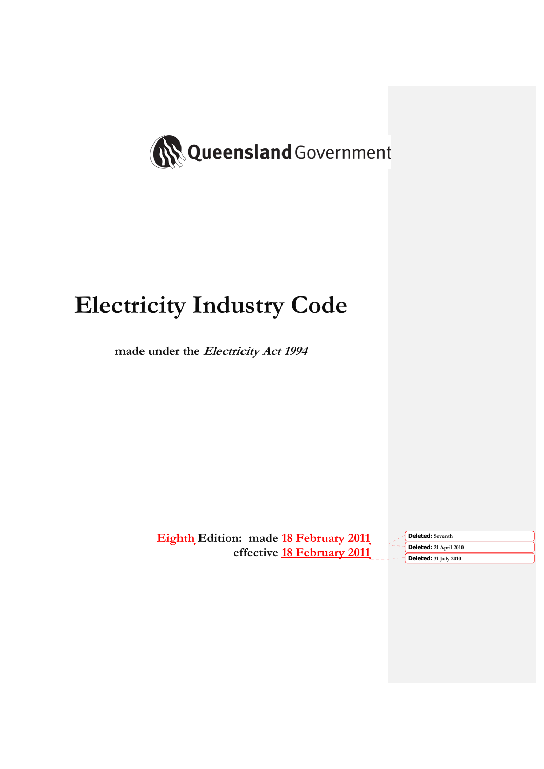

# **Electricity Industry Code**

**made under the Electricity Act 1994** 

**Eighth Edition: made 18 February 2011 effective 18 February 2011**

**Deleted: Seventh Deleted: 21 April 2010 Deleted: 31 July 2010**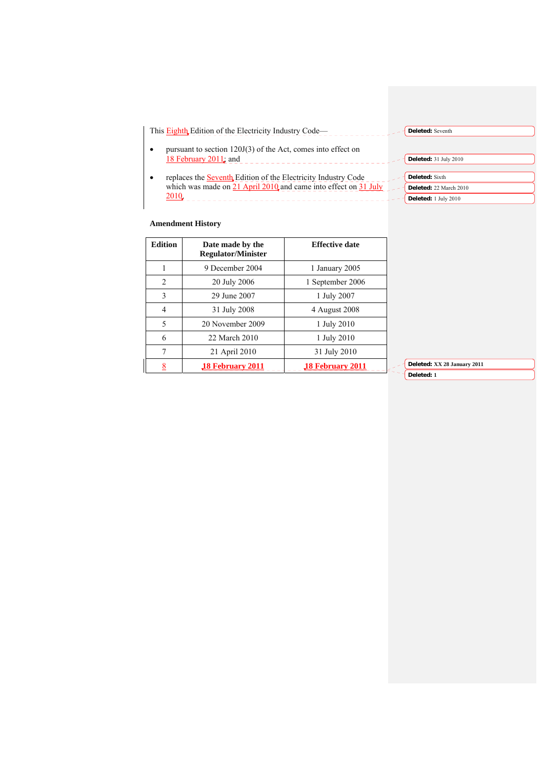| This Eighth Edition of the Electricity Industry Code—                                                                                                            | Deleted: Seventh                                                        |
|------------------------------------------------------------------------------------------------------------------------------------------------------------------|-------------------------------------------------------------------------|
| pursuant to section $120J(3)$ of the Act, comes into effect on<br>$\bullet$<br>18 February $2011$ ; and                                                          | Deleted: 31 July 2010                                                   |
| replaces the <b>Seventh</b> Edition of the Electricity Industry Code<br>$\bullet$<br>which was made on $21$ April 2010 and came into effect on $31$ July<br>2010 | <b>Deleted:</b> Sixth<br>Deleted: 22 March 2010<br>Deleted: 1 July 2010 |

# **Amendment History**

 $\overline{\phantom{a}}$ 

| <b>Edition</b> | Date made by the<br><b>Regulator/Minister</b> | <b>Effective date</b>   |
|----------------|-----------------------------------------------|-------------------------|
|                | 9 December 2004                               | 1 January 2005          |
| $\mathfrak{D}$ | 20 July 2006                                  | 1 September 2006        |
| $\mathbf{3}$   | 29 June 2007                                  | 1 July 2007             |
| $\overline{4}$ | 31 July 2008                                  | 4 August 2008           |
| 5              | 20 November 2009                              | 1 July 2010             |
| 6              | 22 March 2010                                 | 1 July 2010             |
| 7              | 21 April 2010                                 | 31 July 2010            |
|                | 18 February 2011                              | <b>18 February 2011</b> |

**Deleted: XX 28 January 2011 Deleted: 1**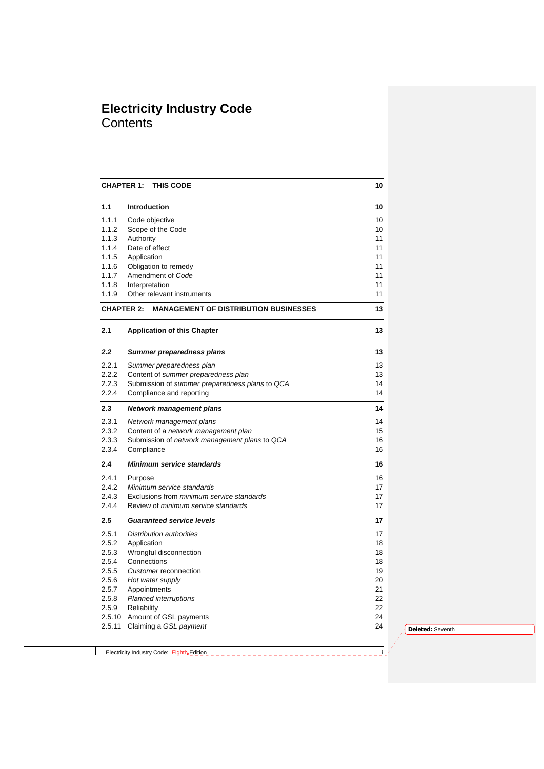# **Electricity Industry Code Contents**

| <b>CHAPTER 1:</b> | <b>THIS CODE</b>                                                              | 10       |
|-------------------|-------------------------------------------------------------------------------|----------|
| 1.1               | <b>Introduction</b>                                                           | 10       |
| 1.1.1             | Code objective                                                                | 10       |
| 1.1.2             | Scope of the Code                                                             | 10       |
| 1.1.3             | Authority                                                                     | 11       |
| 1.1.4             | Date of effect                                                                | 11       |
| 1.1.5             | Application                                                                   | 11       |
| 1.1.6             | Obligation to remedy                                                          | 11       |
| 1.1.7             | Amendment of Code                                                             | 11       |
| 1.1.8<br>1.1.9    | Interpretation<br>Other relevant instruments                                  | 11<br>11 |
|                   |                                                                               |          |
| <b>CHAPTER 2:</b> | <b>MANAGEMENT OF DISTRIBUTION BUSINESSES</b>                                  | 13       |
| 2.1               | <b>Application of this Chapter</b>                                            | 13       |
| 2.2               | Summer preparedness plans                                                     | 13       |
| 2.2.1             | Summer preparedness plan                                                      | 13       |
| 2.2.2             | Content of summer preparedness plan                                           | 13       |
| 2.2.3             | Submission of summer preparedness plans to QCA                                | 14       |
| 2.2.4             | Compliance and reporting                                                      | 14       |
| 2.3               | <b>Network management plans</b>                                               | 14       |
| 2.3.1             | Network management plans                                                      | 14       |
| 2.3.2             | Content of a network management plan                                          | 15       |
| 2.3.3<br>2.3.4    | Submission of network management plans to QCA                                 | 16<br>16 |
|                   | Compliance                                                                    |          |
| 2.4               | <b>Minimum service standards</b>                                              | 16       |
| 2.4.1             | Purpose                                                                       | 16       |
| 2.4.2<br>2.4.3    | Minimum service standards<br>Exclusions from <i>minimum</i> service standards | 17<br>17 |
| 2.4.4             | Review of minimum service standards                                           | 17       |
| 2.5               | <b>Guaranteed service levels</b>                                              | 17       |
|                   |                                                                               |          |
| 2.5.1             | Distribution authorities                                                      | 17       |
| 2.5.2<br>2.5.3    | Application<br>Wrongful disconnection                                         | 18<br>18 |
| 2.5.4             | Connections                                                                   | 18       |
| 2.5.5             | Customer reconnection                                                         | 19       |
| 2.5.6             | Hot water supply                                                              | 20       |
| 2.5.7             | Appointments                                                                  | 21       |
| 2.5.8             | <b>Planned interruptions</b>                                                  | 22       |
| 2.5.9             | Reliability                                                                   | 22       |
|                   | 2.5.10 Amount of GSL payments                                                 | 24       |
| 2.5.11            | Claiming a GSL payment                                                        | 24       |
|                   |                                                                               |          |

**Deleted:** Seventh

Electricity Industry Code: **Eighth Edition Example 2014**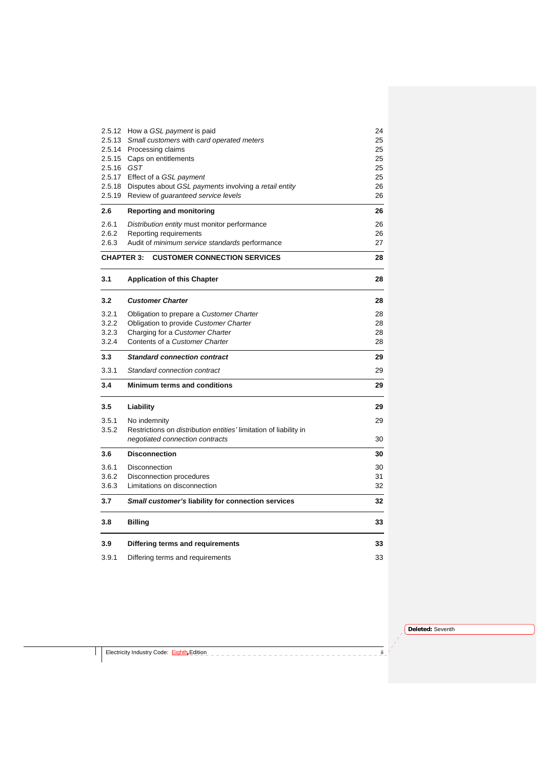|                   | 2.5.12 How a GSL payment is paid                                         | 24 |
|-------------------|--------------------------------------------------------------------------|----|
| 2.5.13            | Small customers with card operated meters                                | 25 |
|                   | 2.5.14 Processing claims                                                 | 25 |
| 2.5.15            | Caps on entitlements                                                     | 25 |
| 2.5.16 GST        |                                                                          | 25 |
|                   | 2.5.17 Effect of a GSL payment                                           | 25 |
|                   | 2.5.18 Disputes about GSL payments involving a retail entity             | 26 |
|                   | 2.5.19 Review of guaranteed service levels                               | 26 |
| 2.6               | <b>Reporting and monitoring</b>                                          | 26 |
|                   |                                                                          |    |
| 2.6.1             | Distribution entity must monitor performance                             | 26 |
| 2.6.2             | Reporting requirements                                                   | 26 |
| 2.6.3             | Audit of <i>minimum</i> service standards performance                    | 27 |
| <b>CHAPTER 3:</b> | <b>CUSTOMER CONNECTION SERVICES</b>                                      | 28 |
| 3.1               | <b>Application of this Chapter</b>                                       | 28 |
| 3.2               | <b>Customer Charter</b>                                                  | 28 |
|                   |                                                                          |    |
| 3.2.1             | Obligation to prepare a Customer Charter                                 | 28 |
| 3.2.2             | Obligation to provide Customer Charter                                   | 28 |
| 3.2.3             | Charging for a Customer Charter                                          | 28 |
| 3.2.4             | Contents of a Customer Charter                                           | 28 |
| 3.3               | <b>Standard connection contract</b>                                      | 29 |
| 3.3.1             | Standard connection contract                                             | 29 |
| 3.4               | <b>Minimum terms and conditions</b>                                      | 29 |
| 3.5               | Liability                                                                | 29 |
| 3.5.1             | No indemnity                                                             | 29 |
| 3.5.2             | Restrictions on <i>distribution entities'</i> limitation of liability in |    |
|                   | negotiated connection contracts                                          | 30 |
| 3.6               | <b>Disconnection</b>                                                     | 30 |
| 3.6.1             | <b>Disconnection</b>                                                     | 30 |
| 3.6.2             | Disconnection procedures                                                 | 31 |
| 3.6.3             | Limitations on disconnection                                             | 32 |
| 3.7               | Small customer's liability for connection services                       | 32 |
| 3.8               | <b>Billing</b>                                                           | 33 |
| 3.9               | Differing terms and requirements                                         | 33 |
| 3.9.1             |                                                                          | 33 |
|                   | Differing terms and requirements                                         |    |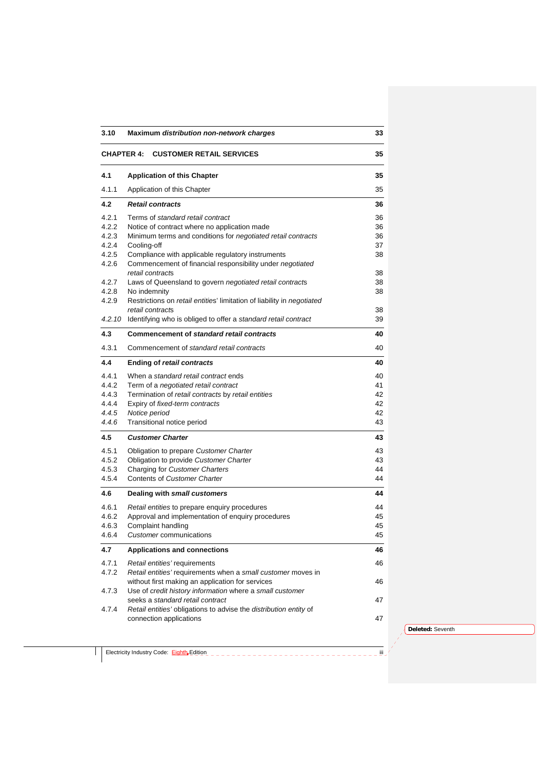| 3.10              | Maximum distribution non-network charges                                                                       | 33       |
|-------------------|----------------------------------------------------------------------------------------------------------------|----------|
| <b>CHAPTER 4:</b> | <b>CUSTOMER RETAIL SERVICES</b>                                                                                | 35       |
| 4.1               | <b>Application of this Chapter</b>                                                                             | 35       |
| 4.1.1             | Application of this Chapter                                                                                    | 35       |
| 4.2               | <b>Retail contracts</b>                                                                                        | 36       |
| 4.2.1             | Terms of standard retail contract                                                                              | 36       |
| 4.2.2             | Notice of contract where no application made                                                                   | 36       |
| 4.2.3             | Minimum terms and conditions for negotiated retail contracts                                                   | 36       |
| 4.2.4             | Cooling-off                                                                                                    | 37       |
| 4.2.5<br>4.2.6    | Compliance with applicable regulatory instruments<br>Commencement of financial responsibility under negotiated | 38       |
|                   | retail contracts                                                                                               | 38       |
| 4.2.7             | Laws of Queensland to govern negotiated retail contracts                                                       | 38       |
| 4.2.8             | No indemnity                                                                                                   | 38       |
| 4.2.9             | Restrictions on retail entities' limitation of liability in negotiated                                         |          |
|                   | retail contracts                                                                                               | 38       |
|                   | 4.2.10 Identifying who is obliged to offer a standard retail contract                                          | 39       |
| 4.3               | Commencement of standard retail contracts                                                                      | 40       |
| 4.3.1             | Commencement of standard retail contracts                                                                      | 40       |
| 4.4               | <b>Ending of retail contracts</b>                                                                              | 40       |
| 4.4.1             | When a standard retail contract ends                                                                           | 40       |
| 4.4.2             | Term of a <i>negotiated retail contract</i>                                                                    | 41       |
| 4.4.3<br>4.4.4    | Termination of retail contracts by retail entities                                                             | 42<br>42 |
| 4.4.5             | Expiry of fixed-term contracts<br>Notice period                                                                | 42       |
| 4.4.6             | Transitional notice period                                                                                     | 43       |
| 4.5               | <b>Customer Charter</b>                                                                                        | 43       |
|                   |                                                                                                                |          |
| 4.5.1<br>4.5.2    | Obligation to prepare Customer Charter<br>Obligation to provide Customer Charter                               | 43<br>43 |
| 4.5.3             | Charging for Customer Charters                                                                                 | 44       |
| 4.5.4             | <b>Contents of Customer Charter</b>                                                                            | 44       |
| 4.6               | Dealing with small customers                                                                                   | 44       |
| 4.6.1             | Retail entities to prepare enquiry procedures                                                                  | 44       |
| 4.6.2             | Approval and implementation of enquiry procedures                                                              | 45       |
| 4.6.3             | Complaint handling                                                                                             | 45       |
| 4.6.4             | Customer communications                                                                                        | 45       |
| 4.7               | <b>Applications and connections</b>                                                                            | 46       |
| 4.7.1             | Retail entities' requirements                                                                                  | 46       |
| 4.7.2             | Retail entities' requirements when a small customer moves in                                                   |          |
|                   | without first making an application for services                                                               | 46       |
| 4.7.3             | Use of credit history information where a small customer                                                       |          |
| 4.7.4             | seeks a standard retail contract<br>Retail entities' obligations to advise the distribution entity of          | 47       |
|                   | connection applications                                                                                        | 47       |
|                   |                                                                                                                |          |

Electricity Industry Code: Eighth Edition is a contract of the contract of the contract of the contract of the contract of the contract of the contract of the contract of the contract of the contract of the contract of the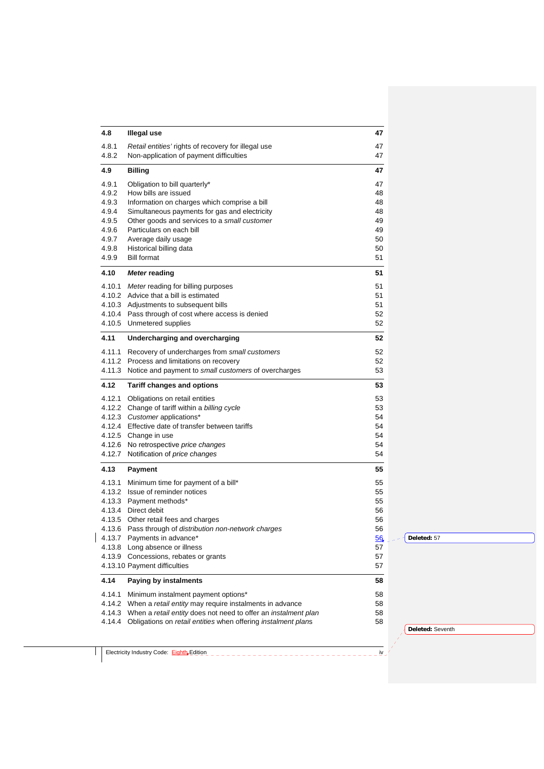| 4.8            | <b>Illegal use</b>                                                    | 47 |                  |
|----------------|-----------------------------------------------------------------------|----|------------------|
| 4.8.1          | Retail entities' rights of recovery for illegal use                   | 47 |                  |
| 4.8.2          | Non-application of payment difficulties                               | 47 |                  |
| 4.9            | <b>Billing</b>                                                        | 47 |                  |
| 4.9.1          | Obligation to bill quarterly*                                         | 47 |                  |
| 4.9.2          | How bills are issued                                                  | 48 |                  |
| 4.9.3          | Information on charges which comprise a bill                          | 48 |                  |
| 4.9.4          | Simultaneous payments for gas and electricity                         | 48 |                  |
| 4.9.5          | Other goods and services to a small customer                          | 49 |                  |
| 4.9.6          | Particulars on each bill                                              | 49 |                  |
| 4.9.7          | Average daily usage                                                   | 50 |                  |
| 4.9.8          | Historical billing data                                               | 50 |                  |
| 4.9.9          | <b>Bill format</b>                                                    | 51 |                  |
| 4.10           | <b>Meter reading</b>                                                  | 51 |                  |
|                | 4.10.1 Meter reading for billing purposes                             | 51 |                  |
|                | 4.10.2 Advice that a bill is estimated                                | 51 |                  |
|                | 4.10.3 Adjustments to subsequent bills                                | 51 |                  |
|                | 4.10.4 Pass through of cost where access is denied                    | 52 |                  |
|                | 4.10.5 Unmetered supplies                                             | 52 |                  |
| 4.11           | Undercharging and overcharging                                        | 52 |                  |
|                | 4.11.1 Recovery of undercharges from small customers                  | 52 |                  |
|                | 4.11.2 Process and limitations on recovery                            | 52 |                  |
|                | 4.11.3 Notice and payment to small customers of overcharges           | 53 |                  |
| 4.12           | <b>Tariff changes and options</b>                                     | 53 |                  |
|                | 4.12.1 Obligations on retail entities                                 | 53 |                  |
|                | 4.12.2 Change of tariff within a billing cycle                        | 53 |                  |
|                | 4.12.3 Customer applications*                                         | 54 |                  |
|                | 4.12.4 Effective date of transfer between tariffs                     | 54 |                  |
|                | 4.12.5 Change in use                                                  | 54 |                  |
|                |                                                                       |    |                  |
|                | 4.12.6 No retrospective price changes                                 | 54 |                  |
|                | 4.12.7 Notification of price changes                                  | 54 |                  |
|                | Payment                                                               | 55 |                  |
|                | Minimum time for payment of a bill*                                   | 55 |                  |
|                | 4.13.2 Issue of reminder notices                                      | 55 |                  |
|                | 4.13.3 Payment methods*                                               | 55 |                  |
|                | 4.13.4 Direct debit                                                   | 56 |                  |
|                | 4.13.5 Other retail fees and charges                                  | 56 |                  |
|                | 4.13.6 Pass through of distribution non-network charges               | 56 |                  |
|                | 4.13.7 Payments in advance*                                           | 56 | Deleted: 57      |
|                | 4.13.8 Long absence or illness                                        | 57 |                  |
|                | 4.13.9 Concessions, rebates or grants                                 | 57 |                  |
| 4.13<br>4.13.1 | 4.13.10 Payment difficulties                                          | 57 |                  |
|                | Paying by instalments                                                 | 58 |                  |
|                | Minimum instalment payment options*                                   | 58 |                  |
|                | 4.14.2 When a retail entity may require instalments in advance        | 58 |                  |
|                | 4.14.3 When a retail entity does not need to offer an instalment plan | 58 |                  |
| 4.14<br>4.14.1 | 4.14.4 Obligations on retail entities when offering instalment plans  | 58 | Deleted: Seventh |

Electricity Industry Code: Eighth Edition is a contract of the contract of the contract of the contract of the contract of the contract of the contract of the contract of the contract of the contract of the contract of the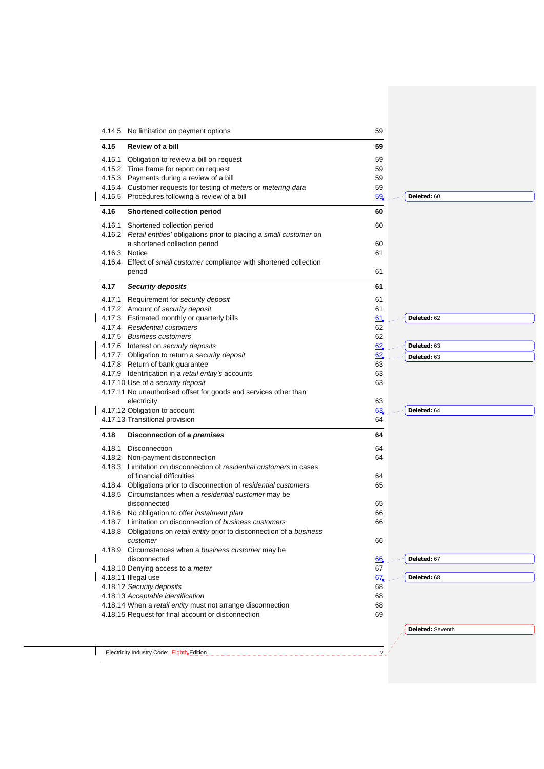|        | 4.14.5 No limitation on payment options                                                                                       | 59                    |                  |
|--------|-------------------------------------------------------------------------------------------------------------------------------|-----------------------|------------------|
| 4.15   | <b>Review of a bill</b>                                                                                                       | 59                    |                  |
| 4.15.1 | Obligation to review a bill on request                                                                                        | 59                    |                  |
|        | 4.15.2 Time frame for report on request                                                                                       | 59                    |                  |
|        | 4.15.3 Payments during a review of a bill<br>4.15.4 Customer requests for testing of meters or metering data                  | 59<br>59              |                  |
|        | 4.15.5 Procedures following a review of a bill                                                                                | 59                    | Deleted: 60      |
| 4.16   | <b>Shortened collection period</b>                                                                                            | 60                    |                  |
|        | 4.16.1 Shortened collection period                                                                                            | 60                    |                  |
|        | 4.16.2 Retail entities' obligations prior to placing a small customer on                                                      |                       |                  |
|        | a shortened collection period                                                                                                 | 60                    |                  |
|        | 4.16.3 Notice                                                                                                                 | 61                    |                  |
|        | 4.16.4 Effect of small customer compliance with shortened collection<br>period                                                | 61                    |                  |
| 4.17   | <b>Security deposits</b>                                                                                                      | 61                    |                  |
| 4.17.1 | Requirement for security deposit                                                                                              | 61                    |                  |
|        | 4.17.2 Amount of security deposit                                                                                             | 61                    |                  |
|        | 4.17.3 Estimated monthly or quarterly bills                                                                                   | 61                    | Deleted: 62      |
|        | 4.17.4 Residential customers                                                                                                  | 62                    |                  |
|        | 4.17.5 Business customers                                                                                                     | 62                    |                  |
|        | 4.17.6 Interest on security deposits                                                                                          | 62                    | Deleted: 63      |
|        | 4.17.7 Obligation to return a security deposit                                                                                | 62                    | Deleted: 63      |
|        | 4.17.8 Return of bank guarantee                                                                                               | 63                    |                  |
|        | 4.17.9 Identification in a retail entity's accounts                                                                           | 63                    |                  |
|        | 4.17.10 Use of a security deposit                                                                                             | 63                    |                  |
|        | 4.17.11 No unauthorised offset for goods and services other than                                                              |                       |                  |
|        | electricity<br>4.17.12 Obligation to account                                                                                  | 63<br>63              | Deleted: 64      |
|        | 4.17.13 Transitional provision                                                                                                | 64                    |                  |
| 4.18   | Disconnection of a premises                                                                                                   | 64                    |                  |
| 4.18.1 | Disconnection                                                                                                                 | 64                    |                  |
|        | 4.18.2 Non-payment disconnection                                                                                              | 64                    |                  |
|        | 4.18.3 Limitation on disconnection of residential customers in cases                                                          |                       |                  |
|        | of financial difficulties                                                                                                     | 64                    |                  |
|        | 4.18.4 Obligations prior to disconnection of residential customers<br>4.18.5 Circumstances when a residential customer may be | 65                    |                  |
|        | disconnected                                                                                                                  | 65                    |                  |
|        | 4.18.6 No obligation to offer <i>instalment plan</i>                                                                          | 66                    |                  |
|        | 4.18.7 Limitation on disconnection of business customers                                                                      | 66                    |                  |
|        | 4.18.8 Obligations on retail entity prior to disconnection of a business                                                      |                       |                  |
|        | customer                                                                                                                      | 66                    |                  |
|        | 4.18.9 Circumstances when a business customer may be                                                                          |                       | Deleted: 67      |
|        |                                                                                                                               | 66                    |                  |
|        | disconnected                                                                                                                  |                       |                  |
|        | 4.18.10 Denying access to a meter                                                                                             | 67                    |                  |
|        | 4.18.11 Illegal use                                                                                                           | 67 <sub>x</sub><br>68 | Deleted: 68      |
|        | 4.18.12 Security deposits                                                                                                     | 68                    |                  |
|        | 4.18.13 Acceptable identification<br>4.18.14 When a retail entity must not arrange disconnection                              | 68                    |                  |
|        | 4.18.15 Request for final account or disconnection                                                                            | 69                    |                  |
|        |                                                                                                                               |                       | Deleted: Seventh |
|        | Electricity Industry Code: Eighth Edition                                                                                     |                       |                  |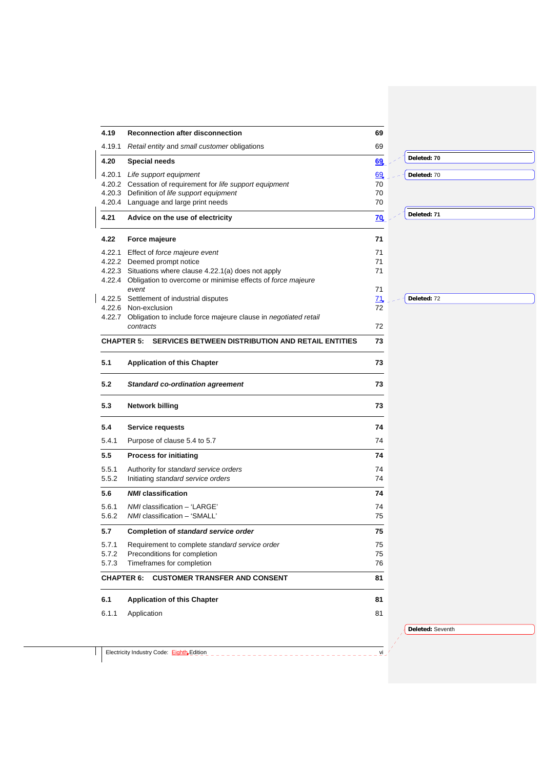| 4.19   | Reconnection after disconnection                                       | 69         |             |
|--------|------------------------------------------------------------------------|------------|-------------|
| 4.19.1 | Retail entity and small customer obligations                           | 69         |             |
| 4.20   | <b>Special needs</b>                                                   | 69         | Deleted: 70 |
| 4.20.1 | Life support equipment                                                 | 69         | Deleted: 70 |
|        | 4.20.2 Cessation of requirement for life support equipment             | 70         |             |
|        | 4.20.3 Definition of life support equipment                            | 70         |             |
|        | 4.20.4 Language and large print needs                                  | 70         |             |
| 4.21   | Advice on the use of electricity                                       | 70         | Deleted: 71 |
|        |                                                                        |            |             |
| 4.22   | Force majeure                                                          | 71         |             |
| 4.22.1 | Effect of force majeure event                                          | 71         |             |
|        | 4.22.2 Deemed prompt notice                                            | 71         |             |
|        | 4.22.3 Situations where clause 4.22.1(a) does not apply                | 71         |             |
|        | 4.22.4 Obligation to overcome or minimise effects of force majeure     |            |             |
|        | event                                                                  | 71         |             |
|        | 4.22.5 Settlement of industrial disputes                               | 71         | Deleted: 72 |
|        | 4.22.6 Non-exclusion                                                   | 72         |             |
|        | 4.22.7 Obligation to include force majeure clause in negotiated retail |            |             |
|        | contracts                                                              | 72         |             |
|        | <b>CHAPTER 5:</b><br>SERVICES BETWEEN DISTRIBUTION AND RETAIL ENTITIES | 73         |             |
|        |                                                                        |            |             |
| 5.1    | <b>Application of this Chapter</b>                                     | 73         |             |
| 5.2    | <b>Standard co-ordination agreement</b>                                | 73         |             |
| 5.3    | <b>Network billing</b>                                                 | 73         |             |
| 5.4    | Service requests                                                       | 74         |             |
| 5.4.1  | Purpose of clause 5.4 to 5.7                                           | 74         |             |
| 5.5    | <b>Process for initiating</b>                                          | 74         |             |
| 5.5.1  | Authority for standard service orders                                  | 74         |             |
| 5.5.2  | Initiating standard service orders                                     | 74         |             |
| 5.6    | <b>NMI</b> classification                                              | 74         |             |
| 5.6.1  | NMI classification - 'LARGE'                                           | 74         |             |
| 5.6.2  | NMI classification - 'SMALL'                                           | $\sqrt{5}$ |             |
| 5.7    | Completion of standard service order                                   | 75         |             |
|        |                                                                        |            |             |
| 5.7.1  | Requirement to complete standard service order                         | 75         |             |
| 5.7.2  | Preconditions for completion                                           | 75         |             |
| 5.7.3  | Timeframes for completion                                              | 76         |             |
|        | <b>CHAPTER 6: CUSTOMER TRANSFER AND CONSENT</b>                        | 81         |             |
|        | <b>Application of this Chapter</b>                                     | 81         |             |
| 6.1    |                                                                        |            |             |
|        |                                                                        |            |             |
| 6.1.1  | Application                                                            | 81         |             |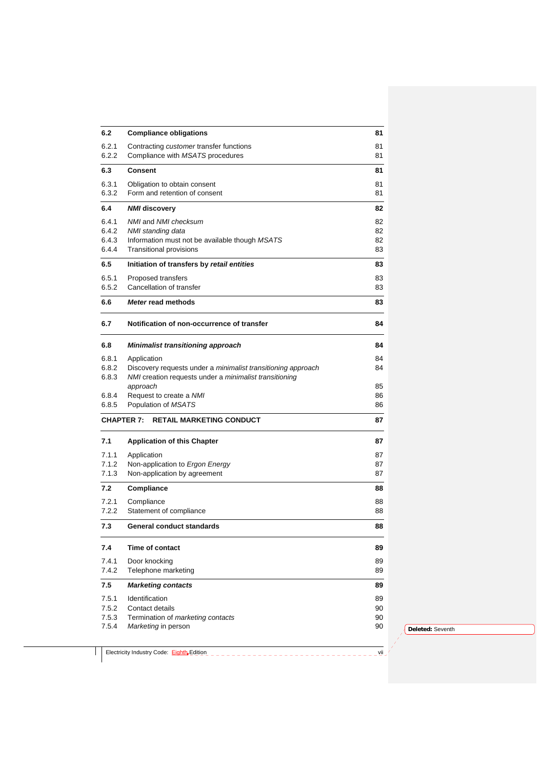| 6.2   | <b>Compliance obligations</b>                                       | 81       |
|-------|---------------------------------------------------------------------|----------|
| 6.2.1 | Contracting <i>customer</i> transfer functions                      | 81       |
| 6.2.2 | Compliance with MSATS procedures                                    | 81       |
| 6.3   | Consent                                                             | 81       |
| 6.3.1 | Obligation to obtain consent                                        | 81       |
| 6.3.2 | Form and retention of consent                                       | 81       |
| 6.4   | <b>NMI</b> discovery                                                | 82       |
| 6.4.1 | NMI and NMI checksum                                                | 82       |
| 6.4.2 | NMI standing data                                                   | 82       |
| 6.4.3 | Information must not be available though MSATS                      | 82       |
| 6.4.4 | <b>Transitional provisions</b>                                      | 83       |
| 6.5   | Initiation of transfers by retail entities                          | 83       |
| 6.5.1 | Proposed transfers                                                  | 83       |
| 6.5.2 | Cancellation of transfer                                            | 83       |
| 6.6   | Meter read methods                                                  | 83       |
| 6.7   | Notification of non-occurrence of transfer                          | 84       |
| 6.8   | Minimalist transitioning approach                                   | 84       |
| 6.8.1 | Application                                                         | 84       |
| 6.8.2 | Discovery requests under a <i>minimalist transitioning approach</i> | 84       |
| 6.8.3 | NMI creation requests under a <i>minimalist transitioning</i>       |          |
| 6.8.4 | approach<br>Request to create a NMI                                 | 85<br>86 |
| 6.8.5 | Population of MSATS                                                 | 86       |
|       | <b>CHAPTER 7:</b><br><b>RETAIL MARKETING CONDUCT</b>                | 87       |
|       |                                                                     |          |
| 7.1   | <b>Application of this Chapter</b>                                  | 87       |
| 7.1.1 | Application                                                         | 87       |
| 7.1.2 | Non-application to Ergon Energy                                     | 87       |
| 7.1.3 | Non-application by agreement                                        | 87       |
| 7.2   | <b>Compliance</b>                                                   | 88       |
| 7.2.1 | Compliance                                                          | 88       |
| 7.2.2 | Statement of compliance                                             | 88       |
| 7.3   | General conduct standards                                           | 88       |
| 7.4   | Time of contact                                                     | 89       |
| 7.4.1 | Door knocking                                                       | 89       |
| 7.4.2 | Telephone marketing                                                 | 89       |
| 7.5   | <b>Marketing contacts</b>                                           | 89       |
| 7.5.1 | Identification                                                      | 89       |
| 7.5.2 | Contact details                                                     | 90       |
| 7.5.3 | Termination of marketing contacts                                   | 90       |
| 7.5.4 | Marketing in person                                                 | 90       |

Electricity Industry Code: Eighth Edition views are also a consider the consideration of the Collection of the Collection of the Collection of the Collection of the Collection of the Collection of the Collection of the Col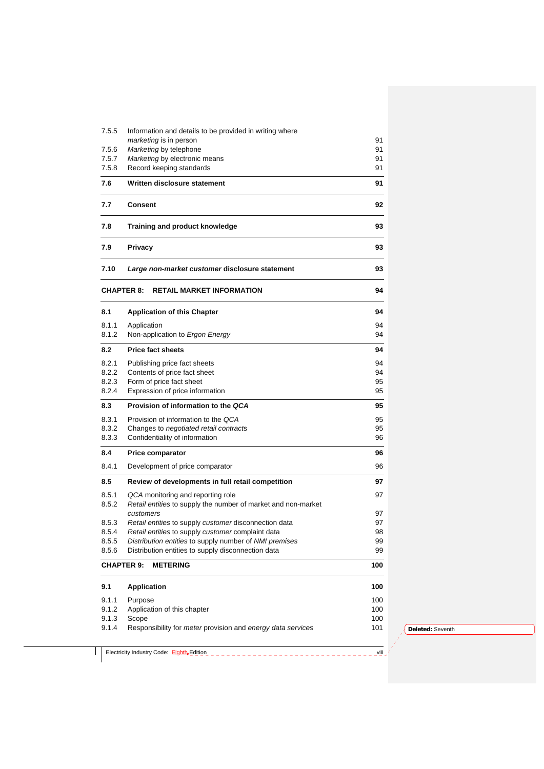| 7.5.5 | Information and details to be provided in writing where                   |          |
|-------|---------------------------------------------------------------------------|----------|
|       | marketing is in person                                                    | 91       |
| 7.5.6 | Marketing by telephone                                                    | 91       |
| 7.5.7 | Marketing by electronic means                                             | 91       |
| 7.5.8 | Record keeping standards                                                  | 91       |
| 7.6   | Written disclosure statement                                              | 91       |
| 7.7   | Consent                                                                   | 92       |
| 7.8   | Training and product knowledge                                            | 93       |
| 7.9   | <b>Privacy</b>                                                            | 93       |
| 7.10  | Large non-market customer disclosure statement                            | 93       |
|       | <b>CHAPTER 8:</b><br><b>RETAIL MARKET INFORMATION</b>                     | 94       |
| 8.1   | <b>Application of this Chapter</b>                                        | 94       |
| 8.1.1 | Application                                                               | 94       |
| 8.1.2 | Non-application to Ergon Energy                                           | 94       |
| 8.2   | <b>Price fact sheets</b>                                                  | 94       |
| 8.2.1 | Publishing price fact sheets                                              | 94       |
| 8.2.2 | Contents of price fact sheet                                              | 94       |
| 8.2.3 | Form of price fact sheet                                                  | 95       |
| 8.2.4 | Expression of price information                                           | 95       |
| 8.3   | Provision of information to the QCA                                       | 95       |
| 8.3.1 | Provision of information to the QCA                                       | 95       |
| 8.3.2 | Changes to negotiated retail contracts                                    | 95       |
| 8.3.3 | Confidentiality of information                                            | 96       |
| 8.4   | <b>Price comparator</b>                                                   | 96       |
| 8.4.1 | Development of price comparator                                           | 96       |
| 8.5   | Review of developments in full retail competition                         | 97       |
| 8.5.1 | QCA monitoring and reporting role                                         | 97       |
| 8.5.2 | Retail entities to supply the number of market and non-market             |          |
|       | customers                                                                 | 97       |
| 8.5.3 | Retail entities to supply customer disconnection data                     | 97       |
| 8.5.4 | Retail entities to supply customer complaint data                         | 98       |
| 8.5.5 | Distribution entities to supply number of NMI premises                    | 99<br>99 |
| 8.5.6 | Distribution entities to supply disconnection data                        |          |
|       | <b>METERING</b><br><b>CHAPTER 9:</b>                                      | 100      |
| 9.1   | <b>Application</b>                                                        | 100      |
| 9.1.1 | Purpose                                                                   | 100      |
| 9.1.2 | Application of this chapter                                               | 100      |
| 9.1.3 | Scope                                                                     | 100      |
| 9.1.4 | Responsibility for <i>meter</i> provision and <i>energy data services</i> | 101      |

Electricity Industry Code: Eighth Edition views and contact the contact of the Child Child Child Child Child Child Child Child Child Child Child Child Child Child Child Child Child Child Child Child Child Child Child Child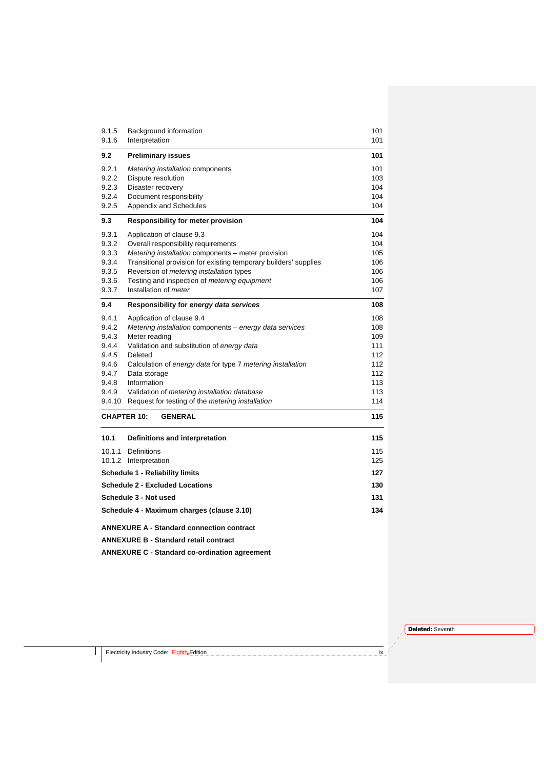| 9.1.5           | Background information                                           | 101        |
|-----------------|------------------------------------------------------------------|------------|
| 9.1.6           | Interpretation                                                   | 101        |
| 9.2             | <b>Preliminary issues</b>                                        | 101        |
| 9.2.1           | Metering installation components                                 | 101        |
| 9.2.2           | Dispute resolution                                               | 103        |
| 9.2.3           | Disaster recovery                                                | 104        |
| 9.2.4           | Document responsibility                                          | 104        |
| 9.2.5           | Appendix and Schedules                                           | 104        |
| 9.3             | Responsibility for meter provision                               | 104        |
| 9.3.1           | Application of clause 9.3                                        | 104        |
| 9.3.2           | Overall responsibility requirements                              | 104        |
| 9.3.3           | Metering installation components - meter provision               | 105        |
| 9.3.4           | Transitional provision for existing temporary builders' supplies | 106        |
| 9.3.5           | Reversion of metering installation types                         | 106        |
| 9.3.6           | Testing and inspection of metering equipment                     | 106        |
| 9.3.7           | Installation of <i>meter</i>                                     | 107        |
| 9.4             | Responsibility for energy data services                          | 108        |
| 9.4.1           | Application of clause 9.4                                        | 108        |
| 9.4.2           | Metering installation components - energy data services          | 108        |
| 9.4.3           | Meter reading                                                    | 109        |
| 9.4.4           | Validation and substitution of energy data                       | 111        |
| 9.4.5           | Deleted                                                          | 112        |
| 9.4.6           | Calculation of energy data for type 7 metering installation      | 112        |
| 9.4.7           | Data storage                                                     | 112        |
| 9.4.8           | Information                                                      | 113        |
| 9.4.9<br>9.4.10 | Validation of metering installation database                     | 113<br>114 |
|                 | Request for testing of the <i>metering installation</i>          |            |
|                 | <b>CHAPTER 10:</b><br><b>GENERAL</b>                             | 115        |
| 10.1            | Definitions and interpretation                                   | 115        |
|                 | 10.1.1 Definitions                                               | 115        |
|                 | 10.1.2 Interpretation                                            | 125        |
|                 | <b>Schedule 1 - Reliability limits</b>                           | 127        |
|                 | <b>Schedule 2 - Excluded Locations</b>                           | 130        |
|                 | Schedule 3 - Not used                                            | 131        |
|                 | Schedule 4 - Maximum charges (clause 3.10)                       | 134        |
|                 | <b>ANNEXURE A - Standard connection contract</b>                 |            |
|                 | <b>ANNEXURE B - Standard retail contract</b>                     |            |
|                 | <b>ANNEXURE C - Standard co-ordination agreement</b>             |            |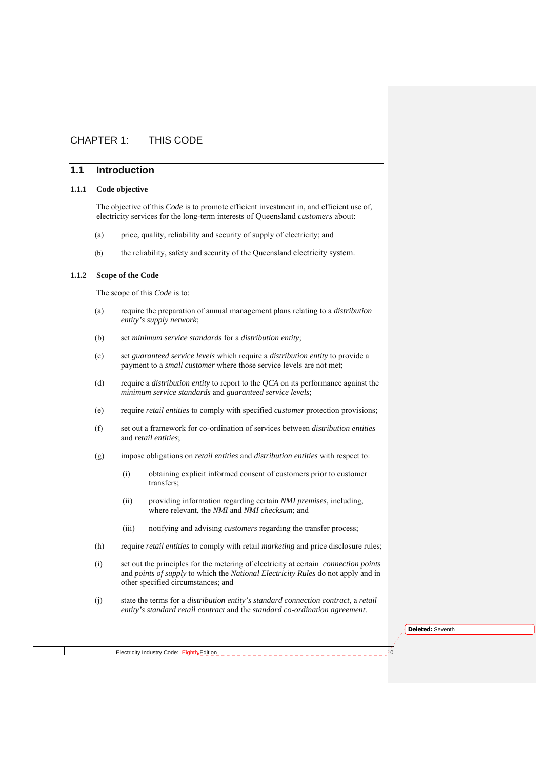# CHAPTER 1: THIS CODE

# **1.1 Introduction**

#### **1.1.1 Code objective**

The objective of this *Code* is to promote efficient investment in, and efficient use of, electricity services for the long-term interests of Queensland *customers* about:

- (a) price, quality, reliability and security of supply of electricity; and
- (b) the reliability, safety and security of the Queensland electricity system.

# **1.1.2 Scope of the Code**

The scope of this *Code* is to:

- (a) require the preparation of annual management plans relating to a *distribution entity's supply network*;
- (b) set *minimum service standards* for a *distribution entity*;
- (c) set *guaranteed service levels* which require a *distribution entity* to provide a payment to a *small customer* where those service levels are not met;
- (d) require a *distribution entity* to report to the *QCA* on its performance against the *minimum service standards* and *guaranteed service levels*;
- (e) require *retail entities* to comply with specified *customer* protection provisions;
- (f) set out a framework for co-ordination of services between *distribution entities*  and *retail entities*;
- (g) impose obligations on *retail entities* and *distribution entities* with respect to:
	- (i) obtaining explicit informed consent of customers prior to customer transfers;
	- (ii) providing information regarding certain *NMI premises*, including, where relevant, the *NMI* and *NMI checksum*; and
	- (iii) notifying and advising *customers* regarding the transfer process;
- (h) require *retail entities* to comply with retail *marketing* and price disclosure rules;
- (i) set out the principles for the metering of electricity at certain *connection points*  and *points of supply* to which the *National Electricity Rules* do not apply and in other specified circumstances; and
- (j) state the terms for a *distribution entity's standard connection contract*, a *retail entity's standard retail contract* and the *standard co-ordination agreement.*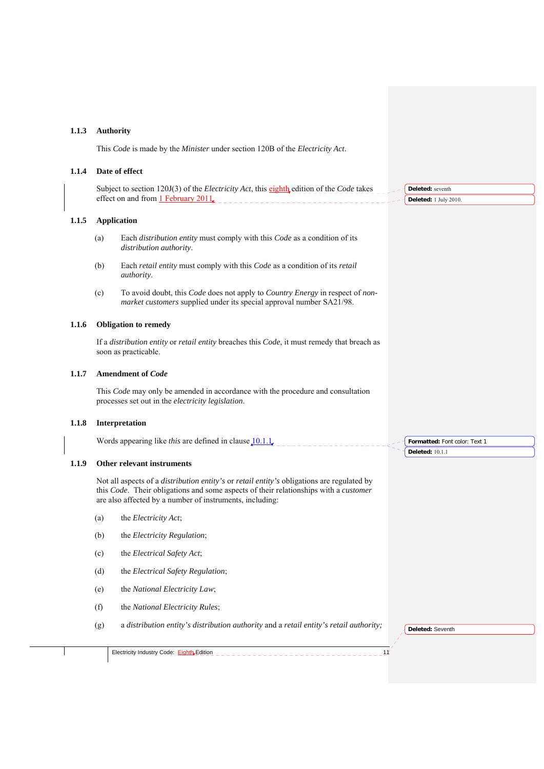#### **1.1.3 Authority**

This *Code* is made by the *Minister* under section 120B of the *Electricity Act*.

#### **1.1.4 Date of effect**

Subject to section 120J(3) of the *Electricity Act*, this eighth edition of the *Code* takes effect on and from  $1$  February 2011. **Deleted:** seventh **Deleted:** 1 July 2010.

#### **1.1.5 Application**

- (a) Each *distribution entity* must comply with this *Code* as a condition of its *distribution authority*.
- (b) Each *retail entity* must comply with this *Code* as a condition of its *retail authority*.
- (c) To avoid doubt, this *Code* does not apply to *Country Energy* in respect of *nonmarket customers* supplied under its special approval number SA21/98.

#### **1.1.6 Obligation to remedy**

If a *distribution entity* or *retail entity* breaches this *Code*, it must remedy that breach as soon as practicable.

#### **1.1.7 Amendment of** *Code*

This *Code* may only be amended in accordance with the procedure and consultation processes set out in the *electricity legislation*.

#### **1.1.8 Interpretation**

Words appearing like *this* are defined in clause 10.1.1.

#### **1.1.9 Other relevant instruments**

Not all aspects of a *distribution entity's* or *retail entity's* obligations are regulated by this *Code*. Their obligations and some aspects of their relationships with a *customer* are also affected by a number of instruments, including:

- (a) the *Electricity Act*;
- (b) the *Electricity Regulation*;
- (c) the *Electrical Safety Act*;
- (d) the *Electrical Safety Regulation*;
- (e) the *National Electricity Law*;
- (f) the *National Electricity Rules*;
- (g) a *distribution entity's distribution authority* and a *retail entity's retail authority;*

**Deleted:** Seventh

**Formatted:** Font color: Text 1

**Deleted:** 10.1.1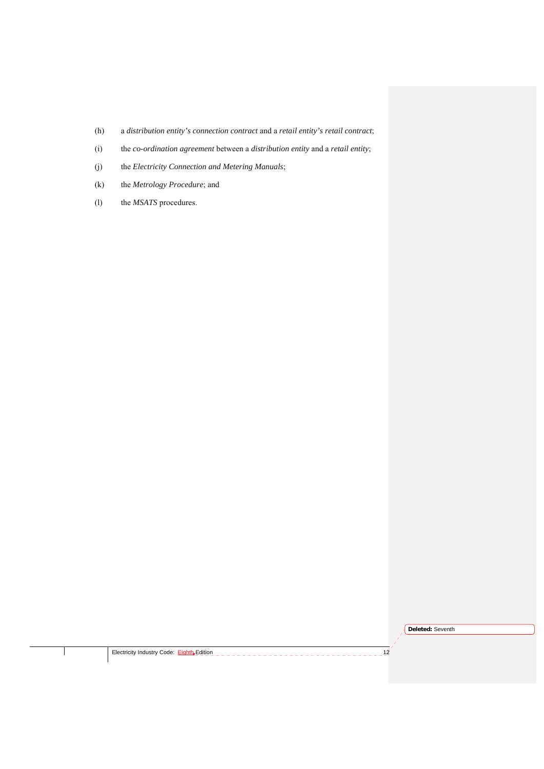- (h) a *distribution entity's connection contract* and a *retail entity's retail contract*;
- (i) the *co-ordination agreement* between a *distribution entity* and a *retail entity*;
- (j) the *Electricity Connection and Metering Manuals*;
- (k) the *Metrology Procedure*; and
- (l) the *MSATS* procedures.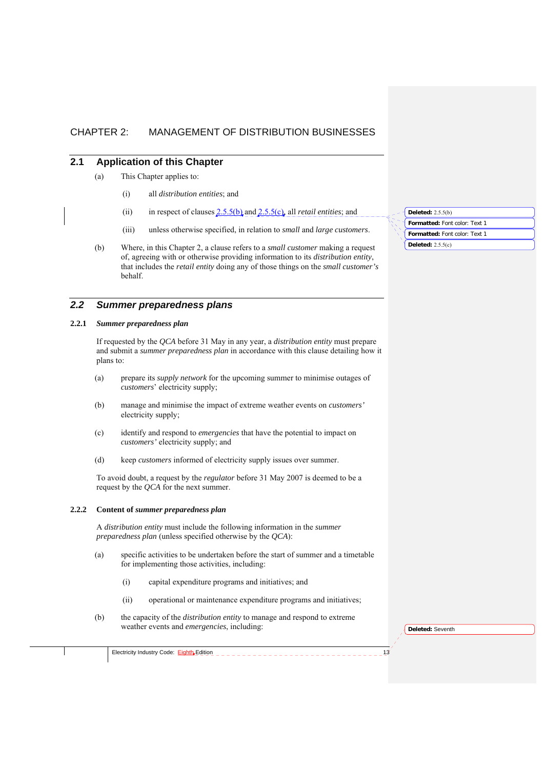# CHAPTER 2: MANAGEMENT OF DISTRIBUTION BUSINESSES

# **2.1 Application of this Chapter**

- (a) This Chapter applies to:
	- (i) all *distribution entities*; and
	- (ii) in respect of clauses 2.5.5(b) and 2.5.5(c), all *retail entities*; and
	- (iii) unless otherwise specified, in relation to *small* and *large customers*.
- (b) Where, in this Chapter 2, a clause refers to a *small customer* making a request of, agreeing with or otherwise providing information to its *distribution entity*, that includes the *retail entity* doing any of those things on the *small customer's* behalf.

# *2.2 Summer preparedness plans*

## **2.2.1** *Summer preparedness plan*

If requested by the *QCA* before 31 May in any year, a *distribution entity* must prepare and submit a *summer preparedness plan* in accordance with this clause detailing how it plans to:

- (a) prepare its *supply network* for the upcoming summer to minimise outages of *customers*' electricity supply;
- (b) manage and minimise the impact of extreme weather events on *customers'* electricity supply;
- (c) identify and respond to *emergencies* that have the potential to impact on *customers'* electricity supply; and
- (d) keep *customers* informed of electricity supply issues over summer.

To avoid doubt, a request by the *regulator* before 31 May 2007 is deemed to be a request by the *QCA* for the next summer.

#### **2.2.2 Content of** *summer preparedness plan*

Electricity Industry Code: Eighth Edition

A *distribution entity* must include the following information in the *summer preparedness plan* (unless specified otherwise by the *QCA*):

- (a) specific activities to be undertaken before the start of summer and a timetable for implementing those activities, including:
	- (i) capital expenditure programs and initiatives; and
	- (ii) operational or maintenance expenditure programs and initiatives;
- (b) the capacity of the *distribution entity* to manage and respond to extreme weather events and *emergencies*, including:

**Deleted:** Seventh

**Formatted:** Font color: Text 1 **Deleted:** 2.5.5(b) **Formatted:** Font color: Text 1 **Deleted:** 2.5.5(c)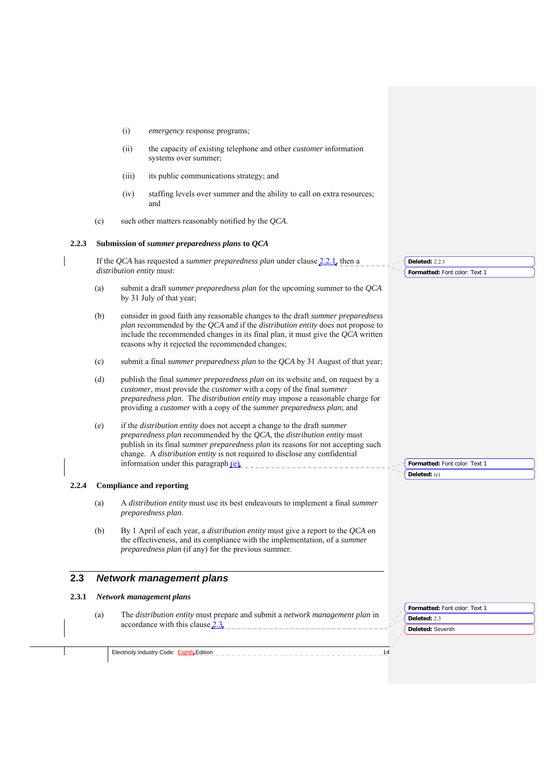- (i) *emergency* response programs;
- (ii) the capacity of existing telephone and other *customer* information systems over summer;
- (iii) its public communications strategy; and
- (iv) staffing levels over summer and the ability to call on extra resources; and
- (c) such other matters reasonably notified by the *QCA*.

#### **2.2.3 Submission of** *summer preparedness plans* **to** *QCA*

If the *QCA* has requested a *summer preparedness plan* under clause 2.2.1, then a *distribution entity* must:

- (a) submit a draft *summer preparedness plan* for the upcoming summer to the *QCA* by 31 July of that year;
- (b) consider in good faith any reasonable changes to the draft *summer preparedness plan* recommended by the *QCA* and if the *distribution entity* does not propose to include the recommended changes in its final plan, it must give the *QCA* written reasons why it rejected the recommended changes;
- (c) submit a final *summer preparedness plan* to the *QCA* by 31 August of that year;
- (d) publish the final *summer preparedness plan* on its website and, on request by a *customer*, must provide the *customer* with a copy of the final *summer preparedness plan*. The *distribution entity* may impose a reasonable charge for providing a *customer* with a copy of the *summer preparedness plan*; and
- (e) if the *distribution entity* does not accept a change to the draft *summer preparedness plan* recommended by the *QCA*, the *distribution entity* must publish in its final *summer preparedness plan* its reasons for not accepting such change. A *distribution entity* is not required to disclose any confidential information under this paragraph (e).

#### **2.2.4 Compliance and reporting**

- (a) A *distribution entity* must use its best endeavours to implement a final *summer preparedness plan*.
- (b) By 1 April of each year, a *distribution entity* must give a report to the *QCA* on the effectiveness, and its compliance with the implementation, of a *summer preparedness plan* (if any) for the previous summer.

# **2.3** *Network management plans*

#### **2.3.1** *Network management plans*

(a) The *distribution entity* must prepare and submit a *network management plan* in accordance with this clause 2.3.

**Deleted:** Seventh **Formatted:** Font color: Text 1 **Deleted:** 2.3

Electricity Industry Code: Eighth Edition

**Deleted:** 2.2.1

**Formatted:** Font color: Text 1

**Formatted:** Font color: Text 1 **Deleted:** (e)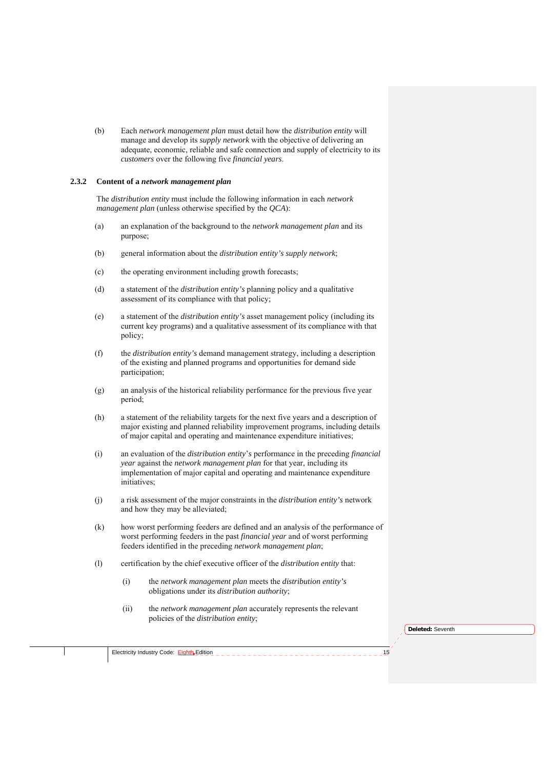(b) Each *network management plan* must detail how the *distribution entity* will manage and develop its *supply network* with the objective of delivering an adequate, economic, reliable and safe connection and supply of electricity to its *customers* over the following five *financial years*.

#### **2.3.2 Content of a** *network management plan*

The *distribution entity* must include the following information in each *network management plan* (unless otherwise specified by the *QCA*):

- (a) an explanation of the background to the *network management plan* and its purpose;
- (b) general information about the *distribution entity's supply network*;
- (c) the operating environment including growth forecasts;
- (d) a statement of the *distribution entity's* planning policy and a qualitative assessment of its compliance with that policy;
- (e) a statement of the *distribution entity's* asset management policy (including its current key programs) and a qualitative assessment of its compliance with that policy;
- (f) the *distribution entity's* demand management strategy, including a description of the existing and planned programs and opportunities for demand side participation;
- (g) an analysis of the historical reliability performance for the previous five year period;
- (h) a statement of the reliability targets for the next five years and a description of major existing and planned reliability improvement programs, including details of major capital and operating and maintenance expenditure initiatives;
- (i) an evaluation of the *distribution entity*'*s* performance in the preceding *financial year* against the *network management plan* for that year, including its implementation of major capital and operating and maintenance expenditure initiatives;
- (j) a risk assessment of the major constraints in the *distribution entity's* network and how they may be alleviated;
- (k) how worst performing feeders are defined and an analysis of the performance of worst performing feeders in the past *financial year* and of worst performing feeders identified in the preceding *network management plan*;
- (l) certification by the chief executive officer of the *distribution entity* that:
	- (i) the *network management plan* meets the *distribution entity's* obligations under its *distribution authority*;
	- (ii) the *network management plan* accurately represents the relevant policies of the *distribution entity*;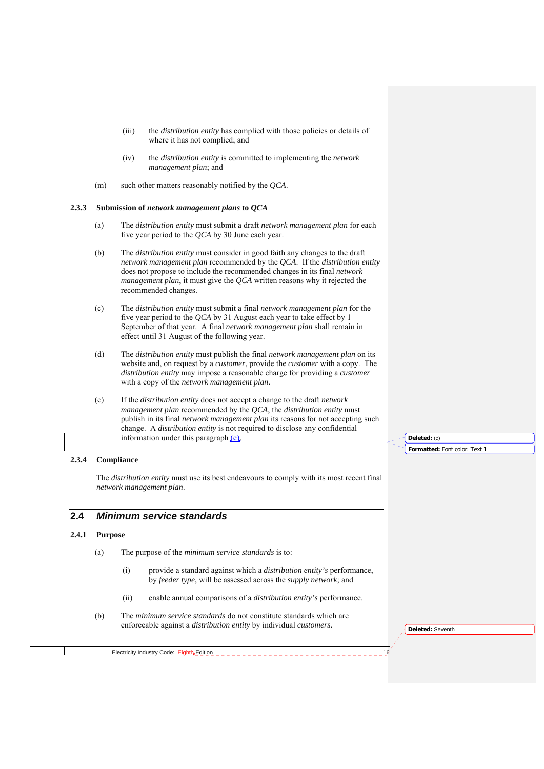- (iii) the *distribution entity* has complied with those policies or details of where it has not complied; and
- (iv) the *distribution entity* is committed to implementing the *network management plan*; and
- (m) such other matters reasonably notified by the *QCA*.

#### **2.3.3 Submission of** *network management plans* **to** *QCA*

- (a) The *distribution entity* must submit a draft *network management plan* for each five year period to the *QCA* by 30 June each year.
- (b) The *distribution entity* must consider in good faith any changes to the draft *network management plan* recommended by the *QCA*. If the *distribution entity* does not propose to include the recommended changes in its final *network management plan*, it must give the *QCA* written reasons why it rejected the recommended changes.
- (c) The *distribution entity* must submit a final *network management plan* for the five year period to the *QCA* by 31 August each year to take effect by 1 September of that year. A final *network management plan* shall remain in effect until 31 August of the following year.
- (d) The *distribution entity* must publish the final *network management plan* on its website and, on request by a *customer*, provide the *customer* with a copy. The *distribution entity* may impose a reasonable charge for providing a *customer* with a copy of the *network management plan*.
- (e) If the *distribution entity* does not accept a change to the draft *network management plan* recommended by the *QCA*, the *distribution entity* must publish in its final *network management plan* its reasons for not accepting such change. A *distribution entity* is not required to disclose any confidential information under this paragraph  $(e)$ .

# **2.3.4 Compliance**

The *distribution entity* must use its best endeavours to comply with its most recent final *network management plan*.

# **2.4** *Minimum service standards*

#### **2.4.1 Purpose**

- (a) The purpose of the *minimum service standards* is to:
	- (i) provide a standard against which a *distribution entity's* performance, by *feeder type*, will be assessed across the *supply network*; and
	- (ii) enable annual comparisons of a *distribution entity's* performance.
- (b) The *minimum service standards* do not constitute standards which are enforceable against a *distribution entity* by individual *customers*.

**Deleted:** Seventh

**Deleted:** (e)

**Formatted:** Font color: Text 1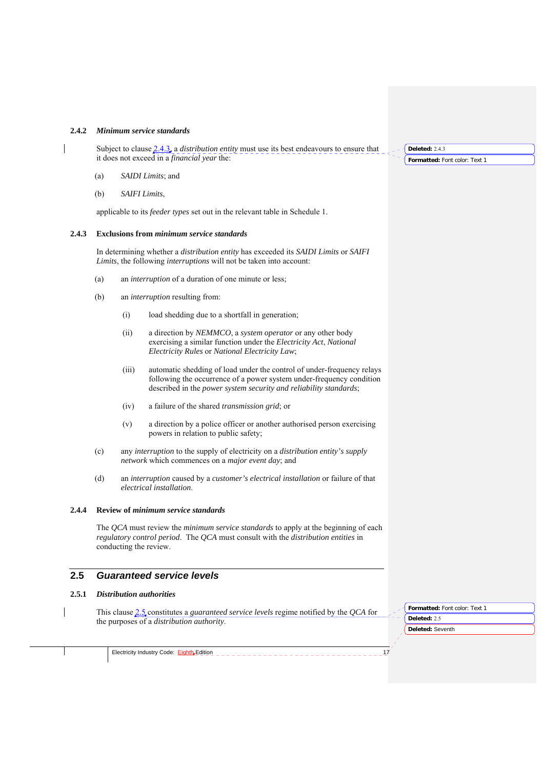#### **2.4.2** *Minimum service standards*

Subject to clause 2.4.3, a *distribution entity* must use its best endeavours to ensure that it does not exceed in a *financial year* the:

- (a) *SAIDI Limits*; and
- (b) *SAIFI Limits*,

applicable to its *feeder types* set out in the relevant table in Schedule 1.

#### **2.4.3 Exclusions from** *minimum service standards*

In determining whether a *distribution entity* has exceeded its *SAIDI Limits* or *SAIFI Limits*, the following *interruptions* will not be taken into account:

- (a) an *interruption* of a duration of one minute or less;
- (b) an *interruption* resulting from:
	- (i) load shedding due to a shortfall in generation;
	- (ii) a direction by *NEMMCO*, a *system operator* or any other body exercising a similar function under the *Electricity Act*, *National Electricity Rules* or *National Electricity Law*;
	- (iii) automatic shedding of load under the control of under-frequency relays following the occurrence of a power system under-frequency condition described in the *power system security and reliability standards*;
	- (iv) a failure of the shared *transmission grid*; or
	- (v) a direction by a police officer or another authorised person exercising powers in relation to public safety;
- (c) any *interruption* to the supply of electricity on a *distribution entity's supply network* which commences on a *major event day*; and
- (d) an *interruption* caused by a *customer's electrical installation* or failure of that *electrical installation*.

#### **2.4.4 Review of** *minimum service standards*

The *QCA* must review the *minimum service standards* to apply at the beginning of each *regulatory control period*. The *QCA* must consult with the *distribution entities* in conducting the review.

# **2.5** *Guaranteed service levels*

#### **2.5.1** *Distribution authorities*

This clause 2.5 constitutes a *guaranteed service levels* regime notified by the *QCA* for the purposes of a *distribution authority*.

**Deleted:** Seventh **Formatted:** Font color: Text 1 **Deleted:** 2.5

Electricity Industry Code: Eighth Edition

**Formatted:** Font color: Text 1 **Deleted:** 2.4.3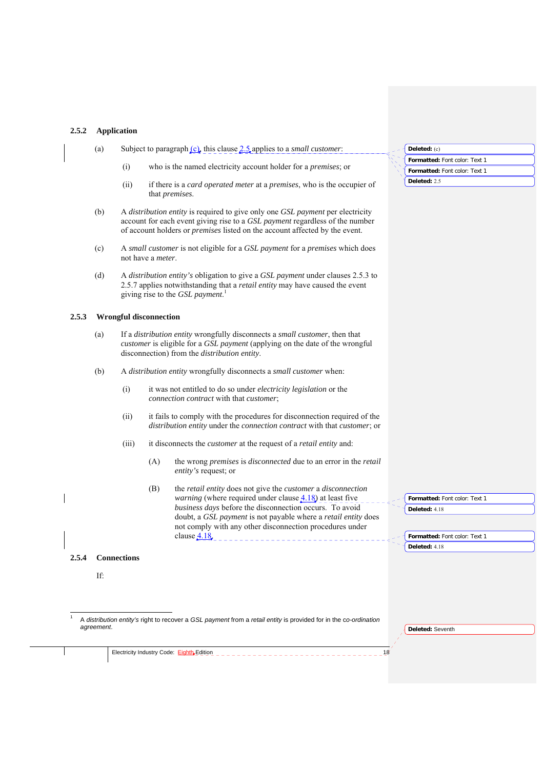# **2.5.2 Application**

 $\overline{\phantom{a}}$ 

| Formatted: Font color: Text 1<br>who is the named electricity account holder for a <i>premises</i> ; or<br>(i)<br>Formatted: Font color: Text 1<br>Deleted: 2.5<br>(ii)<br>if there is a card operated meter at a premises, who is the occupier of<br>that <i>premises</i> .<br>A distribution entity is required to give only one GSL payment per electricity<br>(b)<br>account for each event giving rise to a GSL payment regardless of the number<br>of account holders or <i>premises</i> listed on the account affected by the event.<br>A small customer is not eligible for a GSL payment for a premises which does<br>(c)<br>not have a <i>meter</i> .<br>A distribution entity's obligation to give a GSL payment under clauses 2.5.3 to<br>(d)<br>2.5.7 applies notwithstanding that a <i>retail entity</i> may have caused the event<br>giving rise to the GSL payment. <sup>1</sup><br><b>Wrongful disconnection</b><br>2.5.3<br>If a distribution entity wrongfully disconnects a small customer, then that<br>(a)<br>customer is eligible for a GSL payment (applying on the date of the wrongful<br>disconnection) from the <i>distribution entity</i> .<br>(b)<br>A distribution entity wrongfully disconnects a small customer when:<br>(i)<br>it was not entitled to do so under <i>electricity legislation</i> or the<br>connection contract with that customer;<br>it fails to comply with the procedures for disconnection required of the<br>(ii)<br>distribution entity under the connection contract with that customer; or<br>it disconnects the <i>customer</i> at the request of a <i>retail entity</i> and:<br>(iii)<br>(A)<br>the wrong premises is disconnected due to an error in the retail<br>entity's request; or<br>the retail entity does not give the customer a disconnection<br>(B)<br><i>warning</i> (where required under clause $4.18$ ) at least five<br>Formatted: Font color: Text 1<br>business days before the disconnection occurs. To avoid<br>Deleted: 4.18<br>doubt, a GSL payment is not payable where a retail entity does |  |
|----------------------------------------------------------------------------------------------------------------------------------------------------------------------------------------------------------------------------------------------------------------------------------------------------------------------------------------------------------------------------------------------------------------------------------------------------------------------------------------------------------------------------------------------------------------------------------------------------------------------------------------------------------------------------------------------------------------------------------------------------------------------------------------------------------------------------------------------------------------------------------------------------------------------------------------------------------------------------------------------------------------------------------------------------------------------------------------------------------------------------------------------------------------------------------------------------------------------------------------------------------------------------------------------------------------------------------------------------------------------------------------------------------------------------------------------------------------------------------------------------------------------------------------------------------------------------------------------------------------------------------------------------------------------------------------------------------------------------------------------------------------------------------------------------------------------------------------------------------------------------------------------------------------------------------------------------------------------------------------------------------------------------------------------------------------------------------|--|
|                                                                                                                                                                                                                                                                                                                                                                                                                                                                                                                                                                                                                                                                                                                                                                                                                                                                                                                                                                                                                                                                                                                                                                                                                                                                                                                                                                                                                                                                                                                                                                                                                                                                                                                                                                                                                                                                                                                                                                                                                                                                                  |  |
|                                                                                                                                                                                                                                                                                                                                                                                                                                                                                                                                                                                                                                                                                                                                                                                                                                                                                                                                                                                                                                                                                                                                                                                                                                                                                                                                                                                                                                                                                                                                                                                                                                                                                                                                                                                                                                                                                                                                                                                                                                                                                  |  |
|                                                                                                                                                                                                                                                                                                                                                                                                                                                                                                                                                                                                                                                                                                                                                                                                                                                                                                                                                                                                                                                                                                                                                                                                                                                                                                                                                                                                                                                                                                                                                                                                                                                                                                                                                                                                                                                                                                                                                                                                                                                                                  |  |
|                                                                                                                                                                                                                                                                                                                                                                                                                                                                                                                                                                                                                                                                                                                                                                                                                                                                                                                                                                                                                                                                                                                                                                                                                                                                                                                                                                                                                                                                                                                                                                                                                                                                                                                                                                                                                                                                                                                                                                                                                                                                                  |  |
|                                                                                                                                                                                                                                                                                                                                                                                                                                                                                                                                                                                                                                                                                                                                                                                                                                                                                                                                                                                                                                                                                                                                                                                                                                                                                                                                                                                                                                                                                                                                                                                                                                                                                                                                                                                                                                                                                                                                                                                                                                                                                  |  |
|                                                                                                                                                                                                                                                                                                                                                                                                                                                                                                                                                                                                                                                                                                                                                                                                                                                                                                                                                                                                                                                                                                                                                                                                                                                                                                                                                                                                                                                                                                                                                                                                                                                                                                                                                                                                                                                                                                                                                                                                                                                                                  |  |
|                                                                                                                                                                                                                                                                                                                                                                                                                                                                                                                                                                                                                                                                                                                                                                                                                                                                                                                                                                                                                                                                                                                                                                                                                                                                                                                                                                                                                                                                                                                                                                                                                                                                                                                                                                                                                                                                                                                                                                                                                                                                                  |  |
|                                                                                                                                                                                                                                                                                                                                                                                                                                                                                                                                                                                                                                                                                                                                                                                                                                                                                                                                                                                                                                                                                                                                                                                                                                                                                                                                                                                                                                                                                                                                                                                                                                                                                                                                                                                                                                                                                                                                                                                                                                                                                  |  |
|                                                                                                                                                                                                                                                                                                                                                                                                                                                                                                                                                                                                                                                                                                                                                                                                                                                                                                                                                                                                                                                                                                                                                                                                                                                                                                                                                                                                                                                                                                                                                                                                                                                                                                                                                                                                                                                                                                                                                                                                                                                                                  |  |
|                                                                                                                                                                                                                                                                                                                                                                                                                                                                                                                                                                                                                                                                                                                                                                                                                                                                                                                                                                                                                                                                                                                                                                                                                                                                                                                                                                                                                                                                                                                                                                                                                                                                                                                                                                                                                                                                                                                                                                                                                                                                                  |  |
|                                                                                                                                                                                                                                                                                                                                                                                                                                                                                                                                                                                                                                                                                                                                                                                                                                                                                                                                                                                                                                                                                                                                                                                                                                                                                                                                                                                                                                                                                                                                                                                                                                                                                                                                                                                                                                                                                                                                                                                                                                                                                  |  |
|                                                                                                                                                                                                                                                                                                                                                                                                                                                                                                                                                                                                                                                                                                                                                                                                                                                                                                                                                                                                                                                                                                                                                                                                                                                                                                                                                                                                                                                                                                                                                                                                                                                                                                                                                                                                                                                                                                                                                                                                                                                                                  |  |
|                                                                                                                                                                                                                                                                                                                                                                                                                                                                                                                                                                                                                                                                                                                                                                                                                                                                                                                                                                                                                                                                                                                                                                                                                                                                                                                                                                                                                                                                                                                                                                                                                                                                                                                                                                                                                                                                                                                                                                                                                                                                                  |  |
| not comply with any other disconnection procedures under<br>clause $4.18$<br>Formatted: Font color: Text 1<br>Deleted: 4.18                                                                                                                                                                                                                                                                                                                                                                                                                                                                                                                                                                                                                                                                                                                                                                                                                                                                                                                                                                                                                                                                                                                                                                                                                                                                                                                                                                                                                                                                                                                                                                                                                                                                                                                                                                                                                                                                                                                                                      |  |
| 2.5.4<br><b>Connections</b>                                                                                                                                                                                                                                                                                                                                                                                                                                                                                                                                                                                                                                                                                                                                                                                                                                                                                                                                                                                                                                                                                                                                                                                                                                                                                                                                                                                                                                                                                                                                                                                                                                                                                                                                                                                                                                                                                                                                                                                                                                                      |  |
| If:                                                                                                                                                                                                                                                                                                                                                                                                                                                                                                                                                                                                                                                                                                                                                                                                                                                                                                                                                                                                                                                                                                                                                                                                                                                                                                                                                                                                                                                                                                                                                                                                                                                                                                                                                                                                                                                                                                                                                                                                                                                                              |  |
|                                                                                                                                                                                                                                                                                                                                                                                                                                                                                                                                                                                                                                                                                                                                                                                                                                                                                                                                                                                                                                                                                                                                                                                                                                                                                                                                                                                                                                                                                                                                                                                                                                                                                                                                                                                                                                                                                                                                                                                                                                                                                  |  |
|                                                                                                                                                                                                                                                                                                                                                                                                                                                                                                                                                                                                                                                                                                                                                                                                                                                                                                                                                                                                                                                                                                                                                                                                                                                                                                                                                                                                                                                                                                                                                                                                                                                                                                                                                                                                                                                                                                                                                                                                                                                                                  |  |
| A distribution entity's right to recover a GSL payment from a retail entity is provided for in the co-ordination<br>agreement.<br>Deleted: Seventh                                                                                                                                                                                                                                                                                                                                                                                                                                                                                                                                                                                                                                                                                                                                                                                                                                                                                                                                                                                                                                                                                                                                                                                                                                                                                                                                                                                                                                                                                                                                                                                                                                                                                                                                                                                                                                                                                                                               |  |

Electricity Industry Code: Eighth Edition 18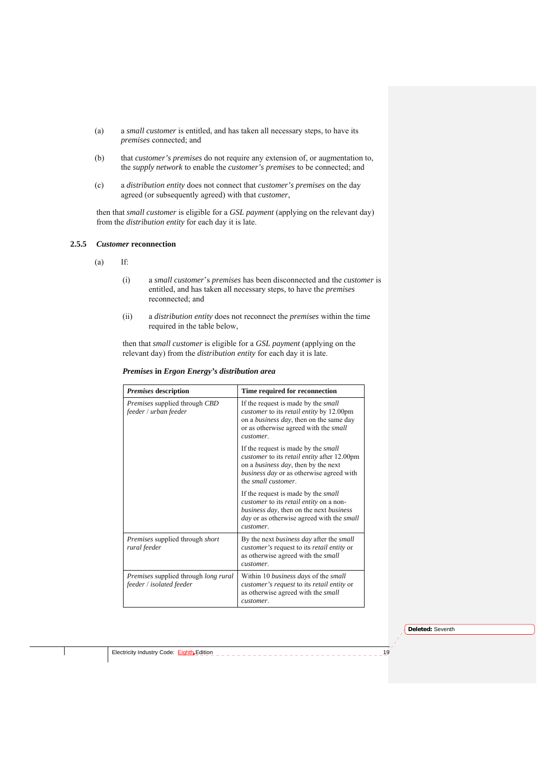- (a) a *small customer* is entitled, and has taken all necessary steps, to have its *premises* connected; and
- (b) that *customer's premises* do not require any extension of, or augmentation to, the *supply network* to enable the *customer's premises* to be connected; and
- (c) a *distribution entity* does not connect that *customer's premises* on the day agreed (or subsequently agreed) with that *customer*,

then that *small customer* is eligible for a *GSL payment* (applying on the relevant day) from the *distribution entity* for each day it is late.

## **2.5.5** *Customer* **reconnection**

- (a) If:
	- (i) a *small customer*'s *premises* has been disconnected and the *customer* is entitled, and has taken all necessary steps, to have the *premises* reconnected; and
	- (ii) a *distribution entity* does not reconnect the *premises* within the time required in the table below,

then that *small customer* is eligible for a *GSL payment* (applying on the relevant day) from the *distribution entity* for each day it is late.

#### *Premises* **in** *Ergon Energy's distribution area*

| <b>Premises</b> description                                                    | Time required for reconnection                                                                                                                                                                           |
|--------------------------------------------------------------------------------|----------------------------------------------------------------------------------------------------------------------------------------------------------------------------------------------------------|
| <i>Premises</i> supplied through <i>CBD</i><br>feeder / urban feeder           | If the request is made by the small<br>customer to its retail entity by 12.00pm<br>on a <i>business day</i> , then on the same day<br>or as otherwise agreed with the <i>small</i><br>customer.          |
|                                                                                | If the request is made by the small<br>customer to its retail entity after 12.00pm<br>on a <i>business day</i> , then by the next<br>business day or as otherwise agreed with<br>the small customer.     |
|                                                                                | If the request is made by the <i>small</i><br>customer to its retail entity on a non-<br>business day, then on the next business<br><i>day</i> or as otherwise agreed with the <i>small</i><br>customer. |
| Premises supplied through short<br>rural feeder                                | By the next business day after the small<br>customer's request to its retail entity or<br>as otherwise agreed with the <i>small</i><br>customer.                                                         |
| <i>Premises</i> supplied through <i>long rural</i><br>feeder / isolated feeder | Within 10 <i>business days</i> of the <i>small</i><br>customer's request to its retail entity or<br>as otherwise agreed with the <i>small</i><br>customer.                                               |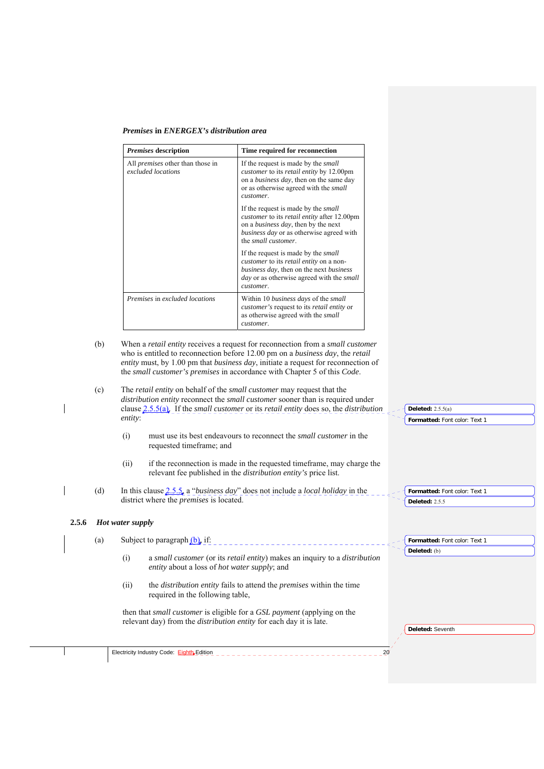*Premises* **in** *ENERGEX's distribution area* 

| <i>Premises</i> description                                   | Time required for reconnection                                                                                                                                                                                          |
|---------------------------------------------------------------|-------------------------------------------------------------------------------------------------------------------------------------------------------------------------------------------------------------------------|
| All <i>premises</i> other than those in<br>excluded locations | If the request is made by the <i>small</i><br>customer to its retail entity by 12.00pm<br>on a <i>business day</i> , then on the same day<br>or as otherwise agreed with the <i>small</i><br>customer.                  |
|                                                               | If the request is made by the <i>small</i><br>customer to its retail entity after 12.00pm<br>on a <i>business day</i> , then by the next<br>business day or as otherwise agreed with<br>the small customer.             |
|                                                               | If the request is made by the <i>small</i><br>customer to its retail entity on a non-<br><i>business day</i> , then on the next <i>business</i><br><i>day</i> or as otherwise agreed with the <i>small</i><br>customer. |
| Premises in excluded locations                                | Within 10 <i>business days</i> of the <i>small</i><br><i>customer's</i> request to its <i>retail entity</i> or<br>as otherwise agreed with the <i>small</i><br>customer.                                                |

- (b) When a *retail entity* receives a request for reconnection from a *small customer* who is entitled to reconnection before 12.00 pm on a *business day*, the *retail entity* must, by 1.00 pm that *business day*, initiate a request for reconnection of the *small customer's premises* in accordance with Chapter 5 of this *Code*.
- (c) The *retail entity* on behalf of the *small customer* may request that the *distribution entity* reconnect the *small customer* sooner than is required under clause 2.5.5(a). If the *small customer* or its *retail entity* does so, the *distribution entity*:
	- (i) must use its best endeavours to reconnect the *small customer* in the requested timeframe; and
	- (ii) if the reconnection is made in the requested timeframe, may charge the relevant fee published in the *distribution entity's* price list.
- (d) In this clause 2.5.5, a "*business day*" does not include a *local holiday* in the district where the *premises* is located.

#### **2.5.6** *Hot water supply*

(a) Subject to paragraph  $(b)$ , if: **Formatted:** Font color: Text 1 \_\_\_\_\_\_\_\_\_\_\_\_\_\_ **Deleted:** (b)(i) a *small customer* (or its *retail entity*) makes an inquiry to a *distribution entity* about a loss of *hot water supply*; and (ii) the *distribution entity* fails to attend the *premises* within the time required in the following table, then that *small customer* is eligible for a *GSL payment* (applying on the relevant day) from the *distribution entity* for each day it is late. **Deleted:** Seventh Electricity Industry Code: Eighth Edition 20

**Formatted:** Font color: Text 1

**Formatted:** Font color: Text 1

**Deleted:** 2.5.5(a)

**Deleted:** 2.5.5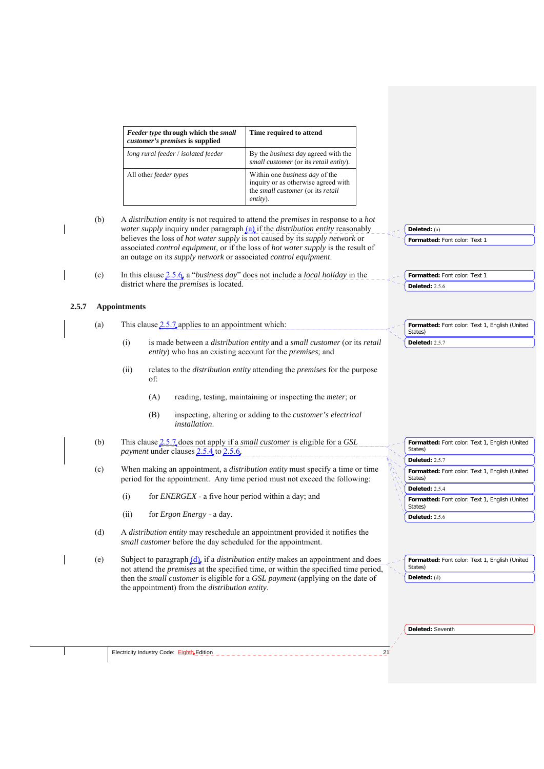| Feeder type through which the small<br>customer's premises is supplied | Time required to attend                                                                                                       |
|------------------------------------------------------------------------|-------------------------------------------------------------------------------------------------------------------------------|
| long rural feeder / isolated feeder                                    | By the <i>business day</i> agreed with the<br>small customer (or its retail entity).                                          |
| All other <i>feeder</i> types                                          | Within one <i>business day</i> of the<br>inquiry or as otherwise agreed with<br>the small customer (or its retail<br>entity). |

|       | (b) | A distribution entity is not required to attend the premises in response to a hot<br><i>water supply</i> inquiry under paragraph $(a)$ if the <i>distribution entity</i> reasonably<br>believes the loss of <i>hot water supply</i> is not caused by its <i>supply network</i> or<br>associated control equipment, or if the loss of hot water supply is the result of<br>an outage on its supply network or associated control equipment. | Deleted: (a)<br>Formatted: Font color: Text 1                           |
|-------|-----|--------------------------------------------------------------------------------------------------------------------------------------------------------------------------------------------------------------------------------------------------------------------------------------------------------------------------------------------------------------------------------------------------------------------------------------------|-------------------------------------------------------------------------|
|       | (c) | In this clause $2.5.6$ , a " <i>business day</i> " does not include a <i>local holiday</i> in the<br>district where the <i>premises</i> is located.                                                                                                                                                                                                                                                                                        | Formatted: Font color: Text 1<br><b>Deleted: 2.5.6</b>                  |
| 2.5.7 |     | <b>Appointments</b>                                                                                                                                                                                                                                                                                                                                                                                                                        |                                                                         |
|       | (a) | This clause $2.5.7$ applies to an appointment which:                                                                                                                                                                                                                                                                                                                                                                                       | Formatted: Font color: Text 1, English (United<br>States)               |
|       |     | (i)<br>is made between a distribution entity and a small customer (or its retail<br>entity) who has an existing account for the <i>premises</i> ; and                                                                                                                                                                                                                                                                                      | <b>Deleted: 2.5.7</b>                                                   |
|       |     | (ii)<br>relates to the <i>distribution entity</i> attending the <i>premises</i> for the purpose<br>of:                                                                                                                                                                                                                                                                                                                                     |                                                                         |
|       |     | reading, testing, maintaining or inspecting the <i>meter</i> ; or<br>(A)                                                                                                                                                                                                                                                                                                                                                                   |                                                                         |
|       |     | (B)<br>inspecting, altering or adding to the customer's electrical<br>installation.                                                                                                                                                                                                                                                                                                                                                        |                                                                         |
|       | (b) | This clause 2.5.7 does not apply if a <i>small customer</i> is eligible for a GSL<br>payment under clauses 2.5.4 to 2.5.6.                                                                                                                                                                                                                                                                                                                 | Formatted: Font color: Text 1, English (United<br>States)               |
|       |     |                                                                                                                                                                                                                                                                                                                                                                                                                                            | <b>Deleted: 2.5.7</b>                                                   |
|       | (c) | When making an appointment, a <i>distribution entity</i> must specify a time or time<br>period for the appointment. Any time period must not exceed the following:                                                                                                                                                                                                                                                                         | Formatted: Font color: Text 1, English (United<br>States)               |
|       |     | (i)<br>for ENERGEX - a five hour period within a day; and                                                                                                                                                                                                                                                                                                                                                                                  | <b>Deleted: 2.5.4</b><br>Formatted: Font color: Text 1, English (United |
|       |     | (ii)<br>for <i>Ergon Energy</i> - a day.                                                                                                                                                                                                                                                                                                                                                                                                   | States)                                                                 |
|       |     |                                                                                                                                                                                                                                                                                                                                                                                                                                            | <b>Deleted: 2.5.6</b>                                                   |
|       | (d) | A distribution entity may reschedule an appointment provided it notifies the<br>small customer before the day scheduled for the appointment.                                                                                                                                                                                                                                                                                               |                                                                         |
|       | (e) | Subject to paragraph $(d)$ , if a <i>distribution entity</i> makes an appointment and does<br>not attend the <i>premises</i> at the specified time, or within the specified time period,                                                                                                                                                                                                                                                   | Formatted: Font color: Text 1, English (United<br>States)               |
|       |     | then the small customer is eligible for a GSL payment (applying on the date of<br>the appointment) from the <i>distribution entity</i> .                                                                                                                                                                                                                                                                                                   | Deleted: (d)                                                            |
|       |     |                                                                                                                                                                                                                                                                                                                                                                                                                                            |                                                                         |
|       |     |                                                                                                                                                                                                                                                                                                                                                                                                                                            | Deleted: Seventh                                                        |
|       |     | Electricity Industry Code: Eighth Edition<br>21                                                                                                                                                                                                                                                                                                                                                                                            |                                                                         |
|       |     |                                                                                                                                                                                                                                                                                                                                                                                                                                            |                                                                         |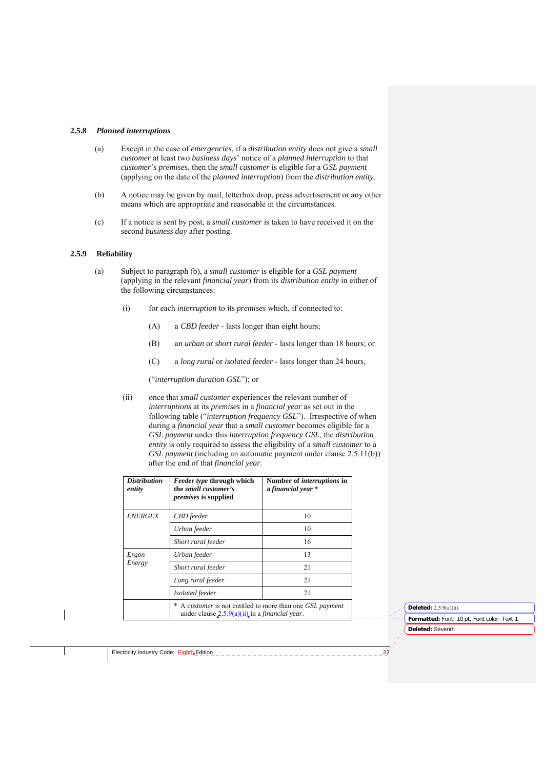#### **2.5.8** *Planned interruptions*

- (a) Except in the case of *emergencies*, if a *distribution entity* does not give a *small customer* at least two *business days*' notice of a *planned interruption* to that *customer's premises*, then the *small customer* is eligible for a *GSL payment* (applying on the date of the *planned interruption*) from the *distribution entity.*
- (b) A notice may be given by mail, letterbox drop, press advertisement or any other means which are appropriate and reasonable in the circumstances.
- (c) If a notice is sent by post, a *small customer* is taken to have received it on the second *business day* after posting.

# **2.5.9 Reliability**

- (a) Subject to paragraph (b), a *small customer* is eligible for a *GSL payment* (applying in the relevant *financial year*) from its *distribution entity* in either of the following circumstances:
	- (i) for each *interruption* to its *premises* which, if connected to:
		- (A) a *CBD feeder*  lasts longer than eight hours;
		- (B) an *urban* or *short rural feeder*  lasts longer than 18 hours; or
		- (C) a *long rural* or *isolated feeder*  lasts longer than 24 hours,

("*interruption duration GSL*"); or

(ii) once that *small customer* experiences the relevant number of *interruptions* at its *premises* in a *financial year* as set out in the following table ("*interruption frequency GSL*"). Irrespective of when during a *financial year* that a *small customer* becomes eligible for a *GSL payment* under this *interruption frequency GSL*, the *distribution entity* is only required to assess the eligibility of a *small customer* to a *GSL payment* (including an automatic payment under clause 2.5.11(b)) after the end of that *financial year*.

| <i>Distribution</i><br>entity | <i>Feeder type</i> through which<br>the small customer's<br><i>premises</i> is supplied                             | Number of <i>interruptions</i> in<br>a financial year * |  |
|-------------------------------|---------------------------------------------------------------------------------------------------------------------|---------------------------------------------------------|--|
| <b>ENERGEX</b>                | CBD feeder                                                                                                          | 10                                                      |  |
|                               | Urban feeder                                                                                                        | 10                                                      |  |
|                               | Short rural feeder                                                                                                  | 16                                                      |  |
| Ergon                         | Urban feeder                                                                                                        | 13                                                      |  |
| Energy                        | Short rural feeder                                                                                                  | 21                                                      |  |
|                               | Long rural feeder                                                                                                   | 21                                                      |  |
|                               | Isolated feeder                                                                                                     | 21                                                      |  |
|                               | A customer is not entitled to more than one GSL payment<br>under clause $2.5.9(a)(ii)$ in a <i>financial year</i> . |                                                         |  |

**Deleted:** Seventh **Formatted:** Font: 10 pt, Font color: Text 1 **Deleted:** 2.5.9(a)(ii)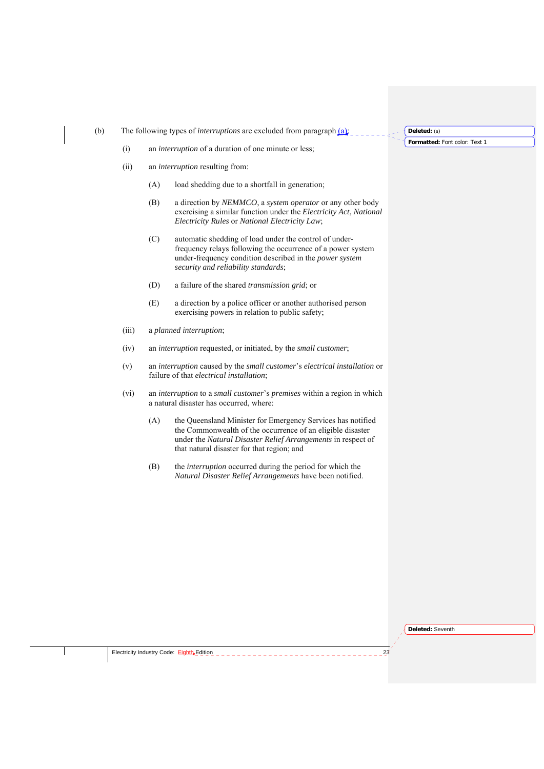(b) The following types of *interruptions* are excluded from paragraph (a):

(i) an *interruption* of a duration of one minute or less;

- (ii) an *interruption* resulting from:
	- (A) load shedding due to a shortfall in generation;
	- (B) a direction by *NEMMCO*, a *system operator* or any other body exercising a similar function under the *Electricity Act*, *National Electricity Rules* or *National Electricity Law*;
	- (C) automatic shedding of load under the control of underfrequency relays following the occurrence of a power system under-frequency condition described in the *power system security and reliability standards*;
	- (D) a failure of the shared *transmission grid*; or
	- (E) a direction by a police officer or another authorised person exercising powers in relation to public safety;
- (iii) a *planned interruption*;
- (iv) an *interruption* requested, or initiated, by the *small customer*;
- (v) an *interruption* caused by the *small customer*'s *electrical installation* or failure of that *electrical installation*;
- (vi) an *interruption* to a *small customer*'s *premises* within a region in which a natural disaster has occurred, where:
	- (A) the Queensland Minister for Emergency Services has notified the Commonwealth of the occurrence of an eligible disaster under the *Natural Disaster Relief Arrangements* in respect of that natural disaster for that region; and
	- (B) the *interruption* occurred during the period for which the *Natural Disaster Relief Arrangements* have been notified.

**Formatted:** Font color: Text 1 **Deleted:** (a)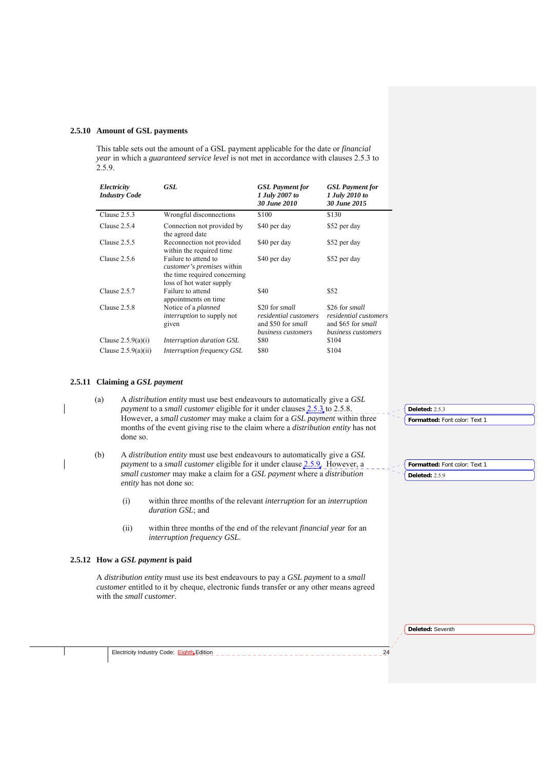#### **2.5.10 Amount of GSL payments**

This table sets out the amount of a GSL payment applicable for the date or *financial year* in which a *guaranteed service level* is not met in accordance with clauses 2.5.3 to 2.5.9.

| Electricity<br><b>Industry Code</b> | GSL                                                                                                                   | <b>GSL</b> Payment for<br>1 July 2007 to<br>30 June 2010                            | <b>GSL</b> Payment for<br>1 July 2010 to<br>30 June 2015                            |
|-------------------------------------|-----------------------------------------------------------------------------------------------------------------------|-------------------------------------------------------------------------------------|-------------------------------------------------------------------------------------|
| Clause $2.5.3$                      | Wrongful disconnections                                                                                               | \$100                                                                               | \$130                                                                               |
| Clause $2.5.4$                      | Connection not provided by<br>the agreed date                                                                         | \$40 per day                                                                        | \$52 per day                                                                        |
| Clause $2.5.5$                      | Reconnection not provided<br>within the required time                                                                 | \$40 per day                                                                        | \$52 per day                                                                        |
| Clause $2.5.6$                      | Failure to attend to<br><i>customer's premises</i> within<br>the time required concerning<br>loss of hot water supply | \$40 per day                                                                        | \$52 per day                                                                        |
| Clause 2.5.7                        | Failure to attend<br>appointments on time                                                                             | \$40                                                                                | \$52                                                                                |
| Clause 2.5.8                        | Notice of a planned<br><i>interruption</i> to supply not<br>given                                                     | \$20 for small<br>residential customers<br>and \$50 for small<br>business customers | \$26 for small<br>residential customers<br>and \$65 for small<br>business customers |
| Clause $2.5.9(a)(i)$                | Interruption duration GSL                                                                                             | \$80                                                                                | \$104                                                                               |
| Clause $2.5.9(a)(ii)$               | Interruption frequency GSL                                                                                            | \$80                                                                                | \$104                                                                               |

#### **2.5.11 Claiming a** *GSL payment*

(a) A *distribution entity* must use best endeavours to automatically give a *GSL payment* to a *small customer* eligible for it under clauses 2.5.3 to 2.5.8. However, a *small customer* may make a claim for a *GSL payment* within three months of the event giving rise to the claim where a *distribution entity* has not done so.

- (b) A *distribution entity* must use best endeavours to automatically give a *GSL payment* to a *small customer* eligible for it under clause 2.5.9. However, a *small customer* may make a claim for a *GSL payment* where a *distribution entity* has not done so:
	- (i) within three months of the relevant *interruption* for an *interruption duration GSL*; and
	- (ii) within three months of the end of the relevant *financial year* for an *interruption frequency GSL*.

#### **2.5.12 How a** *GSL payment* **is paid**

A *distribution entity* must use its best endeavours to pay a *GSL payment* to a *small customer* entitled to it by cheque, electronic funds transfer or any other means agreed with the *small customer*.

**Deleted:** Seventh

**Formatted:** Font color: Text 1

**Formatted:** Font color: Text 1

**Deleted:** 2.5.3

**Deleted:** 2.5.9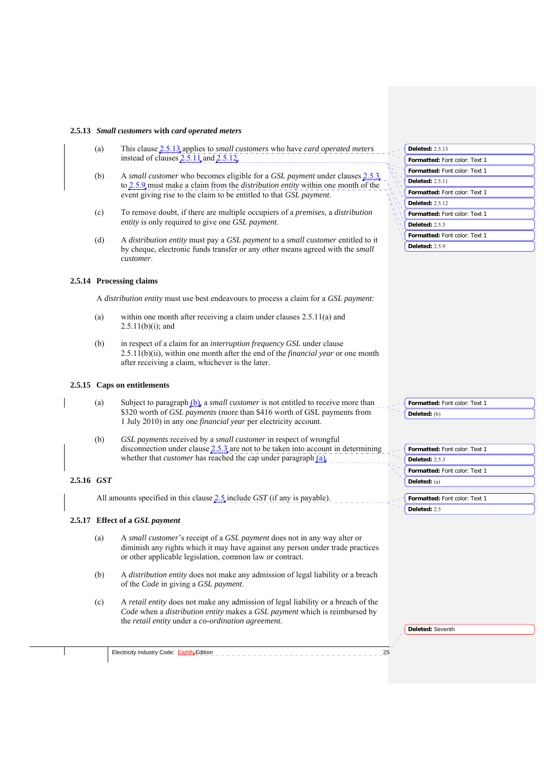#### **2.5.13** *Small customers* **with** *card operated meters*

- (a) This clause 2.5.13 applies to *small customers* who have *card operated meters* instead of clauses  $2.5.11$  and  $2.5.12$ .
- (b) A *small customer* who becomes eligible for a *GSL payment* under clauses 2.5.3 to 2.5.9 must make a claim from the *distribution entity* within one month of the event giving rise to the claim to be entitled to that *GSL payment*.
- (c) To remove doubt, if there are multiple occupiers of a *premises*, a *distribution entity* is only required to give one *GSL payment*.
- (d) A *distribution entity* must pay a *GSL payment* to a *small customer* entitled to it by cheque, electronic funds transfer or any other means agreed with the *small customer*.

#### **2.5.14 Processing claims**

A *distribution entity* must use best endeavours to process a claim for a *GSL payment*:

- (a) within one month after receiving a claim under clauses 2.5.11(a) and  $2.5.11(b)(i)$ ; and
- (b) in respect of a claim for an *interruption frequency GSL* under clause 2.5.11(b)(ii), within one month after the end of the *financial year* or one month after receiving a claim, whichever is the later.

#### **2.5.15 Caps on entitlements**

- (a) Subject to paragraph (b), a *small customer* is not entitled to receive more than \$320 worth of *GSL payments* (more than \$416 worth of GSL payments from 1 July 2010) in any one *financial year* per electricity account.
- (b) *GSL payments* received by a *small customer* in respect of wrongful disconnection under clause 2.5.3 are not to be taken into account in determining whether that *customer* has reached the cap under paragraph (a).

#### **2.5.16** *GST*

All amounts specified in this clause 2.5 include *GST* (if any is payable).

#### **2.5.17 Effect of a** *GSL payment*

Electricity Industry Code: Eighth Edition

- (a) A *small customer*'s receipt of a *GSL payment* does not in any way alter or diminish any rights which it may have against any person under trade practices or other applicable legislation, common law or contract.
- (b) A *distribution entity* does not make any admission of legal liability or a breach of the *Code* in giving a *GSL payment*.
- (c) A *retail entity* does not make any admission of legal liability or a breach of the *Code* when a *distribution entity* makes a *GSL payment* which is reimbursed by the *retail entity* under a *co-ordination agreement*.

| <b>Deleted: 2.5.13</b>               |
|--------------------------------------|
| <b>Formatted: Font color: Text 1</b> |
| <b>Formatted:</b> Font color: Text 1 |
| <b>Deleted: 2.5.11</b>               |
| <b>Formatted: Font color: Text 1</b> |
| <b>Deleted:</b> 2.5.12               |
| <b>Formatted: Font color: Text 1</b> |
| Deleted: $2.5.3$                     |
| <b>Formatted: Font color: Text 1</b> |

**Deleted:** (b)

**Formatted:** Font color: Text 1

**Deleted:** 2.5.9

| Formatted: Font color: Text 1 |
|-------------------------------|
| Deleted: 2.5.3                |
| Formatted: Font color: Text 1 |
| Deleted: (a)                  |
|                               |
| Formatted: Font color: Text 1 |

**Deleted:** 2.5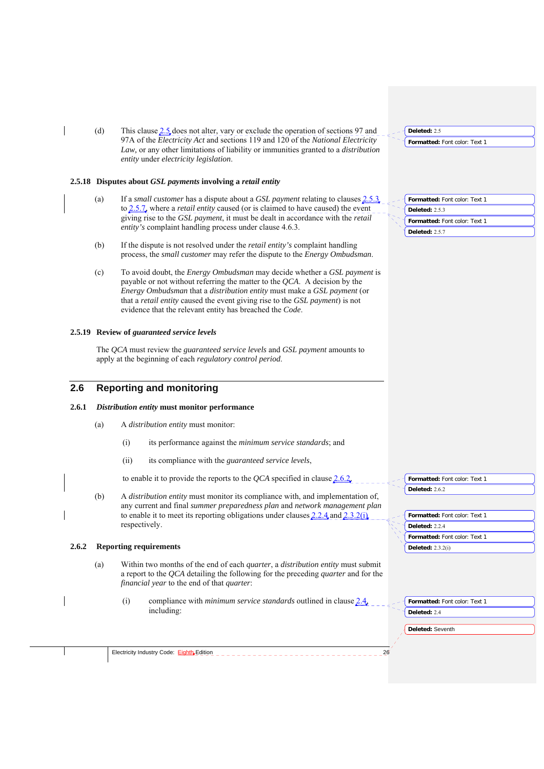(d) This clause 2.5 does not alter, vary or exclude the operation of sections 97 and 97A of the *Electricity Act* and sections 119 and 120 of the *National Electricity Law,* or any other limitations of liability or immunities granted to a *distribution entity* under *electricity legislation*.

#### **2.5.18 Disputes about** *GSL payments* **involving a** *retail entity*

- (a) If a *small customer* has a dispute about a *GSL payment* relating to clauses 2.5.3 to 2.5.7*,* where a *retail entity* caused (or is claimed to have caused) the event giving rise to the *GSL payment*, it must be dealt in accordance with the *retail entity's* complaint handling process under clause 4.6.3.
- (b) If the dispute is not resolved under the *retail entity's* complaint handling process, the *small customer* may refer the dispute to the *Energy Ombudsman*.
- (c) To avoid doubt, the *Energy Ombudsman* may decide whether a *GSL payment* is payable or not without referring the matter to the *QCA*. A decision by the *Energy Ombudsman* that a *distribution entity* must make a *GSL payment* (or that a *retail entity* caused the event giving rise to the *GSL payment*) is not evidence that the relevant entity has breached the *Code*.

#### **2.5.19 Review of** *guaranteed service levels*

The *QCA* must review the *guaranteed service levels* and *GSL payment* amounts to apply at the beginning of each *regulatory control period*.

# **2.6 Reporting and monitoring**

# **2.6.1** *Distribution entity* **must monitor performance**

- (a) A *distribution entity* must monitor:
	- (i) its performance against the *minimum service standards*; and
	- (ii) its compliance with the *guaranteed service levels*,

to enable it to provide the reports to the *QCA* specified in clause 2.6.2.

(b) A *distribution entity* must monitor its compliance with, and implementation of, any current and final *summer preparedness plan* and *network management plan* to enable it to meet its reporting obligations under clauses 2.2.4 and 2.3.2(i) respectively.

#### **2.6.2 Reporting requirements**

- (a) Within two months of the end of each *quarter*, a *distribution entity* must submit a report to the *QCA* detailing the following for the preceding *quarter* and for the *financial year* to the end of that *quarter*:
	- (i) compliance with *minimum service standards* outlined in clause 2.4, including:

| Formatted: Font color: Text 1 |
|-------------------------------|
| <b>Deleted: 2.5.3</b>         |

**Formatted:** Font color: Text 1

**Formatted:** Font color: Text 1

**Deleted:** 2.5

**Deleted:** 2.5.7

| Formatted: Font color: Text 1 |
|-------------------------------|
| Deleted: 2.6.2                |
|                               |
| Formatted: Font color: Text 1 |
| Deleted: 2.2.4                |

| - Formatted: Font color: Text 1 |  |
|---------------------------------|--|

**Formatted:** Font color: Text 1

**Deleted:** Seventh **Deleted:** 2.4

**Deleted:** 2.3.2(i)

Electricity Industry Code: Eighth Edition 2000 2000 2000 2000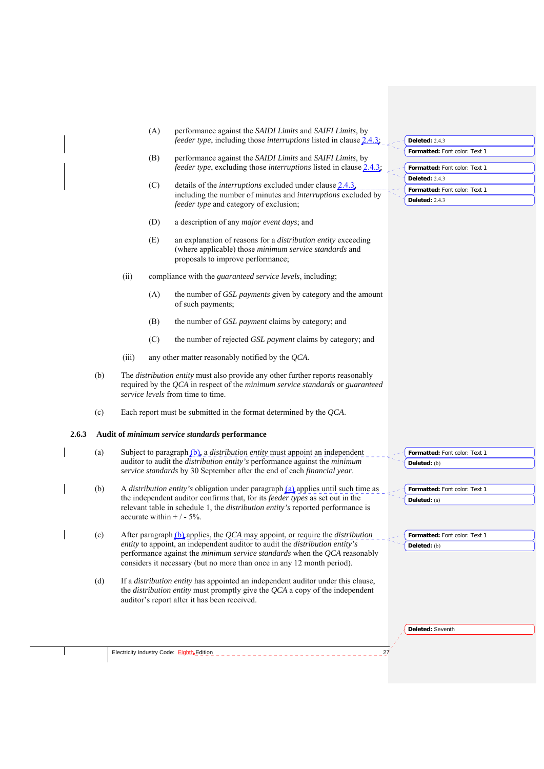| (A) | performance against the <i>SAIDI Limits</i> and <i>SAIFI Limits</i> , by          |
|-----|-----------------------------------------------------------------------------------|
|     | <i>feeder type</i> , including those <i>interruptions</i> listed in clause 2.4.3. |

- (B) performance against the *SAIDI Limits* and *SAIFI Limits*, by *feeder type*, excluding those *interruptions* listed in clause 2.
- (C) details of the *interruptions* excluded under clause 2.4.3, including the number of minutes and *interruptions* excluded by *feeder type* and category of exclusion;
- (D) a description of any *major event days*; and
- (E) an explanation of reasons for a *distribution entity* exceeding (where applicable) those *minimum service standards* and proposals to improve performance;
- (ii) compliance with the *guaranteed service levels*, including;
	- (A) the number of *GSL payments* given by category and the amount of such payments;
	- (B) the number of *GSL payment* claims by category; and
	- (C) the number of rejected *GSL payment* claims by category; and
- (iii) any other matter reasonably notified by the *QCA*.
- (b) The *distribution entity* must also provide any other further reports reasonably required by the *QCA* in respect of the *minimum service standards* or *guaranteed service levels* from time to time.
- (c) Each report must be submitted in the format determined by the *QCA*.

#### **2.6.3 Audit of** *minimum service standards* **performance**

| (a) | Subject to paragraph $(b)$ , a <i>distribution entity</i> must appoint an independent    | $\sim$ - Formatted: Font color: Text 1 |
|-----|------------------------------------------------------------------------------------------|----------------------------------------|
|     | auditor to audit the <i>distribution entity's</i> performance against the <i>minimum</i> | $\big\{\n\$ Deleted: (b)               |
|     | <i>service standards</i> by 30 September after the end of each <i>financial year</i> .   |                                        |

- (b) A *distribution entity's* obligation under paragraph (a) applies until such time as the independent auditor confirms that, for its *feeder types* as set out in the relevant table in schedule 1, the *distribution entity's* reported performance is accurate within  $+/-5%$ .
	- (c) After paragraph (b) applies, the *QCA* may appoint, or require the *distribution entity* to appoint, an independent auditor to audit the *distribution entity's* performance against the *minimum service standards* when the *QCA* reasonably considers it necessary (but no more than once in any 12 month period).
		- (d) If a *distribution entity* has appointed an independent auditor under this clause, the *distribution entity* must promptly give the *QCA* a copy of the independent auditor's report after it has been received.

**Deleted:** Seventh

**Formatted:** Font color: Text 1

**Formatted:** Font color: Text 1

**Deleted:** (a)

**Deleted:** (b)

Electricity Industry Code: Eighth Edition 27

**Formatted:** Font color: Text 1 **Deleted:** 2.4.3

**Formatted:** Font color: Text 1

**Deleted:** 2.4.3 **Formatted:** Font color: Text 1

**Deleted:** 2.4.3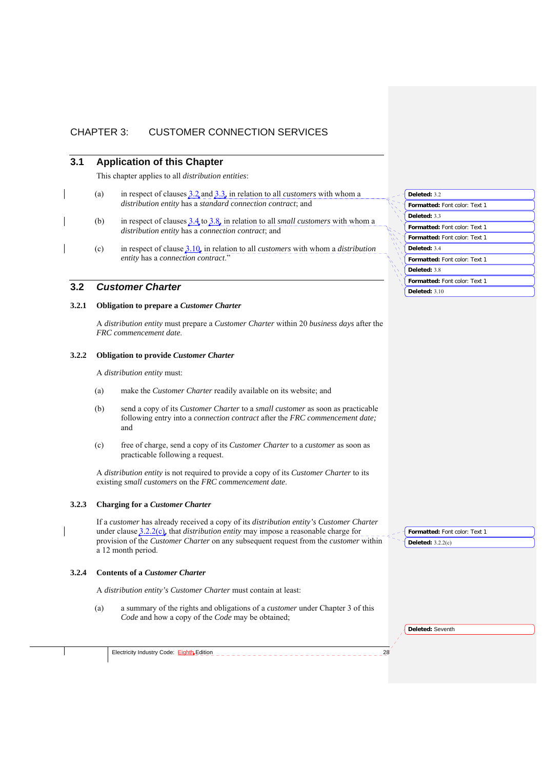# CHAPTER 3: CUSTOMER CONNECTION SERVICES

# **3.1 Application of this Chapter**

This chapter applies to all *distribution entities*:

- (a) in respect of clauses 3.2 and 3.3, in relation to all *customers* with whom a *distribution entity* has a *standard connection contract*; and
- (b) in respect of clauses 3.4 to 3.8, in relation to all *small customers* with whom a *distribution entity* has a *connection contract*; and
- (c) in respect of clause 3.10, in relation to all *customers* with whom a *distribution entity* has a *connection contract*."

# **3.2** *Customer Charter*

# **3.2.1 Obligation to prepare a** *Customer Charter*

A *distribution entity* must prepare a *Customer Charter* within 20 *business days* after the *FRC commencement date*.

#### **3.2.2 Obligation to provide** *Customer Charter*

A *distribution entity* must:

- (a) make the *Customer Charter* readily available on its website; and
- (b) send a copy of its *Customer Charter* to a *small customer* as soon as practicable following entry into a *connection contract* after the *FRC commencement date;*  and
- (c) free of charge, send a copy of its *Customer Charter* to a *customer* as soon as practicable following a request.

A *distribution entity* is not required to provide a copy of its *Customer Charter* to its existing *small customers* on the *FRC commencement date*.

#### **3.2.3 Charging for a** *Customer Charter*

If a *customer* has already received a copy of its *distribution entity's Customer Charter*  under clause 3.2.2(c), that *distribution entity* may impose a reasonable charge for provision of the *Customer Charter* on any subsequent request from the *customer* within a 12 month period.

#### **3.2.4 Contents of a** *Customer Charter*

A *distribution entity's Customer Charter* must contain at least:

(a) a summary of the rights and obligations of a *customer* under Chapter 3 of this *Code* and how a copy of the *Code* may be obtained;

| Electricity Industry Code: Eighth Edition |  |  |
|-------------------------------------------|--|--|
|-------------------------------------------|--|--|

|   | Deleted: 3.2                         |
|---|--------------------------------------|
|   | Formatted: Font color: Text 1        |
|   | Deleted: 3.3                         |
|   | Formatted: Font color: Text 1        |
|   | <b>Formatted: Font color: Text 1</b> |
| Ń | Deleted: 3.4                         |
|   | Formatted: Font color: Text 1        |
|   | Deleted: 3.8                         |
|   | Formatted: Font color: Text 1        |
|   | Deleted: $3.10$                      |

**Deleted:** 3.2.2(c)

**Formatted:** Font color: Text 1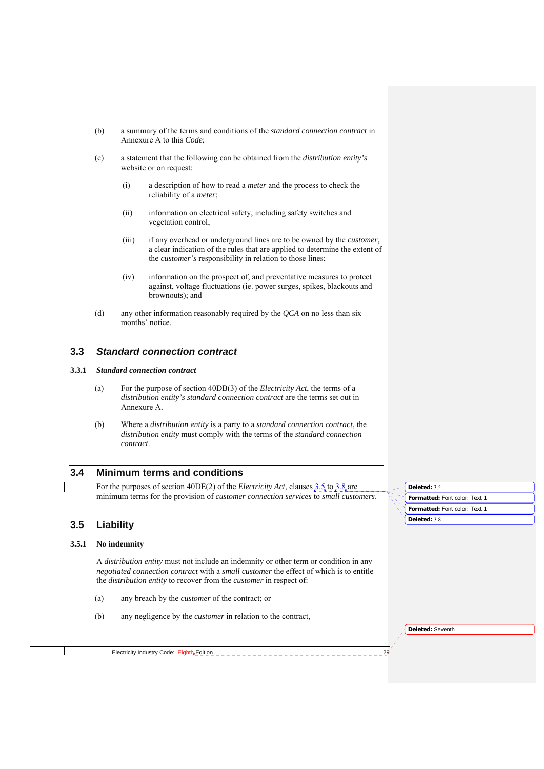- (b) a summary of the terms and conditions of the *standard connection contract* in Annexure A to this *Code*;
- (c) a statement that the following can be obtained from the *distribution entity's*  website or on request:
	- (i) a description of how to read a *meter* and the process to check the reliability of a *meter*;
	- (ii) information on electrical safety, including safety switches and vegetation control;
	- (iii) if any overhead or underground lines are to be owned by the *customer*, a clear indication of the rules that are applied to determine the extent of the *customer's* responsibility in relation to those lines;
	- (iv) information on the prospect of, and preventative measures to protect against, voltage fluctuations (ie. power surges, spikes, blackouts and brownouts); and
- (d) any other information reasonably required by the *QCA* on no less than six months' notice.

# **3.3** *Standard connection contract*

#### **3.3.1** *Standard connection contract*

- (a) For the purpose of section 40DB(3) of the *Electricity Act*, the terms of a *distribution entity's standard connection contract* are the terms set out in Annexure A.
- (b) Where a *distribution entity* is a party to a *standard connection contract*, the *distribution entity* must comply with the terms of the *standard connection contract*.

# **3.4 Minimum terms and conditions**

For the purposes of section 40DE(2) of the *Electricity Act*, clauses  $3.5$  to  $3.8$  are minimum terms for the provision of *customer connection services* to *small customers*.

# **3.5 Liability**

#### **3.5.1 No indemnity**

A *distribution entity* must not include an indemnity or other term or condition in any *negotiated connection contract* with a *small customer* the effect of which is to entitle the *distribution entity* to recover from the *customer* in respect of:

- (a) any breach by the *customer* of the contract; or
- (b) any negligence by the *customer* in relation to the contract,

| J. | Deleted: 3.5                  |
|----|-------------------------------|
|    | Formatted: Font color: Text 1 |
|    | Formatted: Font color: Text 1 |
|    | Deleted: 3.8                  |

| Electricity Industry Code: <b>Eighth</b> Edition |  |
|--------------------------------------------------|--|
|                                                  |  |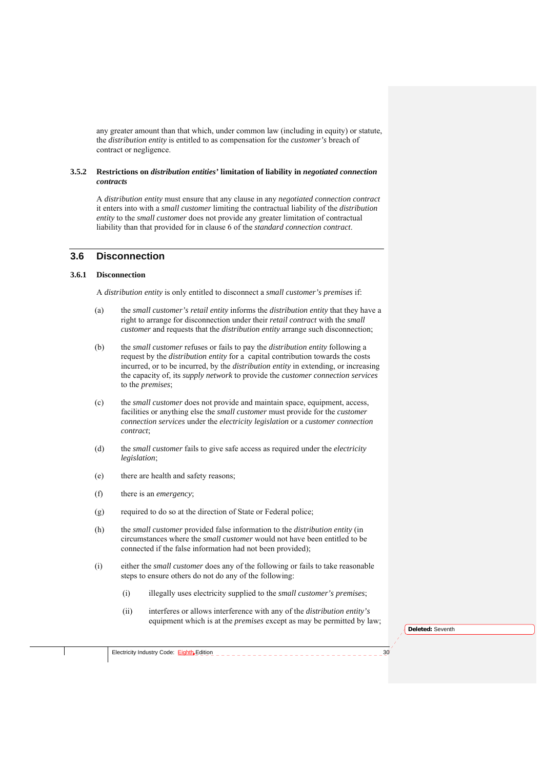any greater amount than that which, under common law (including in equity) or statute, the *distribution entity* is entitled to as compensation for the *customer's* breach of contract or negligence.

#### **3.5.2 Restrictions on** *distribution entities'* **limitation of liability in** *negotiated connection contracts*

A *distribution entity* must ensure that any clause in any *negotiated connection contract* it enters into with a *small customer* limiting the contractual liability of the *distribution entity* to the *small customer* does not provide any greater limitation of contractual liability than that provided for in clause 6 of the *standard connection contract*.

# **3.6 Disconnection**

#### **3.6.1 Disconnection**

A *distribution entity* is only entitled to disconnect a *small customer's premises* if:

- (a) the *small customer's retail entity* informs the *distribution entity* that they have a right to arrange for disconnection under their *retail contract* with the *small customer* and requests that the *distribution entity* arrange such disconnection;
- (b) the *small customer* refuses or fails to pay the *distribution entity* following a request by the *distribution entity* for a capital contribution towards the costs incurred, or to be incurred, by the *distribution entity* in extending, or increasing the capacity of, its *supply network* to provide the *customer connection services* to the *premises*;
- (c) the *small customer* does not provide and maintain space, equipment, access, facilities or anything else the *small customer* must provide for the *customer connection services* under the *electricity legislation* or a *customer connection contract*;
- (d) the *small customer* fails to give safe access as required under the *electricity legislation*;
- (e) there are health and safety reasons;
- (f) there is an *emergency*;
- (g) required to do so at the direction of State or Federal police;
- (h) the *small customer* provided false information to the *distribution entity* (in circumstances where the *small customer* would not have been entitled to be connected if the false information had not been provided);
- (i) either the *small customer* does any of the following or fails to take reasonable steps to ensure others do not do any of the following:
	- (i) illegally uses electricity supplied to the *small customer's premises*;
	- (ii) interferes or allows interference with any of the *distribution entity's* equipment which is at the *premises* except as may be permitted by law;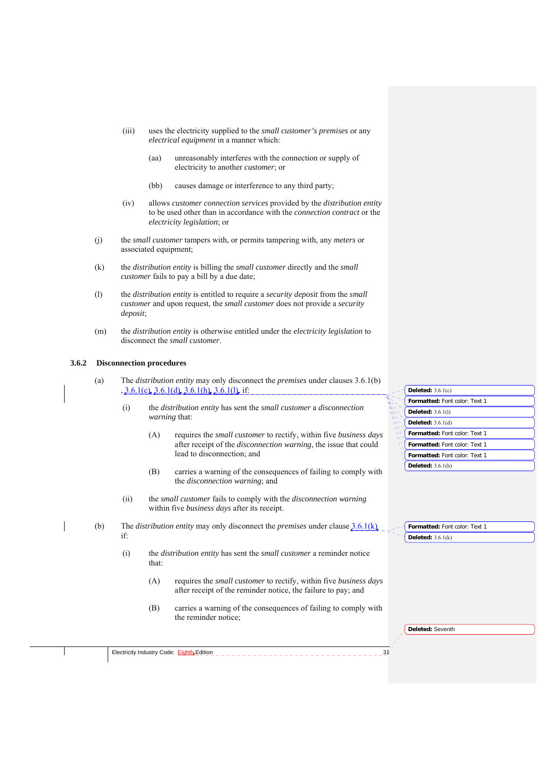- (iii) uses the electricity supplied to the *small customer's premises* or any *electrical equipment* in a manner which:
	- (aa) unreasonably interferes with the connection or supply of electricity to another *customer*; or
	- (bb) causes damage or interference to any third party;
- (iv) allows *customer connection services* provided by the *distribution entity* to be used other than in accordance with the *connection contract* or the *electricity legislation*; or
- (j) the *small customer* tampers with, or permits tampering with, any *meters* or associated equipment;
- (k) the *distribution entity* is billing the *small customer* directly and the *small customer* fails to pay a bill by a due date;
- (l) the *distribution entity* is entitled to require a *security deposit* from the *small customer* and upon request, the *small customer* does not provide a *security deposit*;
- (m) the *distribution entity* is otherwise entitled under the *electricity legislation* to disconnect the *small customer*.

#### **3.6.2 Disconnection procedures**

- (a) The *distribution entity* may only disconnect the *premises* under clauses 3.6.1(b) , 3.6.1(c), 3.6.1(d), 3.6.1(h), 3.6.1(l), if:
	- (i) the *distribution entity* has sent the *small customer* a *disconnection warning* that:
		- (A) requires the *small customer* to rectify, within five *business days*  after receipt of the *disconnection warning*, the issue that could lead to disconnection; and
		- (B) carries a warning of the consequences of failing to comply with the *disconnection warning*; and
	- (ii) the *small customer* fails to comply with the *disconnection warning* within five *business days* after its receipt.
- (b) The *distribution entity* may only disconnect the *premises* under clause 3.6.1(k) if:
	- (i) the *distribution entity* has sent the *small customer* a reminder notice that:
		- (A) requires the *small customer* to rectify, within five *business days*  after receipt of the reminder notice, the failure to pay; and
		- (B) carries a warning of the consequences of failing to comply with the reminder notice;

| Deleted: $3.6.1(c)$           |
|-------------------------------|
| Formatted: Font color: Text 1 |
| <b>Deleted: 3.6.1(1)</b>      |
| Deleted: $3.6.1(d)$           |
| Formatted: Font color: Text 1 |
| Formatted: Font color: Text 1 |
| Formatted: Font color: Text 1 |
| Deleted: $3.6.1(h)$           |
|                               |

| Formatted: Font color: Text 1 |  |  |
|-------------------------------|--|--|
| Deleted: $3.6.1(k)$           |  |  |

**Deleted:** Seventh

Electricity Industry Code: Eighth Edition 31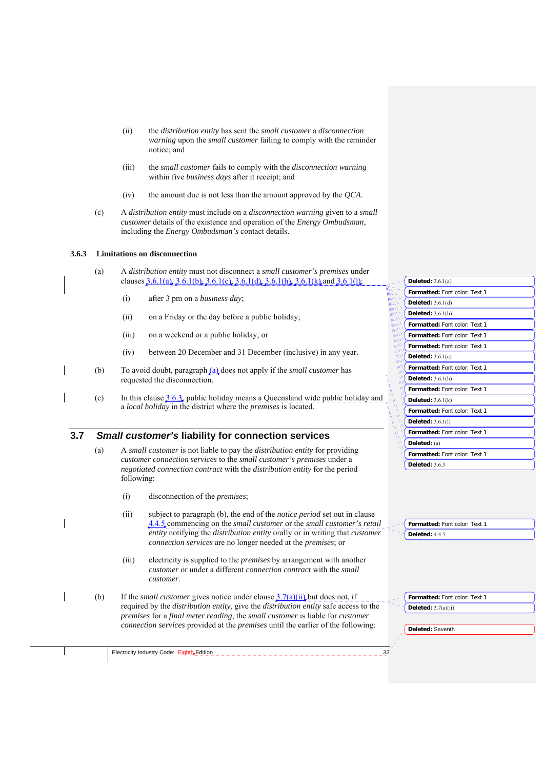- (ii) the *distribution entity* has sent the *small customer* a *disconnection warning* upon the *small customer* failing to comply with the reminder notice; and
- (iii) the *small customer* fails to comply with the *disconnection warning* within five *business days* after it receipt; and
- (iv) the amount due is not less than the amount approved by the *QCA*.
- (c) A *distribution entity* must include on a *disconnection warning* given to a *small customer* details of the existence and operation of the *Energy Ombudsman*, including the *Energy Ombudsman's* contact details.

## **3.6.3 Limitations on disconnection**

- (a) A *distribution entity* must not disconnect a *small customer's premises* under clauses  $3.6.1(a)$ ,  $3.6.1(b)$ ,  $3.6.1(c)$ ,  $3.6.1(d)$ ,  $3.6.1(h)$ ,  $3.6.1(k)$ , and  $3.6.1(l)$ ;
	- (i) after 3 pm on a *business day*;
	- (ii) on a Friday or the day before a public holiday;
	- (iii) on a weekend or a public holiday; or
	- (iv) between 20 December and 31 December (inclusive) in any year.
- (b) To avoid doubt, paragraph (a) does not apply if the *small customer* has requested the disconnection.
- (c) In this clause 3.6.3, public holiday means a Queensland wide public holiday and a *local holiday* in the district where the *premises* is located.

# **3.7** *Small customer's* **liability for connection services**

- (a) A *small customer* is not liable to pay the *distribution entity* for providing *customer connection services* to the *small customer's premises* under a *negotiated connection contract* with the *distribution entity* for the period following:
	- (i) disconnection of the *premises*;

Electricity Industry Code: Eighth Edition

- (ii) subject to paragraph (b), the end of the *notice period* set out in clause 4.4.5 commencing on the *small customer* or the *small customer's retail entity* notifying the *distribution entity* orally or in writing that *customer connection services* are no longer needed at the *premises*; or
- (iii) electricity is supplied to the *premises* by arrangement with another *customer* or under a different *connection contract* with the *small customer*.
- (b) If the *small customer* gives notice under clause 3.7(a)(ii) but does not, if required by the *distribution entity*, give the *distribution entity* safe access to the *premises* for a *final meter reading*, the *small customer* is liable for *customer connection services* provided at the *premises* until the earlier of the following:

|                                                                       | Deleted: $3.6.1(a)$           |
|-----------------------------------------------------------------------|-------------------------------|
|                                                                       | Formatted: Font color: Text 1 |
|                                                                       | Deleted: $3.6.1(d)$           |
|                                                                       | Deleted: $3.6.1(b)$           |
| WW /<br>$^{\prime\prime\prime\prime\prime\prime}$<br>110 <sub>m</sub> | Formatted: Font color: Text 1 |
| 111M<br>$t$ $t$ $t$ $t$ $t$ $t$                                       | Formatted: Font color: Text 1 |
| aww 1<br>uun)                                                         | Formatted: Font color: Text 1 |
| un11<br>un                                                            | Deleted: $3.6.1(c)$           |
| w۱۱<br>W <sub>0</sub>                                                 | Formatted: Font color: Text 1 |
| шı<br>w۱                                                              | Deleted: $3.6.1(h)$           |
| Ñ<br>$\mathbf{W}$<br>W<br>w                                           | Formatted: Font color: Text 1 |
| W<br>$\boldsymbol{\mathsf{M}}$<br>$\boldsymbol{\eta}$                 | Deleted: $3.6.1(k)$           |
| $\boldsymbol{\mathsf{M}}$<br>w<br>$\mathbf w$                         | Formatted: Font color: Text 1 |
| Μ<br>$\mathbf W$<br>Â<br>w                                            | Deleted: 3.6.1(1)             |
| w<br>W                                                                | Formatted: Font color: Text 1 |
| w<br>۱۱                                                               | Deleted: (a)                  |
|                                                                       | Formatted: Font color: Text 1 |
|                                                                       | <b>Deleted: 3.6.3</b>         |
|                                                                       |                               |
|                                                                       |                               |
|                                                                       |                               |
|                                                                       |                               |

| - 1 Formatted: Font color: Text 1 |  |
|-----------------------------------|--|
| $\Box$ Deleted: 4.4.5             |  |

**Formatted:** Font color: Text 1 **Deleted:** 3.7(a)(ii)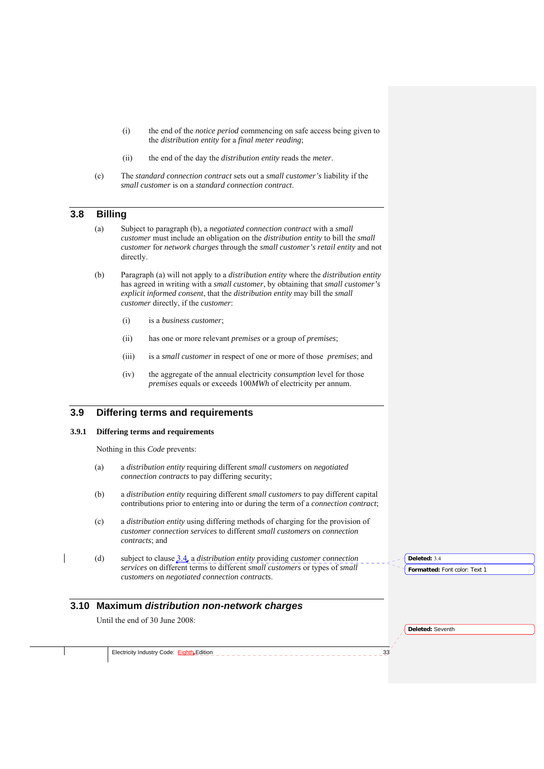- (i) the end of the *notice period* commencing on safe access being given to the *distribution entity* for a *final meter reading*;
- (ii) the end of the day the *distribution entity* reads the *meter*.
- (c) The *standard connection contract* sets out a *small customer's* liability if the *small customer* is on a *standard connection contract*.

# **3.8 Billing**

- (a) Subject to paragraph (b), a *negotiated connection contract* with a *small customer* must include an obligation on the *distribution entity* to bill the *small customer* for *network charges* through the *small customer's retail entity* and not directly.
- (b) Paragraph (a) will not apply to a *distribution entity* where the *distribution entity* has agreed in writing with a *small customer*, by obtaining that *small customer's explicit informed consent*, that the *distribution entity* may bill the *small customer* directly, if the *customer*:
	- (i) is a *business customer*;
	- (ii) has one or more relevant *premises* or a group of *premises*;
	- (iii) is a *small customer* in respect of one or more of those *premises*; and
	- (iv) the aggregate of the annual electricity *consumption* level for those *premises* equals or exceeds 100*MWh* of electricity per annum.

## **3.9 Differing terms and requirements**

#### **3.9.1 Differing terms and requirements**

Nothing in this *Code* prevents:

- (a) a *distribution entity* requiring different *small customers* on *negotiated connection contracts* to pay differing security;
- (b) a *distribution entity* requiring different *small customers* to pay different capital contributions prior to entering into or during the term of a *connection contract*;
- (c) a *distribution entity* using differing methods of charging for the provision of *customer connection services* to different *small customers* on *connection contracts*; and
- (d) subject to clause 3.4, a *distribution entity* providing *customer connection services* on different terms to different *small customers* or types of *small customers* on *negotiated connection contracts*.

# **3.10 Maximum** *distribution non-network charges*

Until the end of 30 June 2008:

**Deleted:** Seventh

**Deleted:** 3.4

**Formatted:** Font color: Text 1

Electricity Industry Code: Eighth Edition \_ \_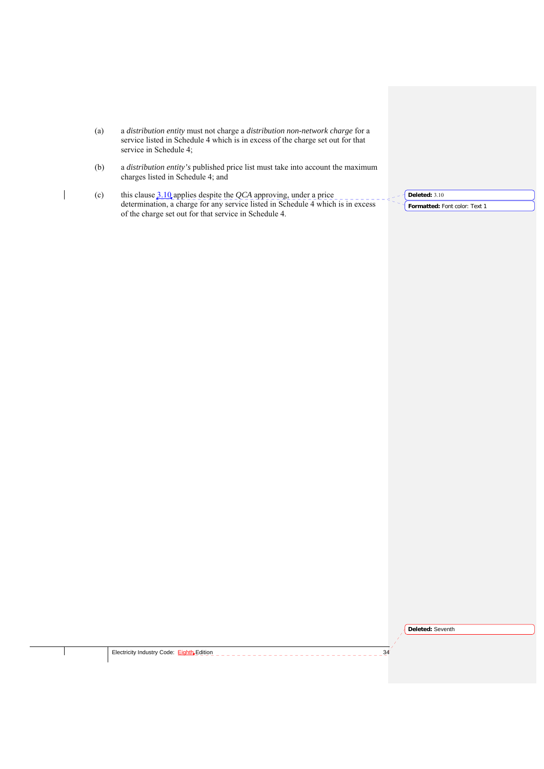- (a) a *distribution entity* must not charge a *distribution non-network charge* for a service listed in Schedule 4 which is in excess of the charge set out for that service in Schedule 4;
- (b) a *distribution entity's* published price list must take into account the maximum charges listed in Schedule 4; and
- (c) this clause 3.10 applies despite the *QCA* approving, under a price determination, a charge for any service listed in Schedule 4 which is in excess of the charge set out for that service in Schedule 4.

**Formatted:** Font color: Text 1 **Deleted:** 3.10

**Deleted:** Seventh

 $\overline{\phantom{a}}$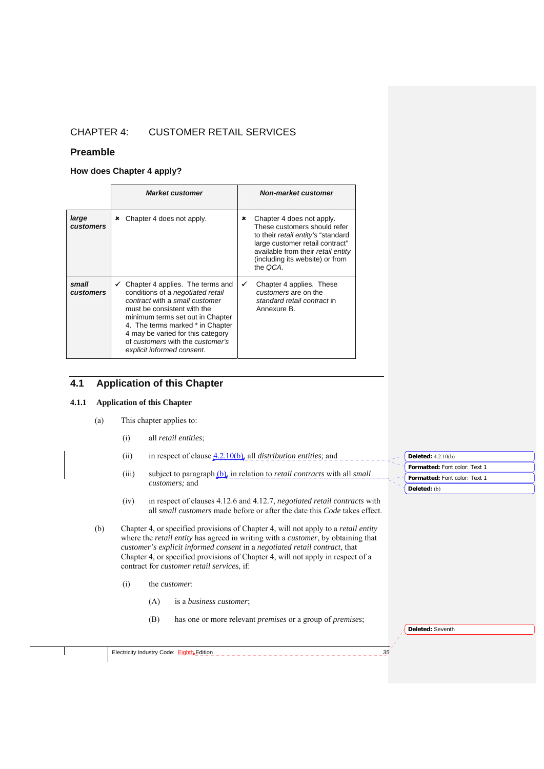# CHAPTER 4: CUSTOMER RETAIL SERVICES

## **Preamble**

## **How does Chapter 4 apply?**

|                           | <b>Market customer</b>                                                                                                                                                                                                                                                                                                                    | Non-market customer                                                                                                                                                                                                                 |  |  |  |
|---------------------------|-------------------------------------------------------------------------------------------------------------------------------------------------------------------------------------------------------------------------------------------------------------------------------------------------------------------------------------------|-------------------------------------------------------------------------------------------------------------------------------------------------------------------------------------------------------------------------------------|--|--|--|
| large<br><b>customers</b> | Chapter 4 does not apply.<br>×                                                                                                                                                                                                                                                                                                            | ×<br>Chapter 4 does not apply.<br>These customers should refer<br>to their <i>retail entity's</i> "standard<br>large customer retail contract"<br>available from their retail entity<br>(including its website) or from<br>the OCA. |  |  |  |
| small<br><b>customers</b> | $\checkmark$ Chapter 4 applies. The terms and<br>conditions of a <i>negotiated</i> retail<br>contract with a small customer<br>must be consistent with the<br>minimum terms set out in Chapter<br>4. The terms marked * in Chapter<br>4 may be varied for this category<br>of customers with the customer's<br>explicit informed consent. | Chapter 4 applies. These<br>✓<br>customers are on the<br>standard retail contract in<br>Annexure B.                                                                                                                                 |  |  |  |

# **4.1 Application of this Chapter**

## **4.1.1 Application of this Chapter**

- (a) This chapter applies to:
	- (i) all *retail entities*;
	- (ii) in respect of clause 4.2.10(b), all *distribution entities*; and
	- (iii) subject to paragraph (b), in relation to *retail contracts* with all *small customers;* and
	- (iv) in respect of clauses 4.12.6 and 4.12.7, *negotiated retail contracts* with all *small customers* made before or after the date this *Code* takes effect.
- (b) Chapter 4, or specified provisions of Chapter 4, will not apply to a *retail entity* where the *retail entity* has agreed in writing with a *customer*, by obtaining that *customer's explicit informed consent* in a *negotiated retail contract*, that Chapter 4, or specified provisions of Chapter 4, will not apply in respect of a contract for *customer retail services*, if:
	- (i) the *customer*:
		- (A) is a *business customer*;
		- (B) has one or more relevant *premises* or a group of *premises*;

**Deleted:** Seventh

**Formatted:** Font color: Text 1

**Formatted:** Font color: Text 1

**Deleted:** 4.2.10(b)

**Deleted:** (b)

| tricitv<br>Code<br>tιeι<br><b>Industry</b><br>.<br>. | 11.1<br>dition | oc.<br>. |
|------------------------------------------------------|----------------|----------|
|------------------------------------------------------|----------------|----------|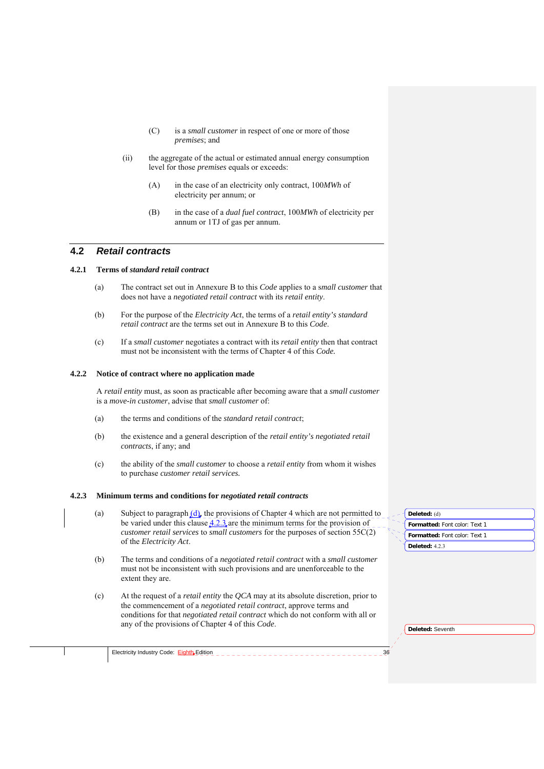- (C) is a *small customer* in respect of one or more of those *premises*; and
- (ii) the aggregate of the actual or estimated annual energy consumption level for those *premises* equals or exceeds:
	- (A) in the case of an electricity only contract, 100*MWh* of electricity per annum; or
	- (B) in the case of a *dual fuel contract*, 100*MWh* of electricity per annum or 1TJ of gas per annum.

## **4.2** *Retail contracts*

## **4.2.1 Terms of** *standard retail contract*

- (a) The contract set out in Annexure B to this *Code* applies to a s*mall customer* that does not have a *negotiated retail contract* with its *retail entity*.
- (b) For the purpose of the *Electricity Act*, the terms of a *retail entity's standard retail contract* are the terms set out in Annexure B to this *Code*.
- (c) If a *small customer* negotiates a contract with its *retail entity* then that contract must not be inconsistent with the terms of Chapter 4 of this *Code.*

#### **4.2.2 Notice of contract where no application made**

A *retail entity* must, as soon as practicable after becoming aware that a *small customer*  is a *move-in customer*, advise that *small customer* of:

- (a) the terms and conditions of the *standard retail contract*;
- (b) the existence and a general description of the *retail entity's negotiated retail contracts*, if any; and
- (c) the ability of the *small customer* to choose a *retail entity* from whom it wishes to purchase *customer retail services.*

#### **4.2.3 Minimum terms and conditions for** *negotiated retail contracts*

- (a) Subject to paragraph  $(d)$ , the provisions of Chapter 4 which are not permitted to be varied under this clause 4.2.3 are the minimum terms for the provision of *customer retail services* to *small customers* for the purposes of section 55C(2) of the *Electricity Act*.
- (b) The terms and conditions of a *negotiated retail contract* with a *small customer* must not be inconsistent with such provisions and are unenforceable to the extent they are.
- (c) At the request of a *retail entity* the *QCA* may at its absolute discretion, prior to the commencement of a *negotiated retail contract*, approve terms and conditions for that *negotiated retail contract* which do not conform with all or any of the provisions of Chapter 4 of this *Code*.

| Deleted: (d)                  |
|-------------------------------|
| Formatted: Font color: Text 1 |
| Formatted: Font color: Text 1 |
| Deleted: $423$                |

**Deleted:** Seventh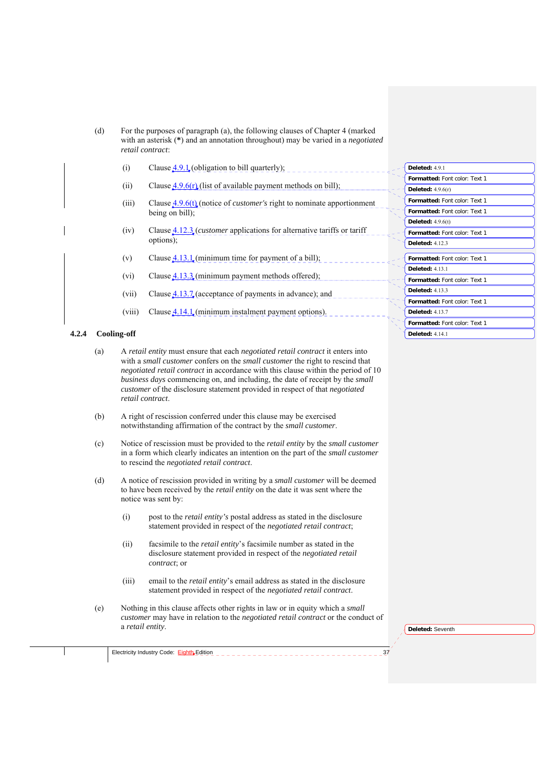- (d) For the purposes of paragraph (a), the following clauses of Chapter 4 (marked with an asterisk (**\***) and an annotation throughout) may be varied in a *negotiated retail contract*:
	- (i) Clause  $4.9.1$  (obligation to bill quarterly);
	- (ii) Clause  $4.9.6(r)$  (list of available payment methods on bill);
	- (iii) Clause <u>4.9.6(t)</u> (notice of *customer's* right to nominate apportionment being on bill);
	- (iv) Clause 4.12.3 (*customer* applications for alternative tariffs or tariff options);
	- (v) Clause  $4.13.1$  (minimum time for payment of a bill);
	- (vi) Clause  $4.13.3$  (minimum payment methods offered);
	- (vii) Clause  $4.13.7$  (acceptance of payments in advance); and
	- (viii) Clause  $4.14.1$  (minimum instalment payment options).

#### **4.2.4 Cooling-off**

- (a) A *retail entity* must ensure that each *negotiated retail contract* it enters into with a *small customer* confers on the *small customer* the right to rescind that *negotiated retail contract* in accordance with this clause within the period of 10 *business days* commencing on, and including, the date of receipt by the *small customer* of the disclosure statement provided in respect of that *negotiated retail contract*.
- (b) A right of rescission conferred under this clause may be exercised notwithstanding affirmation of the contract by the *small customer*.
- (c) Notice of rescission must be provided to the *retail entity* by the *small customer* in a form which clearly indicates an intention on the part of the *small customer* to rescind the *negotiated retail contract*.
- (d) A notice of rescission provided in writing by a *small customer* will be deemed to have been received by the *retail entity* on the date it was sent where the notice was sent by:
	- (i) post to the *retail entity's* postal address as stated in the disclosure statement provided in respect of the *negotiated retail contract*;
	- (ii) facsimile to the *retail entity*'s facsimile number as stated in the disclosure statement provided in respect of the *negotiated retail contract*; or
	- (iii) email to the *retail entity*'s email address as stated in the disclosure statement provided in respect of the *negotiated retail contract*.
- (e) Nothing in this clause affects other rights in law or in equity which a *small customer* may have in relation to the *negotiated retail contract* or the conduct of a *retail entity*.

Electricity Industry Code: Eighth Edition 37 - - - - - - - - - - - - - - - - - -

| Deleted: 4.9.1                       |
|--------------------------------------|
| Formatted: Font color: Text 1        |
| Deleted: $4.9.6(r)$                  |
| Formatted: Font color: Text 1        |
| <b>Formatted:</b> Font color: Text 1 |
| Deleted: $4.9.6(t)$                  |
| <b>Formatted:</b> Font color: Text 1 |
| <b>Deleted: 4123</b>                 |
| Formatted: Font color: Text 1        |
| <b>Deleted: 4131</b>                 |
| Formatted: Font color: Text 1        |
| Deleted: $4133$                      |
| <b>Formatted:</b> Font color: Text 1 |
| <b>Deleted: 4137</b>                 |
| <b>Formatted:</b> Font color: Text 1 |
| <b>Deleted: 4 14 1</b>               |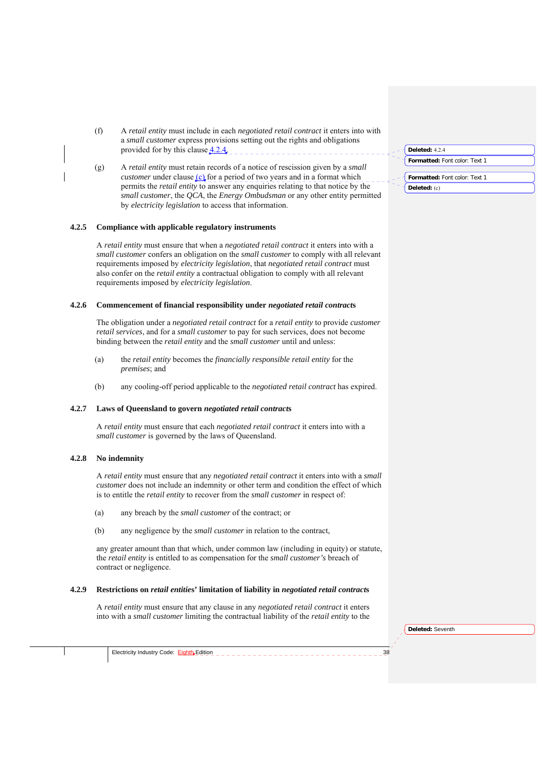- (f) A *retail entity* must include in each *negotiated retail contract* it enters into with a *small customer* express provisions setting out the rights and obligations provided for by this clause  $4.2.4$ .
- (g) A *retail entity* must retain records of a notice of rescission given by a *small customer* under clause (c) for a period of two years and in a format which permits the *retail entity* to answer any enquiries relating to that notice by the *small customer*, the *QCA*, the *Energy Ombudsman* or any other entity permitted by *electricity legislation* to access that information.

#### **4.2.5 Compliance with applicable regulatory instruments**

A *retail entity* must ensure that when a *negotiated retail contract* it enters into with a *small customer* confers an obligation on the *small customer* to comply with all relevant requirements imposed by *electricity legislation*, that *negotiated retail contract* must also confer on the *retail entity* a contractual obligation to comply with all relevant requirements imposed by *electricity legislation*.

### **4.2.6 Commencement of financial responsibility under** *negotiated retail contract***s**

The obligation under a *negotiated retail contract* for a *retail entity* to provide *customer retail services*, and for a *small customer* to pay for such services, does not become binding between the *retail entity* and the *small customer* until and unless:

- (a) the *retail entity* becomes the *financially responsible retail entity* for the *premises*; and
- (b) any cooling-off period applicable to the *negotiated retail contract* has expired.

#### **4.2.7 Laws of Queensland to govern** *negotiated retail contract***s**

A *retail entity* must ensure that each *negotiated retail contract* it enters into with a *small customer* is governed by the laws of Queensland.

#### **4.2.8 No indemnity**

A *retail entity* must ensure that any *negotiated retail contract* it enters into with a *small customer* does not include an indemnity or other term and condition the effect of which is to entitle the *retail entity* to recover from the *small customer* in respect of:

(a) any breach by the *small customer* of the contract; or

Electricity Industry Code: **Eighth** Edition

(b) any negligence by the *small customer* in relation to the contract,

any greater amount than that which, under common law (including in equity) or statute, the *retail entity* is entitled to as compensation for the *small customer's* breach of contract or negligence.

#### **4.2.9 Restrictions on** *retail entitie***s' limitation of liability in** *negotiated retail contract***s**

A *retail entity* must ensure that any clause in any *negotiated retail contract* it enters into with a *small customer* limiting the contractual liability of the *retail entity* to the

| <b>Deleted:</b> 424                  |  |
|--------------------------------------|--|
| <b>Formatted:</b> Font color: Text 1 |  |

| Formatted: Font color: Text 1 |  |
|-------------------------------|--|
| Deleted: $(c)$                |  |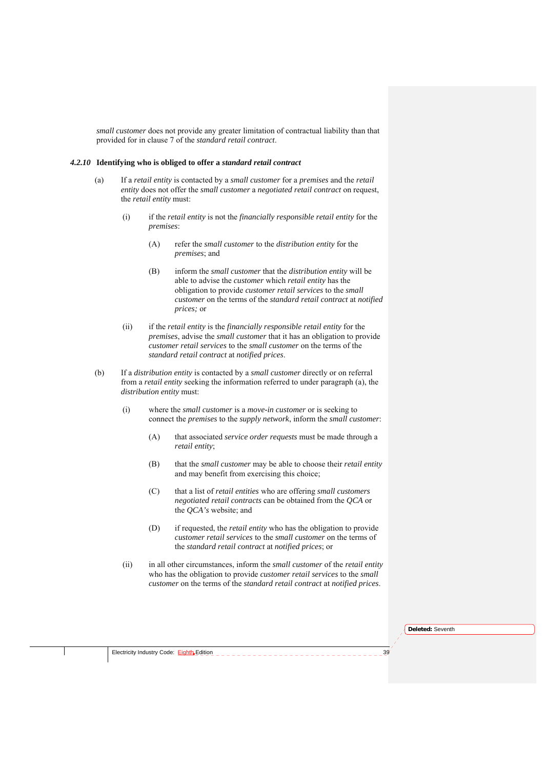*small customer* does not provide any greater limitation of contractual liability than that provided for in clause 7 of the *standard retail contract*.

### *4.2.10* **Identifying who is obliged to offer a** *standard retail contract*

- (a) If a *retail entity* is contacted by a *small customer* for a *premises* and the *retail entity* does not offer the *small customer* a *negotiated retail contract* on request, the *retail entity* must:
	- (i) if the *retail entity* is not the *financially responsible retail entity* for the *premises*:
		- (A) refer the *small customer* to the *distribution entity* for the *premises*; and
		- (B) inform the *small customer* that the *distribution entity* will be able to advise the *customer* which *retail entity* has the obligation to provide *customer retail services* to the *small customer* on the terms of the *standard retail contract* at *notified prices;* or
	- (ii) if the *retail entity* is the *financially responsible retail entity* for the *premises*, advise the *small customer* that it has an obligation to provide *customer retail services* to the *small customer* on the terms of the *standard retail contract* at *notified prices*.
- (b) If a *distribution entity* is contacted by a *small customer* directly or on referral from a *retail entity* seeking the information referred to under paragraph (a), the *distribution entity* must:
	- (i) where the *small customer* is a *move-in customer* or is seeking to connect the *premises* to the *supply network*, inform the *small customer*:
		- (A) that associated *service order requests* must be made through a *retail entity*;
		- (B) that the *small customer* may be able to choose their *retail entity* and may benefit from exercising this choice;
		- (C) that a list of *retail entities* who are offering *small customers negotiated retail contracts* can be obtained from the *QCA* or the *QCA's* website; and
		- (D) if requested, the *retail entity* who has the obligation to provide *customer retail services* to the *small customer* on the terms of the *standard retail contract* at *notified prices*; or
	- (ii) in all other circumstances, inform the *small customer* of the *retail entity* who has the obligation to provide *customer retail services* to the *small customer* on the terms of the *standard retail contract* at *notified prices*.

**Deleted:** Seventh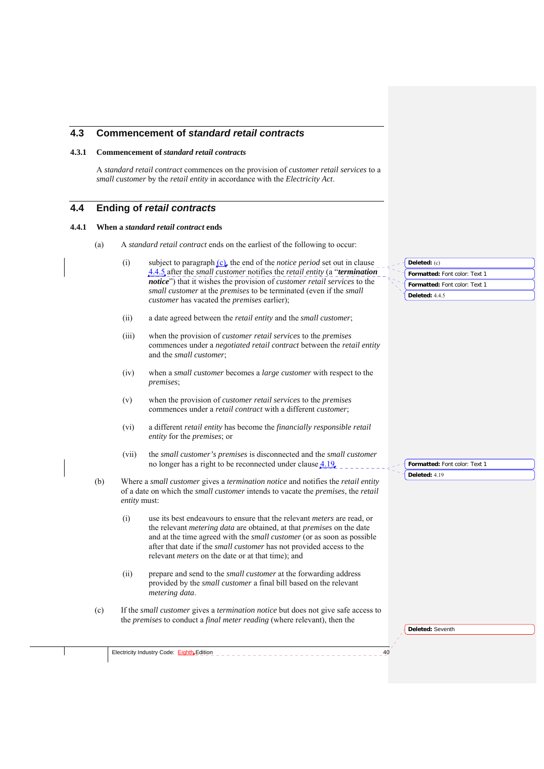## **4.3 Commencement of** *standard retail contracts*

## **4.3.1 Commencement of** *standard retail contracts*

A *standard retail contract* commences on the provision of *customer retail services* to a *small customer* by the *retail entity* in accordance with the *Electricity Act*.

## **4.4 Ending of** *retail contracts*

#### **4.4.1 When a** *standard retail contract* **ends**

- (a) A *standard retail contract* ends on the earliest of the following to occur:
	- (i) subject to paragraph (c), the end of the *notice period* set out in clause 4.4.5 after the *small customer* notifies the *retail entity* (a "*termination notice*") that it wishes the provision of *customer retail services* to the *small customer* at the *premises* to be terminated (even if the *small customer* has vacated the *premises* earlier);
	- (ii) a date agreed between the *retail entity* and the *small customer*;
	- (iii) when the provision of *customer retail services* to the *premises* commences under a *negotiated retail contract* between the *retail entity*  and the *small customer*;
	- (iv) when a *small customer* becomes a *large customer* with respect to the *premises*;
	- (v) when the provision of *customer retail services* to the *premises* commences under a *retail contract* with a different *customer*;
	- (vi) a different *retail entity* has become the *financially responsible retail entity* for the *premises*; or
	- (vii) the *small customer's premises* is disconnected and the *small customer*  no longer has a right to be reconnected under clause 4.19.
- (b) Where a *small customer* gives a *termination notice* and notifies the *retail entity*  of a date on which the *small customer* intends to vacate the *premises*, the *retail entity* must:
	- (i) use its best endeavours to ensure that the relevant *meters* are read, or the relevant *metering data* are obtained, at that *premises* on the date and at the time agreed with the *small customer* (or as soon as possible after that date if the *small customer* has not provided access to the relevant *meters* on the date or at that time); and
	- (ii) prepare and send to the *small customer* at the forwarding address provided by the *small customer* a final bill based on the relevant *metering data*.
- (c) If the *small customer* gives a *termination notice* but does not give safe access to the *premises* to conduct a *final meter reading* (where relevant), then the

Electricity Industry Code: Eighth Edition

**Formatted:** Font color: Text 1 **Deleted:** (c) **Formatted:** Font color: Text 1 **Deleted:** 4.4.5

**Formatted:** Font color: Text 1 **Deleted:** 4.19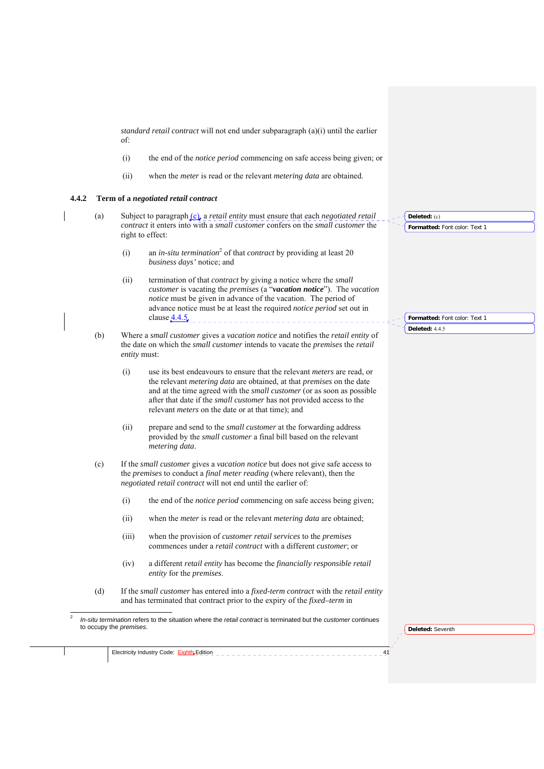*standard retail contract* will not end under subparagraph (a)(i) until the earlier of:

- (i) the end of the *notice period* commencing on safe access being given; or
- (ii) when the *meter* is read or the relevant *metering data* are obtained.

### **4.4.2 Term of a** *negotiated retail contract*

- (a) Subject to paragraph (c), a *retail entity* must ensure that each *negotiated retail contract* it enters into with a *small customer* confers on the *small customer* the right to effect: Deleted: (c)
	- (i) an *in-situ termination*<sup>2</sup> of that *contract* by providing at least 20 *business days'* notice; and
	- (ii) termination of that *contract* by giving a notice where the *small customer* is vacating the *premises* (a "*vacation notice*"). The *vacation notice* must be given in advance of the vacation. The period of advance notice must be at least the required *notice period* set out in clause  $4.4.5$ .
- (b) Where a *small customer* gives a *vacation notice* and notifies the *retail entity* of the date on which the *small customer* intends to vacate the *premises* the *retail entity* must:
	- (i) use its best endeavours to ensure that the relevant *meters* are read, or the relevant *metering data* are obtained, at that *premises* on the date and at the time agreed with the *small customer* (or as soon as possible after that date if the *small customer* has not provided access to the relevant *meters* on the date or at that time); and
	- (ii) prepare and send to the *small customer* at the forwarding address provided by the *small customer* a final bill based on the relevant *metering data*.
- (c) If the *small customer* gives a *vacation notice* but does not give safe access to the *premises* to conduct a *final meter reading* (where relevant), then the *negotiated retail contract* will not end until the earlier of:
	- (i) the end of the *notice period* commencing on safe access being given;
	- (ii) when the *meter* is read or the relevant *metering data* are obtained;
	- (iii) when the provision of *customer retail services* to the *premises* commences under a *retail contract* with a different *customer*; or
	- (iv) a different *retail entity* has become the *financially responsible retail entity* for the *premises*.
- (d) If the *small customer* has entered into a *fixed-term contract* with the *retail entity*  and has terminated that contract prior to the expiry of the *fixed–term* in
- *In-situ termination* refers to the situation where the *retail contract* is terminated but the *customer* continues to occupy the *premises*.

**Deleted:** Seventh

 $\frac{1}{2}$ 

**Formatted:** Font color: Text 1

**Formatted:** Font color: Text 1 **Deleted:** 4.4.5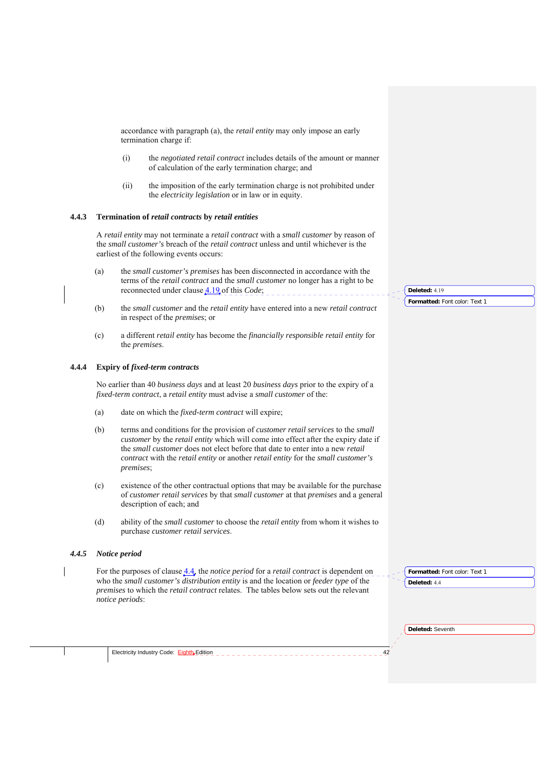accordance with paragraph (a), the *retail entity* may only impose an early termination charge if:

- (i) the *negotiated retail contract* includes details of the amount or manner of calculation of the early termination charge; and
- (ii) the imposition of the early termination charge is not prohibited under the *electricity legislation* or in law or in equity.

## **4.4.3 Termination of** *retail contracts* **by** *retail entities*

A *retail entity* may not terminate a *retail contract* with a *small customer* by reason of the *small customer's* breach of the *retail contract* unless and until whichever is the earliest of the following events occurs:

- (a) the *small customer's premises* has been disconnected in accordance with the terms of the *retail contract* and the *small customer* no longer has a right to be reconnected under clause 4.19 of this *Code*;
- (b) the *small customer* and the *retail entity* have entered into a new *retail contract* in respect of the *premises*; or
- (c) a different *retail entity* has become the *financially responsible retail entity* for the *premises*.

## **4.4.4 Expiry of** *fixed-term contracts*

No earlier than 40 *business days* and at least 20 *business days* prior to the expiry of a *fixed-term contract*, a *retail entity* must advise a *small customer* of the:

- (a) date on which the *fixed-term contract* will expire;
- (b) terms and conditions for the provision of *customer retail services* to the *small customer* by the *retail entity* which will come into effect after the expiry date if the *small customer* does not elect before that date to enter into a new *retail contract* with the *retail entity* or another *retail entity* for the *small customer's premises*;
- (c) existence of the other contractual options that may be available for the purchase of *customer retail services* by that *small customer* at that *premises* and a general description of each; and
- (d) ability of the *small customer* to choose the *retail entity* from whom it wishes to purchase *customer retail services*.

#### *4.4.5 Notice period*

For the purposes of clause 4.4, the *notice period* for a *retail contract* is dependent on who the *small customer's distribution entity* is and the location or *feeder type* of the *premises* to which the *retail contract* relates. The tables below sets out the relevant *notice periods*:

**Formatted:** Font color: Text 1

**Formatted:** Font color: Text 1

**Deleted:** 4.19

**Deleted:** 4.4

**Deleted:** Seventh

Electricity Industry Code: Eighth Edition **1996 Example 2014**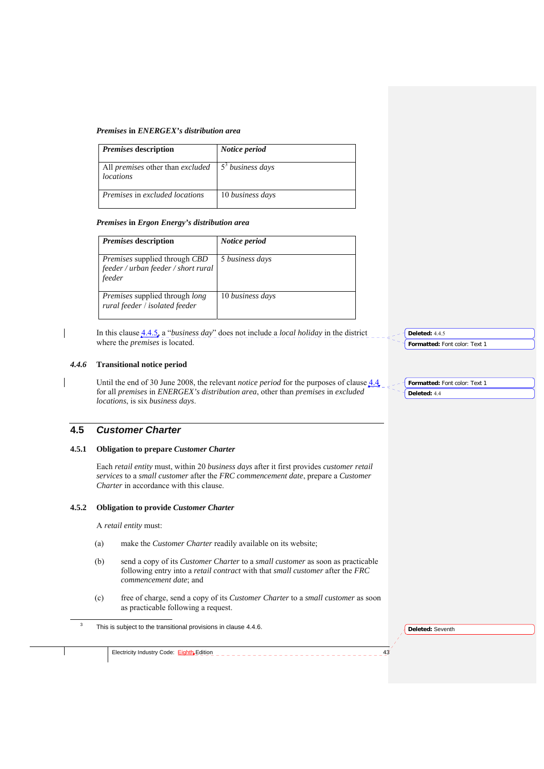#### *Premises* **in** *ENERGEX's distribution area*

| <i>Premises</i> description                                 | Notice period                |
|-------------------------------------------------------------|------------------------------|
| All <i>premises</i> other than <i>excluded</i><br>locations | 5 <sup>3</sup> business days |
| <i>Premises</i> in excluded locations                       | 10 business days             |

### *Premises* **in** *Ergon Energy's distribution area*

| <i>Premises</i> description                                                                  | Notice period    |
|----------------------------------------------------------------------------------------------|------------------|
| <i>Premises</i> supplied through <i>CBD</i><br>feeder / urban feeder / short rural<br>feeder | 5 business days  |
| <i>Premises</i> supplied through <i>long</i><br>rural feeder / isolated feeder               | 10 business days |

In this clause 4.4.5, a "*business day*" does not include a *local holiday* in the district where the *premises* is located.

## *4.4.6* **Transitional notice period**

Until the end of 30 June 2008, the relevant *notice period* for the purposes of clause 4.4 for all *premises* in *ENERGEX's distribution area*, other than *premises* in *excluded locations*, is six *business days*.

## **4.5** *Customer Charter*

## **4.5.1 Obligation to prepare** *Customer Charter*

Each *retail entity* must, within 20 *business days* after it first provides *customer retail services* to a *small customer* after the *FRC commencement date*, prepare a *Customer Charter* in accordance with this clause.

#### **4.5.2 Obligation to provide** *Customer Charter*

A *retail entity* must:

- (a) make the *Customer Charter* readily available on its website;
- (b) send a copy of its *Customer Charter* to a *small customer* as soon as practicable following entry into a *retail contract* with that *small customer* after the *FRC commencement date*; and
- (c) free of charge, send a copy of its *Customer Charter* to a *small customer* as soon as practicable following a request.

 $\frac{1}{3}$ This is subject to the transitional provisions in clause 4.4.6.

**Deleted:** Seventh

**Formatted:** Font color: Text 1

**Deleted:** 4.4.5

**Formatted:** Font color: Text 1 **Deleted:** 4.4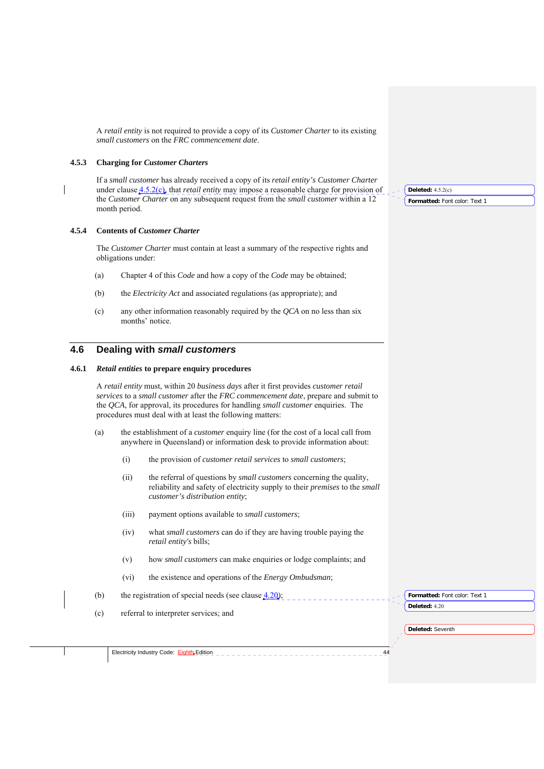A *retail entity* is not required to provide a copy of its *Customer Charter* to its existing *small customers* on the *FRC commencement date*.

## **4.5.3 Charging for** *Customer Charters*

If a *small customer* has already received a copy of its *retail entity's Customer Charter*  under clause 4.5.2(c), that *retail entity* may impose a reasonable charge for provision of the *Customer Charter* on any subsequent request from the *small customer* within a 12 month period.

## **4.5.4 Contents of** *Customer Charter*

The *Customer Charter* must contain at least a summary of the respective rights and obligations under:

- (a) Chapter 4 of this *Code* and how a copy of the *Code* may be obtained;
- (b) the *Electricity Act* and associated regulations (as appropriate); and
- (c) any other information reasonably required by the *QCA* on no less than six months' notice.

## **4.6 Dealing with** *small customers*

## **4.6.1** *Retail entities* **to prepare enquiry procedures**

A *retail entity* must, within 20 *business days* after it first provides *customer retail services* to a *small customer* after the *FRC commencement date*, prepare and submit to the *QCA*, for approval, its procedures for handling *small customer* enquiries. The procedures must deal with at least the following matters:

- (a) the establishment of a *customer* enquiry line (for the cost of a local call from anywhere in Queensland) or information desk to provide information about:
	- (i) the provision of *customer retail services* to *small customers*;
	- (ii) the referral of questions by *small customers* concerning the quality, reliability and safety of electricity supply to their *premises* to the *small customer's distribution entity*;
	- (iii) payment options available to *small customers*;
	- (iv) what *small customers* can do if they are having trouble paying the *retail entity's* bills;
	- (v) how *small customers* can make enquiries or lodge complaints; and
	- (vi) the existence and operations of the *Energy Ombudsman*;
- (b) the registration of special needs (see clause  $4.20$ );

**Formatted:** Font color: Text 1 **Deleted:** 4.20

**Deleted:** Seventh

(c) referral to interpreter services; and

Electricity Industry Code: Eighth Edition \_ \_

**Deleted:** 4.5.2(c)

**Formatted:** Font color: Text 1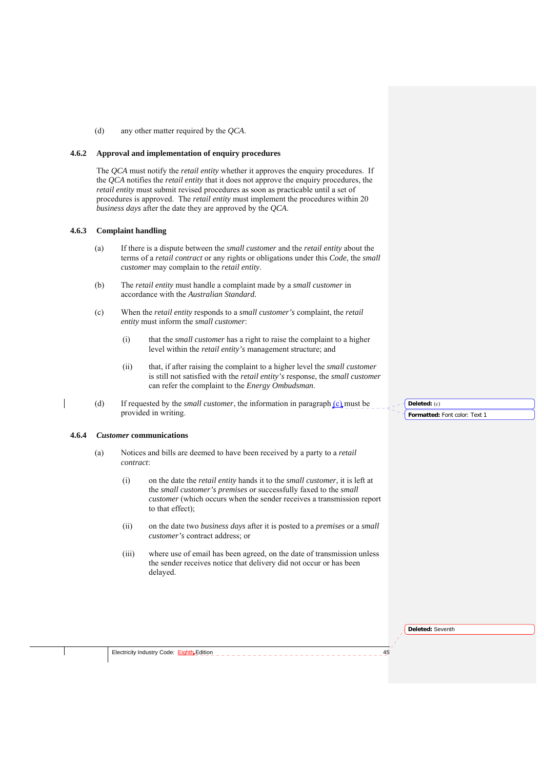(d) any other matter required by the *QCA*.

## **4.6.2 Approval and implementation of enquiry procedures**

The *QCA* must notify the *retail entity* whether it approves the enquiry procedures. If the *QCA* notifies the *retail entity* that it does not approve the enquiry procedures, the *retail entity* must submit revised procedures as soon as practicable until a set of procedures is approved. The *retail entity* must implement the procedures within 20 *business days* after the date they are approved by the *QCA*.

#### **4.6.3 Complaint handling**

- (a) If there is a dispute between the *small customer* and the *retail entity* about the terms of a *retail contract* or any rights or obligations under this *Code*, the *small customer* may complain to the *retail entity*.
- (b) The *retail entity* must handle a complaint made by a *small customer* in accordance with the *Australian Standard.*
- (c) When the *retail entity* responds to a *small customer's* complaint, the *retail entity* must inform the *small customer*:
	- (i) that the *small customer* has a right to raise the complaint to a higher level within the *retail entity's* management structure; and
	- (ii) that, if after raising the complaint to a higher level the *small customer*  is still not satisfied with the *retail entity's* response, the *small customer*  can refer the complaint to the *Energy Ombudsman*.
- (d) If requested by the *small customer*, the information in paragraph (c) must be provided in writing.

## **4.6.4** *Customer* **communications**

- (a) Notices and bills are deemed to have been received by a party to a *retail contract*:
	- (i) on the date the *retail entity* hands it to the *small customer*, it is left at the *small customer's premises* or successfully faxed to the *small customer* (which occurs when the sender receives a transmission report to that effect);
	- (ii) on the date two *business days* after it is posted to a *premises* or a *small customer's* contract address; or
	- (iii) where use of email has been agreed, on the date of transmission unless the sender receives notice that delivery did not occur or has been delayed.

**Formatted:** Font color: Text 1 **Deleted:** (c)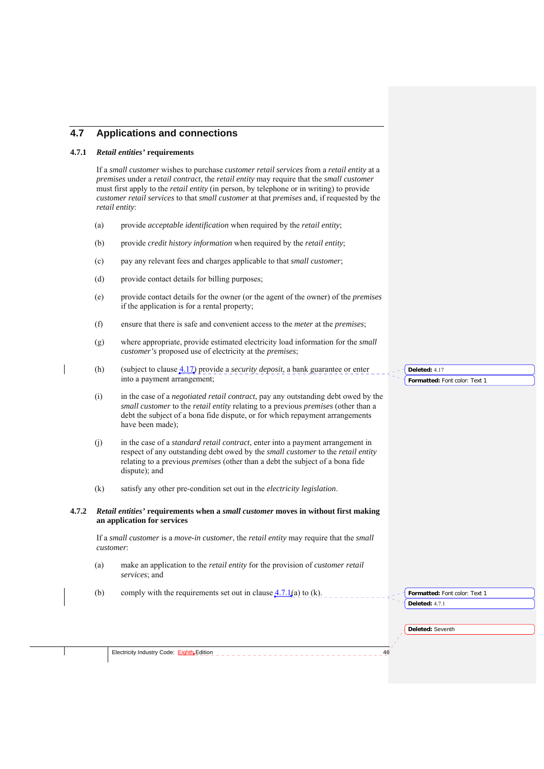## **4.7 Applications and connections**

### **4.7.1** *Retail entities'* **requirements**

If a *small customer* wishes to purchase *customer retail services* from a *retail entity* at a *premises* under a *retail contract*, the *retail entity* may require that the *small customer*  must first apply to the *retail entity* (in person, by telephone or in writing) to provide *customer retail services* to that *small customer* at that *premises* and, if requested by the *retail entity*:

- (a) provide *acceptable identification* when required by the *retail entity*;
- (b) provide *credit history information* when required by the *retail entity*;
- (c) pay any relevant fees and charges applicable to that *small customer*;
- (d) provide contact details for billing purposes;
- (e) provide contact details for the owner (or the agent of the owner) of the *premises* if the application is for a rental property;
- (f) ensure that there is safe and convenient access to the *meter* at the *premises*;
- (g) where appropriate, provide estimated electricity load information for the *small customer's* proposed use of electricity at the *premises*;
- (h) (subject to clause 4.17) provide a *security deposit*, a bank guarantee or enter into a payment arrangement;
- (i) in the case of a *negotiated retail contract*, pay any outstanding debt owed by the *small customer* to the *retail entity* relating to a previous *premises* (other than a debt the subject of a bona fide dispute, or for which repayment arrangements have been made);
- (j) in the case of a *standard retail contract*, enter into a payment arrangement in respect of any outstanding debt owed by the *small customer* to the *retail entity*  relating to a previous *premises* (other than a debt the subject of a bona fide dispute); and
- (k) satisfy any other pre-condition set out in the *electricity legislation*.

## **4.7.2** *Retail entities'* **requirements when a** *small customer* **moves in without first making an application for services**

If a *small customer* is a *move-in customer*, the *retail entity* may require that the *small customer*:

- (a) make an application to the *retail entity* for the provision of *customer retail services*; and
- (b) comply with the requirements set out in clause  $\frac{4.7.1(a)}{2}$  to (k).

**Formatted:** Font color: Text 1 **Deleted:** 4.17

**Formatted:** Font color: Text 1 **Deleted:** 4.7.1

**Deleted:** Seventh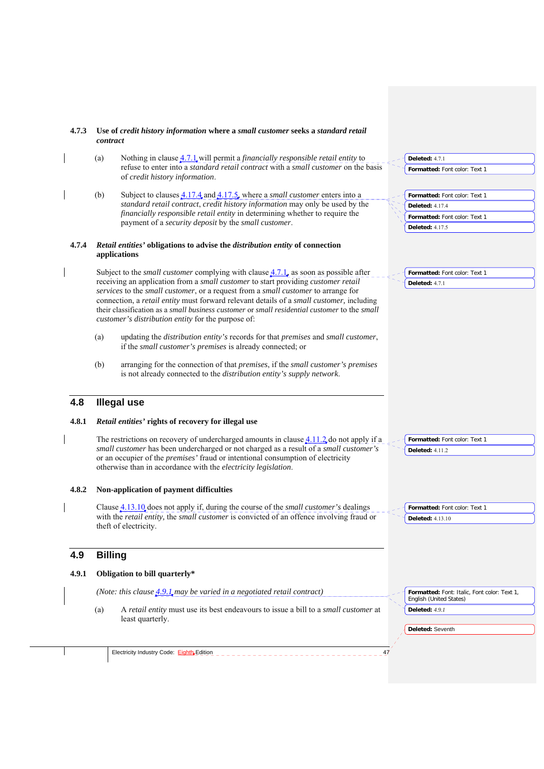| 4.7.3 | Use of credit history information where a small customer seeks a standard retail<br>contract                                                                                             |                                                                         |
|-------|------------------------------------------------------------------------------------------------------------------------------------------------------------------------------------------|-------------------------------------------------------------------------|
|       | Nothing in clause $4.7.1$ , will permit a <i>financially responsible retail entity</i> to<br>(a)                                                                                         | <b>Deleted: 4.7.1</b>                                                   |
|       | refuse to enter into a standard retail contract with a small customer on the basis<br>of credit history information.                                                                     | Formatted: Font color: Text 1                                           |
|       | (b)<br>Subject to clauses $\underline{4.17.4}$ and $\underline{4.17.5}$ , where a <i>small customer</i> enters into a                                                                    | Formatted: Font color: Text 1                                           |
|       | standard retail contract, credit history information may only be used by the                                                                                                             | <b>Deleted: 4.17.4</b>                                                  |
|       | financially responsible retail entity in determining whether to require the<br>payment of a security deposit by the small customer.                                                      | Formatted: Font color: Text 1                                           |
|       |                                                                                                                                                                                          | <b>Deleted: 4.17.5</b>                                                  |
| 4.7.4 | Retail entities' obligations to advise the distribution entity of connection<br>applications                                                                                             |                                                                         |
|       | Subject to the <i>small customer</i> complying with clause $4.7.1$ , as soon as possible after                                                                                           | Formatted: Font color: Text 1                                           |
|       | receiving an application from a <i>small customer</i> to start providing <i>customer retail</i>                                                                                          | <b>Deleted: 4.7.1</b>                                                   |
|       | services to the small customer, or a request from a small customer to arrange for                                                                                                        |                                                                         |
|       | connection, a retail entity must forward relevant details of a small customer, including<br>their classification as a small business customer or small residential customer to the small |                                                                         |
|       | customer's distribution entity for the purpose of:                                                                                                                                       |                                                                         |
|       | updating the distribution entity's records for that premises and small customer,<br>(a)<br>if the <i>small customer's premises</i> is already connected; or                              |                                                                         |
|       | (b)<br>arranging for the connection of that premises, if the small customer's premises<br>is not already connected to the distribution entity's supply network.                          |                                                                         |
| 4.8   | <b>Illegal use</b>                                                                                                                                                                       |                                                                         |
| 4.8.1 | <i>Retail entities'</i> rights of recovery for illegal use                                                                                                                               |                                                                         |
|       | The restrictions on recovery of undercharged amounts in clause $4.11.2$ , do not apply if a                                                                                              | Formatted: Font color: Text 1                                           |
|       | small customer has been undercharged or not charged as a result of a small customer's                                                                                                    | <b>Deleted: 4.11.2</b>                                                  |
|       | or an occupier of the <i>premises'</i> fraud or intentional consumption of electricity<br>otherwise than in accordance with the <i>electricity legislation</i> .                         |                                                                         |
| 4.8.2 | Non-application of payment difficulties                                                                                                                                                  |                                                                         |
|       | Clause <b>4.13.10</b> does not apply if, during the course of the <i>small customer's</i> dealings                                                                                       | <b>Formatted:</b> Font color: Text 1                                    |
|       | with the retail entity, the small customer is convicted of an offence involving fraud or<br>theft of electricity.                                                                        | <b>Deleted: 4.13.10</b>                                                 |
| 4.9   | <b>Billing</b>                                                                                                                                                                           |                                                                         |
| 4.9.1 | Obligation to bill quarterly*                                                                                                                                                            |                                                                         |
|       | (Note: this clause $\underline{4.9.1}$ may be varied in a negotiated retail contract)                                                                                                    | Formatted: Font: Italic, Font color: Text 1,<br>English (United States) |
|       | A retail entity must use its best endeavours to issue a bill to a small customer at<br>(a)<br>least quarterly.                                                                           | Deleted: 4.9.1                                                          |
|       |                                                                                                                                                                                          | Deleted: Seventh                                                        |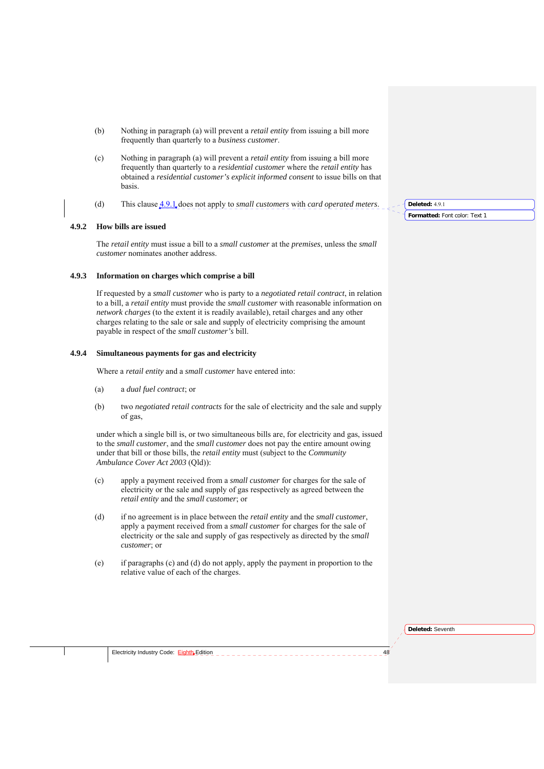- (b) Nothing in paragraph (a) will prevent a *retail entity* from issuing a bill more frequently than quarterly to a *business customer*.
- (c) Nothing in paragraph (a) will prevent a *retail entity* from issuing a bill more frequently than quarterly to a *residential customer* where the *retail entity* has obtained a *residential customer's explicit informed consent* to issue bills on that basis.
- (d) This clause 4.9.1 does not apply to *small customers* with *card operated meters*.

## **4.9.2 How bills are issued**

The *retail entity* must issue a bill to a *small customer* at the *premises*, unless the *small customer* nominates another address.

## **4.9.3 Information on charges which comprise a bill**

If requested by a *small customer* who is party to a *negotiated retail contract*, in relation to a bill, a *retail entity* must provide the *small customer* with reasonable information on *network charges* (to the extent it is readily available), retail charges and any other charges relating to the sale or sale and supply of electricity comprising the amount payable in respect of the *small customer's* bill.

#### **4.9.4 Simultaneous payments for gas and electricity**

Where a *retail entity* and a *small customer* have entered into:

- (a) a *dual fuel contract*; or
- (b) two *negotiated retail contracts* for the sale of electricity and the sale and supply of gas,

under which a single bill is, or two simultaneous bills are, for electricity and gas, issued to the *small customer*, and the *small customer* does not pay the entire amount owing under that bill or those bills, the *retail entity* must (subject to the *Community Ambulance Cover Act 2003* (Qld)):

- (c) apply a payment received from a *small customer* for charges for the sale of electricity or the sale and supply of gas respectively as agreed between the *retail entity* and the *small customer*; or
- (d) if no agreement is in place between the *retail entity* and the *small customer*, apply a payment received from a *small customer* for charges for the sale of electricity or the sale and supply of gas respectively as directed by the *small customer*; or
- (e) if paragraphs (c) and (d) do not apply, apply the payment in proportion to the relative value of each of the charges.

**Formatted:** Font color: Text 1 **Deleted:** 4.9.1

**Deleted:** Seventh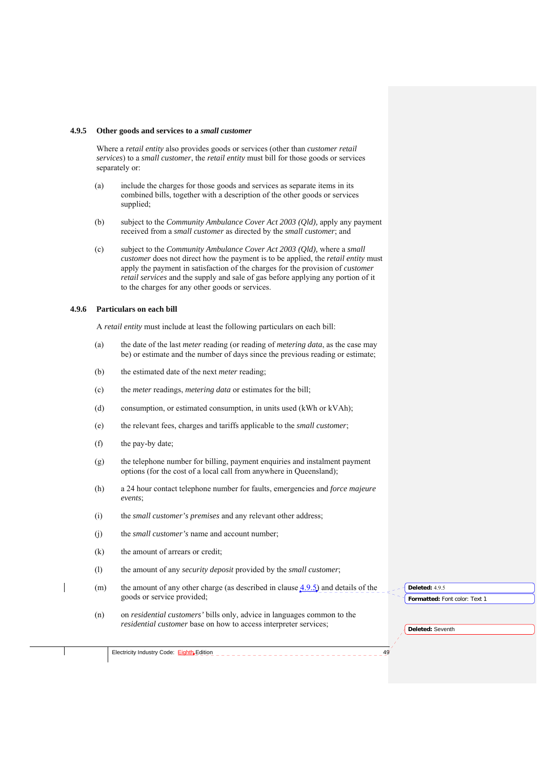#### **4.9.5 Other goods and services to a** *small customer*

Where a *retail entity* also provides goods or services (other than *customer retail services*) to a *small customer*, the *retail entity* must bill for those goods or services separately or:

- (a) include the charges for those goods and services as separate items in its combined bills, together with a description of the other goods or services supplied;
- (b) subject to the *Community Ambulance Cover Act 2003 (Qld),* apply any payment received from a *small customer* as directed by the *small customer*; and
- (c) subject to the *Community Ambulance Cover Act 2003 (Qld),* where a *small customer* does not direct how the payment is to be applied, the *retail entity* must apply the payment in satisfaction of the charges for the provision of *customer retail services* and the supply and sale of gas before applying any portion of it to the charges for any other goods or services.

### **4.9.6 Particulars on each bill**

A *retail entity* must include at least the following particulars on each bill:

- (a) the date of the last *meter* reading (or reading of *metering data*, as the case may be) or estimate and the number of days since the previous reading or estimate;
- (b) the estimated date of the next *meter* reading;
- (c) the *meter* readings, *metering data* or estimates for the bill;
- (d) consumption, or estimated consumption, in units used (kWh or kVAh);
- (e) the relevant fees, charges and tariffs applicable to the *small customer*;
- (f) the pay-by date;
- (g) the telephone number for billing, payment enquiries and instalment payment options (for the cost of a local call from anywhere in Queensland);
- (h) a 24 hour contact telephone number for faults, emergencies and *force majeure events*;
- (i) the *small customer's premises* and any relevant other address;
- (j) the *small customer's* name and account number;
- (k) the amount of arrears or credit;
- (l) the amount of any *security deposit* provided by the *small customer*;
- (m) the amount of any other charge (as described in clause  $4.9.5$ ) and details of the goods or service provided;
- (n) on *residential customers'* bills only, advice in languages common to the *residential customer* base on how to access interpreter services;

**Formatted:** Font color: Text 1 **Deleted:** 4.9.5

**Deleted:** Seventh

Electricity Industry Code: Eighth Edition **Addition Addition**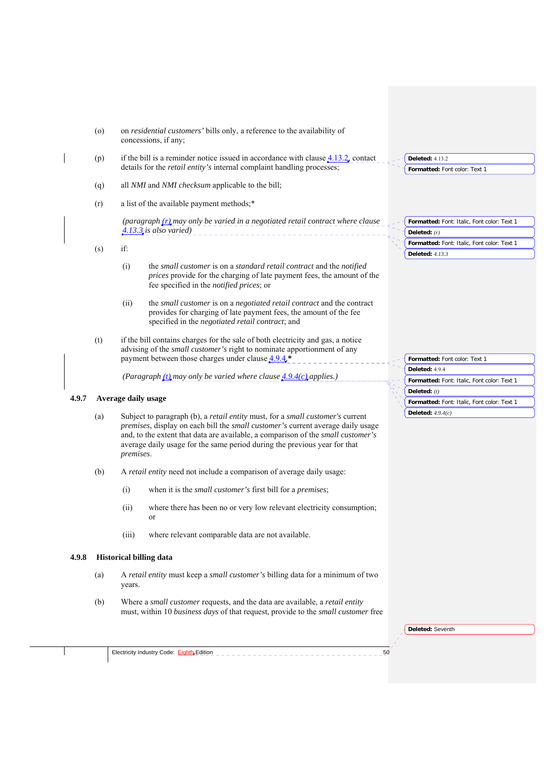|       | $\circ$ | on residential customers' bills only, a reference to the availability of<br>concessions, if any;                                                                                                                                                                                                                                                |                                                                       |
|-------|---------|-------------------------------------------------------------------------------------------------------------------------------------------------------------------------------------------------------------------------------------------------------------------------------------------------------------------------------------------------|-----------------------------------------------------------------------|
|       | (p)     | if the bill is a reminder notice issued in accordance with clause $4.13.2$ , contact<br>details for the <i>retail entity's</i> internal complaint handling processes;                                                                                                                                                                           | <b>Deleted: 4.13.2</b><br>Formatted: Font color: Text 1               |
|       | (q)     | all NMI and NMI checksum applicable to the bill;                                                                                                                                                                                                                                                                                                |                                                                       |
|       | (r)     | a list of the available payment methods;*                                                                                                                                                                                                                                                                                                       |                                                                       |
|       |         | (paragraph (r) may only be varied in a negotiated retail contract where clause<br>4.13.3 is also varied)                                                                                                                                                                                                                                        | Formatted: Font: Italic, Font color: Text 1<br>Deleted: $(r)$         |
|       | (s)     | if:                                                                                                                                                                                                                                                                                                                                             | Formatted: Font: Italic, Font color: Text 1<br><b>Deleted:</b> 4.13.3 |
|       |         | the small customer is on a standard retail contract and the notified<br>(i)<br>prices provide for the charging of late payment fees, the amount of the<br>fee specified in the <i>notified prices</i> ; or                                                                                                                                      |                                                                       |
|       |         | the small customer is on a negotiated retail contract and the contract<br>(ii)<br>provides for charging of late payment fees, the amount of the fee<br>specified in the negotiated retail contract; and                                                                                                                                         |                                                                       |
|       | (t)     | if the bill contains charges for the sale of both electricity and gas, a notice<br>advising of the small customer's right to nominate apportionment of any<br>payment between those charges under clause $4.9.4$ <sup>*</sup>                                                                                                                   | Formatted: Font color: Text 1                                         |
|       |         | (Paragraph $(t)$ may only be varied where clause $4.9.4(c)$ applies.)                                                                                                                                                                                                                                                                           | Deleted: 4.9.4                                                        |
|       |         |                                                                                                                                                                                                                                                                                                                                                 | Formatted: Font: Italic, Font color: Text 1                           |
| 4.9.7 |         | Average daily usage                                                                                                                                                                                                                                                                                                                             | Deleted: $(t)$<br>Formatted: Font: Italic, Font color: Text 1         |
|       | (a)     | Subject to paragraph (b), a retail entity must, for a small customer's current<br>premises, display on each bill the small customer's current average daily usage<br>and, to the extent that data are available, a comparison of the small customer's<br>average daily usage for the same period during the previous year for that<br>premises. | Deleted: $4.9.4(c)$                                                   |
|       | (b)     | A retail entity need not include a comparison of average daily usage:                                                                                                                                                                                                                                                                           |                                                                       |
|       |         | (i)<br>when it is the <i>small customer's</i> first bill for a <i>premises</i> ;                                                                                                                                                                                                                                                                |                                                                       |
|       |         | (ii)<br>where there has been no or very low relevant electricity consumption;<br>or                                                                                                                                                                                                                                                             |                                                                       |
|       |         | (iii)<br>where relevant comparable data are not available.                                                                                                                                                                                                                                                                                      |                                                                       |
| 4.9.8 |         | <b>Historical billing data</b>                                                                                                                                                                                                                                                                                                                  |                                                                       |
|       | (a)     | A retail entity must keep a small customer's billing data for a minimum of two<br>years.                                                                                                                                                                                                                                                        |                                                                       |
|       | (b)     | Where a small customer requests, and the data are available, a retail entity<br>must, within 10 business days of that request, provide to the small customer free                                                                                                                                                                               |                                                                       |
|       |         |                                                                                                                                                                                                                                                                                                                                                 | Deleted: Seventh                                                      |
|       |         |                                                                                                                                                                                                                                                                                                                                                 |                                                                       |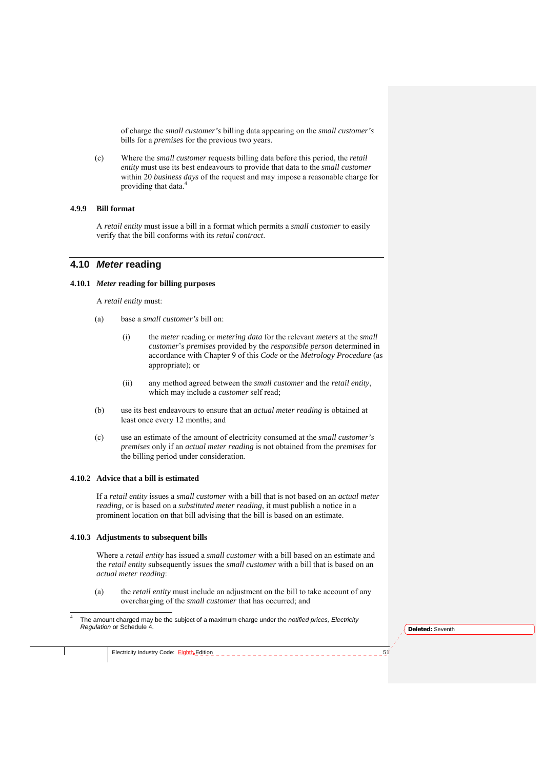of charge the *small customer's* billing data appearing on the *small customer's*  bills for a *premises* for the previous two years.

(c) Where the *small customer* requests billing data before this period, the *retail entity* must use its best endeavours to provide that data to the *small customer*  within 20 *business days* of the request and may impose a reasonable charge for providing that data.<sup>4</sup>

## **4.9.9 Bill format**

A *retail entity* must issue a bill in a format which permits a *small customer* to easily verify that the bill conforms with its *retail contract*.

## **4.10** *Meter* **reading**

## **4.10.1** *Meter* **reading for billing purposes**

A *retail entity* must:

- (a) base a *small customer's* bill on:
	- (i) the *meter* reading or *metering data* for the relevant *meters* at the *small customer*'s *premises* provided by the *responsible person* determined in accordance with Chapter 9 of this *Code* or the *Metrology Procedure* (as appropriate); or
	- (ii) any method agreed between the *small customer* and the *retail entity*, which may include a *customer* self read;
- (b) use its best endeavours to ensure that an *actual meter reading* is obtained at least once every 12 months; and
- (c) use an estimate of the amount of electricity consumed at the *small customer's premises* only if an *actual meter reading* is not obtained from the *premises* for the billing period under consideration.

## **4.10.2 Advice that a bill is estimated**

If a *retail entity* issues a *small customer* with a bill that is not based on an *actual meter reading,* or is based on a *substituted meter reading*, it must publish a notice in a prominent location on that bill advising that the bill is based on an estimate.

#### **4.10.3 Adjustments to subsequent bills**

Where a *retail entity* has issued a *small customer* with a bill based on an estimate and the *retail entity* subsequently issues the *small customer* with a bill that is based on an *actual meter reading*:

- (a) the *retail entity* must include an adjustment on the bill to take account of any overcharging of the *small customer* that has occurred; and
- 1 4 The amount charged may be the subject of a maximum charge under the *notified prices, Electricity Regulation* or Schedule 4.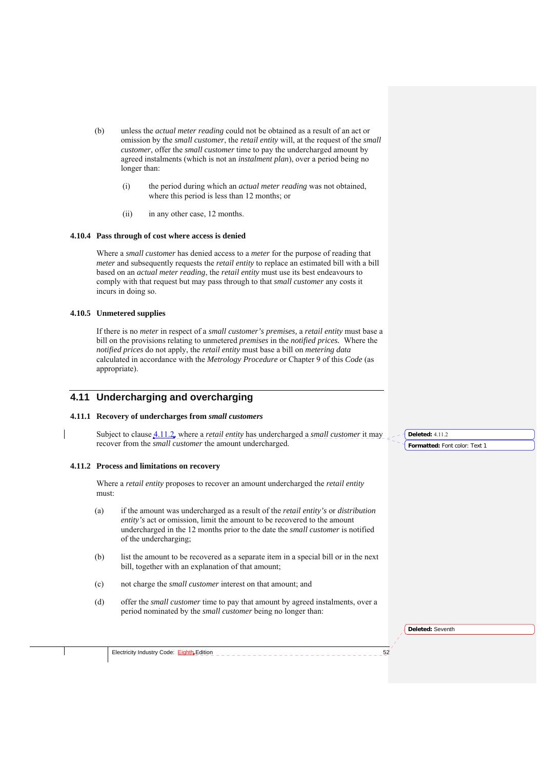- (b) unless the *actual meter reading* could not be obtained as a result of an act or omission by the *small customer*, the *retail entity* will, at the request of the *small customer*, offer the *small customer* time to pay the undercharged amount by agreed instalments (which is not an *instalment plan*), over a period being no longer than:
	- (i) the period during which an *actual meter reading* was not obtained, where this period is less than 12 months; or
	- (ii) in any other case, 12 months.

### **4.10.4 Pass through of cost where access is denied**

Where a *small customer* has denied access to a *meter* for the purpose of reading that *meter* and subsequently requests the *retail entity* to replace an estimated bill with a bill based on an *actual meter reading*, the *retail entity* must use its best endeavours to comply with that request but may pass through to that *small customer* any costs it incurs in doing so.

## **4.10.5 Unmetered supplies**

If there is no *meter* in respect of a *small customer's premises,* a *retail entity* must base a bill on the provisions relating to unmetered *premises* in the *notified prices.* Where the *notified prices* do not apply, the *retail entity* must base a bill on *metering data*  calculated in accordance with the *Metrology Procedure* or Chapter 9 of this *Code* (as appropriate).

# **4.11 Undercharging and overcharging**

## **4.11.1 Recovery of undercharges from** *small customers*

Subject to clause 4.11.2, where a *retail entity* has undercharged a *small customer* it may recover from the *small customer* the amount undercharged.

## **4.11.2 Process and limitations on recovery**

Where a *retail entity* proposes to recover an amount undercharged the *retail entity*  must:

- (a) if the amount was undercharged as a result of the *retail entity's* or *distribution entity's* act or omission, limit the amount to be recovered to the amount undercharged in the 12 months prior to the date the *small customer* is notified of the undercharging;
- (b) list the amount to be recovered as a separate item in a special bill or in the next bill, together with an explanation of that amount;
- (c) not charge the *small customer* interest on that amount; and
- (d) offer the *small customer* time to pay that amount by agreed instalments, over a period nominated by the *small customer* being no longer than:

**Formatted:** Font color: Text 1 **Deleted:** 4.11.2

**Deleted:** Seventh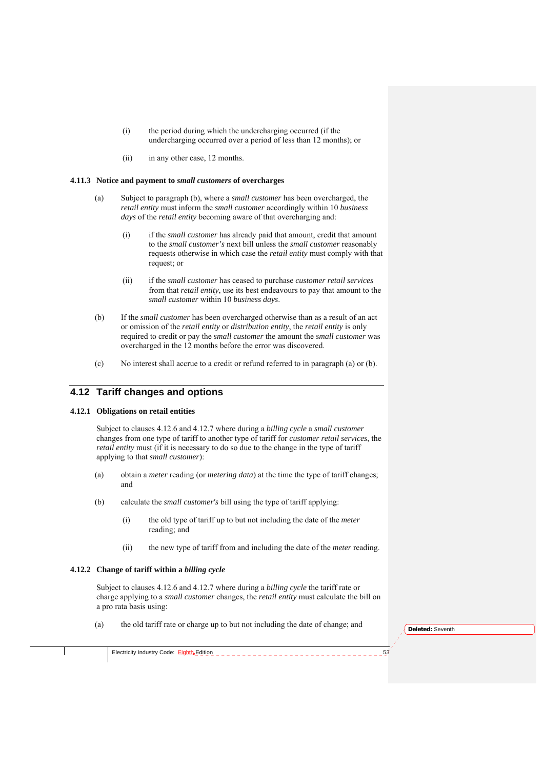- (i) the period during which the undercharging occurred (if the undercharging occurred over a period of less than 12 months); or
- (ii) in any other case, 12 months.

#### **4.11.3 Notice and payment to** *small customers* **of overcharges**

- (a) Subject to paragraph (b), where a *small customer* has been overcharged, the *retail entity* must inform the *small customer* accordingly within 10 *business days* of the *retail entity* becoming aware of that overcharging and:
	- (i) if the *small customer* has already paid that amount, credit that amount to the *small customer's* next bill unless the *small customer* reasonably requests otherwise in which case the *retail entity* must comply with that request; or
	- (ii) if the *small customer* has ceased to purchase *customer retail services*  from that *retail entity*, use its best endeavours to pay that amount to the *small customer* within 10 *business days*.
- (b) If the *small customer* has been overcharged otherwise than as a result of an act or omission of the *retail entity* or *distribution entity*, the *retail entity* is only required to credit or pay the *small customer* the amount the *small customer* was overcharged in the 12 months before the error was discovered.
- (c) No interest shall accrue to a credit or refund referred to in paragraph (a) or (b).

## **4.12 Tariff changes and options**

## **4.12.1 Obligations on retail entities**

Subject to clauses 4.12.6 and 4.12.7 where during a *billing cycle* a *small customer* changes from one type of tariff to another type of tariff for *customer retail services*, the *retail entity* must (if it is necessary to do so due to the change in the type of tariff applying to that *small customer*):

- (a) obtain a *meter* reading (or *metering data*) at the time the type of tariff changes; and
- (b) calculate the *small customer's* bill using the type of tariff applying:
	- (i) the old type of tariff up to but not including the date of the *meter* reading; and
	- (ii) the new type of tariff from and including the date of the *meter* reading.

## **4.12.2 Change of tariff within a** *billing cycle*

Subject to clauses 4.12.6 and 4.12.7 where during a *billing cycle* the tariff rate or charge applying to a *small customer* changes, the *retail entity* must calculate the bill on a pro rata basis using:

(a) the old tariff rate or charge up to but not including the date of change; and

**Deleted:** Seventh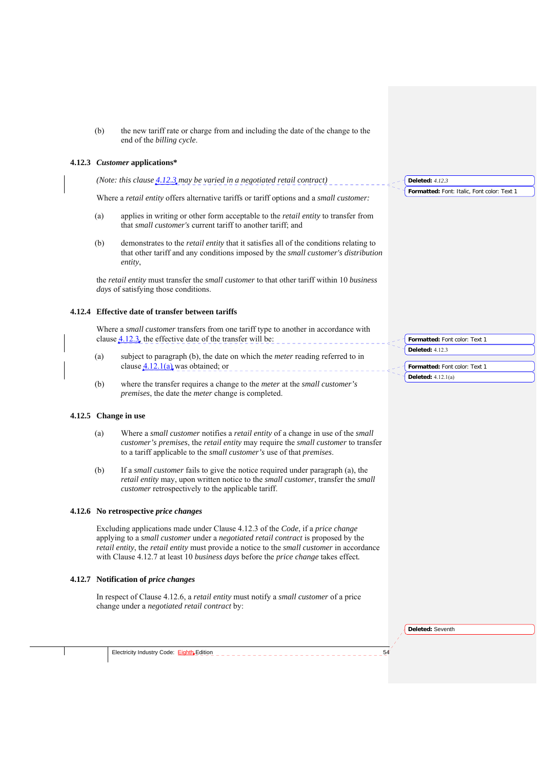| (b) | the new tariff rate or charge from and including the date of the change to the |
|-----|--------------------------------------------------------------------------------|
|     | end of the <i>billing cycle</i> .                                              |

## **4.12.3** *Customer* **applications\***

| (Note: this clause $4.12.3$ may be varied in a negotiated retail contract) | Deleted: $412$ |
|----------------------------------------------------------------------------|----------------|
|                                                                            |                |

Where a *retail entity* offers alternative tariffs or tariff options and a *small customer:*

- (a) applies in writing or other form acceptable to the *retail entity* to transfer from that *small customer's* current tariff to another tariff; and
- (b) demonstrates to the *retail entity* that it satisfies all of the conditions relating to that other tariff and any conditions imposed by the *small customer's distribution entity*,

the *retail entity* must transfer the *small customer* to that other tariff within 10 *business days* of satisfying those conditions.

## **4.12.4 Effective date of transfer between tariffs**

Where a *small customer* transfers from one tariff type to another in accordance with clause  $4.12.3$ , the effective date of the transfer will be:

- (a) subject to paragraph (b), the date on which the *meter* reading referred to in clause  $4.12.1(a)$  was obtained; or
- (b) where the transfer requires a change to the *meter* at the *small customer's premises*, the date the *meter* change is completed.

## **4.12.5 Change in use**

- (a) Where a *small customer* notifies a *retail entity* of a change in use of the *small customer's premises*, the *retail entity* may require the *small customer* to transfer to a tariff applicable to the *small customer's* use of that *premises*.
- (b) If a *small customer* fails to give the notice required under paragraph (a), the *retail entity* may, upon written notice to the *small customer*, transfer the *small customer* retrospectively to the applicable tariff.

## **4.12.6 No retrospective** *price changes*

Excluding applications made under Clause 4.12.3 of the *Code*, if a *price change* applying to a *small customer* under a *negotiated retail contract* is proposed by the *retail entity*, the *retail entity* must provide a notice to the *small customer* in accordance with Clause 4.12.7 at least 10 *business days* before the *price change* takes effect*.* 

#### **4.12.7 Notification of** *price changes*

In respect of Clause 4.12.6, a *retail entity* must notify a *small customer* of a price change under a *negotiated retail contract* by:

**Deleted:** Seventh

Electricity Industry Code:  $\frac{Eightb}{}$ Edition  $\frac{1}{2}$  -  $\frac{1}{2}$ 

**Formatted:** Font color: Text 1 **Deleted:** 4.12.3 **Formatted:** Font color: Text 1 **Deleted:** 4.12.1(a)

**Formatted:** Font: Italic, Font color: Text 1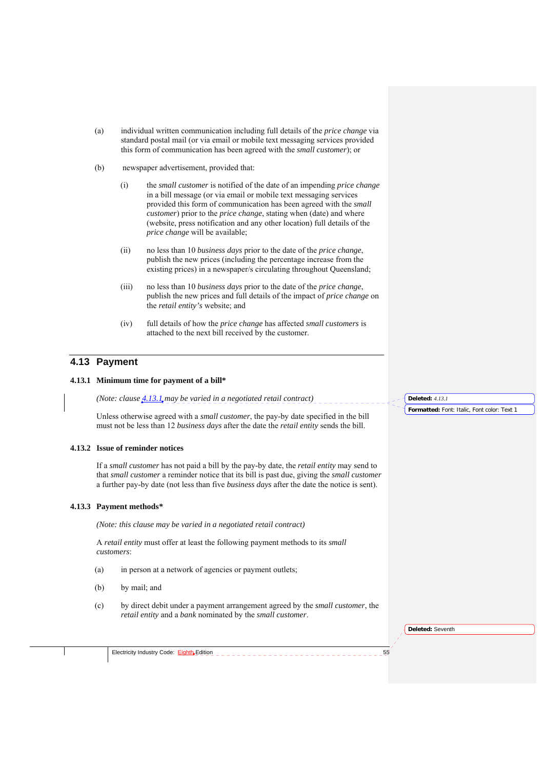- (a) individual written communication including full details of the *price change* via standard postal mail (or via email or mobile text messaging services provided this form of communication has been agreed with the *small customer*); or
- (b) newspaper advertisement, provided that:
	- (i) the *small customer* is notified of the date of an impending *price change* in a bill message (or via email or mobile text messaging services provided this form of communication has been agreed with the *small customer*) prior to the *price change*, stating when (date) and where (website, press notification and any other location) full details of the *price change* will be available;
	- (ii) no less than 10 *business days* prior to the date of the *price change*, publish the new prices (including the percentage increase from the existing prices) in a newspaper/s circulating throughout Queensland;
	- (iii) no less than 10 *business days* prior to the date of the *price change*, publish the new prices and full details of the impact of *price change* on the *retail entity's* website; and
	- (iv) full details of how the *price change* has affected *small customers* is attached to the next bill received by the customer.

## **4.13 Payment**

## **4.13.1 Minimum time for payment of a bill\***

*(Note: clause 4.13.1 may be varied in a negotiated retail contract)* 

Unless otherwise agreed with a *small customer*, the pay-by date specified in the bill must not be less than 12 *business days* after the date the *retail entity* sends the bill.

## **4.13.2 Issue of reminder notices**

If a *small customer* has not paid a bill by the pay-by date, the *retail entity* may send to that *small customer* a reminder notice that its bill is past due, giving the *small customer*  a further pay-by date (not less than five *business days* after the date the notice is sent).

#### **4.13.3 Payment methods***\**

*(Note: this clause may be varied in a negotiated retail contract)* 

A *retail entity* must offer at least the following payment methods to its *small customers*:

- (a) in person at a network of agencies or payment outlets;
- (b) by mail; and
- (c) by direct debit under a payment arrangement agreed by the *small customer*, the *retail entity* and a *bank* nominated by the *small customer*.

**Deleted:** *4.13.1*

**Formatted:** Font: Italic, Font color: Text 1

**Deleted:** Seventh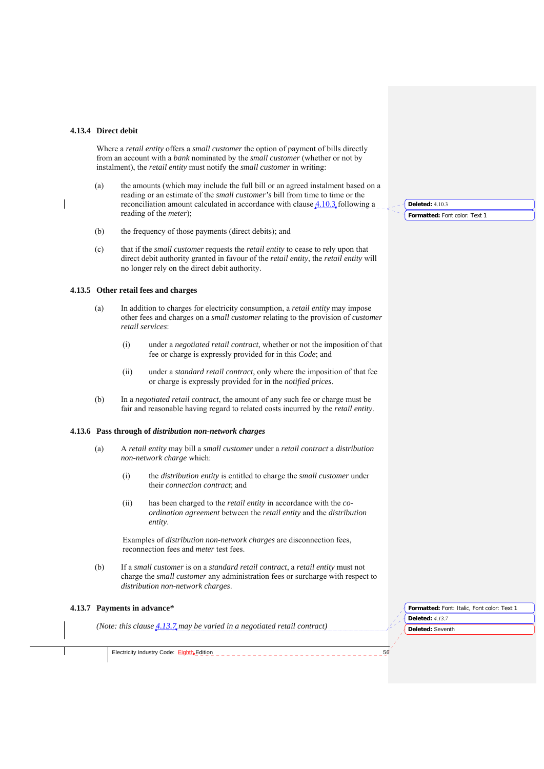#### **4.13.4 Direct debit**

Where a *retail entity* offers a *small customer* the option of payment of bills directly from an account with a *bank* nominated by the *small customer* (whether or not by instalment), the *retail entity* must notify the *small customer* in writing:

- (a) the amounts (which may include the full bill or an agreed instalment based on a reading or an estimate of the *small customer's* bill from time to time or the reconciliation amount calculated in accordance with clause 4.10.3 following a reading of the *meter*);
- (b) the frequency of those payments (direct debits); and
- (c) that if the *small customer* requests the *retail entity* to cease to rely upon that direct debit authority granted in favour of the *retail entity*, the *retail entity* will no longer rely on the direct debit authority.

## **4.13.5 Other retail fees and charges**

- (a) In addition to charges for electricity consumption, a *retail entity* may impose other fees and charges on a *small customer* relating to the provision of *customer retail services*:
	- (i) under a *negotiated retail contract*, whether or not the imposition of that fee or charge is expressly provided for in this *Code*; and
	- (ii) under a *standard retail contract*, only where the imposition of that fee or charge is expressly provided for in the *notified prices*.
- (b) In a *negotiated retail contract*, the amount of any such fee or charge must be fair and reasonable having regard to related costs incurred by the *retail entity*.

#### **4.13.6 Pass through of** *distribution non-network charges*

- (a) A *retail entity* may bill a *small customer* under a *retail contract* a *distribution non-network charge* which:
	- (i) the *distribution entity* is entitled to charge the *small customer* under their *connection contract*; and
	- (ii) has been charged to the *retail entity* in accordance with the *coordination agreement* between the *retail entity* and the *distribution entity*.

Examples of *distribution non-network charges* are disconnection fees, reconnection fees and *meter* test fees.

(b) If a *small customer* is on a *standard retail contract*, a *retail entity* must not charge the *small customer* any administration fees or surcharge with respect to *distribution non-network charges*.

## **4.13.7 Payments in advance***\**

*(Note: this clause 4.13.7 may be varied in a negotiated retail contract)* 

**Deleted:** Seventh **Formatted:** Font: Italic, Font color: Text 1 **Deleted:** *4.13.7*

Electricity Industry Code: Eighth Edition 56

**Deleted:** 4.10.3

**Formatted:** Font color: Text 1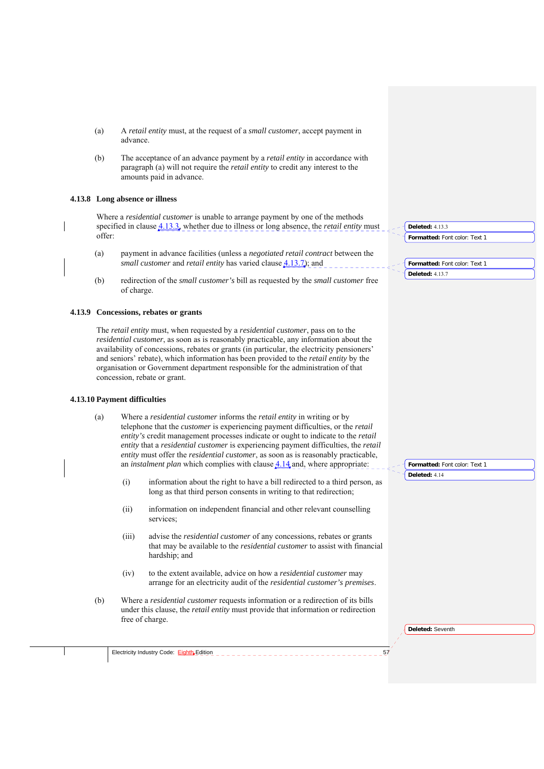- (a) A *retail entity* must, at the request of a *small customer*, accept payment in advance.
- (b) The acceptance of an advance payment by a *retail entity* in accordance with paragraph (a) will not require the *retail entity* to credit any interest to the amounts paid in advance.

## **4.13.8 Long absence or illness**

Where a *residential customer* is unable to arrange payment by one of the methods specified in clause <u>4.13.3</u>, whether due to illness or long absence, the *retail entity* must offer:

- (a) payment in advance facilities (unless a *negotiated retail contract* between the *small customer* and *retail entity* has varied clause  $4.13.7$ ); and
- (b) redirection of the *small customer's* bill as requested by the *small customer* free of charge.

### **4.13.9 Concessions, rebates or grants**

The *retail entity* must, when requested by a *residential customer*, pass on to the *residential customer*, as soon as is reasonably practicable, any information about the availability of concessions, rebates or grants (in particular, the electricity pensioners' and seniors' rebate), which information has been provided to the *retail entity* by the organisation or Government department responsible for the administration of that concession, rebate or grant.

#### **4.13.10 Payment difficulties**

- (a) Where a *residential customer* informs the *retail entity* in writing or by telephone that the *customer* is experiencing payment difficulties, or the *retail entity's* credit management processes indicate or ought to indicate to the *retail entity* that a *residential customer* is experiencing payment difficulties, the *retail entity* must offer the *residential customer*, as soon as is reasonably practicable, an *instalment plan* which complies with clause  $4.14$  and, where appropriate:
	- (i) information about the right to have a bill redirected to a third person, as long as that third person consents in writing to that redirection;
	- (ii) information on independent financial and other relevant counselling services;
	- (iii) advise the *residential customer* of any concessions, rebates or grants that may be available to the *residential customer* to assist with financial hardship; and
	- (iv) to the extent available, advice on how a *residential customer* may arrange for an electricity audit of the *residential customer's premises*.
- (b) Where a *residential customer* requests information or a redirection of its bills under this clause, the *retail entity* must provide that information or redirection free of charge.

| $-1$ Deleted: 4.13.3          |
|-------------------------------|
| Formatted: Font color: Text 1 |

**Formatted:** Font color: Text 1 **Deleted:** 4.13.7

**Formatted:** Font color: Text 1 **Deleted:** 4.14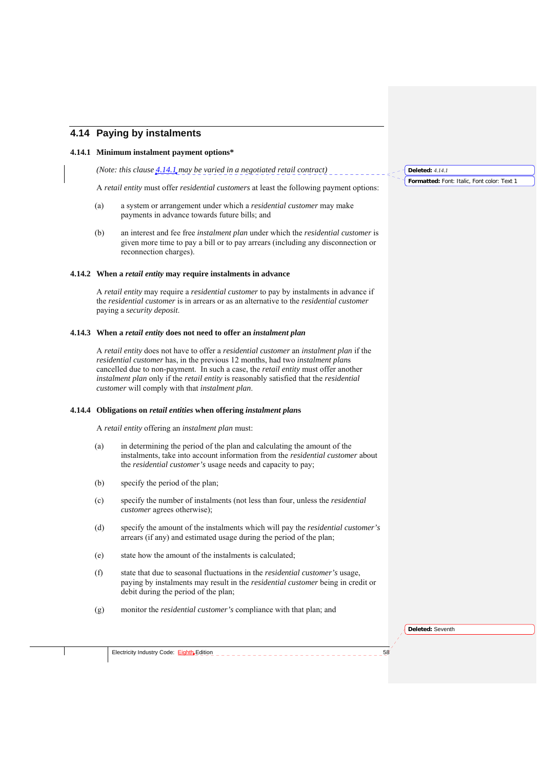## **4.14 Paying by instalments**

### **4.14.1 Minimum instalment payment options\***

*(Note: this clause 4.14.1 may be varied in a negotiated retail contract)* 

A *retail entity* must offer *residential customers* at least the following payment options:

- (a) a system or arrangement under which a *residential customer* may make payments in advance towards future bills; and
- (b) an interest and fee free *instalment plan* under which the *residential customer* is given more time to pay a bill or to pay arrears (including any disconnection or reconnection charges).

### **4.14.2 When a** *retail entity* **may require instalments in advance**

A *retail entity* may require a *residential customer* to pay by instalments in advance if the *residential customer* is in arrears or as an alternative to the *residential customer*  paying a *security deposit*.

#### **4.14.3 When a** *retail entity* **does not need to offer an** *instalment plan*

A *retail entity* does not have to offer a *residential customer* an *instalment plan* if the *residential customer* has, in the previous 12 months, had two *instalment plan*s cancelled due to non-payment. In such a case, the *retail entity* must offer another *instalment plan* only if the *retail entity* is reasonably satisfied that the *residential customer* will comply with that *instalment plan*.

## **4.14.4 Obligations on** *retail entities* **when offering** *instalment plan***s**

A *retail entity* offering an *instalment plan* must:

- (a) in determining the period of the plan and calculating the amount of the instalments, take into account information from the *residential customer* about the *residential customer's* usage needs and capacity to pay;
- (b) specify the period of the plan;
- (c) specify the number of instalments (not less than four, unless the *residential customer* agrees otherwise);
- (d) specify the amount of the instalments which will pay the *residential customer's*  arrears (if any) and estimated usage during the period of the plan;
- (e) state how the amount of the instalments is calculated;
- (f) state that due to seasonal fluctuations in the *residential customer's* usage, paying by instalments may result in the *residential customer* being in credit or debit during the period of the plan;
- (g) monitor the *residential customer's* compliance with that plan; and

**Deleted:** Seventh

Electricity Industry Code: Eighth Edition \_ \_ \_ \_

**Deleted:** *4.14.1*

**Formatted:** Font: Italic, Font color: Text 1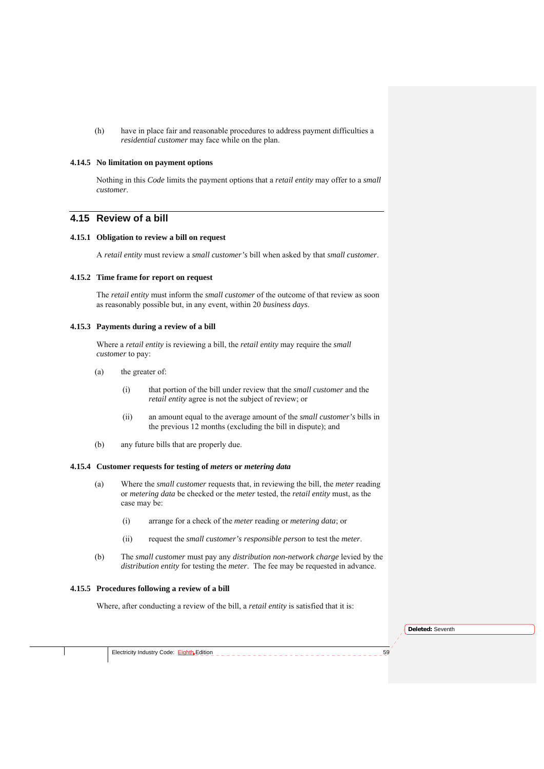(h) have in place fair and reasonable procedures to address payment difficulties a *residential customer* may face while on the plan.

#### **4.14.5 No limitation on payment options**

Nothing in this *Code* limits the payment options that a *retail entity* may offer to a *small customer*.

## **4.15 Review of a bill**

## **4.15.1 Obligation to review a bill on request**

A *retail entity* must review a *small customer's* bill when asked by that *small customer*.

#### **4.15.2 Time frame for report on request**

The *retail entity* must inform the *small customer* of the outcome of that review as soon as reasonably possible but, in any event, within 20 *business days*.

## **4.15.3 Payments during a review of a bill**

Where a *retail entity* is reviewing a bill, the *retail entity* may require the *small customer* to pay:

- (a) the greater of:
	- (i) that portion of the bill under review that the *small customer* and the *retail entity* agree is not the subject of review; or
	- (ii) an amount equal to the average amount of the *small customer's* bills in the previous 12 months (excluding the bill in dispute); and
- (b) any future bills that are properly due.

## **4.15.4 Customer requests for testing of** *meters* **or** *metering data*

- (a) Where the *small customer* requests that, in reviewing the bill, the *meter* reading or *metering data* be checked or the *meter* tested, the *retail entity* must, as the case may be:
	- (i) arrange for a check of the *meter* reading or *metering data*; or
	- (ii) request the *small customer's responsible person* to test the *meter*.
- (b) The *small customer* must pay any *distribution non-network charge* levied by the *distribution entity* for testing the *meter*. The fee may be requested in advance.

#### **4.15.5 Procedures following a review of a bill**

Where, after conducting a review of the bill, a *retail entity* is satisfied that it is: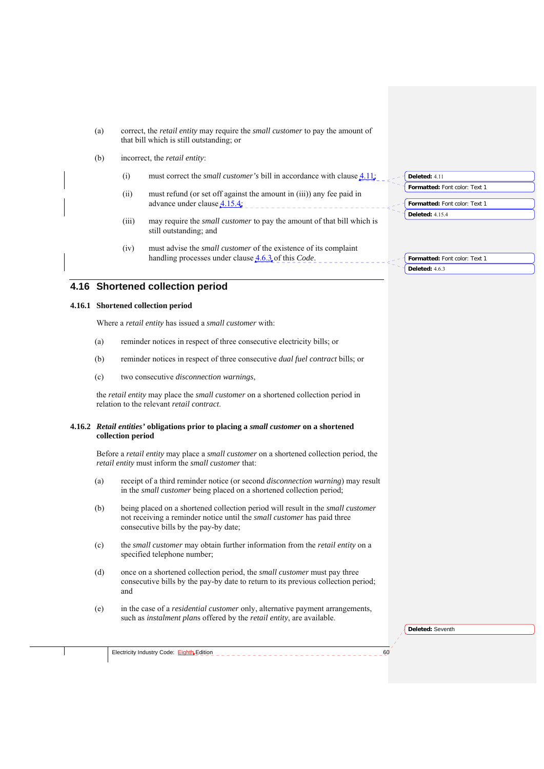- (a) correct, the *retail entity* may require the *small customer* to pay the amount of that bill which is still outstanding; or
- (b) incorrect, the *retail entity*:
	- (i) must correct the *small customer's* bill in accordance with clause 4.11;
	- (ii) must refund (or set off against the amount in (iii)) any fee paid in advance under clause 4.15.4;
	- (iii) may require the *small customer* to pay the amount of that bill which is still outstanding; and
	- (iv) must advise the *small customer* of the existence of its complaint handling processes under clause 4.6.3 of this *Code*.

### **4.16 Shortened collection period**

## **4.16.1 Shortened collection period**

Where a *retail entity* has issued a *small customer* with:

- (a) reminder notices in respect of three consecutive electricity bills; or
- (b) reminder notices in respect of three consecutive *dual fuel contract* bills; or
- (c) two consecutive *disconnection warnings*,

the *retail entity* may place the *small customer* on a shortened collection period in relation to the relevant *retail contract*.

## **4.16.2** *Retail entities'* **obligations prior to placing a** *small customer* **on a shortened collection period**

Before a *retail entity* may place a *small customer* on a shortened collection period, the *retail entity* must inform the *small customer* that:

- (a) receipt of a third reminder notice (or second *disconnection warning*) may result in the *small customer* being placed on a shortened collection period;
- (b) being placed on a shortened collection period will result in the *small customer*  not receiving a reminder notice until the *small customer* has paid three consecutive bills by the pay-by date;
- (c) the *small customer* may obtain further information from the *retail entity* on a specified telephone number;
- (d) once on a shortened collection period, the *small customer* must pay three consecutive bills by the pay-by date to return to its previous collection period; and
- (e) in the case of a *residential customer* only, alternative payment arrangements, such as *instalment plan*s offered by the *retail entity*, are available.

**Deleted:** Seventh





**Formatted:** Font color: Text 1 **Deleted:** 4.6.3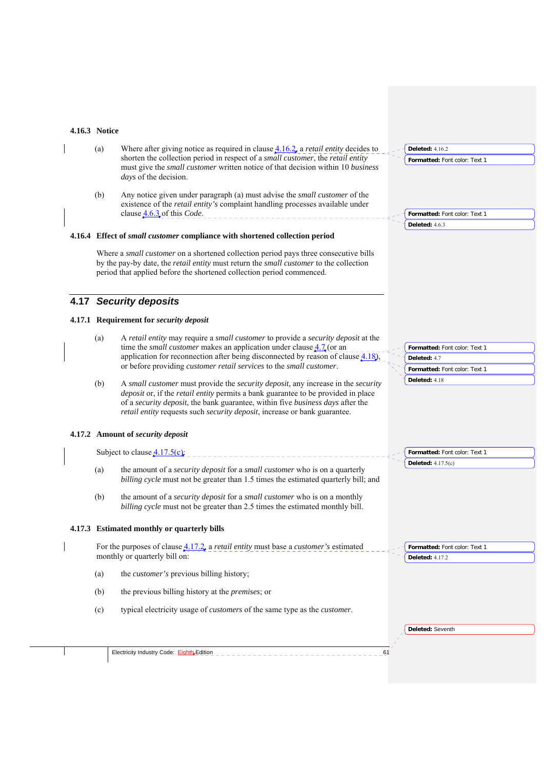# **4.16.3 Notice**

| 4.10. <i>3</i> inutice |                                                                                                                                                                                                                                                                                                                                              |                                                                                |
|------------------------|----------------------------------------------------------------------------------------------------------------------------------------------------------------------------------------------------------------------------------------------------------------------------------------------------------------------------------------------|--------------------------------------------------------------------------------|
| (a)                    | Where after giving notice as required in clause $4.16.2$ , a <i>retail entity</i> decides to<br>shorten the collection period in respect of a small customer, the retail entity<br>must give the small customer written notice of that decision within 10 business<br><i>days</i> of the decision.                                           | <b>Deleted: 4.16.2</b><br>Formatted: Font color: Text 1                        |
| (b)                    | Any notice given under paragraph (a) must advise the <i>small customer</i> of the<br>existence of the retail entity's complaint handling processes available under<br>clause <b>4.6.3</b> of this <i>Code</i> .                                                                                                                              | Formatted: Font color: Text 1                                                  |
|                        | 4.16.4 Effect of small customer compliance with shortened collection period                                                                                                                                                                                                                                                                  | <b>Deleted: 4.6.3</b>                                                          |
|                        | Where a small customer on a shortened collection period pays three consecutive bills<br>by the pay-by date, the retail entity must return the small customer to the collection<br>period that applied before the shortened collection period commenced.                                                                                      |                                                                                |
|                        | 4.17 Security deposits                                                                                                                                                                                                                                                                                                                       |                                                                                |
|                        | 4.17.1 Requirement for security deposit                                                                                                                                                                                                                                                                                                      |                                                                                |
| (a)                    | A retail entity may require a small customer to provide a security deposit at the<br>time the <i>small customer</i> makes an application under clause $\frac{4.7}{4.7}$ (or an<br>application for reconnection after being disconnected by reason of clause $4.18$ ),<br>or before providing customer retail services to the small customer. | Formatted: Font color: Text 1<br>Deleted: 4.7<br>Formatted: Font color: Text 1 |
| (b)                    | A small customer must provide the security deposit, any increase in the security<br>deposit or, if the retail entity permits a bank guarantee to be provided in place<br>of a security deposit, the bank guarantee, within five business days after the<br>retail entity requests such security deposit, increase or bank guarantee.         | Deleted: 4.18                                                                  |
|                        | 4.17.2 Amount of security deposit                                                                                                                                                                                                                                                                                                            |                                                                                |
|                        | Subject to clause $4.17.5(c)$                                                                                                                                                                                                                                                                                                                | Formatted: Font color: Text 1                                                  |
| (a)                    | the amount of a security deposit for a small customer who is on a quarterly<br>billing cycle must not be greater than 1.5 times the estimated quarterly bill; and                                                                                                                                                                            | Deleted: $4.17.5(c)$                                                           |
| (b)                    | the amount of a security deposit for a small customer who is on a monthly<br>billing cycle must not be greater than 2.5 times the estimated monthly bill.                                                                                                                                                                                    |                                                                                |
|                        | 4.17.3 Estimated monthly or quarterly bills                                                                                                                                                                                                                                                                                                  |                                                                                |
|                        | For the purposes of clause $4.17.2$ , a <i>retail entity</i> must base a <i>customer's</i> estimated<br>monthly or quarterly bill on:                                                                                                                                                                                                        | Formatted: Font color: Text 1<br><b>Deleted: 4.17.2</b>                        |
| (a)                    | the <i>customer's</i> previous billing history;                                                                                                                                                                                                                                                                                              |                                                                                |
| (b)                    | the previous billing history at the <i>premises</i> ; or                                                                                                                                                                                                                                                                                     |                                                                                |
| (c)                    | typical electricity usage of <i>customers</i> of the same type as the <i>customer</i> .                                                                                                                                                                                                                                                      |                                                                                |
|                        |                                                                                                                                                                                                                                                                                                                                              | Deleted: Seventh                                                               |
|                        |                                                                                                                                                                                                                                                                                                                                              |                                                                                |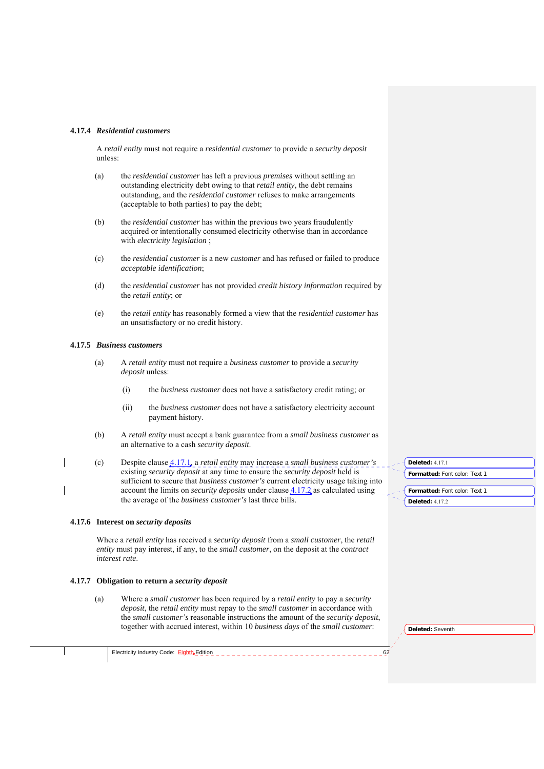#### **4.17.4** *Residential customers*

A *retail entity* must not require a *residential customer* to provide a *security deposit* unless:

- (a) the *residential customer* has left a previous *premises* without settling an outstanding electricity debt owing to that *retail entity*, the debt remains outstanding, and the *residential customer* refuses to make arrangements (acceptable to both parties) to pay the debt;
- (b) the *residential customer* has within the previous two years fraudulently acquired or intentionally consumed electricity otherwise than in accordance with *electricity legislation* ;
- (c) the *residential customer* is a new *customer* and has refused or failed to produce *acceptable identification*;
- (d) the *residential customer* has not provided *credit history information* required by the *retail entity*; or
- (e) the *retail entity* has reasonably formed a view that the *residential customer* has an unsatisfactory or no credit history.

## **4.17.5** *Business customers*

- (a) A *retail entity* must not require a *business customer* to provide a *security deposit* unless:
	- (i) the *business customer* does not have a satisfactory credit rating; or
	- (ii) the *business customer* does not have a satisfactory electricity account payment history.
- (b) A *retail entity* must accept a bank guarantee from a *small business customer* as an alternative to a cash *security deposit*.
- (c) Despite clause 4.17.1, a *retail entity* may increase a *small business customer's*  existing *security deposit* at any time to ensure the *security deposit* held is sufficient to secure that *business customer's* current electricity usage taking into account the limits on *security deposits* under clause 4.17.2 as calculated using the average of the *business customer's* last three bills.

#### **4.17.6 Interest on** *security deposits*

Where a *retail entity* has received a *security deposit* from a *small customer*, the *retail entity* must pay interest, if any, to the *small customer*, on the deposit at the *contract interest rate*.

#### **4.17.7 Obligation to return a** *security deposit*

(a) Where a *small customer* has been required by a *retail entity* to pay a *security deposit*, the *retail entity* must repay to the *small customer* in accordance with the *small customer's* reasonable instructions the amount of the *security deposit*, together with accrued interest, within 10 *business days* of the *small customer*:

| <b>Deleted: 4.17.1</b>        |
|-------------------------------|
| Formatted: Font color: Text 1 |
|                               |
| Formatted: Font color: Text 1 |
| <b>Deleted: 4.17.2</b>        |

| Deleted: Seventh |  |
|------------------|--|
|                  |  |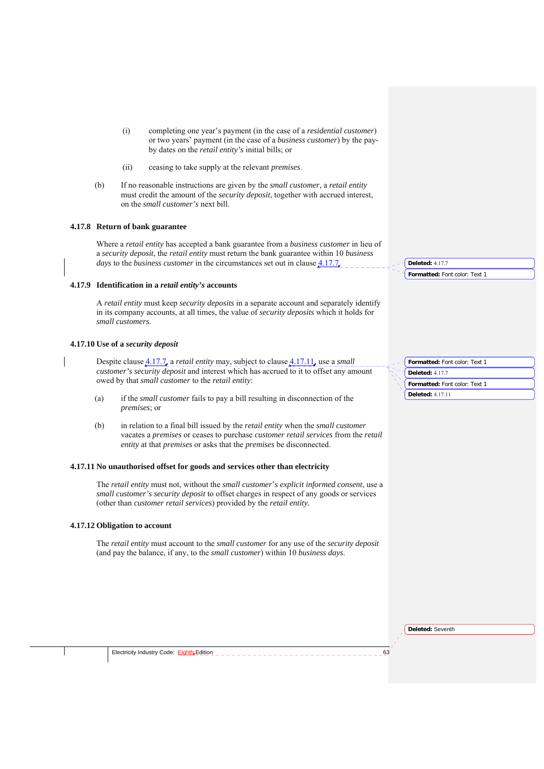- (i) completing one year's payment (in the case of a *residential customer*) or two years' payment (in the case of a *business customer*) by the payby dates on the *retail entity's* initial bills; or
- (ii) ceasing to take supply at the relevant *premises*.
- (b) If no reasonable instructions are given by the *small customer,* a *retail entity*  must credit the amount of the *security deposit*, together with accrued interest, on the *small customer's* next bill.

## **4.17.8 Return of bank guarantee**

Where a *retail entity* has accepted a bank guarantee from a *business customer* in lieu of a *security deposit*, the *retail entity* must return the bank guarantee within 10 *business days to the business customer* in the circumstances set out in clause  $4.17.7$ .

#### **4.17.9 Identification in a** *retail entity's* **accounts**

A *retail entity* must keep *security deposits* in a separate account and separately identify in its company accounts, at all times, the value of *security deposits* which it holds for *small customers*.

## **4.17.10 Use of a** *security deposit*

Despite clause 4.17.7, a *retail entity* may, subject to clause 4.17.11, use a *small customer's security deposit* and interest which has accrued to it to offset any amount owed by that *small customer* to the *retail entity*:

- (a) if the *small customer* fails to pay a bill resulting in disconnection of the *premises*; or
- (b) in relation to a final bill issued by the *retail entity* when the *small customer*  vacates a *premises* or ceases to purchase *customer retail services* from the *retail entity* at that *premises* or asks that the *premises* be disconnected.

### **4.17.11 No unauthorised offset for goods and services other than electricity**

The *retail entity* must not, without the *small customer*'*s explicit informed consent*, use a *small customer's security deposit* to offset charges in respect of any goods or services (other than *customer retail services*) provided by the *retail entity.*

#### **4.17.12 Obligation to account**

The *retail entity* must account to the *small customer* for any use of the *security deposit*  (and pay the balance, if any, to the *small customer*) within 10 *business days*.

| Formatted: Font color: Text 1 |
|-------------------------------|
| <b>Deleted: 4.17.7</b>        |
|                               |

**Formatted:** Font color: Text 1

**Deleted:** 4.17.7

**Formatted:** Font color: Text 1 **Deleted:** 4.17.11

**Deleted:** Seventh

Electricity Industry Code:  $\frac{Eightb}{}$ Edition  $=$   $=$   $=$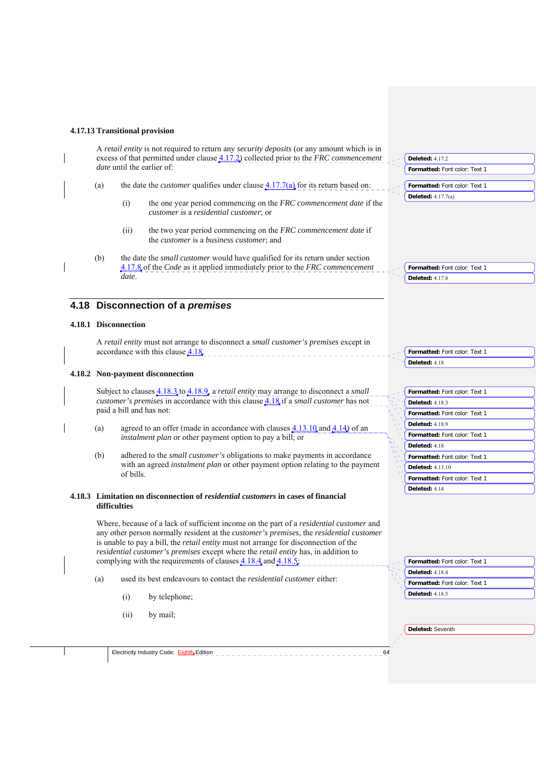#### **4.17.13 Transitional provision**

A *retail entity* is not required to return any *security deposits* (or any amount which is in excess of that permitted under clause 4.17.2) collected prior to the *FRC commencement date* until the earlier of

- (a) the date the *customer* qualifies under clause  $\frac{4.17.7(a)}{a}$  for its return based on:
	- (i) the one year period commencing on the *FRC commencement date* if the *customer* is a *residential customer*; or
	- (ii) the two year period commencing on the *FRC commencement date* if the *customer* is a *business customer*; and
- (b) the date the *small customer* would have qualified for its return under section 4.17.8 of the *Code* as it applied immediately prior to the *FRC commencement date*.

## **4.18 Disconnection of a** *premises*

## **4.18.1 Disconnection**

A *retail entity* must not arrange to disconnect a *small customer's premises* except in accordance with this clause 4.18.

## **4.18.2 Non-payment disconnection**

Subject to clauses 4.18.3 to 4.18.9, a *retail entity* may arrange to disconnect a *small customer's premises* in accordance with this clause 4.18 if a *small customer* has not paid a bill and has not:

- (a) agreed to an offer (made in accordance with clauses  $4.13.10$  and  $4.14$ ) of an *instalment plan* or other payment option to pay a bill; or
- (b) adhered to the *small customer's* obligations to make payments in accordance with an agreed *instalment plan* or other payment option relating to the payment of bills.

### **4.18.3 Limitation on disconnection of** *residential customers* **in cases of financial difficulties**

Where, because of a lack of sufficient income on the part of a *residential customer* and any other person normally resident at the *customer's premises*, the *residential customer*  is unable to pay a bill, the *retail entity* must not arrange for disconnection of the *residential customer's premises* except where the *retail entity* has, in addition to complying with the requirements of clauses  $4.18.4$  and  $4.18.5$ .

- (a) used its best endeavours to contact the *residential customer* either:
	- (i) by telephone;
	- (ii) by mail;

| Formatted: Font color: Text 1 |  |  |  |  |  |  |
|-------------------------------|--|--|--|--|--|--|
| <b>Deleted: 4.18.4</b>        |  |  |  |  |  |  |
| Formatted: Font color: Text 1 |  |  |  |  |  |  |
| <b>Deleted: 4.18.5</b>        |  |  |  |  |  |  |

**Deleted:** Seventh

**Formatted:** Font color: Text 1 **Deleted:** 4.17.8

**Formatted:** Font color: Text 1

**Formatted:** Font color: Text 1

**Deleted:** 4.17.2

**Deleted:** 4.17.7(a)

**Formatted:** Font color: Text 1 **Deleted:** 4.18

**Formatted:** Font color: Text 1 **Deleted:** 4.18.3 **Formatted:** Font color: Text 1 **Deleted:** 4.18.9 **Formatted:** Font color: Text 1 **Deleted:** 4.18 **Formatted:** Font color: Text 1 **Deleted:** 4.13.10

**Formatted:** Font color: Text 1 **Deleted:** 4.14

Electricity Industry Code: Eighth Edition **644 Collectricity**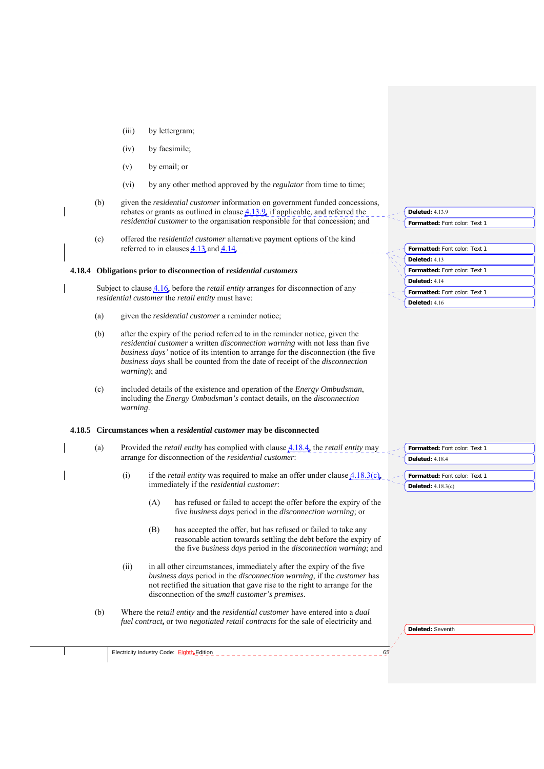- (iii) by lettergram;
- (iv) by facsimile;
- (v) by email; or
- (vi) by any other method approved by the *regulator* from time to time;
- (b) given the *residential customer* information on government funded concessions, rebates or grants as outlined in clause 4.13.9, if applicable, and referred the *residential customer* to the organisation responsible for that concession; and
- (c) offered the *residential customer* alternative payment options of the kind referred to in clauses  $\frac{4.13}{4.14}$  and  $\frac{4.14}{4.14}$ .

#### **4.18.4 Obligations prior to disconnection of** *residential customers*

Subject to clause 4.16, before the *retail entity* arranges for disconnection of any *residential customer* the *retail entity* must have:

- (a) given the *residential customer* a reminder notice;
- (b) after the expiry of the period referred to in the reminder notice, given the *residential customer* a written *disconnection warning* with not less than five *business days'* notice of its intention to arrange for the disconnection (the five *business days* shall be counted from the date of receipt of the *disconnection warning*); and
- (c) included details of the existence and operation of the *Energy Ombudsman*, including the *Energy Ombudsman's* contact details, on the *disconnection warning*.

#### **4.18.5 Circumstances when a** *residential customer* **may be disconnected**

- (a) Provided the *retail entity* has complied with clause 4.18.4, the *retail entity* may arrange for disconnection of the *residential customer*:
	- (i) if the *retail entity* was required to make an offer under clause 4.18.3(c), immediately if the *residential customer*:
		- (A) has refused or failed to accept the offer before the expiry of the five *business days* period in the *disconnection warning*; or
		- (B) has accepted the offer, but has refused or failed to take any reasonable action towards settling the debt before the expiry of the five *business days* period in the *disconnection warning*; and
	- (ii) in all other circumstances, immediately after the expiry of the five *business days* period in the *disconnection warning*, if the *customer* has not rectified the situation that gave rise to the right to arrange for the disconnection of the *small customer's premises*.
- (b) Where the *retail entity* and the *residential customer* have entered into a *dual fuel contract***,** or two *negotiated retail contracts* for the sale of electricity and

| Deleted: $4139$                      |
|--------------------------------------|
| Formatted: Font color: Text 1        |
|                                      |
|                                      |
| <b>Formatted:</b> Font color: Text 1 |
| Deleted: 413                         |
| <b>Formatted:</b> Font color: Text 1 |
| Deleted: 414                         |
| <b>Formatted:</b> Font color: Text 1 |
| <b>Deleted: 416</b>                  |

**Deleted:** Seventh

**Formatted:** Font color: Text 1

**Formatted:** Font color: Text 1

**Deleted:** 4.18.4

**Deleted:** 4.18.3(c)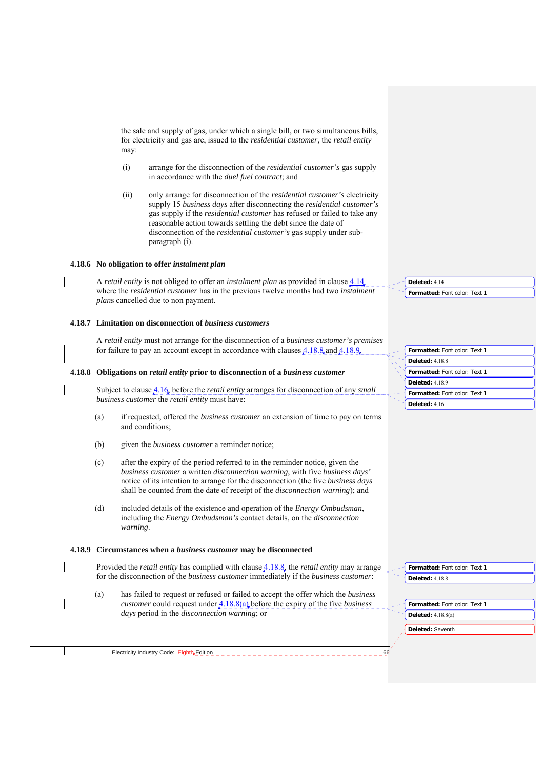the sale and supply of gas, under which a single bill, or two simultaneous bills, for electricity and gas are, issued to the *residential customer,* the *retail entity*  may:

- (i) arrange for the disconnection of the *residential customer's* gas supply in accordance with the *duel fuel contract*; and
- (ii) only arrange for disconnection of the *residential customer's* electricity supply 15 *business days* after disconnecting the *residential customer's*  gas supply if the *residential customer* has refused or failed to take any reasonable action towards settling the debt since the date of disconnection of the *residential customer's* gas supply under subparagraph (i).

#### **4.18.6 No obligation to offer** *instalment plan*

A *retail entity* is not obliged to offer an *instalment plan* as provided in clause 4.14 where the *residential customer* has in the previous twelve months had two *instalment plan*s cancelled due to non payment.

#### **4.18.7 Limitation on disconnection of** *business customers*

A *retail entity* must not arrange for the disconnection of a *business customer's premises*  for failure to pay an account except in accordance with clauses 4.18.8 and 4.18.9.

#### **4.18.8 Obligations on** *retail entity* **prior to disconnection of a** *business customer*

Subject to clause 4.16, before the *retail entity* arranges for disconnection of any *small business customer* the *retail entity* must have:

- (a) if requested, offered the *business customer* an extension of time to pay on terms and conditions;
- (b) given the *business customer* a reminder notice;
- (c) after the expiry of the period referred to in the reminder notice, given the *business customer* a written *disconnection warning*, with five *business days'*  notice of its intention to arrange for the disconnection (the five *business days*  shall be counted from the date of receipt of the *disconnection warning*); and
- (d) included details of the existence and operation of the *Energy Ombudsman*, including the *Energy Ombudsman's* contact details, on the *disconnection warning*.

#### **4.18.9 Circumstances when a** *business customer* **may be disconnected**

Provided the *retail entity* has complied with clause 4.18.8, the *retail entity* may arrange for the disconnection of the *business customer* immediately if the *business customer*:

(a) has failed to request or refused or failed to accept the offer which the *business customer* could request under 4.18.8(a) before the expiry of the five *business days* period in the *disconnection warning*; or

| Formatted: Font color: Text 1 |  |
|-------------------------------|--|
| <b>Deleted: 4.18.8</b>        |  |
| Formatted: Font color: Text 1 |  |
| <b>Deleted: 4.18.9</b>        |  |
| Formatted: Font color: Text 1 |  |
| Deleted: 4.16                 |  |

**Formatted:** Font color: Text 1

**Deleted:** 4.14

| Formatted: Font color: Text 1  |
|--------------------------------|
| $\blacksquare$ Deleted: 4.18.8 |

**Formatted:** Font color: Text 1 **Deleted:** 4.18.8(a)

Electricity Industry Code: Eighth Edition **666**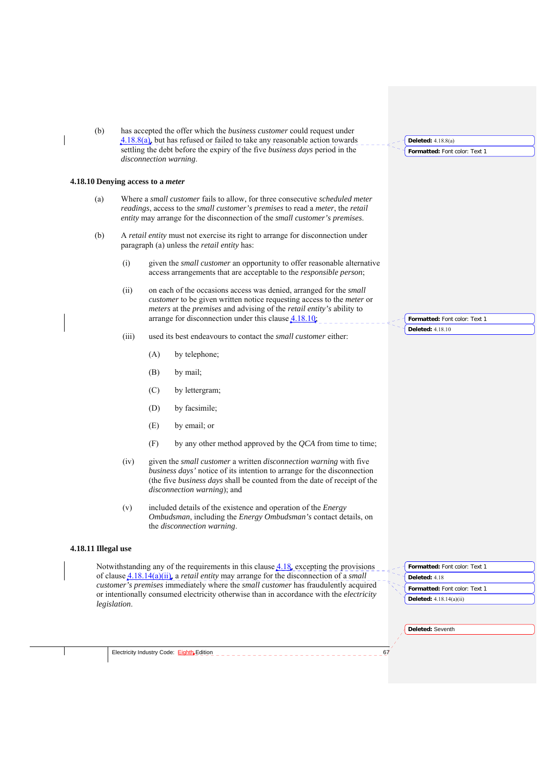| (b)                                      |              |     | has accepted the offer which the <i>business customer</i> could request under<br>$4.18.8(a)$ , but has refused or failed to take any reasonable action towards                                                                                                                         | Deleted: $4.18.8(a)$          |
|------------------------------------------|--------------|-----|----------------------------------------------------------------------------------------------------------------------------------------------------------------------------------------------------------------------------------------------------------------------------------------|-------------------------------|
|                                          |              |     | settling the debt before the expiry of the five business days period in the<br>disconnection warning.                                                                                                                                                                                  | Formatted: Font color: Text 1 |
| 4.18.10 Denying access to a <i>meter</i> |              |     |                                                                                                                                                                                                                                                                                        |                               |
| (a)                                      |              |     | Where a small customer fails to allow, for three consecutive scheduled meter<br>readings, access to the small customer's premises to read a meter, the retail<br>entity may arrange for the disconnection of the <i>small customer's premises</i> .                                    |                               |
| (b)                                      |              |     | A retail entity must not exercise its right to arrange for disconnection under<br>paragraph (a) unless the <i>retail entity</i> has:                                                                                                                                                   |                               |
|                                          | (i)          |     | given the <i>small customer</i> an opportunity to offer reasonable alternative<br>access arrangements that are acceptable to the <i>responsible person</i> ;                                                                                                                           |                               |
|                                          | (ii)         |     | on each of the occasions access was denied, arranged for the <i>small</i><br>customer to be given written notice requesting access to the meter or<br>meters at the premises and advising of the retail entity's ability to<br>arrange for disconnection under this clause $4.18.10$ ; | Formatted: Font color: Text 1 |
|                                          |              |     |                                                                                                                                                                                                                                                                                        | <b>Deleted: 4.18.10</b>       |
|                                          | (iii)        |     | used its best endeavours to contact the <i>small customer</i> either:                                                                                                                                                                                                                  |                               |
|                                          |              | (A) | by telephone;                                                                                                                                                                                                                                                                          |                               |
|                                          |              | (B) | by mail;                                                                                                                                                                                                                                                                               |                               |
|                                          |              | (C) | by lettergram;                                                                                                                                                                                                                                                                         |                               |
|                                          |              | (D) | by facsimile;                                                                                                                                                                                                                                                                          |                               |
|                                          |              | (E) | by email; or                                                                                                                                                                                                                                                                           |                               |
|                                          |              | (F) | by any other method approved by the $QCA$ from time to time;                                                                                                                                                                                                                           |                               |
|                                          | (iv)         |     | given the <i>small customer</i> a written <i>disconnection</i> warning with five<br>business days' notice of its intention to arrange for the disconnection<br>(the five business days shall be counted from the date of receipt of the<br><i>disconnection warning</i> ); and         |                               |
|                                          | (v)          |     | included details of the existence and operation of the <i>Energy</i><br><i>Ombudsman</i> , including the <i>Energy Ombudsman's</i> contact details, on<br>the disconnection warning.                                                                                                   |                               |
| 4.18.11 Illegal use                      |              |     |                                                                                                                                                                                                                                                                                        |                               |
|                                          |              |     | Notwithstanding any of the requirements in this clause $4.18$ , excepting the provisions                                                                                                                                                                                               | Formatted: Font color: Text 1 |
|                                          |              |     | of clause $4.18.14(a)(ii)$ , a <i>retail entity</i> may arrange for the disconnection of a <i>small</i>                                                                                                                                                                                | Deleted: 4.18                 |
|                                          |              |     | customer's premises immediately where the small customer has fraudulently acquired<br>or intentionally consumed electricity otherwise than in accordance with the electricity                                                                                                          | Formatted: Font color: Text 1 |
|                                          | legislation. |     |                                                                                                                                                                                                                                                                                        | Deleted: $4.18.14(a)(ii)$     |
|                                          |              |     |                                                                                                                                                                                                                                                                                        |                               |
|                                          |              |     |                                                                                                                                                                                                                                                                                        | Deleted: Seventh              |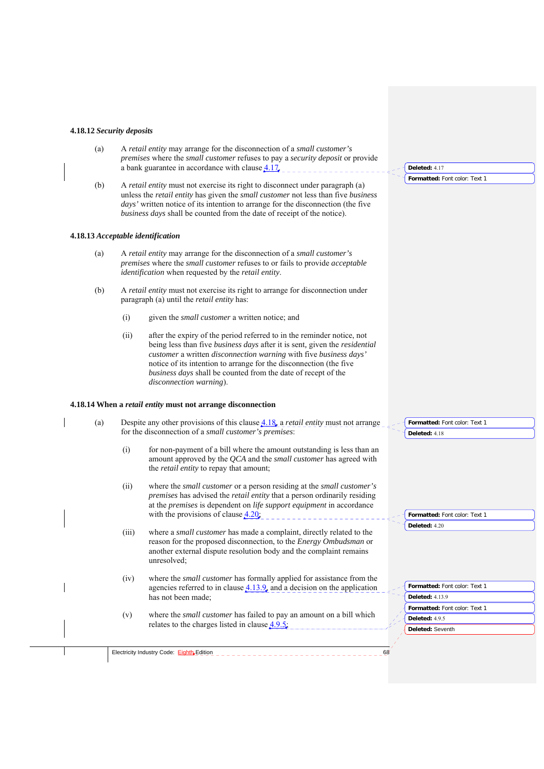#### **4.18.12** *Security deposits*

(a) A *retail entity* may arrange for the disconnection of a *small customer's premises* where the *small customer* refuses to pay a *security deposit* or provide a bank guarantee in accordance with clause  $4.17$ ,

**Formatted:** Font color: Text 1

**Deleted:** 4.17

(b) A *retail entity* must not exercise its right to disconnect under paragraph (a) unless the *retail entity* has given the *small customer* not less than five *business days'* written notice of its intention to arrange for the disconnection (the five *business days* shall be counted from the date of receipt of the notice).

#### **4.18.13** *Acceptable identification*

- (a) A *retail entity* may arrange for the disconnection of a *small customer's premises* where the *small customer* refuses to or fails to provide *acceptable identification* when requested by the *retail entity*.
- (b) A *retail entity* must not exercise its right to arrange for disconnection under paragraph (a) until the *retail entity* has:
	- (i) given the *small customer* a written notice; and
	- (ii) after the expiry of the period referred to in the reminder notice, not being less than five *business days* after it is sent*,* given the *residential customer* a written *disconnection warning* with five *business days'*  notice of its intention to arrange for the disconnection (the five *business days* shall be counted from the date of recept of the *disconnection warning*).

### **4.18.14 When a** *retail entity* **must not arrange disconnection**

| (a) |       | Despite any other provisions of this clause $4.18$ , a <i>retail entity</i> must not arrange<br>for the disconnection of a small customer's premises:                                                                                        |    | Formatted: Font color: Text 1<br>Deleted: 4.18 |
|-----|-------|----------------------------------------------------------------------------------------------------------------------------------------------------------------------------------------------------------------------------------------------|----|------------------------------------------------|
|     | (i)   | for non-payment of a bill where the amount outstanding is less than an<br>amount approved by the QCA and the <i>small customer</i> has agreed with<br>the <i>retail entity</i> to repay that amount;                                         |    |                                                |
|     | (ii)  | where the <i>small customer</i> or a person residing at the <i>small customer's</i><br>premises has advised the retail entity that a person ordinarily residing<br>at the premises is dependent on life support equipment in accordance      |    |                                                |
|     |       | with the provisions of clause $4.20$ ;                                                                                                                                                                                                       |    | Formatted: Font color: Text 1                  |
|     | (iii) | where a <i>small customer</i> has made a complaint, directly related to the<br>reason for the proposed disconnection, to the <i>Energy Ombudsman</i> or<br>another external dispute resolution body and the complaint remains<br>unresolved; |    | Deleted: 4.20                                  |
|     | (iv)  | where the <i>small customer</i> has formally applied for assistance from the<br>agencies referred to in clause $4.13.9$ , and a decision on the application                                                                                  |    | Formatted: Font color: Text 1                  |
|     |       | has not been made;<br>where the <i>small customer</i> has failed to pay an amount on a bill which<br>relates to the charges listed in clause $4.9.5$ ,                                                                                       |    | <b>Deleted: 4.13.9</b>                         |
|     |       |                                                                                                                                                                                                                                              |    | Formatted: Font color: Text 1                  |
|     | (v)   |                                                                                                                                                                                                                                              |    | Deleted: 4.9.5                                 |
|     |       |                                                                                                                                                                                                                                              |    | Deleted: Seventh                               |
|     |       |                                                                                                                                                                                                                                              |    |                                                |
|     |       | Electricity Industry Code: Eighth, Edition                                                                                                                                                                                                   | 68 |                                                |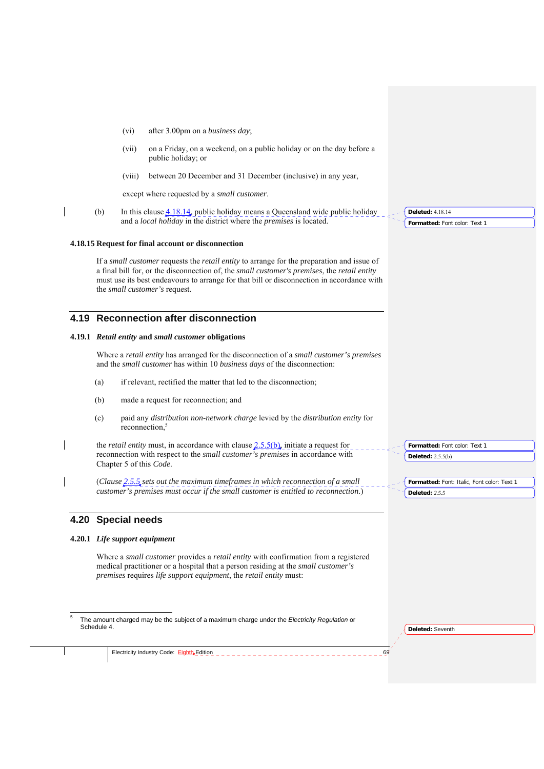- (vi) after 3.00pm on a *business day*;
- (vii) on a Friday, on a weekend, on a public holiday or on the day before a public holiday; or
- (viii) between 20 December and 31 December (inclusive) in any year,

except where requested by a *small customer*.

(b) In this clause  $4.18.14$ , public holiday means a Queensland wide public holiday and a *local holiday* in the district where the *premises* is located.

#### **4.18.15 Request for final account or disconnection**

If a *small customer* requests the *retail entity* to arrange for the preparation and issue of a final bill for, or the disconnection of, the *small customer's premises*, the *retail entity*  must use its best endeavours to arrange for that bill or disconnection in accordance with the *small customer's* request.

## **4.19 Reconnection after disconnection**

### **4.19.1** *Retail entity* **and** *small customer* **obligations**

Where a *retail entity* has arranged for the disconnection of a *small customer's premises* and the *small customer* has within 10 *business days* of the disconnection:

- (a) if relevant, rectified the matter that led to the disconnection;
- (b) made a request for reconnection; and
- (c) paid any *distribution non-network charge* levied by the *distribution entity* for reconnection,<sup>5</sup>

the *retail entity* must, in accordance with clause 2.5.5(b), initiate a request for reconnection with respect to the *small customer's premises* in accordance with Chapter 5 of this *Code*.

(*Clause 2.5.5 sets out the maximum timeframes in which reconnection of a small customer's premises must occur if the small customer is entitled to reconnection*.)

## **4.20 Special needs**

1

#### **4.20.1** *Life support equipment*

Where a *small customer* provides a *retail entity* with confirmation from a registered medical practitioner or a hospital that a person residing at the *small customer's premises* requires *life support equipment*, the *retail entity* must:

5 The amount charged may be the subject of a maximum charge under the *Electricity Regulation* or Schedule 4.

**Deleted:** Seventh

Electricity Industry Code: Eighth Edition

**Formatted:** Font color: Text 1 **Deleted:** 4.18.14

**Formatted:** Font color: Text 1

**Formatted:** Font: Italic, Font color: Text 1

**Deleted:** 2.5.5(b)

**Deleted:** *2.5.5*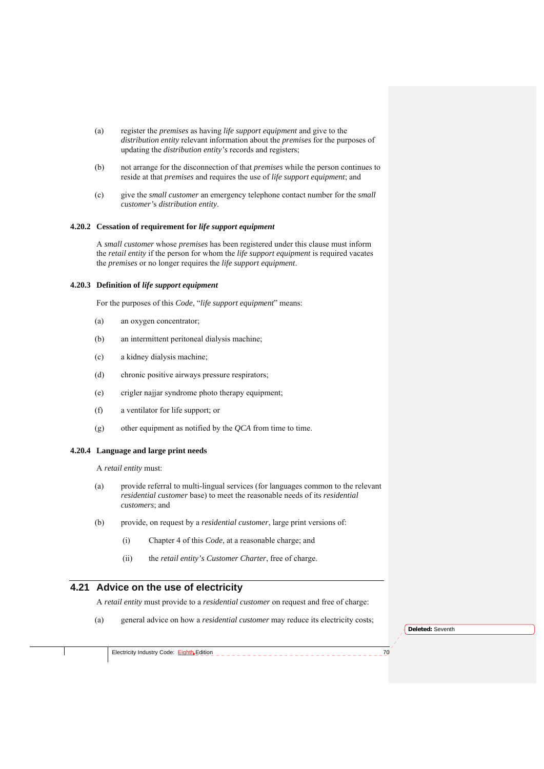- (a) register the *premises* as having *life support equipment* and give to the *distribution entity* relevant information about the *premises* for the purposes of updating the *distribution entity's* records and registers;
- (b) not arrange for the disconnection of that *premises* while the person continues to reside at that *premises* and requires the use of *life support equipment*; and
- (c) give the *small customer* an emergency telephone contact number for the *small customer'*s *distribution entity*.

## **4.20.2 Cessation of requirement for** *life support equipment*

A *small customer* whose *premises* has been registered under this clause must inform the *retail entity* if the person for whom the *life support equipment* is required vacates the *premises* or no longer requires the *life support equipment*.

## **4.20.3 Definition of** *life support equipment*

For the purposes of this *Code*, "*life support equipment*" means:

- (a) an oxygen concentrator;
- (b) an intermittent peritoneal dialysis machine;
- (c) a kidney dialysis machine;
- (d) chronic positive airways pressure respirators;
- (e) crigler najjar syndrome photo therapy equipment;
- (f) a ventilator for life support; or
- (g) other equipment as notified by the *QCA* from time to time.

#### **4.20.4 Language and large print needs**

A *retail entity* must:

- (a) provide referral to multi-lingual services (for languages common to the relevant *residential customer* base) to meet the reasonable needs of its *residential customers*; and
- (b) provide, on request by a *residential customer*, large print versions of:
	- (i) Chapter 4 of this *Code*, at a reasonable charge; and
	- (ii) the *retail entity's Customer Charter*, free of charge.

## **4.21 Advice on the use of electricity**

A *retail entity* must provide to a *residential customer* on request and free of charge:

(a) general advice on how a *residential customer* may reduce its electricity costs;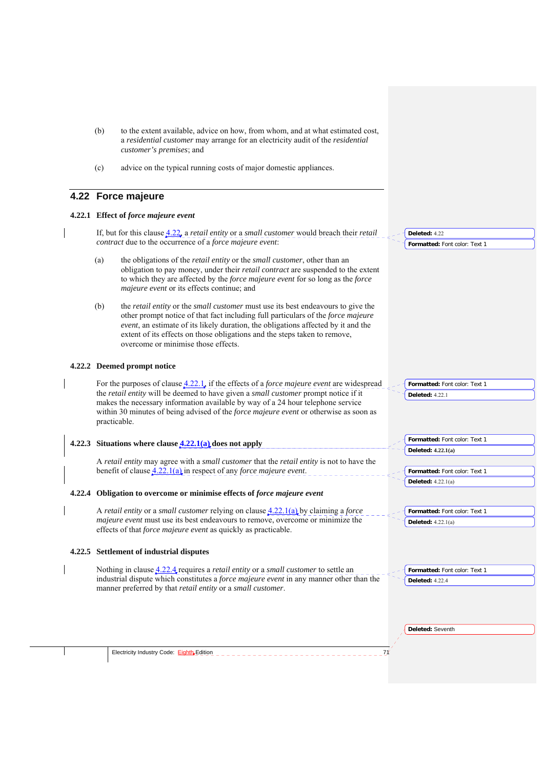- (b) to the extent available, advice on how, from whom, and at what estimated cost, a *residential customer* may arrange for an electricity audit of the *residential customer's premises*; and
- (c) advice on the typical running costs of major domestic appliances.

### **4.22 Force majeure**

#### **4.22.1 Effect of** *force majeure event*

If, but for this clause 4.22, a *retail entity* or a *small customer* would breach their *retail contract* due to the occurrence of a *force majeure event*:

- (a) the obligations of the *retail entity* or the *small customer*, other than an obligation to pay money, under their *retail contract* are suspended to the extent to which they are affected by the *force majeure event* for so long as the *force majeure event* or its effects continue; and
- (b) the *retail entity* or the *small customer* must use its best endeavours to give the other prompt notice of that fact including full particulars of the *force majeure event*, an estimate of its likely duration, the obligations affected by it and the extent of its effects on those obligations and the steps taken to remove, overcome or minimise those effects.

#### **4.22.2 Deemed prompt notice**

For the purposes of clause 4.22.1, if the effects of a *force majeure event* are widespread the *retail entity* will be deemed to have given a *small customer* prompt notice if it makes the necessary information available by way of a 24 hour telephone service within 30 minutes of being advised of the *force majeure event* or otherwise as soon as practicable.

#### **4.22.3 Situations where clause 4.22.1(a) does not apply**  A *retail entity* may agree with a *small customer* that the *retail entity* is not to have the benefit of clause 4.22.1(a) in respect of any *force majeure event*. **4.22.4 Obligation to overcome or minimise effects of** *force majeure event* **Formatted:** Font color: Text 1 **Deleted: 4.22.1(a) Formatted:** Font color: Text 1 **Deleted:** 4.22.1(a)

A *retail entity* or a *small customer* relying on clause 4.22.1(a) by claiming a *force majeure event* must use its best endeavours to remove, overcome or minimize the effects of that *force majeure event* as quickly as practicable.

#### **4.22.5 Settlement of industrial disputes**

Electricity Industry Code:  $Eight$ <sub>E</sub>dition  $\overline{11}$ </u>

Nothing in clause 4.22.4 requires a *retail entity* or a *small customer* to settle an industrial dispute which constitutes a *force majeure event* in any manner other than the manner preferred by that *retail entity* or a *small customer*.

**Deleted:** Seventh

**Deleted:** 4.22.4

**Formatted:** Font color: Text 1

**Formatted:** Font color: Text 1

**Formatted:** Font color: Text 1

**Formatted:** Font color: Text 1

**Deleted:** 4.22.1(a)

**Deleted:** 4.22.1

**Deleted:** 4.22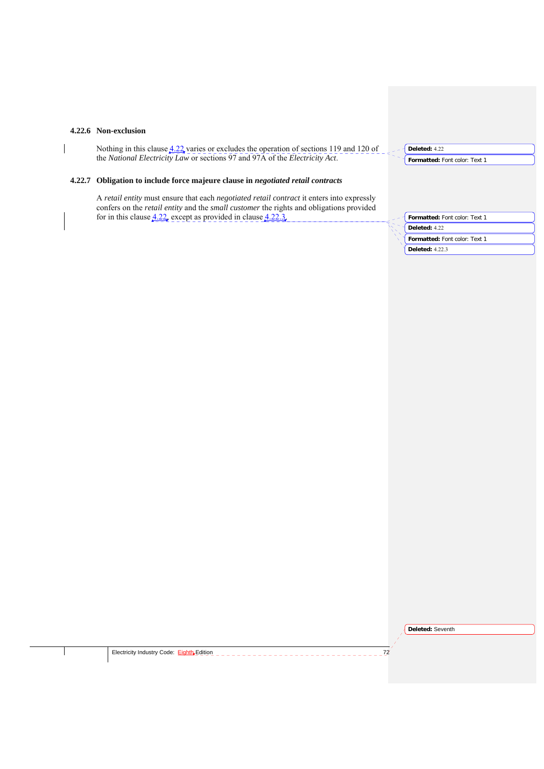#### **4.22.6 Non-exclusion**

Nothing in this clause  $4.22$  varies or excludes the operation of sections 119 and 120 of the *National Electricity Law* or sections 97 and 97A of the *Electricity Act*.

**4.22.7 Obligation to include force majeure clause in** *negotiated retail contracts*

A *retail entity* must ensure that each *negotiated retail contract* it enters into expressly confers on the *retail entity* and the *small customer* the rights and obligations provided for in this clause  $4.22$ , except as provided in clause  $4.22.3$ .

**Formatted:** Font color: Text 1 **Deleted:** 4.22 **Formatted:** Font color: Text 1 **Deleted:** 4.22.3

**Formatted:** Font color: Text 1

**Deleted:** 4.22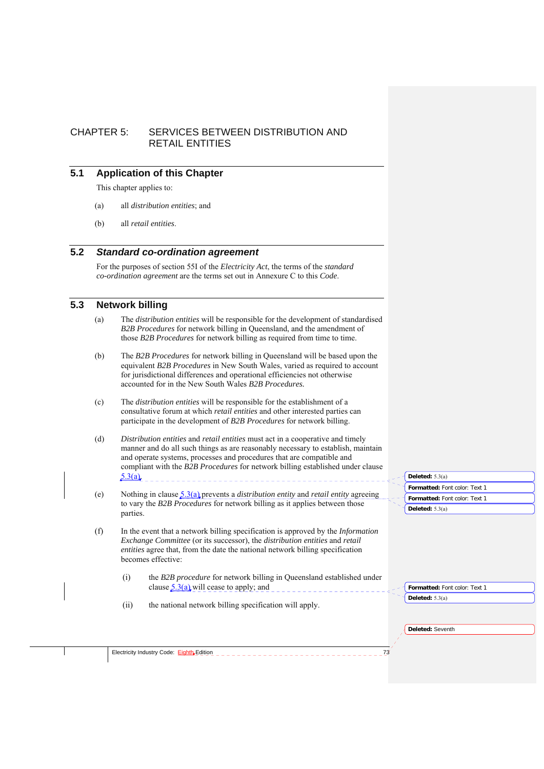# CHAPTER 5: SERVICES BETWEEN DISTRIBUTION AND RETAIL ENTITIES

## **5.1 Application of this Chapter**

This chapter applies to:

- (a) all *distribution entities*; and
- (b) all *retail entities*.

## **5.2** *Standard co-ordination agreement*

For the purposes of section 55I of the *Electricity Act*, the terms of the *standard co-ordination agreement* are the terms set out in Annexure C to this *Code*.

## **5.3 Network billing**

- (a) The *distribution entities* will be responsible for the development of standardised *B2B Procedures* for network billing in Queensland, and the amendment of those *B2B Procedures* for network billing as required from time to time.
- (b) The *B2B Procedures* for network billing in Queensland will be based upon the equivalent *B2B Procedures* in New South Wales, varied as required to account for jurisdictional differences and operational efficiencies not otherwise accounted for in the New South Wales *B2B Procedures.*
- (c) The *distribution entities* will be responsible for the establishment of a consultative forum at which *retail entities* and other interested parties can participate in the development of *B2B Procedures* for network billing.
- (d) *Distribution entities* and *retail entities* must act in a cooperative and timely manner and do all such things as are reasonably necessary to establish, maintain and operate systems, processes and procedures that are compatible and compliant with the *B2B Procedures* for network billing established under clause  $5.3(a)$ . - - - < 1
- (e) Nothing in clause 5.3(a) prevents a *distribution entity* and *retail entity* agreeing to vary the *B2B Procedures* for network billing as it applies between those parties.
- (f) In the event that a network billing specification is approved by the *Information Exchange Committee* (or its successor), the *distribution entities* and *retail entities* agree that, from the date the national network billing specification becomes effective:
	- (i) the *B2B procedure* for network billing in Queensland established under clause 5.3(a) will cease to apply; and
	- (ii) the national network billing specification will apply.

| Deleted: $5.3(a)$             |
|-------------------------------|
| Formatted: Font color: Text 1 |
| Formatted: Font color: Text 1 |
| Deleted: $5.3(a)$             |
|                               |

**Deleted:** Seventh

**Deleted:** 5.3(a)

**Formatted:** Font color: Text 1

| 11.1<br>dition<br>tricity.<br>Code<br>tιeι<br>Industry.<br>. .<br>. |
|---------------------------------------------------------------------|
|---------------------------------------------------------------------|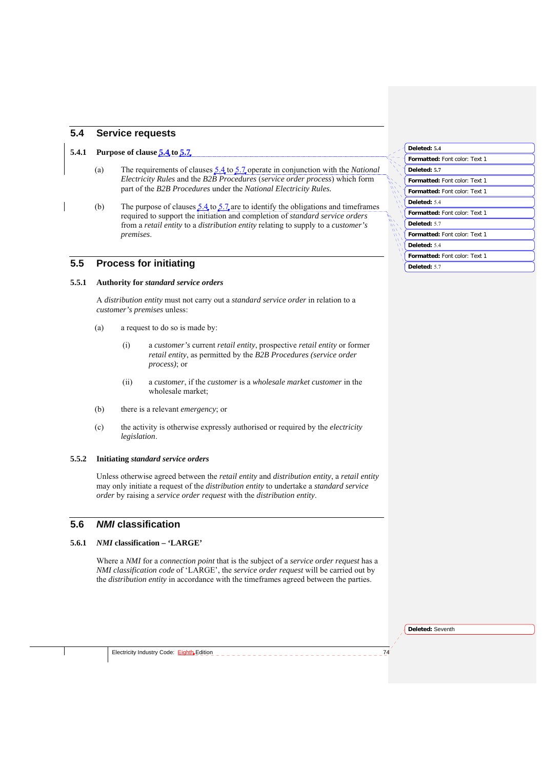## **5.4 Service requests**

### **5.4.1 Purpose of clause 5.4 to 5.7**

- (a) The requirements of clauses 5.4 to 5.7 operate in conjunction with the *National Electricity Rules* and the *B2B Procedures* (*service order process*) which form part of the *B2B Procedures* under the *National Electricity Rules.*
- (b) The purpose of clauses  $5.4$  to  $5.7$  are to identify the obligations and timeframes required to support the initiation and completion of *standard service orders* from a *retail entity* to a *distribution entity* relating to supply to a *customer's premises*.

### **5.5 Process for initiating**

### **5.5.1 Authority for** *standard service orders*

A *distribution entity* must not carry out a *standard service order* in relation to a *customer's premises* unless:

- (a) a request to do so is made by:
	- (i) a *customer's* current *retail entity*, prospective *retail entity* or former *retail entity*, as permitted by the *B2B Procedures (service order process)*; or
	- (ii) a *customer*, if the *customer* is a *wholesale market customer* in the wholesale market;
- (b) there is a relevant *emergency*; or
- (c) the activity is otherwise expressly authorised or required by the *electricity legislation*.

### **5.5.2 Initiating** *standard service orders*

Unless otherwise agreed between the *retail entity* and *distribution entity*, a *retail entity* may only initiate a request of the *distribution entity* to undertake a *standard service order* by raising a *service order request* with the *distribution entity*.

### **5.6** *NMI* **classification**

#### **5.6.1** *NMI* **classification – 'LARGE'**

Where a *NMI* for a *connection point* that is the subject of a *service order request* has a *NMI classification code* of 'LARGE', the *service order request* will be carried out by the *distribution entity* in accordance with the timeframes agreed between the parties.

| Deleted: 5.4                         |
|--------------------------------------|
| <b>Formatted:</b> Font color: Text 1 |
| Deleted: 5.7                         |
| <b>Formatted:</b> Font color: Text 1 |
| <b>Formatted:</b> Font color: Text 1 |
| Deleted: 5.4                         |
| <b>Formatted: Font color: Text 1</b> |
| Deleted: 5.7                         |
| <b>Formatted: Font color: Text 1</b> |
| Deleted: 5.4                         |
| <b>Formatted:</b> Font color: Text 1 |
| Deleted: 5.7                         |

**Deleted:** Seventh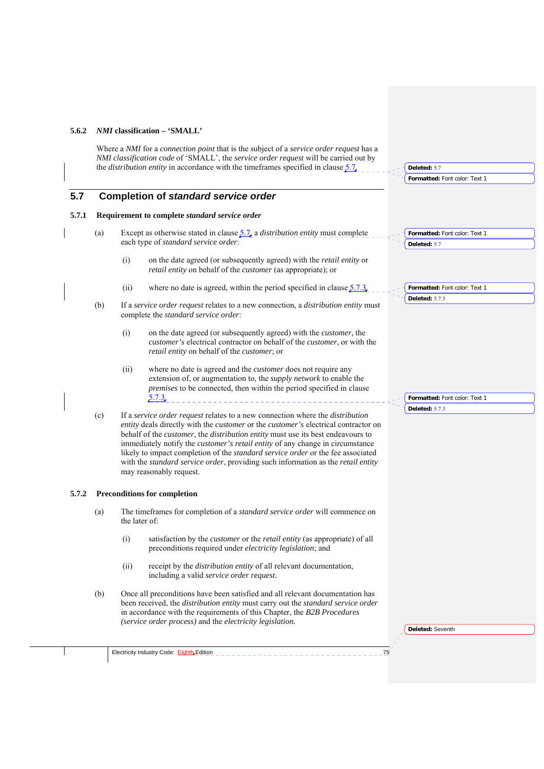#### **5.6.2** *NMI* **classification – 'SMALL'**

Where a *NMI* for a *connection point* that is the subject of a *service order request* has a *NMI classification code* of 'SMALL', the *service order request* will be carried out by the *distribution entity* in accordance with the timeframes specified in clause 5.7.

## **5.7 Completion of** *standard service order*

#### **5.7.1 Requirement to complete** *standard service order*

- (a) Except as otherwise stated in clause 5.7, a *distribution entity* must complete each type of *standard service order*:
	- (i) on the date agreed (or subsequently agreed) with the *retail entity* or *retail entity* on behalf of the *customer* (as appropriate); or
	- (ii) where no date is agreed, within the period specified in clause  $\frac{5.7.3}{3}$
- (b) If a *service order request* relates to a new connection, a *distribution entity* must complete the *standard service order*:
	- (i) on the date agreed (or subsequently agreed) with the *customer*, the *customer's* electrical contractor on behalf of the *customer*, or with the *retail entity* on behalf of the *customer*; or
	- (ii) where no date is agreed and the *customer* does not require any extension of, or augmentation to, the *supply network* to enable the *premises* to be connected, then within the period specified in clause 5.7.3.
- (c) If a *service order request* relates to a new connection where the *distribution entity* deals directly with the *customer* or the *customer's* electrical contractor on behalf of the *customer*, the *distribution entity* must use its best endeavours to immediately notify the *customer's retail entity* of any change in circumstance likely to impact completion of the *standard service order* or the fee associated with the *standard service order*, providing such information as the *retail entity* may reasonably request.

### **5.7.2 Preconditions for completion**

- (a) The timeframes for completion of a *standard service order* will commence on the later of:
	- (i) satisfaction by the *customer* or the *retail entity* (as appropriate) of all preconditions required under *electricity legislation*; and
	- (ii) receipt by the *distribution entity* of all relevant documentation, including a valid *service order request.*
- (b) Once all preconditions have been satisfied and all relevant documentation has been received, the *distribution entity* must carry out the *standard service order* in accordance with the requirements of this Chapter, the *B2B Procedures (service order process)* and the *electricity legislation.*

**Deleted:** Seventh

**Formatted:** Font color: Text 1

**Formatted:** Font color: Text 1

**Formatted:** Font color: Text 1

**Formatted:** Font color: Text 1

**Deleted:** 5.7

**Deleted:** 5.7

**Deleted:** 5.7.3

**Deleted:** 5.7.3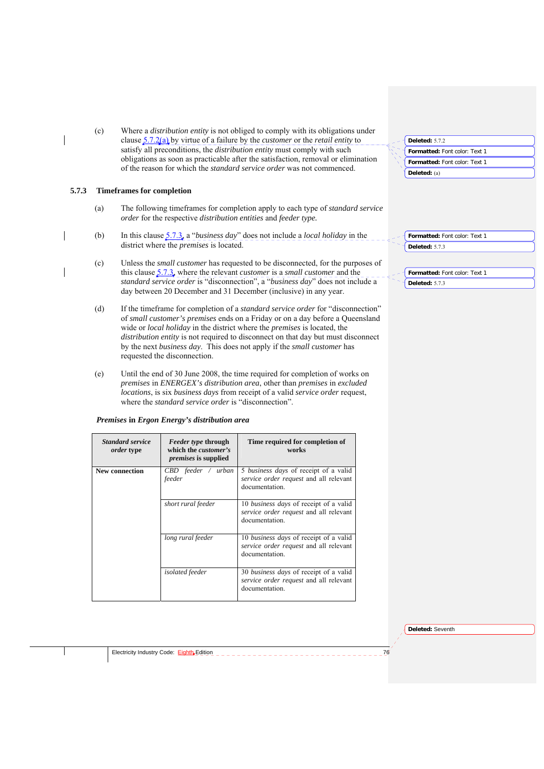(c) Where a *distribution entity* is not obliged to comply with its obligations under clause 5.7.2(a) by virtue of a failure by the *customer* or the *retail entity* to satisfy all preconditions, the *distribution entity* must comply with such obligations as soon as practicable after the satisfaction, removal or elimination of the reason for which the *standard service order* was not commenced.

### **5.7.3 Timeframes for completion**

- (a) The following timeframes for completion apply to each type of *standard service order* for the respective *distribution entities* and *feeder type.*
- (b) In this clause 5.7.3, a "*business day*" does not include a *local holiday* in the district where the *premises* is located.
- (c) Unless the *small customer* has requested to be disconnected, for the purposes of this clause 5.7.3, where the relevant *customer* is a *small customer* and the *standard service order* is "disconnection", a "*business day*" does not include a day between 20 December and 31 December (inclusive) in any year.
- (d) If the timeframe for completion of a *standard service order* for "disconnection" of *small customer's premises* ends on a Friday or on a day before a Queensland wide or *local holiday* in the district where the *premises* is located, the *distribution entity* is not required to disconnect on that day but must disconnect by the next *business day*. This does not apply if the *small customer* has requested the disconnection.
- (e) Until the end of 30 June 2008, the time required for completion of works on *premises* in *ENERGEX's distribution area*, other than *premises* in *excluded locations*, is six *business days* from receipt of a valid *service order* request, where the *standard service order* is "disconnection".

|  |  |  | Premises in Ergon Energy's distribution area |
|--|--|--|----------------------------------------------|
|--|--|--|----------------------------------------------|

| <b>Standard service</b><br><i>order</i> type | <i>Feeder type through</i><br>which the <i>customer's</i><br><i>premises</i> is supplied | Time required for completion of<br>works                                                                  |
|----------------------------------------------|------------------------------------------------------------------------------------------|-----------------------------------------------------------------------------------------------------------|
| <b>New connection</b>                        | CBD feeder / urban<br>feeder                                                             | 5 business days of receipt of a valid<br>service order request and all relevant<br>documentation.         |
|                                              | short rural feeder                                                                       | 10 business days of receipt of a valid<br>service order request and all relevant<br>documentation.        |
|                                              | long rural feeder                                                                        | 10 <i>business days</i> of receipt of a valid<br>service order request and all relevant<br>documentation. |
|                                              | <i>isolated</i> feeder                                                                   | 30 business days of receipt of a valid<br>service order request and all relevant<br>documentation.        |

| <b>Deleted: 5.7.2</b>         |  |
|-------------------------------|--|
| Formatted: Font color: Text 1 |  |
| Formatted: Font color: Text 1 |  |
| Deleted: $(a)$                |  |

**Formatted:** Font color: Text 1 **Deleted:** 5.7.3

**Formatted:** Font color: Text 1 **Deleted:** 5.7.3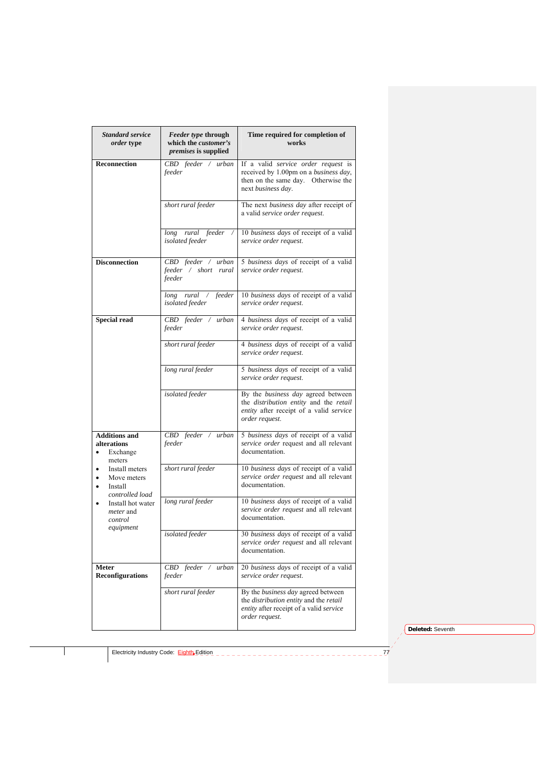| <b>Standard service</b><br><i>order</i> type                             | <i>Feeder type through</i><br>which the customer's<br><i>premises</i> is supplied | Time required for completion of<br>works                                                                                                  |
|--------------------------------------------------------------------------|-----------------------------------------------------------------------------------|-------------------------------------------------------------------------------------------------------------------------------------------|
| <b>Reconnection</b>                                                      | CBD feeder / urban<br>feeder                                                      | If a valid service order request is<br>received by 1.00pm on a business day,<br>then on the same day. Otherwise the<br>next business day. |
|                                                                          | short rural feeder                                                                | The next business day after receipt of<br>a valid service order request.                                                                  |
|                                                                          | long rural feeder<br>isolated feeder                                              | 10 business days of receipt of a valid<br>service order request.                                                                          |
| <b>Disconnection</b>                                                     | $CBD$ $\overline{feeder}$ / $urban$<br>feeder / short rural<br>feeder             | 5 business days of receipt of a valid<br>service order request.                                                                           |
|                                                                          | feeder<br>$long$ rural $\sqrt{ }$<br>isolated feeder                              | 10 business days of receipt of a valid<br>service order request.                                                                          |
| <b>Special read</b>                                                      | CBD feeder / urban<br>feeder                                                      | 4 business days of receipt of a valid<br>service order request.                                                                           |
|                                                                          | short rural feeder                                                                | 4 business days of receipt of a valid<br>service order request.                                                                           |
|                                                                          | long rural feeder                                                                 | 5 business days of receipt of a valid<br>service order request.                                                                           |
|                                                                          | isolated feeder                                                                   | By the business day agreed between<br>the distribution entity and the retail<br>entity after receipt of a valid service<br>order request. |
| <b>Additions and</b><br>alterations<br>Exchange<br>meters                | CBD feeder / urban<br>feeder                                                      | 5 business days of receipt of a valid<br>service order request and all relevant<br>documentation.                                         |
| Install meters<br>Move meters<br>Install<br>$\bullet$<br>controlled load | short rural feeder                                                                | 10 business days of receipt of a valid<br>service order request and all relevant<br>documentation.                                        |
| Install hot water<br><i>meter</i> and<br>control                         | long rural feeder                                                                 | 10 business days of receipt of a valid<br>service order request and all relevant<br>documentation.                                        |
| equipment                                                                | isolated feeder                                                                   | 30 business days of receipt of a valid<br>service order request and all relevant<br>documentation.                                        |
| Meter<br><b>Reconfigurations</b>                                         | $CBD$ feeder /<br>urban<br>feeder                                                 | 20 business days of receipt of a valid<br>service order request.                                                                          |
|                                                                          | short rural feeder                                                                | By the business day agreed between<br>the distribution entity and the retail<br>entity after receipt of a valid service<br>order request. |

**Deleted:** Seventh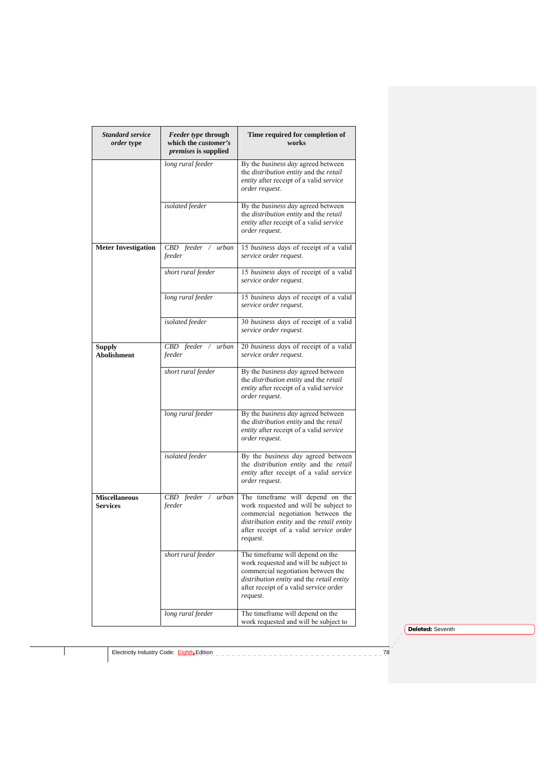| <b>Standard service</b><br><i>order</i> type | Feeder type through<br>which the customer's<br><i>premises</i> is supplied | Time required for completion of<br>works                                                                                                                                                                           |
|----------------------------------------------|----------------------------------------------------------------------------|--------------------------------------------------------------------------------------------------------------------------------------------------------------------------------------------------------------------|
|                                              | long rural feeder                                                          | By the business day agreed between<br>the distribution entity and the retail<br>entity after receipt of a valid service<br>order request.                                                                          |
|                                              | isolated feeder                                                            | By the business day agreed between<br>the distribution entity and the retail<br>entity after receipt of a valid service<br>order request.                                                                          |
| <b>Meter Investigation</b>                   | $CBD$ feeder /<br>urban<br>feeder                                          | 15 business days of receipt of a valid<br>service order request.                                                                                                                                                   |
|                                              | short rural feeder                                                         | 15 business days of receipt of a valid<br>service order request.                                                                                                                                                   |
|                                              | long rural feeder                                                          | 15 business days of receipt of a valid<br>service order request.                                                                                                                                                   |
|                                              | isolated feeder                                                            | 30 business days of receipt of a valid<br>service order request.                                                                                                                                                   |
| <b>Supply</b><br><b>Abolishment</b>          | CBD feeder / urban<br>feeder                                               | 20 business days of receipt of a valid<br>service order request.                                                                                                                                                   |
|                                              | short rural feeder                                                         | By the business day agreed between<br>the distribution entity and the retail<br>entity after receipt of a valid service<br>order request.                                                                          |
|                                              | long rural feeder                                                          | By the business day agreed between<br>the distribution entity and the retail<br>entity after receipt of a valid service<br>order request.                                                                          |
|                                              | isolated feeder                                                            | By the business day agreed between<br>the distribution entity and the retail<br>entity after receipt of a valid service<br>order request.                                                                          |
| <b>Miscellaneous</b><br><b>Services</b>      | CBD feeder / urban<br>feeder                                               | The timeframe will depend on the<br>work requested and will be subject to<br>commercial negotiation between the<br>distribution entity and the retail entity<br>after receipt of a valid service order<br>request. |
|                                              | short rural feeder                                                         | The timeframe will depend on the<br>work requested and will be subject to<br>commercial negotiation between the<br>distribution entity and the retail entity<br>after receipt of a valid service order<br>request. |
|                                              | long rural feeder                                                          | The timeframe will depend on the<br>work requested and will be subject to                                                                                                                                          |

**Deleted:** Seventh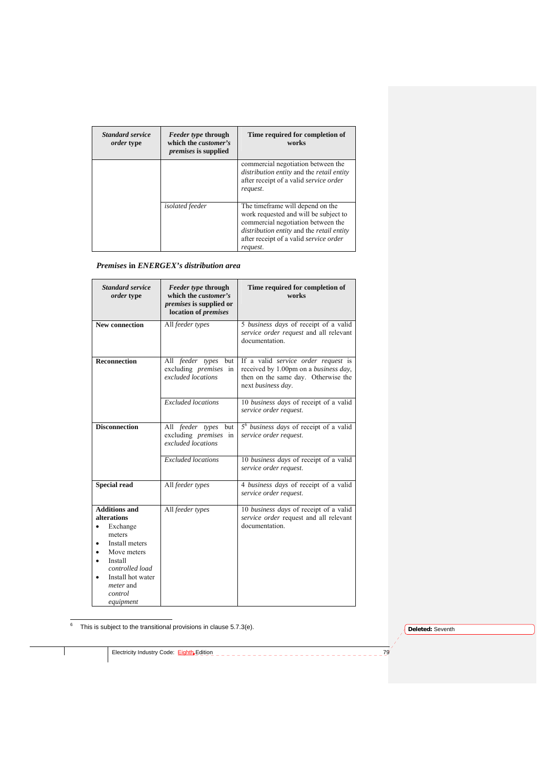| <b>Standard service</b><br><i>order</i> type | <i>Feeder type through</i><br>which the <i>customer's</i><br><i>premises</i> is supplied | Time required for completion of<br>works                                                                                                                                                                           |
|----------------------------------------------|------------------------------------------------------------------------------------------|--------------------------------------------------------------------------------------------------------------------------------------------------------------------------------------------------------------------|
|                                              |                                                                                          | commercial negotiation between the<br>distribution entity and the retail entity<br>after receipt of a valid service order<br>request.                                                                              |
|                                              | <i>isolated</i> feeder                                                                   | The timeframe will depend on the<br>work requested and will be subject to<br>commercial negotiation between the<br>distribution entity and the retail entity<br>after receipt of a valid service order<br>request. |

## *Premises* **in** *ENERGEX's distribution area*

| <b>Standard service</b><br>order type                                                                                                                                                                                    | Feeder type through<br>which the customer's<br><i>premises</i> is supplied or<br>location of <i>premises</i> | Time required for completion of<br>works                                                                                                  |
|--------------------------------------------------------------------------------------------------------------------------------------------------------------------------------------------------------------------------|--------------------------------------------------------------------------------------------------------------|-------------------------------------------------------------------------------------------------------------------------------------------|
| <b>New connection</b>                                                                                                                                                                                                    | All feeder types                                                                                             | 5 business days of receipt of a valid<br>service order request and all relevant<br>documentation.                                         |
| <b>Reconnection</b>                                                                                                                                                                                                      | All feeder types<br>but<br>excluding <i>premises</i> in<br>excluded locations                                | If a valid service order request is<br>received by 1.00pm on a business day,<br>then on the same day. Otherwise the<br>next business day. |
|                                                                                                                                                                                                                          | <b>Excluded</b> locations                                                                                    | 10 business days of receipt of a valid<br>service order request.                                                                          |
| <b>Disconnection</b>                                                                                                                                                                                                     | All feeder types but<br>excluding <i>premises</i> in<br>excluded locations                                   | 5 <sup>6</sup> business days of receipt of a valid<br>service order request.                                                              |
|                                                                                                                                                                                                                          | <b>Excluded</b> locations                                                                                    | 10 business days of receipt of a valid<br>service order request.                                                                          |
| <b>Special read</b>                                                                                                                                                                                                      | All feeder types                                                                                             | 4 business days of receipt of a valid<br>service order request.                                                                           |
| <b>Additions and</b><br>alterations<br>Exchange<br>$\bullet$<br>meters<br>Install meters<br>$\bullet$<br>Move meters<br>Install<br>٠<br>controlled load<br>Install hot water<br><i>meter</i> and<br>control<br>equipment | All feeder types                                                                                             | 10 business days of receipt of a valid<br>service order request and all relevant<br>documentation.                                        |

6 This is subject to the transitional provisions in clause 5.7.3(e).

**Deleted:** Seventh

Electricity Industry Code: Eighth Edition **79** Code:  $\frac{1}{2}$  Fighth Edition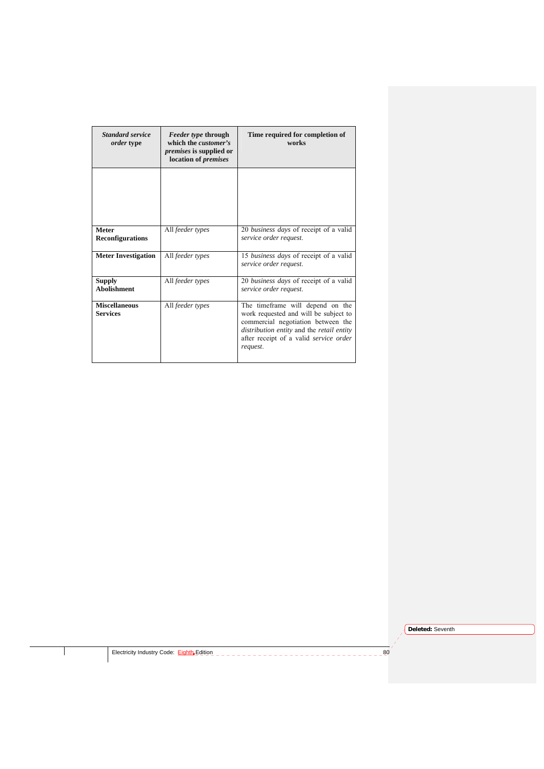| <b>Standard service</b><br><i>order</i> type | <i>Feeder type through</i><br>which the <i>customer's</i><br><i>premises</i> is supplied or<br>location of <i>premises</i> | Time required for completion of<br>works                                                                                                                                                                           |
|----------------------------------------------|----------------------------------------------------------------------------------------------------------------------------|--------------------------------------------------------------------------------------------------------------------------------------------------------------------------------------------------------------------|
|                                              |                                                                                                                            |                                                                                                                                                                                                                    |
| <b>Meter</b><br><b>Reconfigurations</b>      | All feeder types                                                                                                           | 20 business days of receipt of a valid<br>service order request.                                                                                                                                                   |
| <b>Meter Investigation</b>                   | All feeder types                                                                                                           | 15 <i>business days</i> of receipt of a valid<br>service order request.                                                                                                                                            |
| <b>Supply</b><br><b>Abolishment</b>          | All feeder types                                                                                                           | 20 business days of receipt of a valid<br>service order request.                                                                                                                                                   |
| <b>Miscellaneous</b><br><b>Services</b>      | All feeder types                                                                                                           | The timeframe will depend on the<br>work requested and will be subject to<br>commercial negotiation between the<br>distribution entity and the retail entity<br>after receipt of a valid service order<br>request. |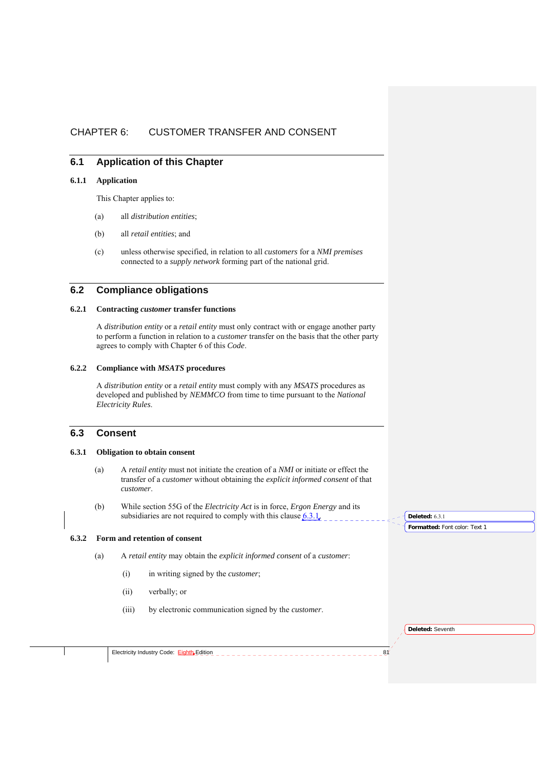# CHAPTER 6: CUSTOMER TRANSFER AND CONSENT

## **6.1 Application of this Chapter**

#### **6.1.1 Application**

This Chapter applies to:

- (a) all *distribution entities*;
- (b) all *retail entities*; and
- (c) unless otherwise specified, in relation to all *customers* for a *NMI premises*  connected to a *supply network* forming part of the national grid.

## **6.2 Compliance obligations**

#### **6.2.1 Contracting** *customer* **transfer functions**

A *distribution entity* or a *retail entity* must only contract with or engage another party to perform a function in relation to a *customer* transfer on the basis that the other party agrees to comply with Chapter 6 of this *Code*.

#### **6.2.2 Compliance with** *MSATS* **procedures**

A *distribution entity* or a *retail entity* must comply with any *MSATS* procedures as developed and published by *NEMMCO* from time to time pursuant to the *National Electricity Rules*.

## **6.3 Consent**

# **6.3.1 Obligation to obtain consent**

- (a) A *retail entity* must not initiate the creation of a *NMI* or initiate or effect the transfer of a *customer* without obtaining the *explicit informed consent* of that *customer*.
- (b) While section 55G of the *Electricity Act* is in force, *Ergon Energy* and its subsidiaries are not required to comply with this clause  $6.3.1$ .

#### **6.3.2 Form and retention of consent**

- (a) A *retail entity* may obtain the *explicit informed consent* of a *customer*:
	- (i) in writing signed by the *customer*;
	- (ii) verbally; or
	- (iii) by electronic communication signed by the *customer*.

**Formatted:** Font color: Text 1 **Deleted:** 6.3.1

**Deleted:** Seventh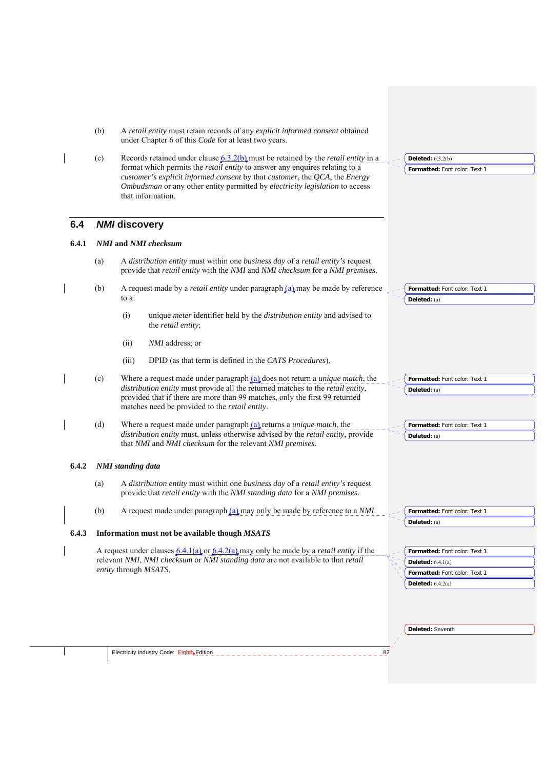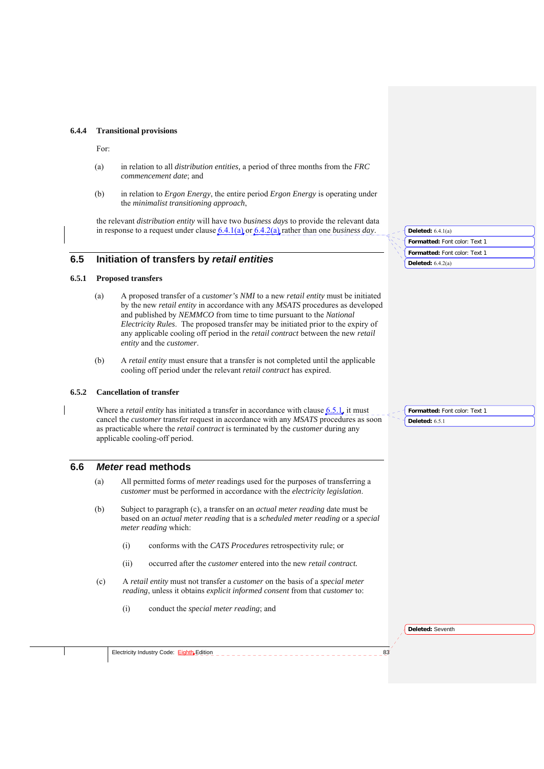#### **6.4.4 Transitional provisions**

For:

- (a) in relation to all *distribution entities,* a period of three months from the *FRC commencement date*; and
- (b) in relation to *Ergon Energy*, the entire period *Ergon Energy* is operating under the *minimalist transitioning approach*,

the relevant *distribution entity* will have two *business days* to provide the relevant data in response to a request under clause 6.4.1(a) or 6.4.2(a) rather than one *business day*.

## **6.5 Initiation of transfers by** *retail entities*

### **6.5.1 Proposed transfers**

- (a) A proposed transfer of a *customer's NMI* to a new *retail entity* must be initiated by the new *retail entity* in accordance with any *MSATS* procedures as developed and published by *NEMMCO* from time to time pursuant to the *National Electricity Rules*. The proposed transfer may be initiated prior to the expiry of any applicable cooling off period in the *retail contract* between the new *retail entity* and the *customer*.
- (b) A *retail entity* must ensure that a transfer is not completed until the applicable cooling off period under the relevant *retail contract* has expired.

### **6.5.2 Cancellation of transfer**

Where a *retail entity* has initiated a transfer in accordance with clause 6.5.1, it must cancel the *customer* transfer request in accordance with any *MSATS* procedures as soon as practicable where the *retail contract* is terminated by the *customer* during any applicable cooling-off period.

## **6.6** *Meter* **read methods**

- (a) All permitted forms of *meter* readings used for the purposes of transferring a *customer* must be performed in accordance with the *electricity legislation*.
- (b) Subject to paragraph (c), a transfer on an *actual meter reading* date must be based on an *actual meter reading* that is a *scheduled meter reading* or a *special meter reading* which:
	- (i) conforms with the *CATS Procedures* retrospectivity rule; or
	- (ii) occurred after the *customer* entered into the new *retail contract.*
- (c) A *retail entity* must not transfer a *customer* on the basis of a *special meter reading*, unless it obtains *explicit informed consent* from that *customer* to:
	- (i) conduct the *special meter reading*; and

| Deleted: $6.4.1(a)$           |
|-------------------------------|
| Formatted: Font color: Text 1 |
| Formatted: Font color: Text 1 |
| Deleted: $6.4.2(a)$           |
|                               |

**Formatted:** Font color: Text 1 **Deleted:** 6.5.1

**Deleted:** Seventh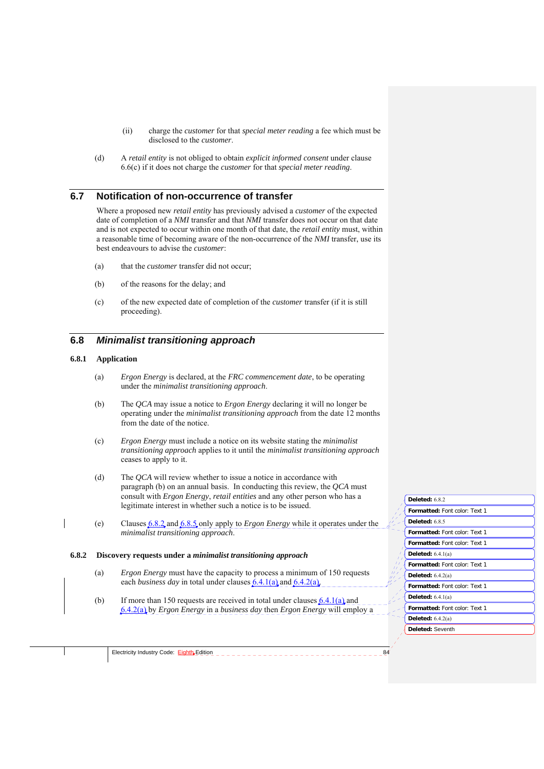- (ii) charge the *customer* for that *special meter reading* a fee which must be disclosed to the *customer*.
- (d) A *retail entity* is not obliged to obtain *explicit informed consent* under clause 6.6(c) if it does not charge the *customer* for that *special meter reading*.

### **6.7 Notification of non-occurrence of transfer**

Where a proposed new *retail entity* has previously advised a *customer* of the expected date of completion of a *NMI* transfer and that *NMI* transfer does not occur on that date and is not expected to occur within one month of that date, the *retail entity* must, within a reasonable time of becoming aware of the non-occurrence of the *NMI* transfer, use its best endeavours to advise the *customer*:

- (a) that the *customer* transfer did not occur;
- (b) of the reasons for the delay; and
- (c) of the new expected date of completion of the *customer* transfer (if it is still proceeding).

### **6.8** *Minimalist transitioning approach*

### **6.8.1 Application**

- (a) *Ergon Energy* is declared, at the *FRC commencement date*, to be operating under the *minimalist transitioning approach*.
- (b) The *QCA* may issue a notice to *Ergon Energy* declaring it will no longer be operating under the *minimalist transitioning approach* from the date 12 months from the date of the notice.
- (c) *Ergon Energy* must include a notice on its website stating the *minimalist transitioning approach* applies to it until the *minimalist transitioning approach* ceases to apply to it.
- (d) The *QCA* will review whether to issue a notice in accordance with paragraph (b) on an annual basis. In conducting this review, the *QCA* must consult with *Ergon Energy*, *retail entities* and any other person who has a legitimate interest in whether such a notice is to be issued.
- (e) Clauses 6.8.2 and 6.8.5 only apply to *Ergon Energy* while it operates under the *minimalist transitioning approach*.

#### **6.8.2 Discovery requests under a** *minimalist transitioning approach*

- (a) *Ergon Energy* must have the capacity to process a minimum of 150 requests each *business day* in total under clauses 6.4.1(a) and 6.4.2(a).
- (b) If more than 150 requests are received in total under clauses  $6.4.1(a)$  and 6.4.2(a) by *Ergon Energy* in a *business day* then *Ergon Energy* will employ a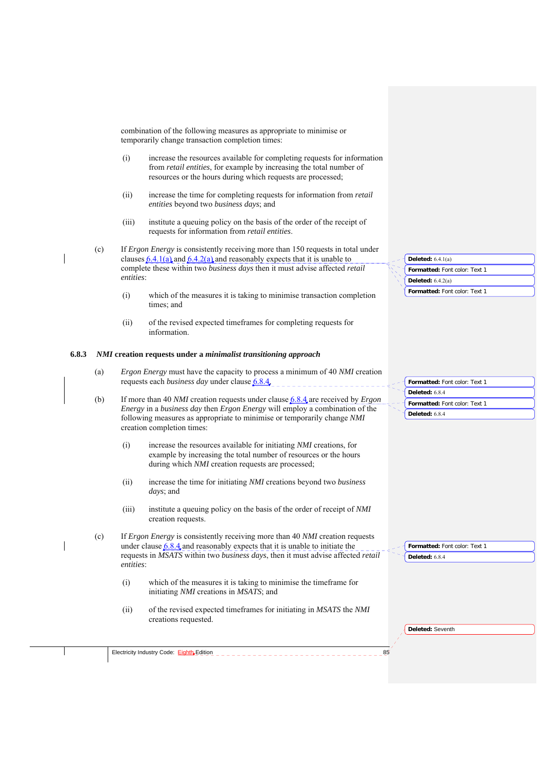combination of the following measures as appropriate to minimise or temporarily change transaction completion times:

- (i) increase the resources available for completing requests for information from *retail entities*, for example by increasing the total number of resources or the hours during which requests are processed;
- (ii) increase the time for completing requests for information from *retail entities* beyond two *business days*; and
- (iii) institute a queuing policy on the basis of the order of the receipt of requests for information from *retail entities*.
- (c) If *Ergon Energy* is consistently receiving more than 150 requests in total under clauses  $6.4.1(a)$  and  $6.4.2(a)$  and reasonably expects that it is unable to complete these within two *business days* then it must advise affected *retail entities*:
	- (i) which of the measures it is taking to minimise transaction completion times; and
	- (ii) of the revised expected timeframes for completing requests for information.

#### **6.8.3** *NMI* **creation requests under a** *minimalist transitioning approach*

- (a) *Ergon Energy* must have the capacity to process a minimum of 40 *NMI* creation requests each *business day* under clause 6.8.4.
- (b) If more than 40 *NMI* creation requests under clause 6.8.4 are received by *Ergon Energy* in a *business day* then *Ergon Energy* will employ a combination of the following measures as appropriate to minimise or temporarily change *NMI* creation completion times:
	- (i) increase the resources available for initiating *NMI* creations, for example by increasing the total number of resources or the hours during which *NMI* creation requests are processed;
	- (ii) increase the time for initiating *NMI* creations beyond two *business days*; and
	- (iii) institute a queuing policy on the basis of the order of receipt of *NMI* creation requests.
- (c) If *Ergon Energy* is consistently receiving more than 40 *NMI* creation requests under clause 6.8.4 and reasonably expects that it is unable to initiate the requests in *MSATS* within two *business days*, then it must advise affected *retail entities*:
	- (i) which of the measures it is taking to minimise the timeframe for initiating *NMI* creations in *MSATS*; and
	- (ii) of the revised expected timeframes for initiating in *MSATS* the *NMI* creations requested.

| Deleted: $6.4.1(a)$           |
|-------------------------------|
| Formatted: Font color: Text 1 |
| Deleted: $6.4.2(a)$           |
| Formatted: Font color: Text 1 |
|                               |

| - Formatted: Font color: Text 1 |
|---------------------------------|
| Deleted: 6.8.4                  |
| Formatted: Font color: Text 1   |
| Deleted: 6.8.4                  |

| <b>Formatted:</b> Font color: Text 1 |
|--------------------------------------|
| Deleted: $6.8.4$                     |

**Deleted:** Seventh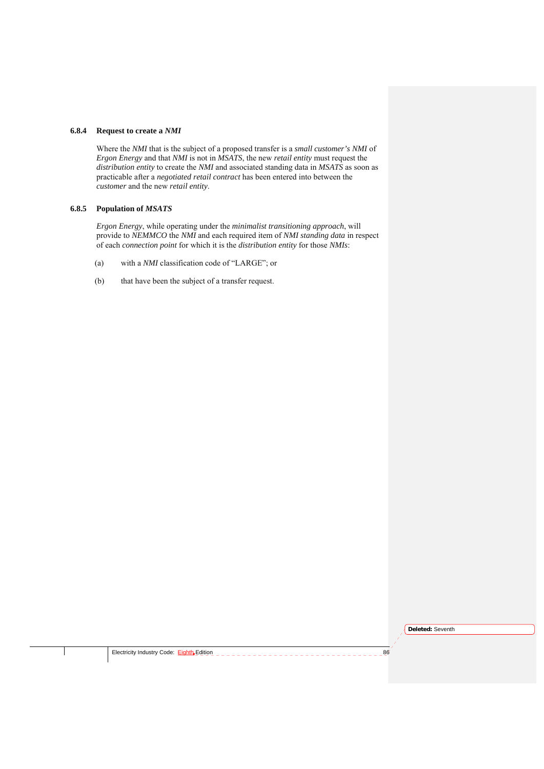#### **6.8.4 Request to create a** *NMI*

Where the *NMI* that is the subject of a proposed transfer is a *small customer's NMI* of *Ergon Energy* and that *NMI* is not in *MSATS*, the new *retail entity* must request the *distribution entity* to create the *NMI* and associated standing data in *MSATS* as soon as practicable after a *negotiated retail contract* has been entered into between the *customer* and the new *retail entity*.

## **6.8.5 Population of** *MSATS*

*Ergon Energy*, while operating under the *minimalist transitioning approach*, will provide to *NEMMCO* the *NMI* and each required item of *NMI standing data* in respect of each *connection point* for which it is the *distribution entity* for those *NMIs*:

- (a) with a *NMI* classification code of "LARGE"; or
- (b) that have been the subject of a transfer request.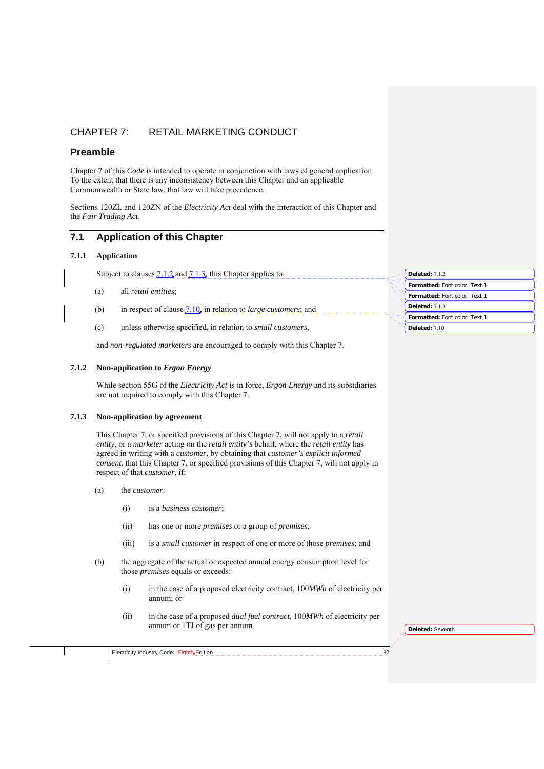# CHAPTER 7: RETAIL MARKETING CONDUCT

## **Preamble**

Chapter 7 of this *Code* is intended to operate in conjunction with laws of general application. To the extent that there is any inconsistency between this Chapter and an applicable Commonwealth or State law, that law will take precedence.

Sections 120ZL and 120ZN of the *Electricity Act* deal with the interaction of this Chapter and the *Fair Trading Act*.

# **7.1 Application of this Chapter**

### **7.1.1 Application**

Subject to clauses  $7.1.2$  and  $7.1.3$ , this Chapter applies to:

- (a) all *retail entities*;
- (b) in respect of clause 7.10, in relation to *large customers*; and
- (c) unless otherwise specified, in relation to *small customers*,

and *non-regulated marketers* are encouraged to comply with this Chapter 7.

#### **7.1.2 Non-application to** *Ergon Energy*

While section 55G of the *Electricity Act* is in force, *Ergon Energy* and its subsidiaries are not required to comply with this Chapter 7.

#### **7.1.3 Non-application by agreement**

This Chapter 7, or specified provisions of this Chapter 7, will not apply to a *retail entity*, or a *marketer* acting on the *retail entity's* behalf, where the *retail entity* has agreed in writing with a *customer*, by obtaining that *customer's explicit informed consent*, that this Chapter 7, or specified provisions of this Chapter 7, will not apply in respect of that *customer*, if:

- (a) the *customer*:
	- (i) is a *business customer*;
	- (ii) has one or more *premises* or a group of *premises*;
	- (iii) is a *small customer* in respect of one or more of those *premises*; and
- (b) the aggregate of the actual or expected annual energy consumption level for those *premises* equals or exceeds:
	- (i) in the case of a proposed electricity contract, 100*MWh* of electricity per annum; or
	- (ii) in the case of a proposed *dual fuel contract*, 100*MWh* of electricity per annum or 1TJ of gas per annum.

**Deleted:** Seventh

| Electricity Industry Code: Eighth Edition |  |
|-------------------------------------------|--|
|                                           |  |

**Formatted:** Font color: Text 1 **Deleted:** 7.1.2 **Formatted:** Font color: Text 1

**Deleted:** 7.1.3

**Formatted:** Font color: Text 1

**Deleted:** 7.10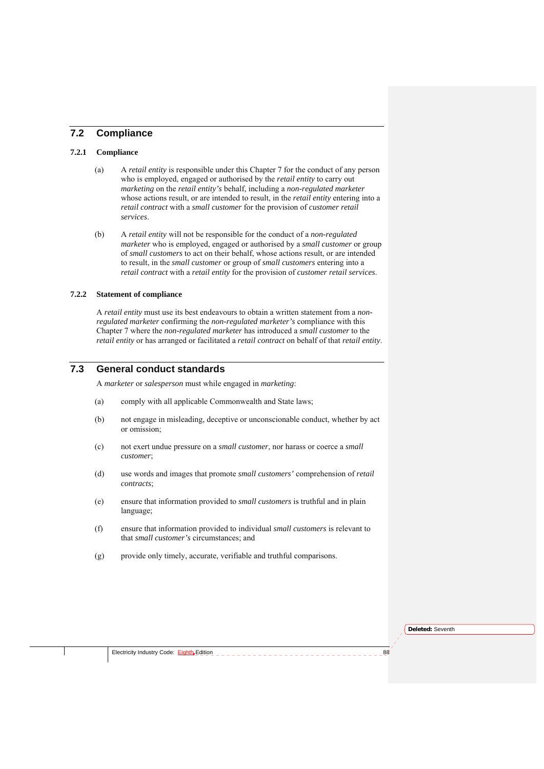## **7.2 Compliance**

### **7.2.1 Compliance**

- (a) A *retail entity* is responsible under this Chapter 7 for the conduct of any person who is employed, engaged or authorised by the *retail entity* to carry out *marketing* on the *retail entity's* behalf, including a *non-regulated marketer* whose actions result, or are intended to result, in the *retail entity* entering into a *retail contract* with a *small customer* for the provision of *customer retail services*.
- (b) A *retail entity* will not be responsible for the conduct of a *non-regulated marketer* who is employed, engaged or authorised by a *small customer* or group of *small customers* to act on their behalf, whose actions result, or are intended to result, in the *small customer* or group of *small customers* entering into a *retail contract* with a *retail entity* for the provision of *customer retail services*.

### **7.2.2 Statement of compliance**

A *retail entity* must use its best endeavours to obtain a written statement from a *nonregulated marketer* confirming the *non-regulated marketer's* compliance with this Chapter 7 where the *non-regulated marketer* has introduced a *small customer* to the *retail entity* or has arranged or facilitated a *retail contract* on behalf of that *retail entity*.

# **7.3 General conduct standards**

A *marketer* or *salesperson* must while engaged in *marketing*:

- (a) comply with all applicable Commonwealth and State laws;
- (b) not engage in misleading, deceptive or unconscionable conduct, whether by act or omission;
- (c) not exert undue pressure on a *small customer*, nor harass or coerce a *small customer*;
- (d) use words and images that promote *small customers'* comprehension of *retail contracts*;
- (e) ensure that information provided to *small customers* is truthful and in plain language;
- (f) ensure that information provided to individual *small customers* is relevant to that *small customer's* circumstances; and
- (g) provide only timely, accurate, verifiable and truthful comparisons.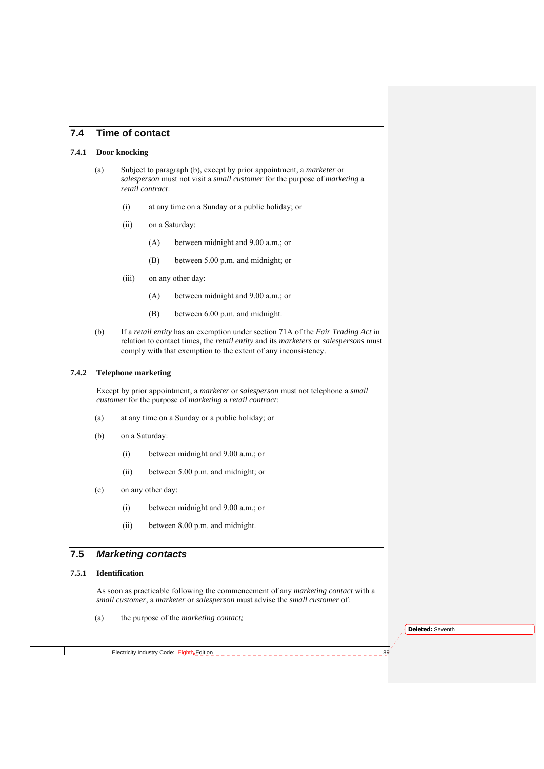## **7.4 Time of contact**

#### **7.4.1 Door knocking**

- (a) Subject to paragraph (b), except by prior appointment, a *marketer* or *salesperson* must not visit a *small customer* for the purpose of *marketing* a *retail contract*:
	- (i) at any time on a Sunday or a public holiday; or
	- (ii) on a Saturday:
		- (A) between midnight and 9.00 a.m.; or
		- (B) between 5.00 p.m. and midnight; or
	- (iii) on any other day:
		- (A) between midnight and 9.00 a.m.; or
		- (B) between 6.00 p.m. and midnight.
- (b) If a *retail entity* has an exemption under section 71A of the *Fair Trading Act* in relation to contact times, the *retail entity* and its *marketers* or *salespersons* must comply with that exemption to the extent of any inconsistency.

#### **7.4.2 Telephone marketing**

Except by prior appointment, a *marketer* or *salesperson* must not telephone a *small customer* for the purpose of *marketing* a *retail contract*:

- (a) at any time on a Sunday or a public holiday; or
- (b) on a Saturday:
	- (i) between midnight and 9.00 a.m.; or
	- (ii) between 5.00 p.m. and midnight; or
- (c) on any other day:
	- (i) between midnight and 9.00 a.m.; or
	- (ii) between 8.00 p.m. and midnight.

## **7.5** *Marketing contacts*

#### **7.5.1 Identification**

As soon as practicable following the commencement of any *marketing contact* with a *small customer*, a *marketer* or *salesperson* must advise the *small customer* of:

(a) the purpose of the *marketing contact;*

**Deleted:** Seventh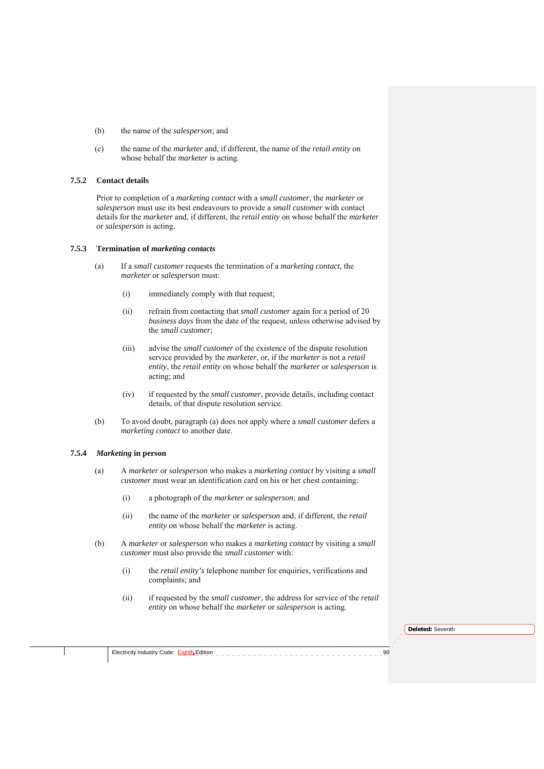- (b) the name of the *salesperson*; and
- (c) the name of the *marketer* and, if different, the name of the *retail entity* on whose behalf the *marketer* is acting.

#### **7.5.2 Contact details**

Prior to completion of a *marketing contact* with a *small customer*, the *marketer* or *salesperson* must use its best endeavours to provide a *small customer* with contact details for the *marketer* and, if different, the *retail entity* on whose behalf the *marketer* or *salesperson* is acting.

#### **7.5.3 Termination of** *marketing contacts*

- (a) If a *small customer* requests the termination of a *marketing contact*, the *marketer* or *salesperson* must:
	- (i) immediately comply with that request;
	- (ii) refrain from contacting that *small customer* again for a period of 20 *business days* from the date of the request, unless otherwise advised by the *small customer*;
	- (iii) advise the *small customer* of the existence of the dispute resolution service provided by the *marketer*, or, if the *marketer* is not a *retail entity*, the *retail entity* on whose behalf the *marketer* or *salesperson* is acting; and
	- (iv) if requested by the *small customer*, provide details, including contact details, of that dispute resolution service.
- (b) To avoid doubt, paragraph (a) does not apply where a *small customer* defers a *marketing contact* to another date.

#### **7.5.4** *Marketing* **in person**

- (a) A *marketer* or *salesperson* who makes a *marketing contact* by visiting a *small customer* must wear an identification card on his or her chest containing:
	- (i) a photograph of the *marketer* or *salesperson*; and
	- (ii) the name of the *marketer* or *salesperson* and, if different, the *retail entity* on whose behalf the *marketer* is acting.
- (b) A *marketer* or *salesperson* who makes a *marketing contact* by visiting a *small customer* must also provide the *small customer* with:
	- (i) the *retail entity's* telephone number for enquiries, verifications and complaints; and
	- (ii) if requested by the *small customer*, the address for service of the *retail entity* on whose behalf the *marketer* or *salesperson* is acting.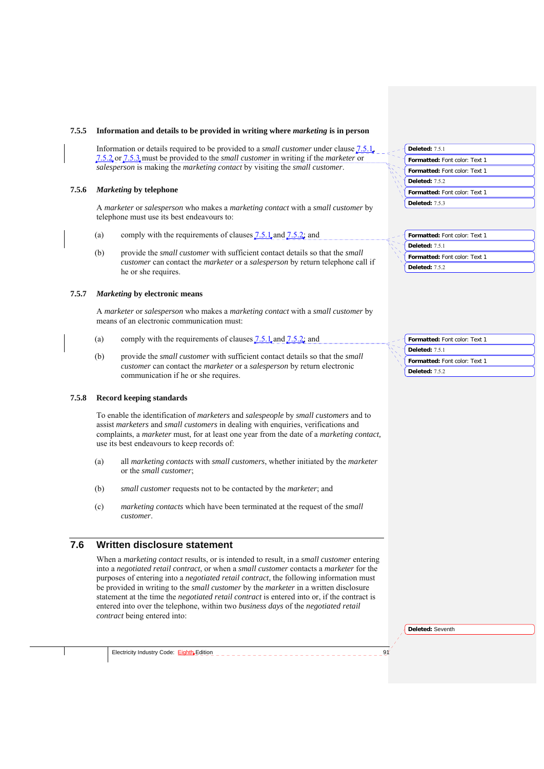#### **7.5.5 Information and details to be provided in writing where** *marketing* **is in person**

Information or details required to be provided to a *small customer* under clause 7.5.1, 7.5.2 or 7.5.3 must be provided to the *small customer* in writing if the *marketer* or *salesperson* is making the *marketing contact* by visiting the *small customer*.

#### **7.5.6** *Marketing* **by telephone**

A *marketer* or *salesperson* who makes a *marketing contact* with a *small customer* by telephone must use its best endeavours to:

- (a) comply with the requirements of clauses  $7.5.1$  and  $7.5.2$ ; and
- (b) provide the *small customer* with sufficient contact details so that the *small customer* can contact the *marketer* or a *salesperson* by return telephone call if he or she requires.

#### **7.5.7** *Marketing* **by electronic means**

A *marketer* or *salesperson* who makes a *marketing contact* with a *small customer* by means of an electronic communication must:

- (a) comply with the requirements of clauses  $7.5.1$  and  $7.5.2$ ; and
- (b) provide the *small customer* with sufficient contact details so that the *small customer* can contact the *marketer* or a *salesperson* by return electronic communication if he or she requires.

#### **7.5.8 Record keeping standards**

To enable the identification of *marketers* and *salespeople* by *small customers* and to assist *marketers* and *small customers* in dealing with enquiries, verifications and complaints, a *marketer* must, for at least one year from the date of a *marketing contact,* use its best endeavours to keep records of:

- (a) all *marketing contacts* with *small customers*, whether initiated by the *marketer* or the *small customer*;
- (b) *small customer* requests not to be contacted by the *marketer*; and
- (c) *marketing contacts* which have been terminated at the request of the *small customer*.

# **7.6 Written disclosure statement**

When a *marketing contact* results, or is intended to result, in a *small customer* entering into a *negotiated retail contract*, or when a *small customer* contacts a *marketer* for the purposes of entering into a *negotiated retail contract*, the following information must be provided in writing to the *small customer* by the *marketer* in a written disclosure statement at the time the *negotiated retail contract* is entered into or, if the contract is entered into over the telephone, within two *business days* of the *negotiated retail contract* being entered into:

|  | Deleted: 7.5.1                |
|--|-------------------------------|
|  | Formatted: Font color: Text 1 |
|  | Formatted: Font color: Text 1 |
|  | <b>Deleted: 7.5.2</b>         |
|  | Formatted: Font color: Text 1 |
|  | <b>Deleted: 7.5.3</b>         |
|  |                               |

| Formatted: Font color: Text 1 |
|-------------------------------|
| <b>Deleted: 7.5.1</b>         |
|                               |
| Formatted: Font color: Text 1 |

| Formatted: Font color: Text 1 |
|-------------------------------|
| Deleted: $751$                |
| Formatted: Font color: Text 1 |
| Deleted: $752$                |

**Deleted:** Seventh

Electricity Industry Code:  $EighthEqhttpEdition  $\overline{a} = \overline{b}$ </u>$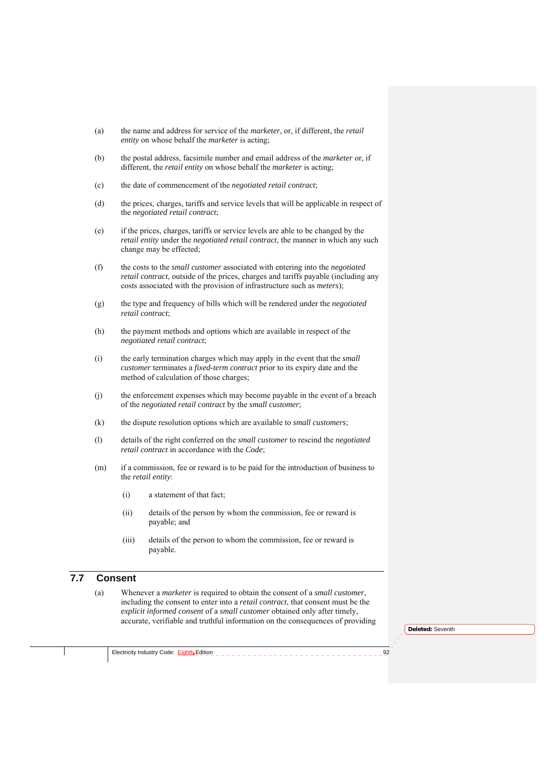- (a) the name and address for service of the *marketer*, or, if different, the *retail entity* on whose behalf the *marketer* is acting;
- (b) the postal address, facsimile number and email address of the *marketer* or, if different, the *retail entity* on whose behalf the *marketer* is acting;
- (c) the date of commencement of the *negotiated retail contract*;
- (d) the prices, charges, tariffs and service levels that will be applicable in respect of the *negotiated retail contract*;
- (e) if the prices, charges, tariffs or service levels are able to be changed by the *retail entity* under the *negotiated retail contract*, the manner in which any such change may be effected;
- (f) the costs to the *small customer* associated with entering into the *negotiated retail contract*, outside of the prices, charges and tariffs payable (including any costs associated with the provision of infrastructure such as *meters*);
- (g) the type and frequency of bills which will be rendered under the *negotiated retail contract*;
- (h) the payment methods and options which are available in respect of the *negotiated retail contract*;
- (i) the early termination charges which may apply in the event that the *small customer* terminates a *fixed-term contract* prior to its expiry date and the method of calculation of those charges;
- (j) the enforcement expenses which may become payable in the event of a breach of the *negotiated retail contract* by the *small customer*;
- (k) the dispute resolution options which are available to *small customers*;
- (l) details of the right conferred on the *small customer* to rescind the *negotiated retail contract* in accordance with the *Code*;
- (m) if a commission, fee or reward is to be paid for the introduction of business to the *retail entity*:
	- (i) a statement of that fact;
	- (ii) details of the person by whom the commission, fee or reward is payable; and
	- (iii) details of the person to whom the commission, fee or reward is payable.

## **7.7 Consent**

(a) Whenever a *marketer* is required to obtain the consent of a *small customer*, including the consent to enter into a *retail contract*, that consent must be the *explicit informed consent* of a *small customer* obtained only after timely, accurate, verifiable and truthful information on the consequences of providing

**Deleted:** Seventh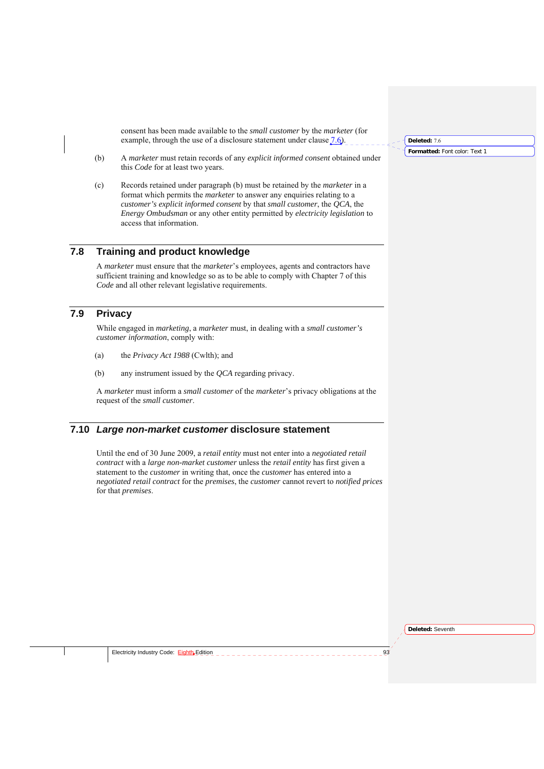consent has been made available to the *small customer* by the *marketer* (for example, through the use of a disclosure statement under clause  $7.6$ .

- (b) A *marketer* must retain records of any *explicit informed consent* obtained under this *Code* for at least two years.
- (c) Records retained under paragraph (b) must be retained by the *marketer* in a format which permits the *marketer* to answer any enquiries relating to a *customer's explicit informed consent* by that *small customer*, the *QCA*, the *Energy Ombudsman* or any other entity permitted by *electricity legislation* to access that information.

### **7.8 Training and product knowledge**

A *marketer* must ensure that the *marketer*'s employees, agents and contractors have sufficient training and knowledge so as to be able to comply with Chapter 7 of this *Code* and all other relevant legislative requirements.

# **7.9 Privacy**

While engaged in *marketing*, a *marketer* must, in dealing with a *small customer's customer information*, comply with:

- (a) the *Privacy Act 1988* (Cwlth); and
- (b) any instrument issued by the *QCA* regarding privacy.

A *marketer* must inform a *small customer* of the *marketer*'s privacy obligations at the request of the *small customer*.

## **7.10** *Large non-market customer* **disclosure statement**

Until the end of 30 June 2009, a *retail entity* must not enter into a *negotiated retail contract* with a *large non-market customer* unless the *retail entity* has first given a statement to the *customer* in writing that, once the *customer* has entered into a *negotiated retail contract* for the *premises*, the *customer* cannot revert to *notified prices* for that *premises*.

**Formatted:** Font color: Text 1 **Deleted:** 7.6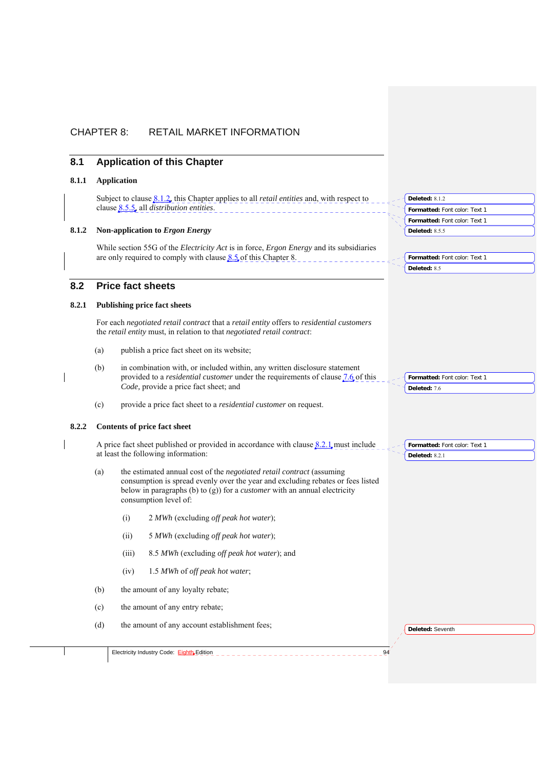# CHAPTER 8: RETAIL MARKET INFORMATION

## **8.1 Application of this Chapter**

### **8.1.1 Application**

Subject to clause 8.1.2, this Chapter applies to all *retail entities* and, with respect to clause 8.5.5, all *distribution entities*.

### **8.1.2 Non-application to** *Ergon Energy*

While section 55G of the *Electricity Act* is in force, *Ergon Energy* and its subsidiaries are only required to comply with clause  $8.5$  of this Chapter 8.

## **8.2 Price fact sheets**

### **8.2.1 Publishing price fact sheets**

For each *negotiated retail contract* that a *retail entity* offers to *residential customers* the *retail entity* must, in relation to that *negotiated retail contract*:

- (a) publish a price fact sheet on its website;
- (b) in combination with, or included within, any written disclosure statement provided to a *residential customer* under the requirements of clause 7.6 of this *Code,* provide a price fact sheet; and
- (c) provide a price fact sheet to a *residential customer* on request.

## **8.2.2 Contents of price fact sheet**

A price fact sheet published or provided in accordance with clause  $8.2.1$  must include at least the following information:

- (a) the estimated annual cost of the *negotiated retail contract* (assuming consumption is spread evenly over the year and excluding rebates or fees listed below in paragraphs (b) to (g)) for a *customer* with an annual electricity consumption level of:
	- (i) 2 *MWh* (excluding *off peak hot water*);
	- (ii) 5 *MWh* (excluding *off peak hot water*);
	- (iii) 8.5 *MWh* (excluding *off peak hot water*); and
	- (iv) 1.5 *MWh* of *off peak hot water*;
- (b) the amount of any loyalty rebate;
- (c) the amount of any entry rebate;

Electricity Industry Code: Eighth Edition

(d) the amount of any account establishment fees;

**Deleted:** Seventh

**Formatted:** Font color: Text 1

**Formatted:** Font color: Text 1

**Formatted:** Font color: Text 1

**Formatted:** Font color: Text 1

**Formatted:** Font color: Text 1

**Deleted:** 8.1.2

**Deleted:** 8.5.5

**Deleted:** 8.5

**Deleted:** 7.6

**Deleted:** 8.2.1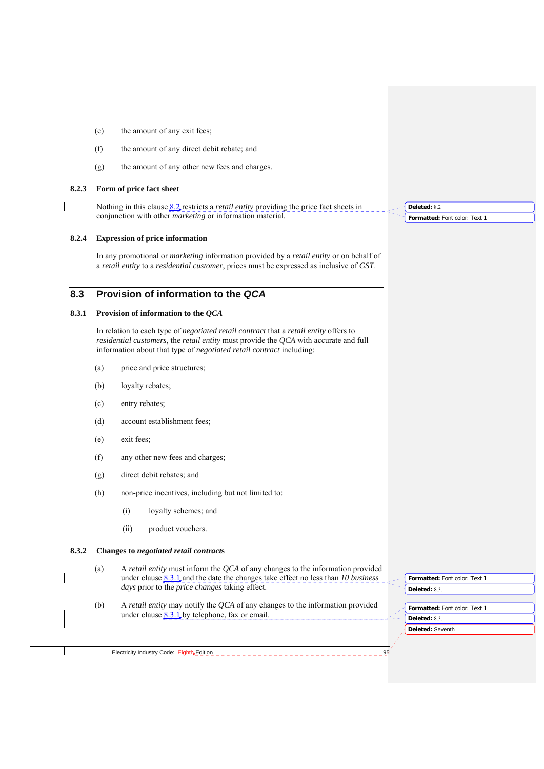- (e) the amount of any exit fees;
- (f) the amount of any direct debit rebate; and
- (g) the amount of any other new fees and charges.

#### **8.2.3 Form of price fact sheet**

Nothing in this clause 8.2 restricts a *retail entity* providing the price fact sheets in conjunction with other *marketing* or information material.

### **8.2.4 Expression of price information**

In any promotional or *marketing* information provided by a *retail entity* or on behalf of a *retail entity* to a *residential customer*, prices must be expressed as inclusive of *GST*.

# **8.3 Provision of information to the** *QCA*

### **8.3.1 Provision of information to the** *QCA*

In relation to each type of *negotiated retail contract* that a *retail entity* offers to *residential customers*, the *retail entity* must provide the *QCA* with accurate and full information about that type of *negotiated retail contract* including:

- (a) price and price structures;
- (b) loyalty rebates;
- (c) entry rebates;
- (d) account establishment fees;
- (e) exit fees;
- (f) any other new fees and charges;
- (g) direct debit rebates; and
- (h) non-price incentives, including but not limited to:
	- (i) loyalty schemes; and
	- (ii) product vouchers.

### **8.3.2 Changes to** *negotiated retail contract***s**

- (a) A *retail entity* must inform the *QCA* of any changes to the information provided under clause 8.3.1 and the date the changes take effect no less than *10 business days* prior to the *price changes* taking effect.
- (b) A *retail entity* may notify the *QCA* of any changes to the information provided under clause  $8.3.1$ , by telephone, fax or email.

**Formatted:** Font color: Text 1 **Deleted:** 8.3.1

**Deleted:** Seventh **Formatted:** Font color: Text 1 **Deleted:** 8.3.1

Electricity Industry Code: Eighth Edition **95** 

**Formatted:** Font color: Text 1 **Deleted:** 8.2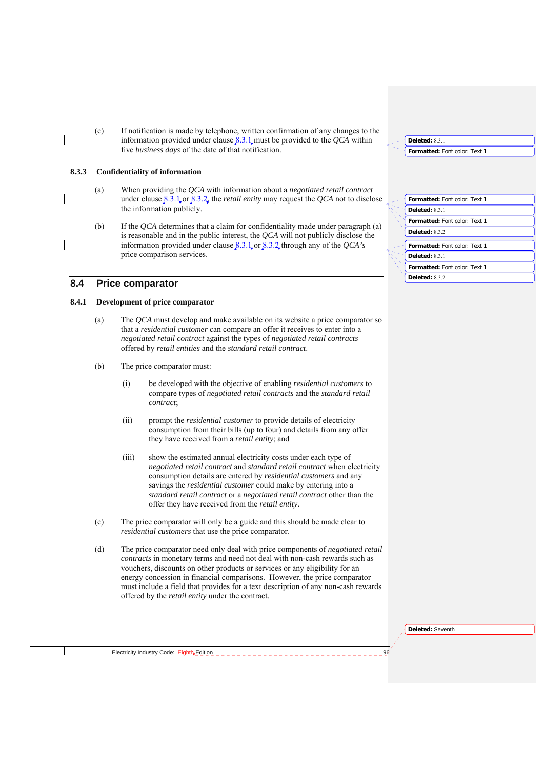(c) If notification is made by telephone, written confirmation of any changes to the information provided under clause  $8.3.1$  must be provided to the *QCA* within five *business days* of the date of that notification.

#### **8.3.3 Confidentiality of information**

- (a) When providing the *QCA* with information about a *negotiated retail contract* under clause  $8.3.1$  or  $8.3.2$ , the *retail entity* may request the *QCA* not to disclose the information publicly.
- (b) If the *QCA* determines that a claim for confidentiality made under paragraph (a) is reasonable and in the public interest, the *QCA* will not publicly disclose the information provided under clause 8.3.1 or 8.3.2 through any of the *QCA's* price comparison services.

## **8.4 Price comparator**

#### **8.4.1 Development of price comparator**

- (a) The *QCA* must develop and make available on its website a price comparator so that a *residential customer* can compare an offer it receives to enter into a *negotiated retail contract* against the types of *negotiated retail contracts* offered by *retail entities* and the *standard retail contract*.
- (b) The price comparator must:
	- (i) be developed with the objective of enabling *residential customers* to compare types of *negotiated retail contracts* and the *standard retail contract*;
	- (ii) prompt the *residential customer* to provide details of electricity consumption from their bills (up to four) and details from any offer they have received from a *retail entity*; and
	- (iii) show the estimated annual electricity costs under each type of *negotiated retail contract* and *standard retail contract* when electricity consumption details are entered by *residential customers* and any savings the *residential customer* could make by entering into a *standard retail contract* or a *negotiated retail contract* other than the offer they have received from the *retail entity*.
- (c) The price comparator will only be a guide and this should be made clear to *residential customers* that use the price comparator.
- (d) The price comparator need only deal with price components of *negotiated retail contracts* in monetary terms and need not deal with non-cash rewards such as vouchers, discounts on other products or services or any eligibility for an energy concession in financial comparisons. However, the price comparator must include a field that provides for a text description of any non-cash rewards offered by the *retail entity* under the contract.

|  | Formatted: Font color: Text 1 |
|--|-------------------------------|
|  | Deleted: 8.3.1                |
|  | Formatted: Font color: Text 1 |
|  | Deleted: 8.3.2                |
|  | Formatted: Font color: Text 1 |
|  | Deleted: $831$                |
|  | Formatted: Font color: Text 1 |
|  | Deleted: $8.3.2$              |

**Formatted:** Font color: Text 1

**Deleted:** 8.3.1

**Deleted:** Seventh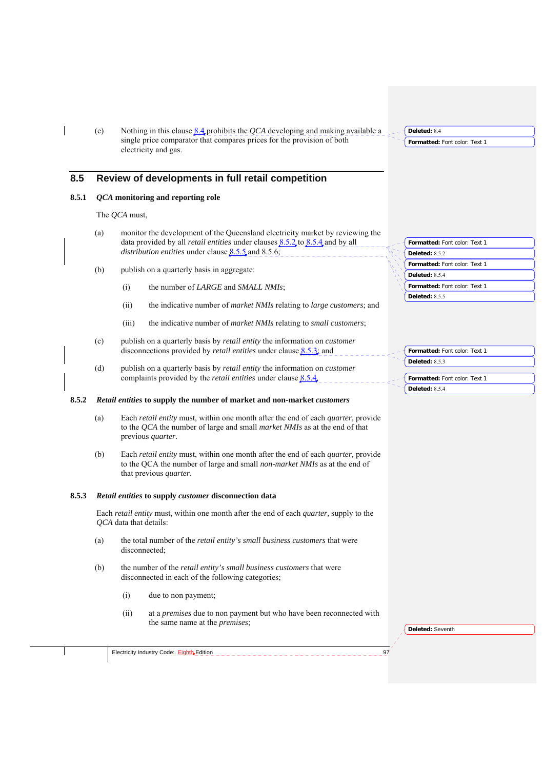(e) Nothing in this clause 8.4 prohibits the *QCA* developing and making available a single price comparator that compares prices for the provision of both electricity and gas.

## **8.5 Review of developments in full retail competition**

### **8.5.1** *QCA* **monitoring and reporting role**

The *QCA* must,

- (a) monitor the development of the Queensland electricity market by reviewing the data provided by all *retail entities* under clauses 8.5.2 to 8.5.4 and by all *distribution entities* under clause 8.5.5 and 8.5.6;
- (b) publish on a quarterly basis in aggregate:
	- (i) the number of *LARGE* and *SMALL NMIs*;
	- (ii) the indicative number of *market NMIs* relating to *large customers*; and
	- (iii) the indicative number of *market NMIs* relating to *small customers*;
- (c) publish on a quarterly basis by *retail entity* the information on *customer* disconnections provided by *retail entities* under clause 8.5.3; and
- (d) publish on a quarterly basis by *retail entity* the information on *customer* complaints provided by the *retail entities* under clause 8.5.4.

#### **8.5.2** *Retail entities* **to supply the number of market and non-market** *customers*

- (a) Each *retail entity* must, within one month after the end of each *quarter,* provide to the *QCA* the number of large and small *market NMIs* as at the end of that previous *quarter*.
- (b) Each *retail entity* must, within one month after the end of each *quarter,* provide to the QCA the number of large and small *non-market NMIs* as at the end of that previous *quarter*.

#### **8.5.3** *Retail entities* **to supply** *customer* **disconnection data**

Each *retail entity* must, within one month after the end of each *quarter,* supply to the *QCA* data that details:

- (a) the total number of the *retail entity's small business customers* that were disconnected;
- (b) the number of the *retail entity's small business customers* that were disconnected in each of the following categories;
	- (i) due to non payment;
	- (ii) at a *premises* due to non payment but who have been reconnected with the same name at the *premises*;

**Deleted:** Seventh

| Formatted: Font color: Text 1 |
|-------------------------------|
| Deleted: 8.5.2                |
| Formatted: Font color: Text 1 |
| Deleted: 8.5.4                |
| Formatted: Font color: Text 1 |
| Deleted: $8.5.5$              |

| - Formatted: Font color: Text 1 |
|---------------------------------|
| Deleted: 8.5.3                  |
|                                 |
| - Formatted: Font color: Text 1 |
| Deleted: 8.5.4                  |

 $\leq$   $\leq$ 

**Formatted:** Font color: Text 1 **Deleted:** 8.4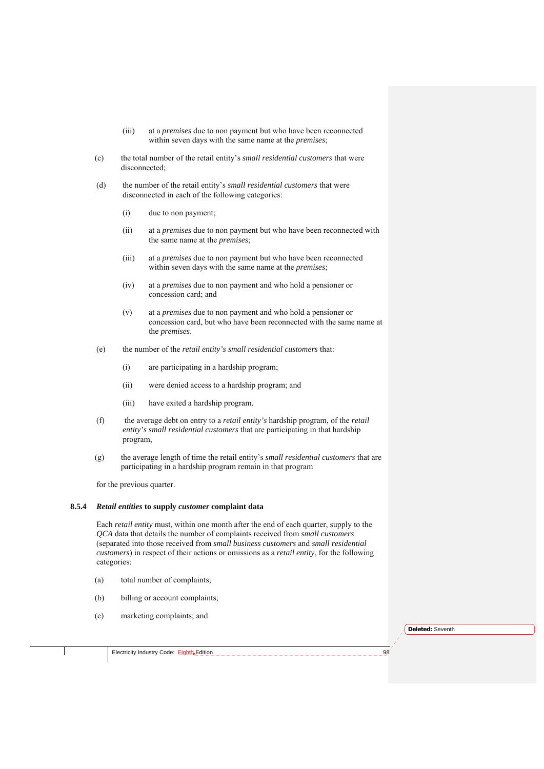- (iii) at a *premises* due to non payment but who have been reconnected within seven days with the same name at the *premises*;
- (c) the total number of the retail entity's *small residential customers* that were disconnected;
- (d) the number of the retail entity's *small residential customers* that were disconnected in each of the following categories:
	- (i) due to non payment;
	- (ii) at a *premises* due to non payment but who have been reconnected with the same name at the *premises*;
	- (iii) at a *premises* due to non payment but who have been reconnected within seven days with the same name at the *premises*;
	- (iv) at a *premises* due to non payment and who hold a pensioner or concession card; and
	- (v) at a *premises* due to non payment and who hold a pensioner or concession card, but who have been reconnected with the same name at the *premises*.
- (e) the number of the *retail entity's small residential customers* that:
	- (i) are participating in a hardship program;
	- (ii) were denied access to a hardship program; and
	- (iii) have exited a hardship program.
- (f) the average debt on entry to a *retail entity's* hardship program, of the *retail entity's small residential customers* that are participating in that hardship program,
- (g) the average length of time the retail entity's *small residential customers* that are participating in a hardship program remain in that program

for the previous quarter.

#### **8.5.4** *Retail entities* **to supply** *customer* **complaint data**

Each *retail entity* must, within one month after the end of each quarter, supply to the *QCA* data that details the number of complaints received from *small customers* (separated into those received from *small business customers* and *small residential customers*) in respect of their actions or omissions as a *retail entity*, for the following categories:

- (a) total number of complaints;
- (b) billing or account complaints;
- (c) marketing complaints; and

**Deleted:** Seventh

Electricity Industry Code:  $EightE$  Edition</u>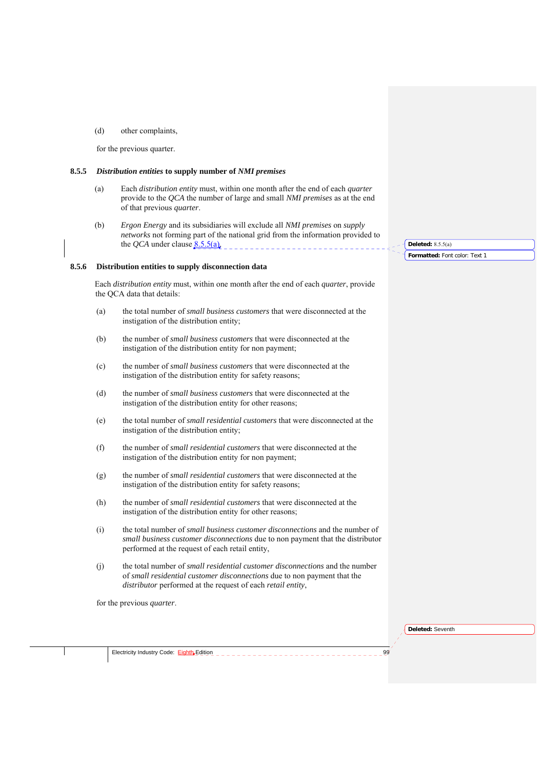(d) other complaints,

for the previous quarter.

#### **8.5.5** *Distribution entities* **to supply number of** *NMI premises*

- (a) Each *distribution entity* must, within one month after the end of each *quarter* provide to the *QCA* the number of large and small *NMI premises* as at the end of that previous *quarter*.
- (b) *Ergon Energy* and its subsidiaries will exclude all *NMI premises* on *supply networks* not forming part of the national grid from the information provided to the *QCA* under clause  $8.5.5(a)$ .

#### **8.5.6 Distribution entities to supply disconnection data**

Each *distribution entity* must, within one month after the end of each *quarter*, provide the QCA data that details:

- (a) the total number of *small business customers* that were disconnected at the instigation of the distribution entity;
- (b) the number of *small business customers* that were disconnected at the instigation of the distribution entity for non payment;
- (c) the number of *small business customers* that were disconnected at the instigation of the distribution entity for safety reasons;
- (d) the number of *small business customers* that were disconnected at the instigation of the distribution entity for other reasons;
- (e) the total number of *small residential customers* that were disconnected at the instigation of the distribution entity;
- (f) the number of *small residential customers* that were disconnected at the instigation of the distribution entity for non payment;
- (g) the number of *small residential customers* that were disconnected at the instigation of the distribution entity for safety reasons;
- (h) the number of *small residential customers* that were disconnected at the instigation of the distribution entity for other reasons;
- (i) the total number of *small business customer disconnections* and the number of *small business customer disconnections* due to non payment that the distributor performed at the request of each retail entity,
- (j) the total number of *small residential customer disconnections* and the number of *small residential customer disconnections* due to non payment that the *distributor* performed at the request of each *retail entity*,

for the previous *quarter*.

**Deleted:** Seventh

Electricity Industry Code: Eighth Edition 99

**Formatted:** Font color: Text 1 **Deleted:** 8.5.5(a)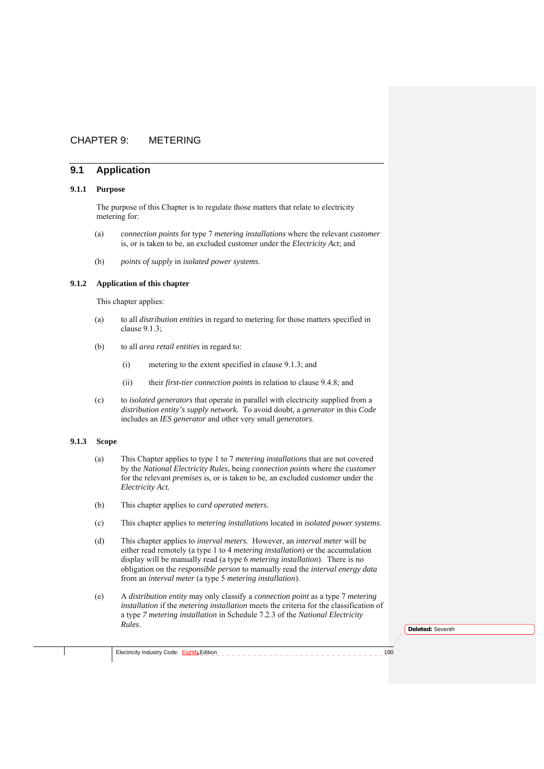## CHAPTER 9: METERING

## **9.1 Application**

### **9.1.1 Purpose**

The purpose of this Chapter is to regulate those matters that relate to electricity metering for:

- (a) *connection points* for type 7 *metering installations* where the relevant *customer*  is, or is taken to be, an excluded customer under the *Electricity Act*; and
- (b) *points of supply* in *isolated power systems*.

### **9.1.2 Application of this chapter**

This chapter applies:

- (a) to all *distribution entities* in regard to metering for those matters specified in clause 9.1.3;
- (b) to all *area retail entities* in regard to:
	- (i) metering to the extent specified in clause 9.1.3; and
	- (ii) their *first-tier connection points* in relation to clause 9.4.8; and
- (c) to *isolated generators* that operate in parallel with electricity supplied from a *distribution entity's supply network.* To avoid doubt, a *generator* in this *Code* includes an *IES generator* and other very small *generators*.

## **9.1.3 Scope**

- (a) This Chapter applies to type 1 to 7 *metering installations* that are not covered by the *National Electricity Rules*, being *connection points* where the *customer* for the relevant *premises* is, or is taken to be, an excluded customer under the *Electricity Act.*
- (b) This chapter applies to *card operated meters*.
- (c) This chapter applies to *metering installations* located in *isolated power systems*.
- (d) This chapter applies to *interval meters.* However, an *interval meter* will be either read remotely (a type 1 to 4 *metering installation*) or the accumulation display will be manually read (a type 6 *metering installation*). There is no obligation on the *responsible person* to manually read the *interval energy data* from an *interval meter* (a type 5 *metering installation*).
- (e) A *distribution entity* may only classify a *connection point* as a type 7 *metering installation* if the *metering installation* meets the criteria for the classification of a type *7 metering installation* in Schedule 7.2.3 of the *National Electricity Rules*.

**Deleted:** Seventh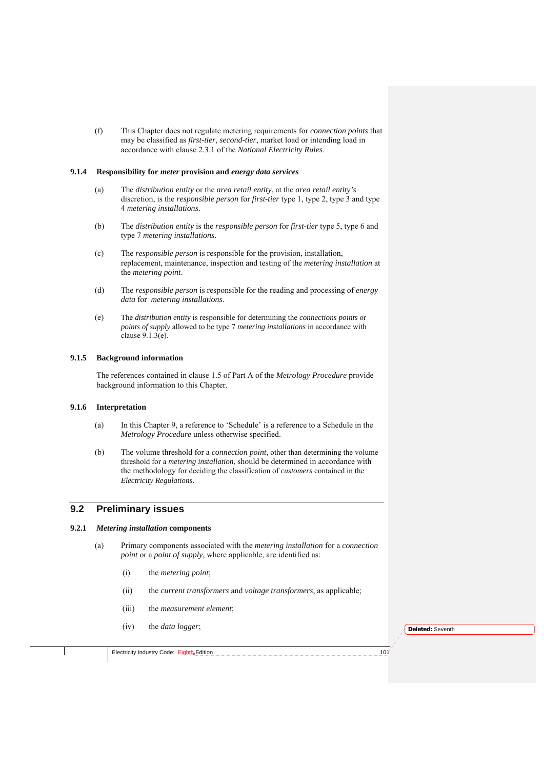(f) This Chapter does not regulate metering requirements for *connection points* that may be classified as *first-tier*, *second-tier*, market load or intending load in accordance with clause 2.3.1 of the *National Electricity Rules*.

#### **9.1.4 Responsibility for** *meter* **provision and** *energy data services*

- (a) The *distribution entity* or the *area retail entity*, at the *area retail entity's* discretion, is the *responsible person* for *first-tier* type 1, type 2, type 3 and type 4 *metering installations*.
- (b) The *distribution entity* is the *responsible person* for *first-tier* type 5, type 6 and type 7 *metering installations*.
- (c) The *responsible person* is responsible for the provision, installation, replacement, maintenance, inspection and testing of the *metering installation* at the *metering point*.
- (d) The *responsible person* is responsible for the reading and processing of *energy data* for *metering installations*.
- (e) The *distribution entity* is responsible for determining the *connections points* or *points of supply* allowed to be type 7 *metering installations* in accordance with clause 9.1.3(e).

#### **9.1.5 Background information**

The references contained in clause 1.5 of Part A of the *Metrology Procedure* provide background information to this Chapter.

#### **9.1.6 Interpretation**

- (a) In this Chapter 9, a reference to 'Schedule' is a reference to a Schedule in the *Metrology Procedure* unless otherwise specified.
- (b) The volume threshold for a *connection point*, other than determining the volume threshold for a *metering installation*, should be determined in accordance with the methodology for deciding the classification of *customers* contained in the *Electricity Regulations*.

## **9.2 Preliminary issues**

### **9.2.1** *Metering installation* **components**

- (a) Primary components associated with the *metering installation* for a *connection point* or a *point of supply*, where applicable, are identified as:
	- (i) the *metering point*;
	- (ii) the *current transformers* and *voltage transformers*, as applicable;
	- (iii) the *measurement element*;
	- (iv) the *data logger*;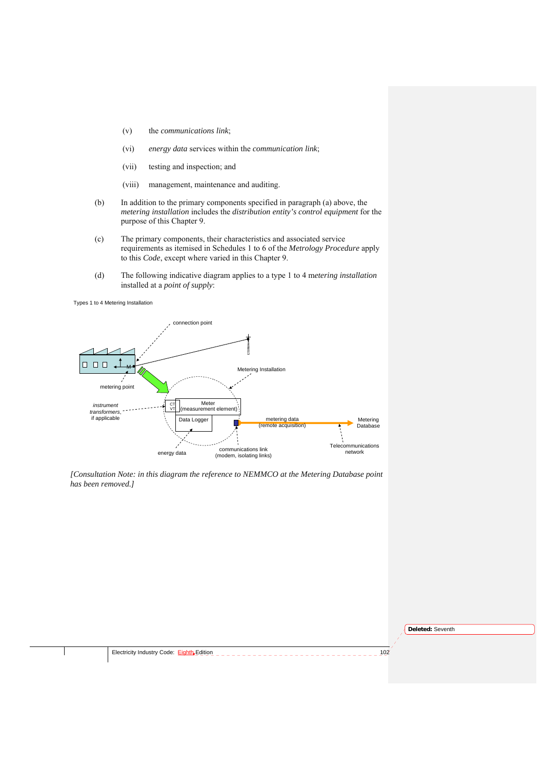- (v) the *communications link*;
- (vi) *energy data* services within the *communication link*;
- (vii) testing and inspection; and
- (viii) management, maintenance and auditing.
- (b) In addition to the primary components specified in paragraph (a) above, the *metering installation* includes the *distribution entity's control equipment* for the purpose of this Chapter 9.
- (c) The primary components, their characteristics and associated service requirements as itemised in Schedules 1 to 6 of the *Metrology Procedure* apply to this *Code*, except where varied in this Chapter 9.
- (d) The following indicative diagram applies to a type 1 to 4 m*etering installation* installed at a *point of supply*:

Types 1 to 4 Metering Installation



*[Consultation Note: in this diagram the reference to NEMMCO at the Metering Database point has been removed.]* 

**Deleted:** Seventh

Electricity Industry Code: Eighth Edition 2000 102 2021 102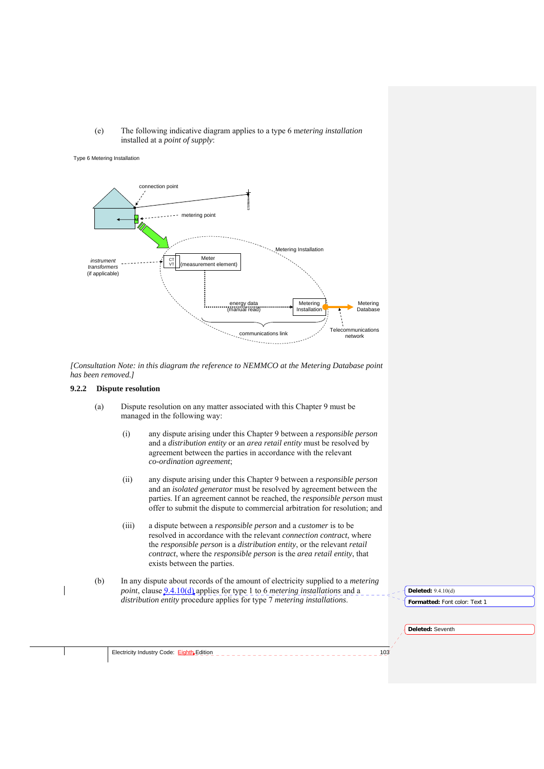(e) The following indicative diagram applies to a type 6 m*etering installation*  installed at a *point of supply*:

#### Type 6 Metering Installation



*[Consultation Note: in this diagram the reference to NEMMCO at the Metering Database point has been removed.]* 

#### **9.2.2 Dispute resolution**

- (a) Dispute resolution on any matter associated with this Chapter 9 must be managed in the following way:
	- (i) any dispute arising under this Chapter 9 between a *responsible person* and a *distribution entity* or an *area retail entity* must be resolved by agreement between the parties in accordance with the relevant *co-ordination agreement*;
	- (ii) any dispute arising under this Chapter 9 between a *responsible person* and an *isolated generator* must be resolved by agreement between the parties. If an agreement cannot be reached, the *responsible person* must offer to submit the dispute to commercial arbitration for resolution; and
	- (iii) a dispute between a *responsible person* and a *customer* is to be resolved in accordance with the relevant *connection contract*, where the *responsible person* is a *distribution entity*, or the relevant *retail contract*, where the *responsible person* is the *area retail entity*, that exists between the parties.
- (b) In any dispute about records of the amount of electricity supplied to a *metering point*, clause 9.4.10(d) applies for type 1 to 6 *metering installations* and a *distribution entity* procedure applies for type 7 *metering installations*.

**Deleted:** 9.4.10(d)

**Deleted:** Seventh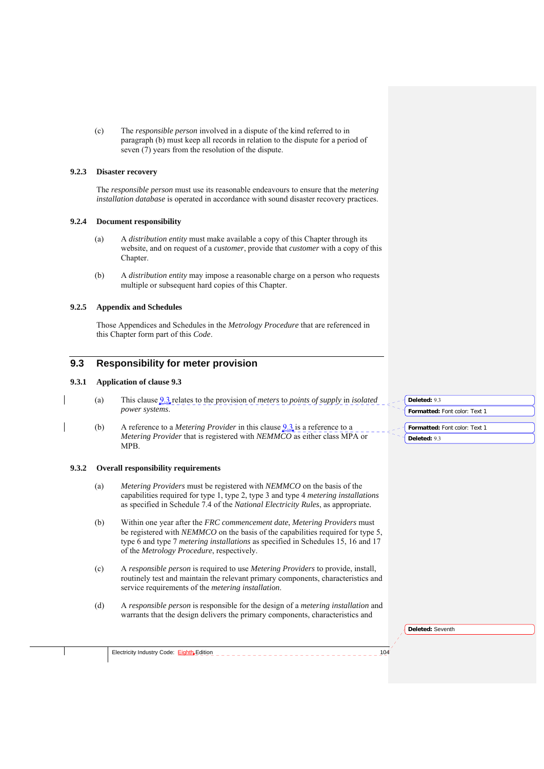(c) The *responsible person* involved in a dispute of the kind referred to in paragraph (b) must keep all records in relation to the dispute for a period of seven (7) years from the resolution of the dispute.

### **9.2.3 Disaster recovery**

The *responsible person* must use its reasonable endeavours to ensure that the *metering installation database* is operated in accordance with sound disaster recovery practices.

#### **9.2.4 Document responsibility**

- (a) A *distribution entity* must make available a copy of this Chapter through its website, and on request of a *customer*, provide that *customer* with a copy of this Chapter.
- (b) A *distribution entity* may impose a reasonable charge on a person who requests multiple or subsequent hard copies of this Chapter.

#### **9.2.5 Appendix and Schedules**

Those Appendices and Schedules in the *Metrology Procedure* that are referenced in this Chapter form part of this *Code*.

## **9.3 Responsibility for meter provision**

#### **9.3.1 Application of clause 9.3**

- (a) This clause 9.3 relates to the provision of *meters* to *points of supply* in *isolated power systems*.
- (b) A reference to a *Metering Provider* in this clause 9.3 is a reference to a *Metering Provider* that is registered with *NEMMCO* as either class MPA or MPB.

#### **9.3.2 Overall responsibility requirements**

- (a) *Metering Providers* must be registered with *NEMMCO* on the basis of the capabilities required for type 1, type 2, type 3 and type 4 *metering installations* as specified in Schedule 7.4 of the *National Electricity Rules*, as appropriate*.*
- (b) Within one year after the *FRC commencement date*, *Metering Providers* must be registered with *NEMMCO* on the basis of the capabilities required for type 5, type 6 and type 7 *metering installations* as specified in Schedules 15, 16 and 17 of the *Metrology Procedure*, respectively.
- (c) A *responsible person* is required to use *Metering Providers* to provide, install, routinely test and maintain the relevant primary components, characteristics and service requirements of the *metering installation*.
- (d) A *responsible person* is responsible for the design of a *metering installation* and warrants that the design delivers the primary components, characteristics and

| Deleted: 9.3                  |
|-------------------------------|
| Formatted: Font color: Text 1 |
|                               |
| Formatted: Font color: Text 1 |
| Deleted: 9.3                  |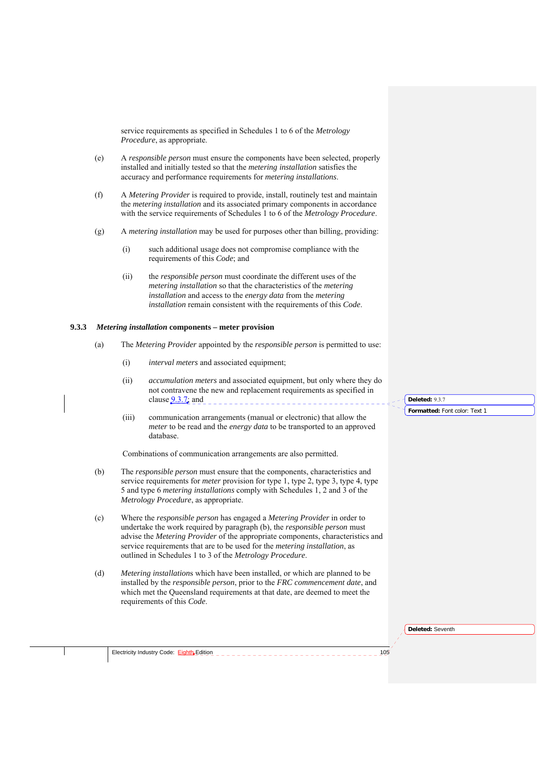service requirements as specified in Schedules 1 to 6 of the *Metrology Procedure*, as appropriate.

- (e) A *responsible person* must ensure the components have been selected, properly installed and initially tested so that the *metering installation* satisfies the accuracy and performance requirements for *metering installations*.
- (f) A *Metering Provider* is required to provide, install, routinely test and maintain the *metering installation* and its associated primary components in accordance with the service requirements of Schedules 1 to 6 of the *Metrology Procedure*.
- (g) A *metering installation* may be used for purposes other than billing, providing:
	- (i) such additional usage does not compromise compliance with the requirements of this *Code*; and
	- (ii) the *responsible person* must coordinate the different uses of the *metering installation* so that the characteristics of the *metering installation* and access to the *energy data* from the *metering installation* remain consistent with the requirements of this *Code*.

#### **9.3.3** *Metering installation* **components – meter provision**

- (a) The *Metering Provider* appointed by the *responsible person* is permitted to use:
	- (i) *interval meters* and associated equipment;
	- (ii) *accumulation meters* and associated equipment, but only where they do not contravene the new and replacement requirements as specified in clause  $9.3.7$ ; and
	- (iii) communication arrangements (manual or electronic) that allow the *meter* to be read and the *energy data* to be transported to an approved database.

Combinations of communication arrangements are also permitted.

- (b) The *responsible person* must ensure that the components, characteristics and service requirements for *meter* provision for type 1, type 2, type 3, type 4, type 5 and type 6 *metering installations* comply with Schedules 1, 2 and 3 of the *Metrology Procedure*, as appropriate.
- (c) Where the *responsible person* has engaged a *Metering Provider* in order to undertake the work required by paragraph (b), the *responsible person* must advise the *Metering Provider* of the appropriate components, characteristics and service requirements that are to be used for the *metering installation*, as outlined in Schedules 1 to 3 of the *Metrology Procedure*.
- (d) *Metering installation*s which have been installed, or which are planned to be installed by the *responsible person*, prior to the *FRC commencement date*, and which met the Queensland requirements at that date, are deemed to meet the requirements of this *Code*.

**Deleted:** Seventh

**Formatted:** Font color: Text 1

**Deleted:** 9.3.7

Electricity Industry Code: Eighth<sub>y</sub>Edition 2008 105 All also a contract to a contract the contract of the 105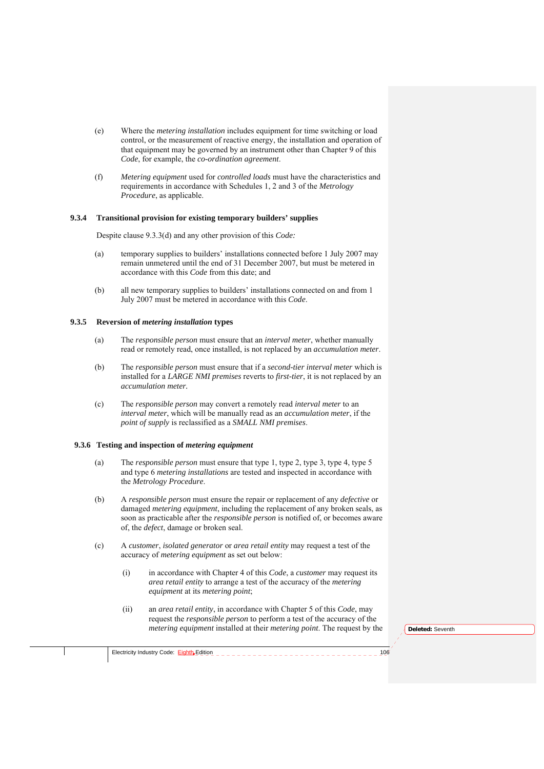- (e) Where the *metering installation* includes equipment for time switching or load control, or the measurement of reactive energy, the installation and operation of that equipment may be governed by an instrument other than Chapter 9 of this *Code*, for example, the *co-ordination agreement*.
- (f) *Metering equipment* used for *controlled loads* must have the characteristics and requirements in accordance with Schedules 1, 2 and 3 of the *Metrology Procedure*, as applicable.

#### **9.3.4 Transitional provision for existing temporary builders' supplies**

Despite clause 9.3.3(d) and any other provision of this *Code:* 

- (a) temporary supplies to builders' installations connected before 1 July 2007 may remain unmetered until the end of 31 December 2007, but must be metered in accordance with this *Code* from this date; and
- (b) all new temporary supplies to builders' installations connected on and from 1 July 2007 must be metered in accordance with this *Code*.

#### **9.3.5 Reversion of** *metering installation* **types**

- (a) The *responsible person* must ensure that an *interval meter*, whether manually read or remotely read, once installed, is not replaced by an *accumulation meter*.
- (b) The *responsible person* must ensure that if a *second-tier interval meter* which is installed for a *LARGE NMI premises* reverts to *first-tier*, it is not replaced by an *accumulation meter.*
- (c) The *responsible person* may convert a remotely read *interval meter* to an *interval meter*, which will be manually read as an *accumulation meter*, if the *point of supply* is reclassified as a *SMALL NMI premises*.

#### **9.3.6 Testing and inspection of** *metering equipment*

- (a) The *responsible person* must ensure that type 1, type 2, type 3, type 4, type 5 and type 6 *metering installations* are tested and inspected in accordance with the *Metrology Procedure*.
- (b) A *responsible person* must ensure the repair or replacement of any *defective* or damaged *metering equipment*, including the replacement of any broken seals, as soon as practicable after the *responsible person* is notified of, or becomes aware of, the *defect*, damage or broken seal.
- (c) A *customer*, *isolated generator* or *area retail entity* may request a test of the accuracy of *metering equipment* as set out below:
	- (i) in accordance with Chapter 4 of this *Code*, a *customer* may request its *area retail entity* to arrange a test of the accuracy of the *metering equipment* at its *metering point*;
	- (ii) an *area retail entity*, in accordance with Chapter 5 of this *Code*, may request the *responsible person* to perform a test of the accuracy of the *metering equipment* installed at their *metering point*. The request by the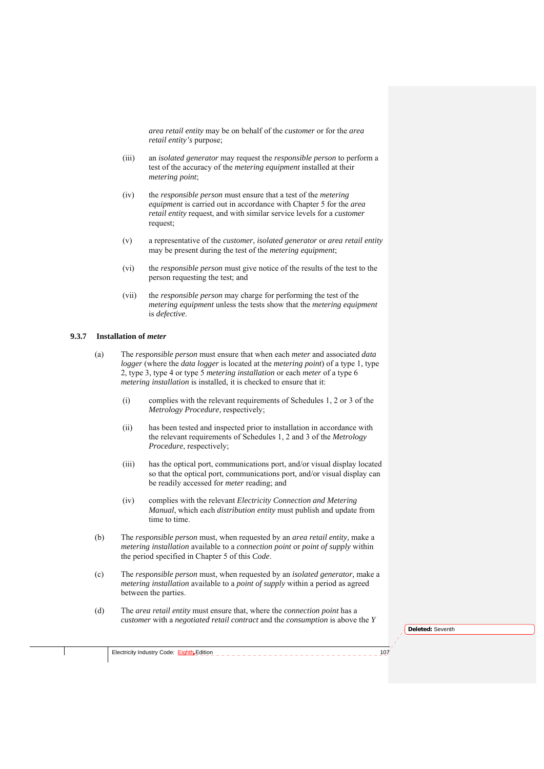*area retail entity* may be on behalf of the *customer* or for the *area retail entity's* purpose;

- (iii) an *isolated generator* may request the *responsible person* to perform a test of the accuracy of the *metering equipment* installed at their *metering point*;
- (iv) the *responsible person* must ensure that a test of the *metering equipment* is carried out in accordance with Chapter 5 for the *area retail entity* request, and with similar service levels for a *customer* request;
- (v) a representative of the *customer*, *isolated generator* or *area retail entity*  may be present during the test of the *metering equipment*;
- (vi) the *responsible person* must give notice of the results of the test to the person requesting the test; and
- (vii) the *responsible person* may charge for performing the test of the *metering equipment* unless the tests show that the *metering equipment* is *defective*.

#### **9.3.7 Installation of** *meter*

- (a) The *responsible person* must ensure that when each *meter* and associated *data logger* (where the *data logger* is located at the *metering point*) of a type 1, type 2, type 3, type 4 or type 5 *metering installation* or each *meter* of a type 6 *metering installation* is installed, it is checked to ensure that it:
	- (i) complies with the relevant requirements of Schedules 1, 2 or 3 of the *Metrology Procedure*, respectively;
	- (ii) has been tested and inspected prior to installation in accordance with the relevant requirements of Schedules 1, 2 and 3 of the *Metrology Procedure*, respectively;
	- (iii) has the optical port, communications port, and/or visual display located so that the optical port, communications port, and/or visual display can be readily accessed for *meter* reading; and
	- (iv) complies with the relevant *Electricity Connection and Metering Manual*, which each *distribution entity* must publish and update from time to time.
- (b) The *responsible person* must, when requested by an *area retail entity,* make a *metering installation* available to a *connection point* or *point of supply* within the period specified in Chapter 5 of this *Code*.
- (c) The *responsible person* must, when requested by an *isolated generator,* make a *metering installation* available to a *point of supply* within a period as agreed between the parties.
- (d) The *area retail entity* must ensure that, where the *connection point* has a *customer* with a *negotiated retail contract* and the *consumption* is above the *Y*

**Deleted:** Seventh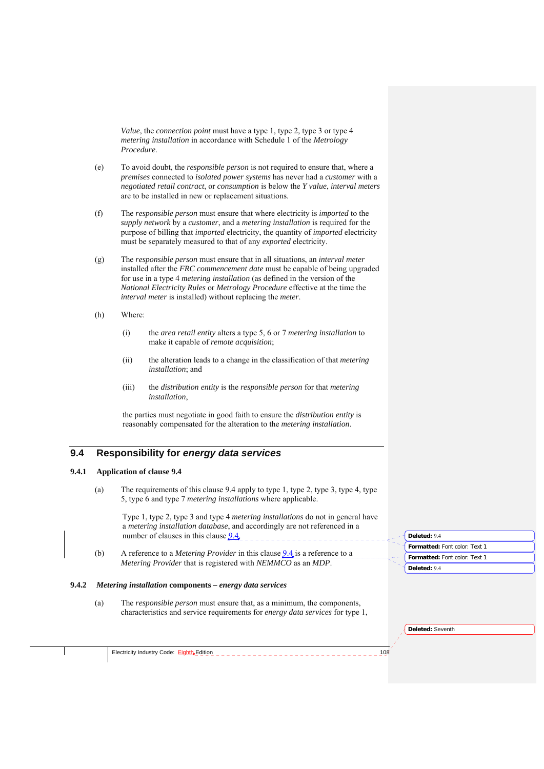*Value*, the *connection point* must have a type 1, type 2, type 3 or type 4 *metering installation* in accordance with Schedule 1 of the *Metrology Procedure*.

- (e) To avoid doubt, the *responsible person* is not required to ensure that, where a *premises* connected to *isolated power systems* has never had a *customer* with a *negotiated retail contract*, or *consumption* is below the *Y value*, *interval meters* are to be installed in new or replacement situations.
- (f) The *responsible person* must ensure that where electricity is *imported* to the *supply network* by a *customer*, and a *metering installation* is required for the purpose of billing that *imported* electricity, the quantity of *imported* electricity must be separately measured to that of any *exported* electricity.
- (g) The *responsible person* must ensure that in all situations, an *interval meter* installed after the *FRC commencement date* must be capable of being upgraded for use in a type 4 *metering installation* (as defined in the version of the *National Electricity Rules* or *Metrology Procedure* effective at the time the *interval meter* is installed) without replacing the *meter*.
- (h) Where:
	- (i) the *area retail entity* alters a type 5, 6 or 7 *metering installation* to make it capable of *remote acquisition*;
	- (ii) the alteration leads to a change in the classification of that *metering installation*; and
	- (iii) the *distribution entity* is the *responsible person* for that *metering installation*,

the parties must negotiate in good faith to ensure the *distribution entity* is reasonably compensated for the alteration to the *metering installation*.

## **9.4 Responsibility for** *energy data services*

## **9.4.1 Application of clause 9.4**

(a) The requirements of this clause 9.4 apply to type 1, type 2, type 3, type 4, type 5, type 6 and type 7 *metering installations* where applicable.

Type 1, type 2, type 3 and type 4 *metering installations* do not in general have a *metering installation database*, and accordingly are not referenced in a number of clauses in this clause  $9.4$ .

(b) A reference to a *Metering Provider* in this clause 9.4 is a reference to a *Metering Provider* that is registered with *NEMMCO* as an *MDP*.

## **9.4.2** *Metering installation* **components –** *energy data services*

(a) The *responsible person* must ensure that, as a minimum, the components, characteristics and service requirements for *energy data services* for type 1, **Formatted:** Font color: Text 1 **Deleted:** 9.4 **Formatted:** Font color: Text 1 **Deleted:** 9.4

**Deleted:** Seventh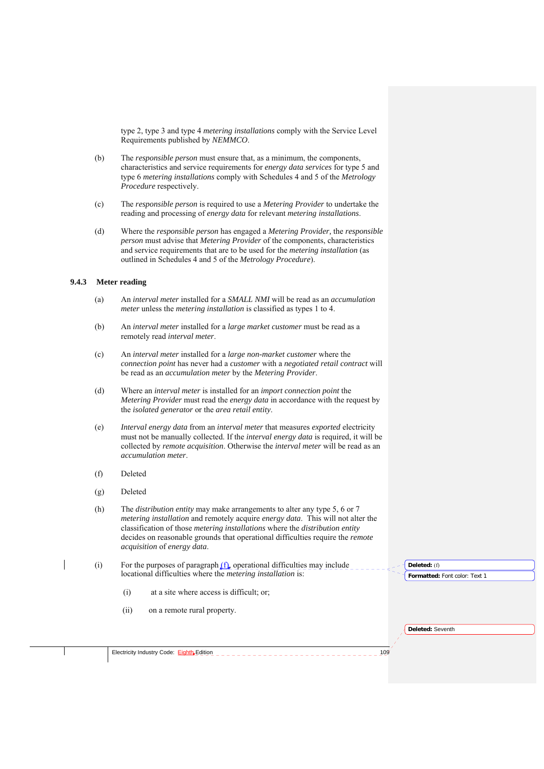type 2, type 3 and type 4 *metering installations* comply with the Service Level Requirements published by *NEMMCO*.

- (b) The *responsible person* must ensure that, as a minimum, the components, characteristics and service requirements for *energy data services* for type 5 and type 6 *metering installations* comply with Schedules 4 and 5 of the *Metrology Procedure* respectively.
- (c) The *responsible person* is required to use a *Metering Provider* to undertake the reading and processing of *energy data* for relevant *metering installations*.
- (d) Where the *responsible person* has engaged a *Metering Provider,* the *responsible person* must advise that *Metering Provider* of the components, characteristics and service requirements that are to be used for the *metering installation* (as outlined in Schedules 4 and 5 of the *Metrology Procedure*).

#### **9.4.3 Meter reading**

- (a) An *interval meter* installed for a *SMALL NMI* will be read as an *accumulation meter* unless the *metering installation* is classified as types 1 to 4.
- (b) An *interval meter* installed for a *large market customer* must be read as a remotely read *interval meter*.
- (c) An *interval meter* installed for a *large non-market customer* where the *connection point* has never had a *customer* with a *negotiated retail contract* will be read as an *accumulation meter* by the *Metering Provider*.
- (d) Where an *interval meter* is installed for an *import connection point* the *Metering Provider* must read the *energy data* in accordance with the request by the *isolated generator* or the *area retail entity*.
- (e) *Interval energy data* from an *interval meter* that measures *exported* electricity must not be manually collected. If the *interval energy data* is required, it will be collected by *remote acquisition*. Otherwise the *interval meter* will be read as an *accumulation meter*.
- (f) Deleted
- (g) Deleted
- (h) The *distribution entity* may make arrangements to alter any type 5, 6 or 7 *metering installation* and remotely acquire *energy data*. This will not alter the classification of those *metering installations* where the *distribution entity* decides on reasonable grounds that operational difficulties require the *remote acquisition* of *energy data*.
- (i) For the purposes of paragraph  $(f)$ , operational difficulties may include locational difficulties where the *metering installation* is:
	- (i) at a site where access is difficult; or;
	- (ii) on a remote rural property.

**Deleted:** (f)

**Formatted:** Font color: Text 1

**Deleted:** Seventh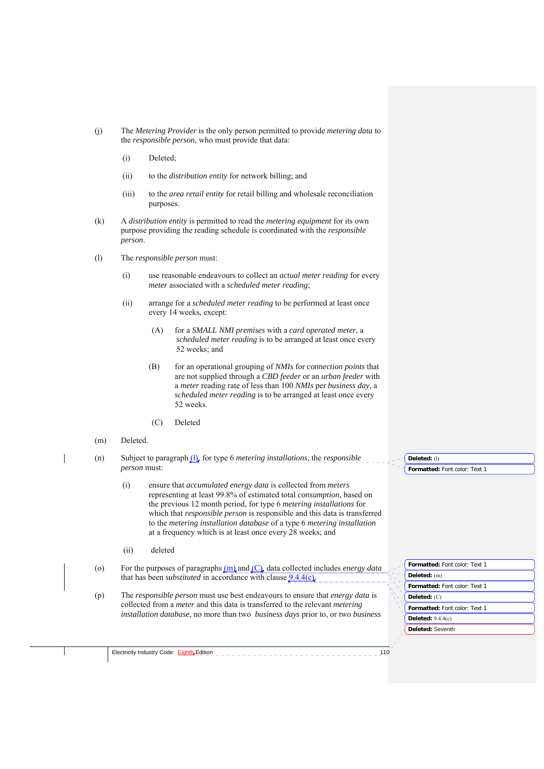- (j) The *Metering Provider* is the only person permitted to provide *metering data* to the *responsible person*, who must provide that data:
	- (i) Deleted;
	- (ii) to the *distribution entity* for network billing; and
	- (iii) to the *area retail entity* for retail billing and wholesale reconciliation purposes.
- (k) A *distribution entity* is permitted to read the *metering equipment* for its own purpose providing the reading schedule is coordinated with the *responsible person*.
- (l) The *responsible person* must:
	- (i) use reasonable endeavours to collect an *actual meter reading* for every *meter* associated with a *scheduled meter reading*;
	- (ii) arrange for a *scheduled meter reading* to be performed at least once every 14 weeks, except:
		- (A) for a *SMALL NMI premises* with a *card operated meter*, a *scheduled meter reading* is to be arranged at least once every 52 weeks; and
		- (B) for an operational grouping of *NMIs* for *connection points* that are not supplied through a *CBD feeder* or an *urban feeder* with a *meter* reading rate of less than 100 *NMIs* per *business day*, a *scheduled meter reading* is to be arranged at least once every 52 weeks.
		- (C) Deleted
- (m) Deleted.

(n) Subject to paragraph (l), for type 6 *metering installations*, the *responsible person* must:

> (i) ensure that *accumulated energy data* is collected from *meters*  representing at least 99.8% of estimated total *consumption*, based on the previous 12 month period, for type 6 *metering installations* for which that *responsible person* is responsible and this data is transferred to the *metering installation database* of a type 6 *metering installation* at a frequency which is at least once every 28 weeks; and

- (ii) deleted
- (o) For the purposes of paragraphs (m) and (C), data collected includes *energy data*  that has been *substituted* in accordance with clause 9.4.4(c).
- (p) The *responsible person* must use best endeavours to ensure that *energy data* is collected from a *meter* and this data is transferred to the relevant *metering installation database,* no more than two *business days* prior to, or two *business*

**Deleted:** (l)

**Formatted:** Font color: Text 1

**Deleted:** Seventh **Formatted:** Font color: Text 1 **Deleted:** (m) **Formatted:** Font color: Text 1 **Deleted:** (C) **Formatted:** Font color: Text 1 **Deleted:** 9.4.4(c)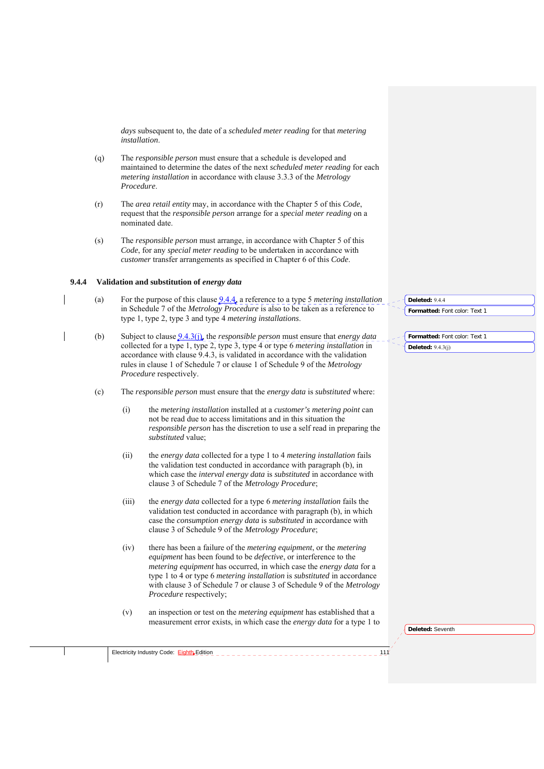*days* subsequent to, the date of a *scheduled meter reading* for that *metering installation*.

- (q) The *responsible person* must ensure that a schedule is developed and maintained to determine the dates of the next *scheduled meter reading* for each *metering installation* in accordance with clause 3.3.3 of the *Metrology Procedure*.
- (r) The *area retail entity* may, in accordance with the Chapter 5 of this *Code*, request that the *responsible person* arrange for a *special meter reading* on a nominated date.
- (s) The *responsible person* must arrange, in accordance with Chapter 5 of this *Code*, for any *special meter reading* to be undertaken in accordance with *customer* transfer arrangements as specified in Chapter 6 of this *Code*.

#### **9.4.4 Validation and substitution of** *energy data*

Electricity Industry Code: Eighth Edition

- (a) For the purpose of this clause 9.4.4, a reference to a type 5 *metering installation* in Schedule 7 of the *Metrology Procedure* is also to be taken as a reference to type 1, type 2, type 3 and type 4 *metering installations*.
- (b) Subject to clause 9.4.3(j), the *responsible person* must ensure that *energy data* collected for a type 1, type 2, type 3, type 4 or type 6 *metering installation* in accordance with clause 9.4.3, is validated in accordance with the validation rules in clause 1 of Schedule 7 or clause 1 of Schedule 9 of the *Metrology Procedure* respectively.
- (c) The *responsible person* must ensure that the *energy data* is *substituted* where:
	- (i) the *metering installation* installed at a *customer's metering point* can not be read due to access limitations and in this situation the *responsible person* has the discretion to use a self read in preparing the *substituted* value;
	- (ii) the *energy data* collected for a type 1 to 4 *metering installation* fails the validation test conducted in accordance with paragraph (b), in which case the *interval energy data* is *substituted* in accordance with clause 3 of Schedule 7 of the *Metrology Procedure*;
	- (iii) the *energy data* collected for a type 6 *metering installation* fails the validation test conducted in accordance with paragraph (b), in which case the *consumption energy data* is *substituted* in accordance with clause 3 of Schedule 9 of the *Metrology Procedure*;
	- (iv) there has been a failure of the *metering equipment*, or the *metering equipment* has been found to be *defective*, or interference to the *metering equipment* has occurred, in which case the *energy data* for a type 1 to 4 or type 6 *metering installation* is *substituted* in accordance with clause 3 of Schedule 7 or clause 3 of Schedule 9 of the *Metrology Procedure* respectively;
	- (v) an inspection or test on the *metering equipment* has established that a measurement error exists, in which case the *energy data* for a type 1 to

**Formatted:** Font color: Text 1 **Deleted:** 9.4.4

**Formatted:** Font color: Text 1 **Deleted:**  $9.4.3(i)$ 

**Deleted:** Seventh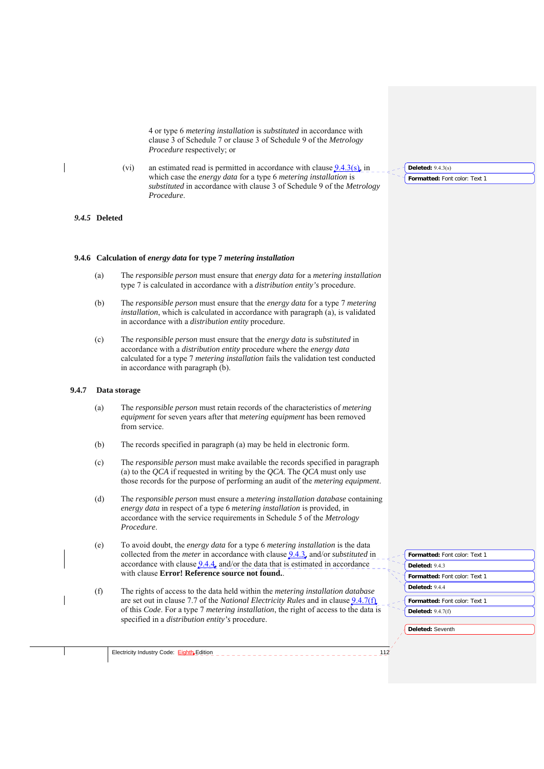4 or type 6 *metering installation* is *substituted* in accordance with clause 3 of Schedule 7 or clause 3 of Schedule 9 of the *Metrology Procedure* respectively; or

(vi) an estimated read is permitted in accordance with clause  $9.4.3(s)$ , in which case the *energy data* for a type 6 *metering installation* is *substituted* in accordance with clause 3 of Schedule 9 of the *Metrology Procedure*.

#### *9.4.5* **Deleted**

#### **9.4.6 Calculation of** *energy data* **for type 7** *metering installation*

- (a) The *responsible person* must ensure that *energy data* for a *metering installation* type 7 is calculated in accordance with a *distribution entity's* procedure.
- (b) The *responsible person* must ensure that the *energy data* for a type 7 *metering installation*, which is calculated in accordance with paragraph (a), is validated in accordance with a *distribution entity* procedure.
- (c) The *responsible person* must ensure that the *energy data* is *substituted* in accordance with a *distribution entity* procedure where the *energy data* calculated for a type 7 *metering installation* fails the validation test conducted in accordance with paragraph (b).

## **9.4.7 Data storage**

- (a) The *responsible person* must retain records of the characteristics of *metering equipment* for seven years after that *metering equipment* has been removed from service.
- (b) The records specified in paragraph (a) may be held in electronic form.
- (c) The *responsible person* must make available the records specified in paragraph (a) to the *QCA* if requested in writing by the *QCA*. The *QCA* must only use those records for the purpose of performing an audit of the *metering equipment*.
- (d) The *responsible person* must ensure a *metering installation database* containing *energy data* in respect of a type 6 *metering installation* is provided, in accordance with the service requirements in Schedule 5 of the *Metrology Procedure*.
- (e) To avoid doubt, the *energy data* for a type 6 *metering installation* is the data collected from the *meter* in accordance with clause 9.4.3, and/or *substituted* in accordance with clause  $9.4.4$ , and/or the data that is estimated in accordance with clause **Error! Reference source not found.**.
- (f) The rights of access to the data held within the *metering installation database*  are set out in clause 7.7 of the *National Electricity Rules* and in clause 9.4.7(f) of this *Code*. For a type 7 *metering installation*, the right of access to the data is specified in a *distribution entity's* procedure.

| Formatted: Font color: Text 1        |
|--------------------------------------|
| Deleted: 9.4.3                       |
| <b>Formatted: Font color: Text 1</b> |
| Deleted: 9.4.4                       |
| Formatted: Font color: Text 1        |
| <b>Deleted: 9.4.7(f)</b>             |
|                                      |

**Deleted:** Seventh

Electricity Industry Code: Eighth Edition 112

#### **Deleted:** 9.4.3(s)

**Formatted:** Font color: Text 1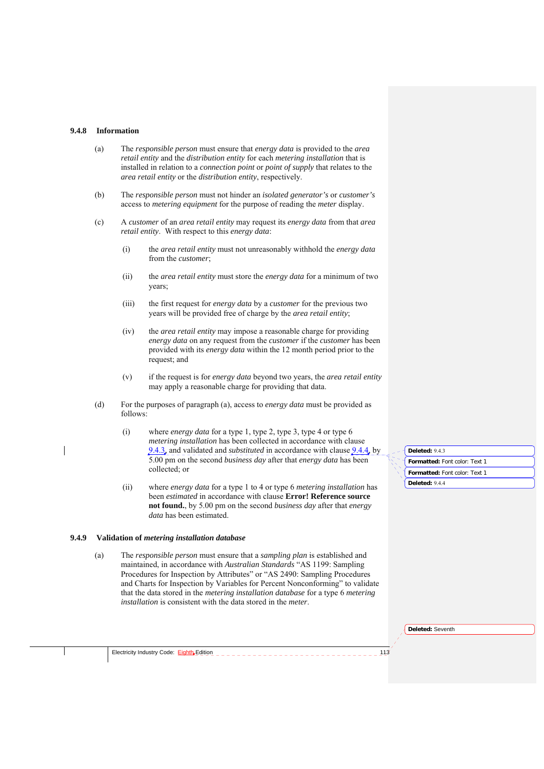#### **9.4.8 Information**

- (a) The *responsible person* must ensure that *energy data* is provided to the *area retail entity* and the *distribution entity* for each *metering installation* that is installed in relation to a *connection point* or *point of supply* that relates to the *area retail entity* or the *distribution entity*, respectively.
- (b) The *responsible person* must not hinder an *isolated generator's* or *customer's* access to *metering equipment* for the purpose of reading the *meter* display.
- (c) A *customer* of an *area retail entity* may request its *energy data* from that *area retail entity*. With respect to this *energy data*:
	- (i) the *area retail entity* must not unreasonably withhold the *energy data* from the *customer*;
	- (ii) the *area retail entity* must store the *energy data* for a minimum of two years;
	- (iii) the first request for *energy data* by a *customer* for the previous two years will be provided free of charge by the *area retail entity*;
	- (iv) the *area retail entity* may impose a reasonable charge for providing *energy data* on any request from the *customer* if the *customer* has been provided with its *energy data* within the 12 month period prior to the request; and
	- (v) if the request is for *energy data* beyond two years, the *area retail entity* may apply a reasonable charge for providing that data.
- (d) For the purposes of paragraph (a), access to *energy data* must be provided as follows:
	- (i) where *energy data* for a type 1, type 2, type 3, type 4 or type 6 *metering installation* has been collected in accordance with clause 9.4.3, and validated and *substituted* in accordance with clause 9.4.4, by 5.00 pm on the second *business day* after that *energy data* has been collected; or
	- (ii) where *energy data* for a type 1 to 4 or type 6 *metering installation* has been *estimated* in accordance with clause **Error! Reference source not found.**, by 5.00 pm on the second *business day* after that *energy data* has been estimated.

#### **9.4.9 Validation of** *metering installation database*

(a) The *responsible person* must ensure that a *sampling plan* is established and maintained, in accordance with *Australian Standards* "AS 1199: Sampling Procedures for Inspection by Attributes" or "AS 2490: Sampling Procedures and Charts for Inspection by Variables for Percent Nonconforming" to validate that the data stored in the *metering installation database* for a type 6 *metering installation* is consistent with the data stored in the *meter*.

| Deleted: 9.4.3                |
|-------------------------------|
| Formatted: Font color: Text 1 |
| Formatted: Font color: Text 1 |
| Deleted: 9.4.4                |

**Deleted:** Seventh

Electricity Industry Code:  $\frac{Eightb}{}$ Edition  $123$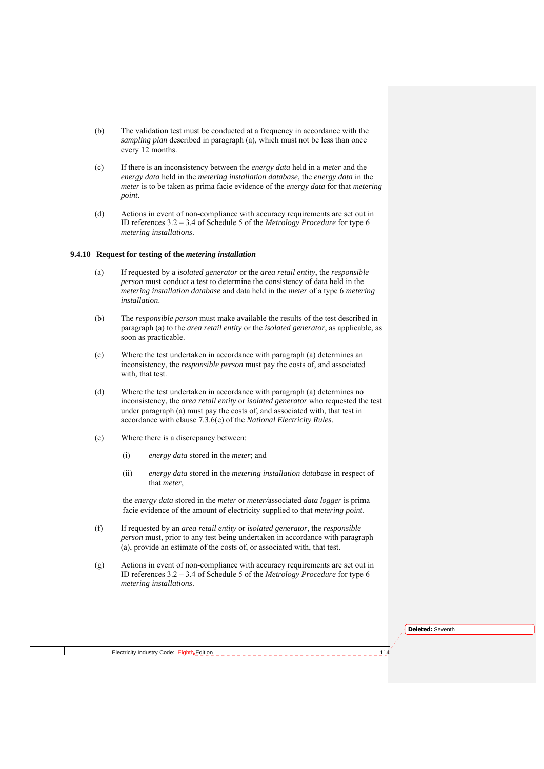- (b) The validation test must be conducted at a frequency in accordance with the *sampling plan* described in paragraph (a), which must not be less than once every 12 months.
- (c) If there is an inconsistency between the *energy data* held in a *meter* and the *energy data* held in the *metering installation database*, the *energy data* in the *meter* is to be taken as prima facie evidence of the *energy data* for that *metering point*.
- (d) Actions in event of non-compliance with accuracy requirements are set out in ID references 3.2 – 3.4 of Schedule 5 of the *Metrology Procedure* for type 6 *metering installations*.

## **9.4.10 Request for testing of the** *metering installation*

- (a) If requested by a *isolated generator* or the *area retail entity*, the *responsible person* must conduct a test to determine the consistency of data held in the *metering installation database* and data held in the *meter* of a type 6 *metering installation*.
- (b) The *responsible person* must make available the results of the test described in paragraph (a) to the *area retail entity* or the *isolated generator*, as applicable, as soon as practicable.
- (c) Where the test undertaken in accordance with paragraph (a) determines an inconsistency, the *responsible person* must pay the costs of, and associated with, that test.
- (d) Where the test undertaken in accordance with paragraph (a) determines no inconsistency, the *area retail entity* or *isolated generator* who requested the test under paragraph (a) must pay the costs of, and associated with, that test in accordance with clause 7.3.6(e) of the *National Electricity Rules*.
- (e) Where there is a discrepancy between:
	- (i) *energy data* stored in the *meter*; and
	- (ii) *energy data* stored in the *metering installation database* in respect of that *meter*,

the *energy data* stored in the *meter* or *meter/*associated *data logger* is prima facie evidence of the amount of electricity supplied to that *metering point*.

- (f) If requested by an *area retail entity* or *isolated generator*, the *responsible person* must, prior to any test being undertaken in accordance with paragraph (a), provide an estimate of the costs of, or associated with, that test.
- (g) Actions in event of non-compliance with accuracy requirements are set out in ID references 3.2 – 3.4 of Schedule 5 of the *Metrology Procedure* for type 6 *metering installations*.

**Deleted:** Seventh

Electricity Industry Code: Eighth Edition 1144 - 1444 - 1444 - 1444 - 1444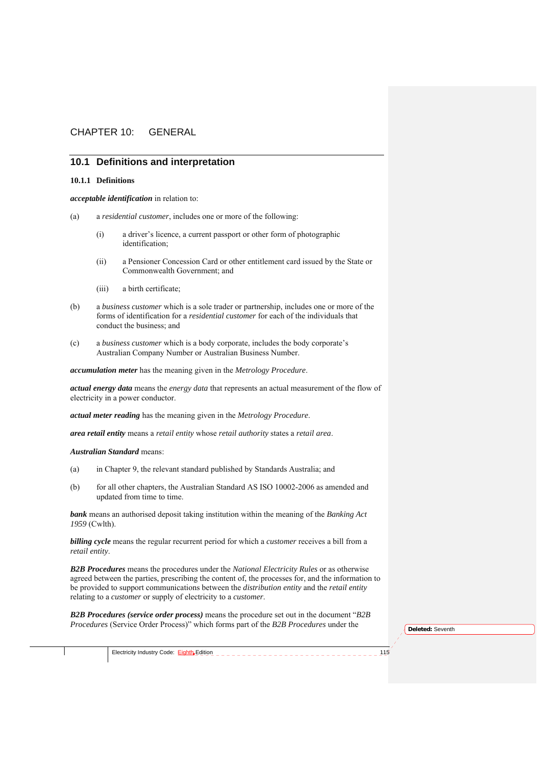## CHAPTER 10: GENERAL

## **10.1 Definitions and interpretation**

#### **10.1.1 Definitions**

*acceptable identification* in relation to:

- (a) a *residential customer*, includes one or more of the following:
	- (i) a driver's licence, a current passport or other form of photographic identification;
	- (ii) a Pensioner Concession Card or other entitlement card issued by the State or Commonwealth Government; and
	- (iii) a birth certificate;
- (b) a *business customer* which is a sole trader or partnership, includes one or more of the forms of identification for a *residential customer* for each of the individuals that conduct the business; and
- (c) a *business customer* which is a body corporate, includes the body corporate's Australian Company Number or Australian Business Number.

*accumulation meter* has the meaning given in the *Metrology Procedure*.

*actual energy data* means the *energy data* that represents an actual measurement of the flow of electricity in a power conductor.

*actual meter reading* has the meaning given in the *Metrology Procedure*.

*area retail entity* means a *retail entity* whose *retail authority* states a *retail area*.

*Australian Standard* means:

- (a) in Chapter 9, the relevant standard published by Standards Australia; and
- (b) for all other chapters, the Australian Standard AS ISO 10002-2006 as amended and updated from time to time.

*bank* means an authorised deposit taking institution within the meaning of the *Banking Act 1959* (Cwlth).

*billing cycle* means the regular recurrent period for which a *customer* receives a bill from a *retail entity*.

*B2B Procedures* means the procedures under the *National Electricity Rules* or as otherwise agreed between the parties, prescribing the content of, the processes for, and the information to be provided to support communications between the *distribution entity* and the *retail entity* relating to a *customer* or supply of electricity to a *customer*.

*B2B Procedures (service order process)* means the procedure set out in the document "*B2B Procedures* (Service Order Process)" which forms part of the *B2B Procedures* under the

**Deleted:** Seventh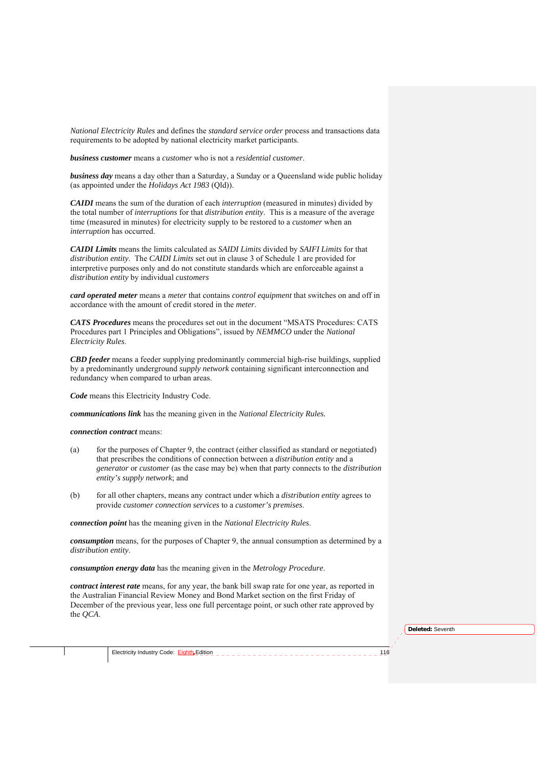*National Electricity Rules* and defines the *standard service order* process and transactions data requirements to be adopted by national electricity market participants.

*business customer* means a *customer* who is not a *residential customer*.

*business day* means a day other than a Saturday, a Sunday or a Queensland wide public holiday (as appointed under the *Holidays Act 1983* (Qld)).

*CAIDI* means the sum of the duration of each *interruption* (measured in minutes) divided by the total number of *interruptions* for that *distribution entity*. This is a measure of the average time (measured in minutes) for electricity supply to be restored to a *customer* when an *interruption* has occurred.

*CAIDI Limits* means the limits calculated as *SAIDI Limits* divided by *SAIFI Limits* for that *distribution entity*. The *CAIDI Limits* set out in clause 3 of Schedule 1 are provided for interpretive purposes only and do not constitute standards which are enforceable against a *distribution entity* by individual *customers*

*card operated meter* means a *meter* that contains *control equipment* that switches on and off in accordance with the amount of credit stored in the *meter*.

*CATS Procedures* means the procedures set out in the document "MSATS Procedures: CATS Procedures part 1 Principles and Obligations", issued by *NEMMCO* under the *National Electricity Rules*.

*CBD feeder* means a feeder supplying predominantly commercial high-rise buildings, supplied by a predominantly underground *supply network* containing significant interconnection and redundancy when compared to urban areas.

*Code* means this Electricity Industry Code.

*communications link* has the meaning given in the *National Electricity Rules.*

*connection contract* means:

- (a) for the purposes of Chapter 9, the contract (either classified as standard or negotiated) that prescribes the conditions of connection between a *distribution entity* and a *generator* or *customer* (as the case may be) when that party connects to the *distribution entity's supply network*; and
- (b) for all other chapters, means any contract under which a *distribution entity* agrees to provide *customer connection services* to a *customer's premises*.

*connection point* has the meaning given in the *National Electricity Rules*.

*consumption* means, for the purposes of Chapter 9, the annual consumption as determined by a *distribution entity*.

*consumption energy data* has the meaning given in the *Metrology Procedure*.

*contract interest rate* means, for any year, the bank bill swap rate for one year, as reported in the Australian Financial Review Money and Bond Market section on the first Friday of December of the previous year, less one full percentage point, or such other rate approved by the *QCA*.

**Deleted:** Seventh

Electricity Industry Code:  $Eight Eight$  Edition  $116$  and  $116$  and  $116$  and  $116$  and  $116$ </u>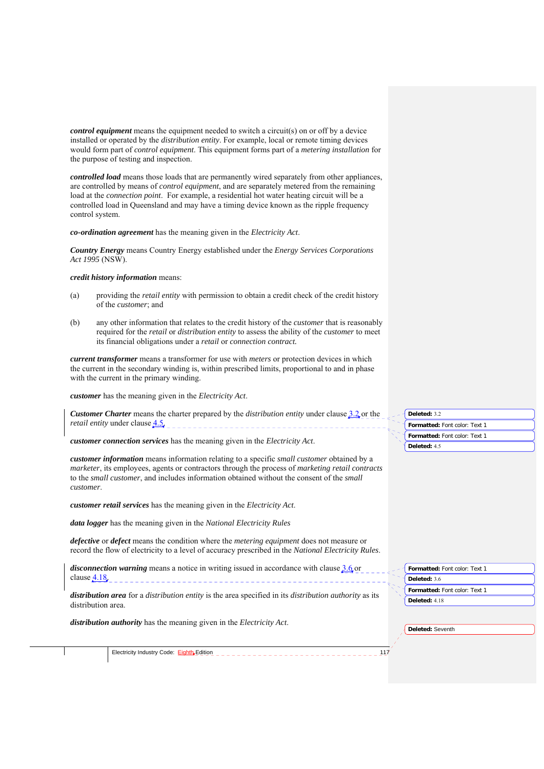*control equipment* means the equipment needed to switch a circuit(s) on or off by a device installed or operated by the *distribution entity*. For example, local or remote timing devices would form part of *control equipment*. This equipment forms part of a *metering installation* for the purpose of testing and inspection.

*controlled load* means those loads that are permanently wired separately from other appliances, are controlled by means of *control equipment*, and are separately metered from the remaining load at the *connection point*. For example, a residential hot water heating circuit will be a controlled load in Queensland and may have a timing device known as the ripple frequency control system.

*co-ordination agreement* has the meaning given in the *Electricity Act*.

*Country Energy* means Country Energy established under the *Energy Services Corporations Act 1995* (NSW).

#### *credit history information* means:

- (a) providing the *retail entity* with permission to obtain a credit check of the credit history of the *customer*; and
- (b) any other information that relates to the credit history of the *customer* that is reasonably required for the *retail* or *distribution entity* to assess the ability of the *customer* to meet its financial obligations under a *retail* or *connection contract.*

*current transformer* means a transformer for use with *meters* or protection devices in which the current in the secondary winding is, within prescribed limits, proportional to and in phase with the current in the primary winding.

*customer* has the meaning given in the *Electricity Act*.

*Customer Charter* means the charter prepared by the *distribution entity* under clause 3.2 or the *retail entity* under clause 4.5.

*customer connection services* has the meaning given in the *Electricity Act*.

*customer information* means information relating to a specific *small customer* obtained by a *marketer*, its employees, agents or contractors through the process of *marketing retail contracts* to the *small customer*, and includes information obtained without the consent of the *small customer*.

*customer retail services* has the meaning given in the *Electricity Act*.

*data logger* has the meaning given in the *National Electricity Rules*

*defective* or *defect* means the condition where the *metering equipment* does not measure or record the flow of electricity to a level of accuracy prescribed in the *National Electricity Rules*.

*disconnection warning* means a notice in writing issued in accordance with clause 3.6 or clause <u>4.18</u>.

*distribution area* for a *distribution entity* is the area specified in its *distribution authority* as its distribution area.

Electricity Industry Code: Eighth Edition 117

*distribution authority* has the meaning given in the *Electricity Act*.

| Deleted: 3.2                  |
|-------------------------------|
|                               |
| Formatted: Font color: Text 1 |
| Formatted: Font color: Text 1 |
|                               |
| Deleted: 4.5                  |
|                               |

|                 | Formatted: Font color: Text 1 |
|-----------------|-------------------------------|
| Deleted: $4.18$ |                               |
|                 |                               |

**Formatted:** Font color: Text 1

**Deleted:** Seventh

**Deleted:** 3.6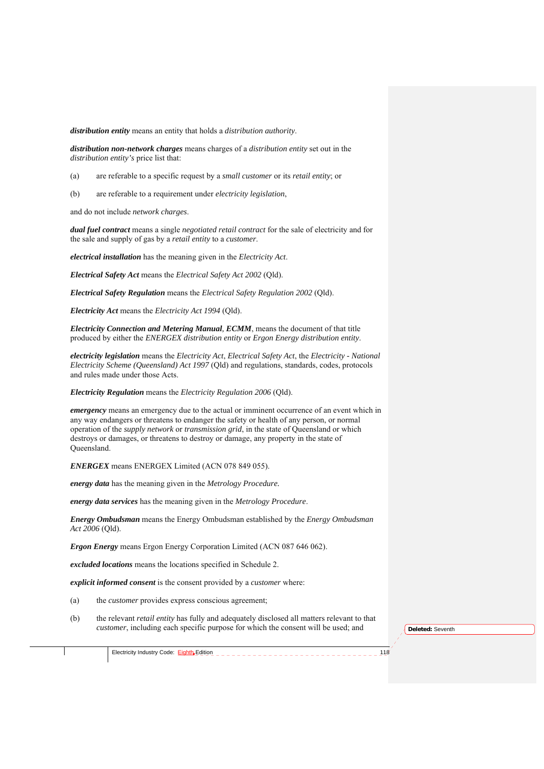*distribution entity* means an entity that holds a *distribution authority*.

*distribution non-network charges* means charges of a *distribution entity* set out in the *distribution entity's* price list that:

- (a) are referable to a specific request by a *small customer* or its *retail entity*; or
- (b) are referable to a requirement under *electricity legislation*,

and do not include *network charges*.

*dual fuel contract* means a single *negotiated retail contract* for the sale of electricity and for the sale and supply of gas by a *retail entity* to a *customer*.

*electrical installation* has the meaning given in the *Electricity Act*.

*Electrical Safety Act* means the *Electrical Safety Act 2002* (Qld).

*Electrical Safety Regulation* means the *Electrical Safety Regulation 2002* (Qld).

*Electricity Act* means the *Electricity Act 1994* (Qld).

*Electricity Connection and Metering Manual, ECMM*, means the document of that title produced by either the *ENERGEX distribution entity* or *Ergon Energy distribution entity*.

*electricity legislation* means the *Electricity Act*, *Electrical Safety Act*, the *Electricity - National Electricity Scheme (Queensland) Act 1997* (Qld) and regulations, standards, codes, protocols and rules made under those Acts.

*Electricity Regulation* means the *Electricity Regulation 2006* (Qld).

*emergency* means an emergency due to the actual or imminent occurrence of an event which in any way endangers or threatens to endanger the safety or health of any person, or normal operation of the *supply network* or *transmission grid*, in the state of Queensland or which destroys or damages, or threatens to destroy or damage, any property in the state of Queensland.

*ENERGEX* means ENERGEX Limited (ACN 078 849 055).

*energy data* has the meaning given in the *Metrology Procedure.*

*energy data services* has the meaning given in the *Metrology Procedure*.

*Energy Ombudsman* means the Energy Ombudsman established by the *Energy Ombudsman Act 2006* (Qld).

*Ergon Energy* means Ergon Energy Corporation Limited (ACN 087 646 062).

*excluded locations* means the locations specified in Schedule 2.

*explicit informed consent* is the consent provided by a *customer* where:

- (a) the *customer* provides express conscious agreement;
- (b) the relevant *retail entity* has fully and adequately disclosed all matters relevant to that *customer*, including each specific purpose for which the consent will be used; and

**Deleted:** Seventh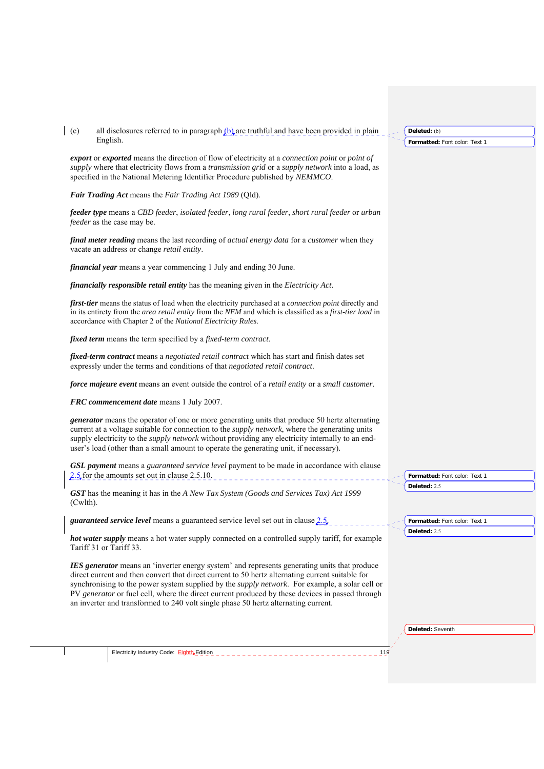#### (c) all disclosures referred to in paragraph  $(b)$  are truthful and have been provided in plain English.

*export* or *exported* means the direction of flow of electricity at a *connection point* or *point of supply* where that electricity flows from a *transmission grid* or a *supply network* into a load, as specified in the National Metering Identifier Procedure published by *NEMMCO*.

*Fair Trading Act* means the *Fair Trading Act 1989* (Qld).

*feeder type* means a *CBD feeder*, *isolated feeder*, *long rural feeder*, *short rural feeder* or *urban feeder* as the case may be.

*final meter reading* means the last recording of *actual energy data* for a *customer* when they vacate an address or change *retail entity*.

*financial year* means a year commencing 1 July and ending 30 June.

*financially responsible retail entity* has the meaning given in the *Electricity Act*.

*first-tier* means the status of load when the electricity purchased at a *connection point* directly and in its entirety from the *area retail entity* from the *NEM* and which is classified as a *first-tier load* in accordance with Chapter 2 of the *National Electricity Rules*.

*fixed term* means the term specified by a *fixed-term contract*.

*fixed-term contract* means a *negotiated retail contract* which has start and finish dates set expressly under the terms and conditions of that *negotiated retail contract*.

*force majeure event* means an event outside the control of a *retail entity* or a *small customer*.

*FRC commencement date* means 1 July 2007.

*generator* means the operator of one or more generating units that produce 50 hertz alternating current at a voltage suitable for connection to the *supply network*, where the generating units supply electricity to the *supply network* without providing any electricity internally to an enduser's load (other than a small amount to operate the generating unit, if necessary).

*GSL payment* means a *guaranteed service level* payment to be made in accordance with clause 2.5 for the amounts set out in clause 2.5.10.

*GST* has the meaning it has in the *A New Tax System (Goods and Services Tax) Act 1999*  (Cwlth).

*guaranteed service level* means a guaranteed service level set out in clause 2.5.

*hot water supply* means a hot water supply connected on a controlled supply tariff, for example Tariff 31 or Tariff 33.

*IES generator* means an 'inverter energy system' and represents generating units that produce direct current and then convert that direct current to 50 hertz alternating current suitable for synchronising to the power system supplied by the *supply network*. For example, a solar cell or PV *generator* or fuel cell, where the direct current produced by these devices in passed through an inverter and transformed to 240 volt single phase 50 hertz alternating current.

**Formatted:** Font color: Text 1 **Deleted:** (b)

**Deleted:** Seventh

**Formatted:** Font color: Text 1

**Formatted:** Font color: Text 1

**Deleted:** 2.5

**Deleted:** 2.5

Electricity Industry Code:  $\frac{Eight_bE}{\text{dition}}$   $\frac{1}{2}$   $\frac{1}{2}$   $\frac{1}{2}$   $\frac{1}{2}$   $\frac{1}{2}$   $\frac{1}{2}$   $\frac{1}{2}$   $\frac{1}{2}$   $\frac{1}{2}$   $\frac{1}{2}$   $\frac{1}{2}$   $\frac{1}{2}$   $\frac{1}{2}$   $\frac{1}{2}$   $\frac{1}{2}$   $\frac{1}{2}$   $\frac{1}{2}$   $\frac{1}{2}$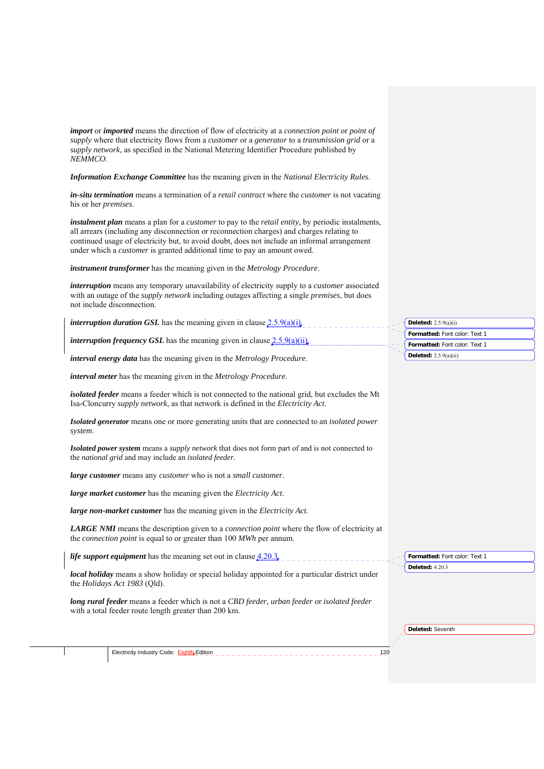*import* or *imported* means the direction of flow of electricity at a *connection point* or *point of supply* where that electricity flows from a *customer* or a *generator* to a *transmission grid* or a *supply network*, as specified in the National Metering Identifier Procedure published by *NEMMCO*.

*Information Exchange Committee* has the meaning given in the *National Electricity Rules*.

*in-situ termination* means a termination of a *retail contract* where the *customer* is not vacating his or her *premises*.

*instalment plan* means a plan for a *customer* to pay to the *retail entity*, by periodic instalments, all arrears (including any disconnection or reconnection charges) and charges relating to continued usage of electricity but, to avoid doubt, does not include an informal arrangement under which a *customer* is granted additional time to pay an amount owed.

*instrument transformer* has the meaning given in the *Metrology Procedure*.

| <i>interruption</i> means any temporary unavailability of electricity supply to a <i>customer</i> associated<br>with an outage of the <i>supply network</i> including outages affecting a single <i>premises</i> , but does<br>not include disconnection. |                                                                                          |
|-----------------------------------------------------------------------------------------------------------------------------------------------------------------------------------------------------------------------------------------------------------|------------------------------------------------------------------------------------------|
| <i>interruption duration GSL</i> has the meaning given in clause $2.5.9(a)(i)$ .<br><i>interruption frequency GSL</i> has the meaning given in clause $2.5.9(a)(ii)$                                                                                      | Deleted: $2.5.9(a)(i)$<br>Formatted: Font color: Text 1<br>Formatted: Font color: Text 1 |
| interval energy data has the meaning given in the Metrology Procedure.                                                                                                                                                                                    | Deleted: $2.5.9(a)(ii)$                                                                  |
| interval meter has the meaning given in the Metrology Procedure.                                                                                                                                                                                          |                                                                                          |
| <i>isolated feeder</i> means a feeder which is not connected to the national grid, but excludes the Mt<br>Isa-Cloncurry <i>supply network</i> , as that network is defined in the <i>Electricity Act</i> .                                                |                                                                                          |
| Isolated generator means one or more generating units that are connected to an <i>isolated power</i><br>system.                                                                                                                                           |                                                                                          |
| <b>Isolated power system</b> means a <i>supply network</i> that does not form part of and is not connected to<br>the <i>national grid</i> and may include an <i>isolated feeder</i> .                                                                     |                                                                                          |
| large customer means any customer who is not a small customer.                                                                                                                                                                                            |                                                                                          |
| large market customer has the meaning given the Electricity Act.                                                                                                                                                                                          |                                                                                          |
| large non-market customer has the meaning given in the Electricity Act.                                                                                                                                                                                   |                                                                                          |
| <b>LARGE NMI</b> means the description given to a <i>connection point</i> where the flow of electricity at<br>the <i>connection point</i> is equal to or greater than 100 <i>MWh</i> per annum.                                                           |                                                                                          |
| <i>life support equipment</i> has the meaning set out in clause $4.20.3$ ,                                                                                                                                                                                | Formatted: Font color: Text 1                                                            |
|                                                                                                                                                                                                                                                           | <b>Deleted: 4.20.3</b>                                                                   |

*local holiday* means a show holiday or special holiday appointed for a particular district under the *Holidays Act 1983* (Qld).

*long rural feeder* means a feeder which is not a *CBD feeder*, *urban feeder* or *isolated feeder* with a total feeder route length greater than 200 km.

**Deleted:** Seventh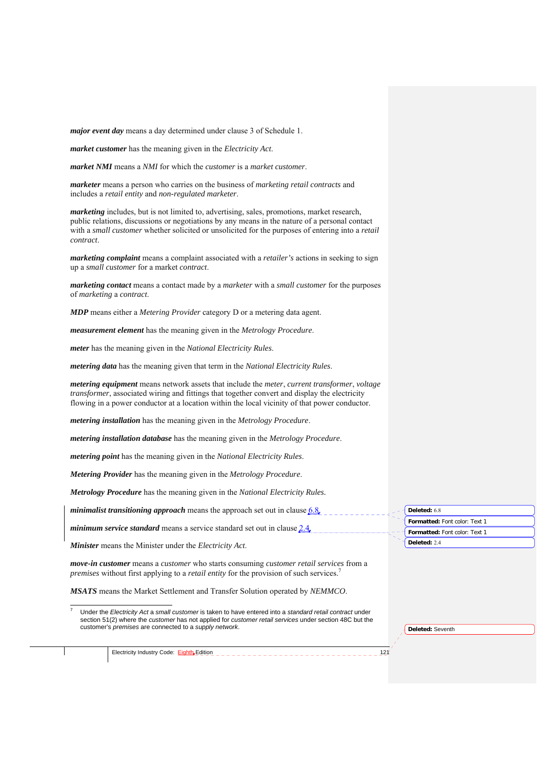*major event day* means a day determined under clause 3 of Schedule 1.

*market customer* has the meaning given in the *Electricity Act*.

*market NMI* means a *NMI* for which the *customer* is a *market customer*.

*marketer* means a person who carries on the business of *marketing retail contracts* and includes a *retail entity* and *non-regulated marketer*.

*marketing* includes, but is not limited to, advertising, sales, promotions, market research, public relations, discussions or negotiations by any means in the nature of a personal contact with a *small customer* whether solicited or unsolicited for the purposes of entering into a *retail contract*.

*marketing complaint* means a complaint associated with a *retailer's* actions in seeking to sign up a *small customer* for a market *contract*.

*marketing contact* means a contact made by a *marketer* with a *small customer* for the purposes of *marketing* a *contract*.

*MDP* means either a *Metering Provider* category D or a metering data agent.

*measurement element* has the meaning given in the *Metrology Procedure*.

*meter* has the meaning given in the *National Electricity Rules*.

*metering data* has the meaning given that term in the *National Electricity Rules*.

*metering equipment* means network assets that include the *meter*, *current transformer*, *voltage transformer*, associated wiring and fittings that together convert and display the electricity flowing in a power conductor at a location within the local vicinity of that power conductor.

*metering installation* has the meaning given in the *Metrology Procedure*.

*metering installation database* has the meaning given in the *Metrology Procedure*.

*metering point* has the meaning given in the *National Electricity Rules*.

*Metering Provider* has the meaning given in the *Metrology Procedure*.

*Metrology Procedure* has the meaning given in the *National Electricity Rules.*

*minimalist transitioning approach* means the approach set out in clause 6.8.

*minimum service standard* means a service standard set out in clause 2.4.

*Minister* means the Minister under the *Electricity Act*.

1 7

*move-in customer* means a *customer* who starts consuming *customer retail services* from a *premises* without first applying to a *retail entity* for the provision of such services.<sup>7</sup>

*MSATS* means the Market Settlement and Transfer Solution operated by *NEMMCO*.

 Under the *Electricity Act* a *small customer* is taken to have entered into a *standard retail contract* under section 51(2) where the *customer* has not applied for *customer retail services* under section 48C but the customer's *premises* are connected to a *supply network*.

Electricity Industry Code: Eighth Edition 121

**Formatted:** Font color: Text 1 **Deleted:** 6.8 **Formatted:** Font color: Text 1 **Deleted:** 2.4

**Deleted:** Seventh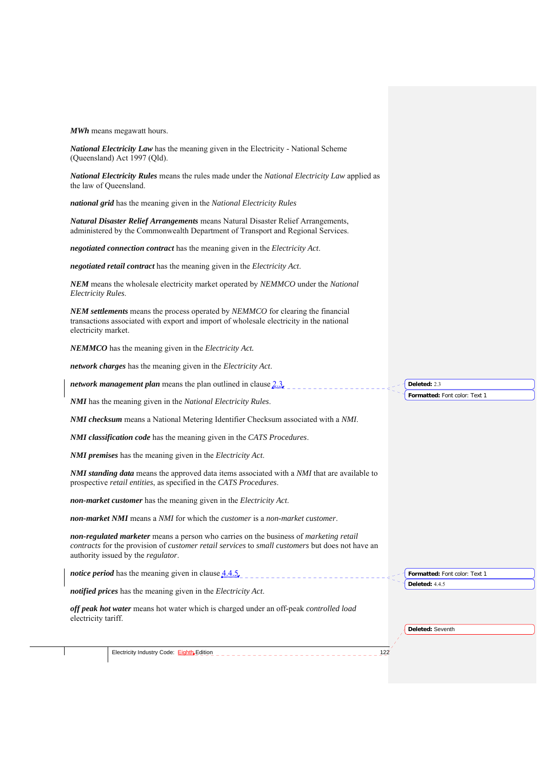|                     | <b>MWh</b> means megawatt hours.                                                                                                                                                                                               |                               |  |
|---------------------|--------------------------------------------------------------------------------------------------------------------------------------------------------------------------------------------------------------------------------|-------------------------------|--|
|                     | National Electricity Law has the meaning given in the Electricity - National Scheme<br>(Queensland) Act 1997 (Qld).                                                                                                            |                               |  |
|                     | National Electricity Rules means the rules made under the National Electricity Law applied as<br>the law of Queensland.                                                                                                        |                               |  |
|                     | national grid has the meaning given in the National Electricity Rules                                                                                                                                                          |                               |  |
|                     | Natural Disaster Relief Arrangements means Natural Disaster Relief Arrangements,<br>administered by the Commonwealth Department of Transport and Regional Services.                                                            |                               |  |
|                     | negotiated connection contract has the meaning given in the Electricity Act.                                                                                                                                                   |                               |  |
|                     | negotiated retail contract has the meaning given in the Electricity Act.                                                                                                                                                       |                               |  |
| Electricity Rules.  | NEM means the wholesale electricity market operated by NEMMCO under the National                                                                                                                                               |                               |  |
| electricity market. | NEM settlements means the process operated by NEMMCO for clearing the financial<br>transactions associated with export and import of wholesale electricity in the national                                                     |                               |  |
|                     | NEMMCO has the meaning given in the Electricity Act.                                                                                                                                                                           |                               |  |
|                     | network charges has the meaning given in the Electricity Act.                                                                                                                                                                  |                               |  |
|                     | <i>network management plan</i> means the plan outlined in clause 2.3.                                                                                                                                                          | Deleted: 2.3                  |  |
|                     |                                                                                                                                                                                                                                | Formatted: Font color: Text 1 |  |
|                     | <b>NMI</b> has the meaning given in the National Electricity Rules.                                                                                                                                                            |                               |  |
|                     | NMI checksum means a National Metering Identifier Checksum associated with a NMI.                                                                                                                                              |                               |  |
|                     | NMI classification code has the meaning given in the CATS Procedures.                                                                                                                                                          |                               |  |
|                     | <b>NMI premises</b> has the meaning given in the Electricity Act.                                                                                                                                                              |                               |  |
|                     | <b>NMI standing data</b> means the approved data items associated with a NMI that are available to<br>prospective retail entities, as specified in the CATS Procedures.                                                        |                               |  |
|                     | non-market customer has the meaning given in the Electricity Act.                                                                                                                                                              |                               |  |
|                     | <b>non-market NMI</b> means a NMI for which the <i>customer</i> is a non-market customer.                                                                                                                                      |                               |  |
|                     | non-regulated marketer means a person who carries on the business of marketing retail<br>contracts for the provision of customer retail services to small customers but does not have an<br>authority issued by the regulator. |                               |  |
|                     | <i>notice period</i> has the meaning given in clause $4.4.5$ ,                                                                                                                                                                 | Formatted: Font color: Text 1 |  |
|                     | notified prices has the meaning given in the Electricity Act.                                                                                                                                                                  | <b>Deleted: 4.4.5</b>         |  |
| electricity tariff. | off peak hot water means hot water which is charged under an off-peak controlled load                                                                                                                                          |                               |  |
|                     |                                                                                                                                                                                                                                | Deleted: Seventh              |  |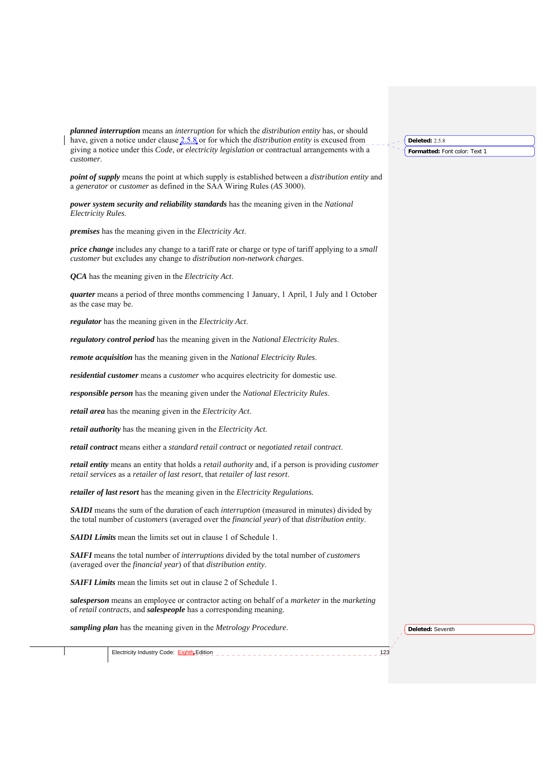*planned interruption* means an *interruption* for which the *distribution entity* has, or should have, given a notice under clause 2.5.8 or for which the *distribution entity* is excused from giving a notice under this *Code*, or *electricity legislation* or contractual arrangements with a *customer*.

*point of supply* means the point at which supply is established between a *distribution entity* and a *generator* or *customer* as defined in the SAA Wiring Rules (*AS* 3000).

*power system security and reliability standards* has the meaning given in the *National Electricity Rules*.

*premises* has the meaning given in the *Electricity Act*.

*price change* includes any change to a tariff rate or charge or type of tariff applying to a *small customer* but excludes any change to *distribution non-network charges*.

*QCA* has the meaning given in the *Electricity Act*.

*quarter* means a period of three months commencing 1 January, 1 April, 1 July and 1 October as the case may be.

*regulator* has the meaning given in the *Electricity Act*.

*regulatory control period* has the meaning given in the *National Electricity Rules*.

*remote acquisition* has the meaning given in the *National Electricity Rules*.

*residential customer* means a *customer* who acquires electricity for domestic use.

*responsible person* has the meaning given under the *National Electricity Rules*.

*retail area* has the meaning given in the *Electricity Act*.

*retail authority* has the meaning given in the *Electricity Act*.

*retail contract* means either a *standard retail contract* or *negotiated retail contract*.

*retail entity* means an entity that holds a *retail authority* and, if a person is providing *customer retail services* as a *retailer of last resort*, that *retailer of last resort*.

*retailer of last resort* has the meaning given in the *Electricity Regulations.*

*SAIDI* means the sum of the duration of each *interruption* (measured in minutes) divided by the total number of *customers* (averaged over the *financial year*) of that *distribution entity*.

*SAIDI Limits* mean the limits set out in clause 1 of Schedule 1.

*SAIFI* means the total number of *interruptions* divided by the total number of *customers* (averaged over the *financial year*) of that *distribution entity*.

*SAIFI Limits* mean the limits set out in clause 2 of Schedule 1.

*salesperson* means an employee or contractor acting on behalf of a *marketer* in the *marketing* of *retail contracts*, and *salespeople* has a corresponding meaning.

*sampling plan* has the meaning given in the *Metrology Procedure*.

**Deleted:** Seventh

Electricity Industry Code: Eighth Edition 123

**Formatted:** Font color: Text 1 **Deleted:** 2.5.8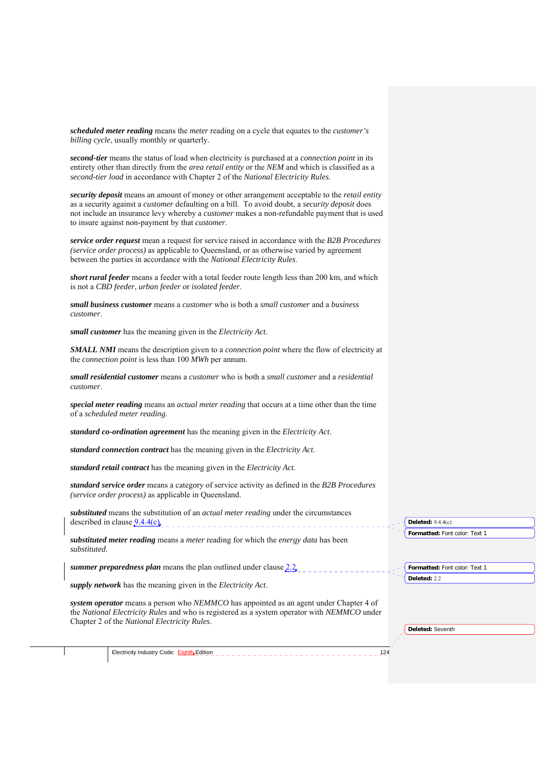*scheduled meter reading* means the *meter* reading on a cycle that equates to the *customer's billing cycle*, usually monthly or quarterly.

*second-tier* means the status of load when electricity is purchased at a *connection point* in its entirety other than directly from the *area retail entity* or the *NEM* and which is classified as a *second-tier load* in accordance with Chapter 2 of the *National Electricity Rules*.

*security deposit* means an amount of money or other arrangement acceptable to the *retail entity*  as a security against a *customer* defaulting on a bill. To avoid doubt, a *security deposit* does not include an insurance levy whereby a *customer* makes a non-refundable payment that is used to insure against non-payment by that *customer*.

*service order request* mean a request for service raised in accordance with the *B2B Procedures (service order process)* as applicable to Queensland, or as otherwise varied by agreement between the parties in accordance with the *National Electricity Rules*.

*short rural feeder* means a feeder with a total feeder route length less than 200 km, and which is not a *CBD feeder*, *urban feeder* or *isolated feeder*.

*small business customer* means a *customer* who is both a *small customer* and a *business customer*.

*small customer* has the meaning given in the *Electricity Act*.

*SMALL NMI* means the description given to a *connection point* where the flow of electricity at the *connection point* is less than 100 *MWh* per annum.

*small residential customer* means a *customer* who is both a *small customer* and a *residential customer*.

*special meter reading* means an *actual meter reading* that occurs at a time other than the time of a *scheduled meter reading*.

*standard co-ordination agreement* has the meaning given in the *Electricity Act*.

*standard connection contract* has the meaning given in the *Electricity Act*.

*standard retail contract* has the meaning given in the *Electricity Act*.

*standard service order* means a category of service activity as defined in the *B2B Procedures (service order process)* as applicable in Queensland.

*substituted* means the substitution of an *actual meter reading* under the circumstances described in clause  $9.4.4(c)$ .

*substituted meter reading* means a *meter* reading for which the *energy data* has been *substituted*.

*summer preparedness plan* means the plan outlined under clause 2.2.

*supply network* has the meaning given in the *Electricity Act*.

*system operator* means a person who *NEMMCO* has appointed as an agent under Chapter 4 of the *National Electricity Rules* and who is registered as a system operator with *NEMMCO* under Chapter 2 of the *National Electricity Rules*.

**Deleted:** Seventh

**Deleted:** 2.2

**Formatted:** Font color: Text 1

**Formatted:** Font color: Text 1

**Deleted:** 9.4.4(c)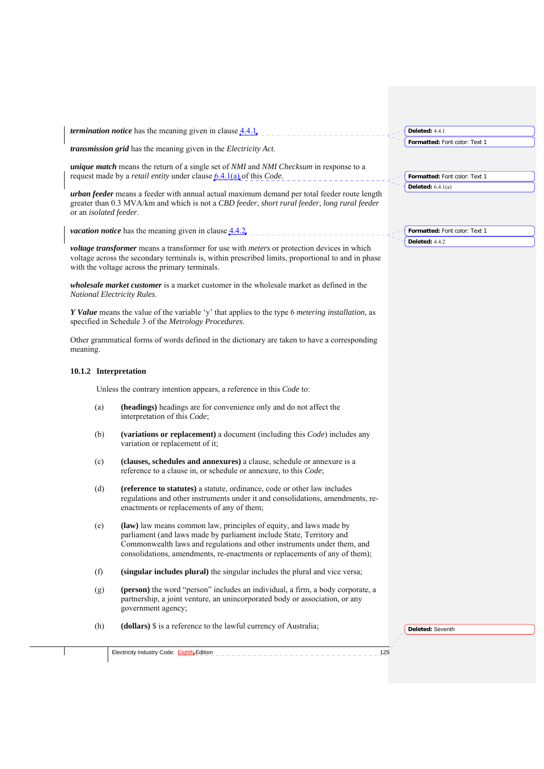| Formatted: Font color: Text 1<br>transmission grid has the meaning given in the Electricity Act.<br><i>unique match</i> means the return of a single set of <i>NMI</i> and <i>NMI</i> Checksum in response to a<br>request made by a <i>retail entity</i> under clause 6.4.1(a) of this <i>Code</i> .<br>Formatted: Font color: Text 1<br>Deleted: $6.4.1(a)$<br>urban feeder means a feeder with annual actual maximum demand per total feeder route length<br>greater than 0.3 MVA/km and which is not a CBD feeder, short rural feeder, long rural feeder<br>or an isolated feeder.<br><i>vacation notice</i> has the meaning given in clause $4.4.2$ ,<br>Formatted: Font color: Text 1<br>Deleted: 4.4.2<br><i>voltage transformer</i> means a transformer for use with <i>meters</i> or protection devices in which<br>voltage across the secondary terminals is, within prescribed limits, proportional to and in phase<br>with the voltage across the primary terminals.<br><i>wholesale market customer</i> is a market customer in the wholesale market as defined in the<br>National Electricity Rules.<br>Y Value means the value of the variable 'y' that applies to the type 6 metering installation, as<br>specified in Schedule 3 of the Metrology Procedures.<br>Other grammatical forms of words defined in the dictionary are taken to have a corresponding<br>meaning.<br>10.1.2 Interpretation<br>Unless the contrary intention appears, a reference in this Code to:<br>(headings) headings are for convenience only and do not affect the<br>(a)<br>interpretation of this Code;<br>(variations or replacement) a document (including this Code) includes any<br>(b)<br>variation or replacement of it;<br>(clauses, schedules and annexures) a clause, schedule or annexure is a<br>(c)<br>reference to a clause in, or schedule or annexure, to this Code;<br>(d)<br>(reference to statutes) a statute, ordinance, code or other law includes<br>regulations and other instruments under it and consolidations, amendments, re-<br>enactments or replacements of any of them;<br>(law) law means common law, principles of equity, and laws made by<br>(e)<br>parliament (and laws made by parliament include State, Territory and<br>Commonwealth laws and regulations and other instruments under them, and<br>consolidations, amendments, re-enactments or replacements of any of them);<br>(singular includes plural) the singular includes the plural and vice versa;<br>(f)<br>(person) the word "person" includes an individual, a firm, a body corporate, a<br>(g)<br>partnership, a joint venture, an unincorporated body or association, or any<br>government agency;<br>(dollars) \$ is a reference to the lawful currency of Australia;<br>(h)<br>Deleted: Seventh | <i>termination notice</i> has the meaning given in clause $4.4.1$ , | Deleted: 4.4.1 |
|---------------------------------------------------------------------------------------------------------------------------------------------------------------------------------------------------------------------------------------------------------------------------------------------------------------------------------------------------------------------------------------------------------------------------------------------------------------------------------------------------------------------------------------------------------------------------------------------------------------------------------------------------------------------------------------------------------------------------------------------------------------------------------------------------------------------------------------------------------------------------------------------------------------------------------------------------------------------------------------------------------------------------------------------------------------------------------------------------------------------------------------------------------------------------------------------------------------------------------------------------------------------------------------------------------------------------------------------------------------------------------------------------------------------------------------------------------------------------------------------------------------------------------------------------------------------------------------------------------------------------------------------------------------------------------------------------------------------------------------------------------------------------------------------------------------------------------------------------------------------------------------------------------------------------------------------------------------------------------------------------------------------------------------------------------------------------------------------------------------------------------------------------------------------------------------------------------------------------------------------------------------------------------------------------------------------------------------------------------------------------------------------------------------------------------------------------------------------------------------------------------------------------------------------------------------------------------------------------------------------------------------------------------------------------------------------------------------------------------------------------------------------------------------------------------|---------------------------------------------------------------------|----------------|
|                                                                                                                                                                                                                                                                                                                                                                                                                                                                                                                                                                                                                                                                                                                                                                                                                                                                                                                                                                                                                                                                                                                                                                                                                                                                                                                                                                                                                                                                                                                                                                                                                                                                                                                                                                                                                                                                                                                                                                                                                                                                                                                                                                                                                                                                                                                                                                                                                                                                                                                                                                                                                                                                                                                                                                                                         |                                                                     |                |
|                                                                                                                                                                                                                                                                                                                                                                                                                                                                                                                                                                                                                                                                                                                                                                                                                                                                                                                                                                                                                                                                                                                                                                                                                                                                                                                                                                                                                                                                                                                                                                                                                                                                                                                                                                                                                                                                                                                                                                                                                                                                                                                                                                                                                                                                                                                                                                                                                                                                                                                                                                                                                                                                                                                                                                                                         |                                                                     |                |
|                                                                                                                                                                                                                                                                                                                                                                                                                                                                                                                                                                                                                                                                                                                                                                                                                                                                                                                                                                                                                                                                                                                                                                                                                                                                                                                                                                                                                                                                                                                                                                                                                                                                                                                                                                                                                                                                                                                                                                                                                                                                                                                                                                                                                                                                                                                                                                                                                                                                                                                                                                                                                                                                                                                                                                                                         |                                                                     |                |
|                                                                                                                                                                                                                                                                                                                                                                                                                                                                                                                                                                                                                                                                                                                                                                                                                                                                                                                                                                                                                                                                                                                                                                                                                                                                                                                                                                                                                                                                                                                                                                                                                                                                                                                                                                                                                                                                                                                                                                                                                                                                                                                                                                                                                                                                                                                                                                                                                                                                                                                                                                                                                                                                                                                                                                                                         |                                                                     |                |
|                                                                                                                                                                                                                                                                                                                                                                                                                                                                                                                                                                                                                                                                                                                                                                                                                                                                                                                                                                                                                                                                                                                                                                                                                                                                                                                                                                                                                                                                                                                                                                                                                                                                                                                                                                                                                                                                                                                                                                                                                                                                                                                                                                                                                                                                                                                                                                                                                                                                                                                                                                                                                                                                                                                                                                                                         |                                                                     |                |
|                                                                                                                                                                                                                                                                                                                                                                                                                                                                                                                                                                                                                                                                                                                                                                                                                                                                                                                                                                                                                                                                                                                                                                                                                                                                                                                                                                                                                                                                                                                                                                                                                                                                                                                                                                                                                                                                                                                                                                                                                                                                                                                                                                                                                                                                                                                                                                                                                                                                                                                                                                                                                                                                                                                                                                                                         |                                                                     |                |
|                                                                                                                                                                                                                                                                                                                                                                                                                                                                                                                                                                                                                                                                                                                                                                                                                                                                                                                                                                                                                                                                                                                                                                                                                                                                                                                                                                                                                                                                                                                                                                                                                                                                                                                                                                                                                                                                                                                                                                                                                                                                                                                                                                                                                                                                                                                                                                                                                                                                                                                                                                                                                                                                                                                                                                                                         |                                                                     |                |
|                                                                                                                                                                                                                                                                                                                                                                                                                                                                                                                                                                                                                                                                                                                                                                                                                                                                                                                                                                                                                                                                                                                                                                                                                                                                                                                                                                                                                                                                                                                                                                                                                                                                                                                                                                                                                                                                                                                                                                                                                                                                                                                                                                                                                                                                                                                                                                                                                                                                                                                                                                                                                                                                                                                                                                                                         |                                                                     |                |
|                                                                                                                                                                                                                                                                                                                                                                                                                                                                                                                                                                                                                                                                                                                                                                                                                                                                                                                                                                                                                                                                                                                                                                                                                                                                                                                                                                                                                                                                                                                                                                                                                                                                                                                                                                                                                                                                                                                                                                                                                                                                                                                                                                                                                                                                                                                                                                                                                                                                                                                                                                                                                                                                                                                                                                                                         |                                                                     |                |
|                                                                                                                                                                                                                                                                                                                                                                                                                                                                                                                                                                                                                                                                                                                                                                                                                                                                                                                                                                                                                                                                                                                                                                                                                                                                                                                                                                                                                                                                                                                                                                                                                                                                                                                                                                                                                                                                                                                                                                                                                                                                                                                                                                                                                                                                                                                                                                                                                                                                                                                                                                                                                                                                                                                                                                                                         |                                                                     |                |
|                                                                                                                                                                                                                                                                                                                                                                                                                                                                                                                                                                                                                                                                                                                                                                                                                                                                                                                                                                                                                                                                                                                                                                                                                                                                                                                                                                                                                                                                                                                                                                                                                                                                                                                                                                                                                                                                                                                                                                                                                                                                                                                                                                                                                                                                                                                                                                                                                                                                                                                                                                                                                                                                                                                                                                                                         |                                                                     |                |
|                                                                                                                                                                                                                                                                                                                                                                                                                                                                                                                                                                                                                                                                                                                                                                                                                                                                                                                                                                                                                                                                                                                                                                                                                                                                                                                                                                                                                                                                                                                                                                                                                                                                                                                                                                                                                                                                                                                                                                                                                                                                                                                                                                                                                                                                                                                                                                                                                                                                                                                                                                                                                                                                                                                                                                                                         |                                                                     |                |
|                                                                                                                                                                                                                                                                                                                                                                                                                                                                                                                                                                                                                                                                                                                                                                                                                                                                                                                                                                                                                                                                                                                                                                                                                                                                                                                                                                                                                                                                                                                                                                                                                                                                                                                                                                                                                                                                                                                                                                                                                                                                                                                                                                                                                                                                                                                                                                                                                                                                                                                                                                                                                                                                                                                                                                                                         |                                                                     |                |
|                                                                                                                                                                                                                                                                                                                                                                                                                                                                                                                                                                                                                                                                                                                                                                                                                                                                                                                                                                                                                                                                                                                                                                                                                                                                                                                                                                                                                                                                                                                                                                                                                                                                                                                                                                                                                                                                                                                                                                                                                                                                                                                                                                                                                                                                                                                                                                                                                                                                                                                                                                                                                                                                                                                                                                                                         |                                                                     |                |
|                                                                                                                                                                                                                                                                                                                                                                                                                                                                                                                                                                                                                                                                                                                                                                                                                                                                                                                                                                                                                                                                                                                                                                                                                                                                                                                                                                                                                                                                                                                                                                                                                                                                                                                                                                                                                                                                                                                                                                                                                                                                                                                                                                                                                                                                                                                                                                                                                                                                                                                                                                                                                                                                                                                                                                                                         |                                                                     |                |
|                                                                                                                                                                                                                                                                                                                                                                                                                                                                                                                                                                                                                                                                                                                                                                                                                                                                                                                                                                                                                                                                                                                                                                                                                                                                                                                                                                                                                                                                                                                                                                                                                                                                                                                                                                                                                                                                                                                                                                                                                                                                                                                                                                                                                                                                                                                                                                                                                                                                                                                                                                                                                                                                                                                                                                                                         |                                                                     |                |
|                                                                                                                                                                                                                                                                                                                                                                                                                                                                                                                                                                                                                                                                                                                                                                                                                                                                                                                                                                                                                                                                                                                                                                                                                                                                                                                                                                                                                                                                                                                                                                                                                                                                                                                                                                                                                                                                                                                                                                                                                                                                                                                                                                                                                                                                                                                                                                                                                                                                                                                                                                                                                                                                                                                                                                                                         |                                                                     |                |
|                                                                                                                                                                                                                                                                                                                                                                                                                                                                                                                                                                                                                                                                                                                                                                                                                                                                                                                                                                                                                                                                                                                                                                                                                                                                                                                                                                                                                                                                                                                                                                                                                                                                                                                                                                                                                                                                                                                                                                                                                                                                                                                                                                                                                                                                                                                                                                                                                                                                                                                                                                                                                                                                                                                                                                                                         |                                                                     |                |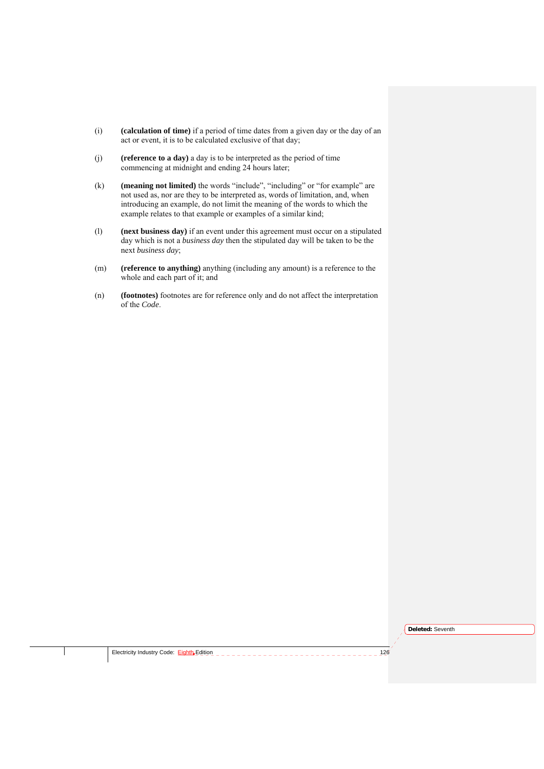- (i) **(calculation of time)** if a period of time dates from a given day or the day of an act or event, it is to be calculated exclusive of that day;
- (j) **(reference to a day)** a day is to be interpreted as the period of time commencing at midnight and ending 24 hours later;
- (k) **(meaning not limited)** the words "include", "including" or "for example" are not used as, nor are they to be interpreted as, words of limitation, and, when introducing an example, do not limit the meaning of the words to which the example relates to that example or examples of a similar kind;
- (l) **(next business day)** if an event under this agreement must occur on a stipulated day which is not a *business day* then the stipulated day will be taken to be the next *business day*;
- (m) **(reference to anything)** anything (including any amount) is a reference to the whole and each part of it; and
- (n) **(footnotes)** footnotes are for reference only and do not affect the interpretation of the *Code*.

**Deleted:** Seventh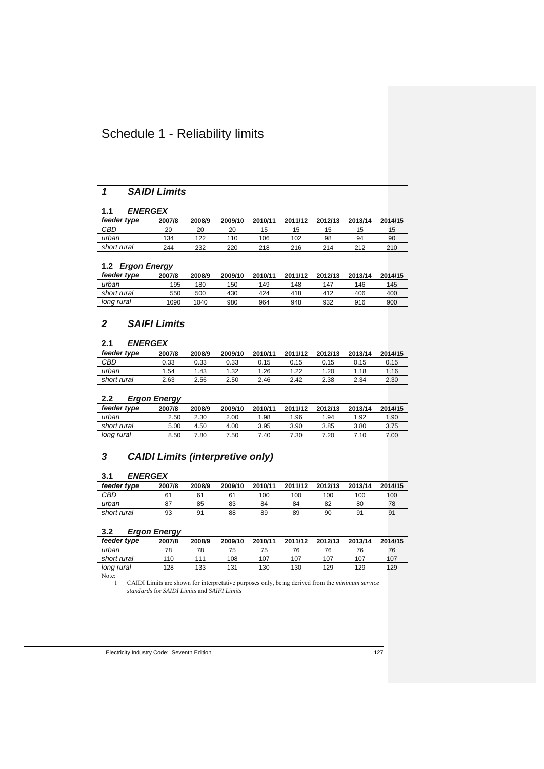## Schedule 1 - Reliability limits

## *1 SAIDI Limits*

## **1.1** *ENERGEX*

| .<br>________ |        |        |         |         |         |         |         |         |
|---------------|--------|--------|---------|---------|---------|---------|---------|---------|
| feeder type   | 2007/8 | 2008/9 | 2009/10 | 2010/11 | 2011/12 | 2012/13 | 2013/14 | 2014/15 |
| CBD           | 20     | 20     | 20      | 15      | 15      | 15      | 15      | 15      |
| urban         | 134    | 122    | 110     | 106     | 102     | 98      | 94      | 90      |
| short rural   | 244    | 232    | 220     | 218     | 216     | 214     | 212     | 210     |
|               |        |        |         |         |         |         |         |         |

#### **1.2** *Ergon Energy*

|             | --     |        |         |         |         |         |         |         |
|-------------|--------|--------|---------|---------|---------|---------|---------|---------|
| feeder type | 2007/8 | 2008/9 | 2009/10 | 2010/11 | 2011/12 | 2012/13 | 2013/14 | 2014/15 |
| urban       | 195    | 180    | 150     | 149     | 148     | 147     | 146     | 145     |
| short rural | 550    | 500    | 430     | 424     | 418     | 412     | 406     | 400     |
| long rural  | 1090   | 1040   | 980     | 964     | 948     | 932     | 916     | 900     |

## *2 SAIFI Limits*

#### **2.1** *ENERGEX*

| feeder type | 2007/8 | 2008/9 | 2009/10 | 2010/11 | 2011/12 | 2012/13 | 2013/14 | 2014/15 |
|-------------|--------|--------|---------|---------|---------|---------|---------|---------|
| CBD         | 0.33   | 0.33   | ን.33    | 0.15    | ა.15    | 0.15    | 0.15    | 0.15    |
| urban       | 1.54   | l .43  | 1.32    | 1.26    | 1.22    | .20     | 1.18    | 1.16    |
| short rural | 2.63   | 2.56   | 2.50    | 2.46    | 2.42    | 2.38    | 2.34    | 2.30    |

## **2.2** *Ergon Energy*

| feeder type | 2007/8 | 2008/9 | 2009/10 | 2010/11 | 2011/12 | 2012/13 | 2013/14 | 2014/15 |
|-------------|--------|--------|---------|---------|---------|---------|---------|---------|
| urban       | 2.50   | 2.30   | 2.00    | 1.98    | 96.∣    | 1.94    | 1.92    | 1.90    |
| short rural | 5.00   | 4.50   | 4.00    | 3.95    | 3.90    | 3.85    | 3.80    | 3.75    |
| long rural  | 8.50   | 7.80   | 7.50    | 7.40    | 7.30    | 7.20    | 7.10    | 7.00    |

## *3 CAIDI Limits (interpretive only)*

## **3.1** *ENERGEX*

| feeder type | 2007/8 | 2008/9 | 2009/10 | 2010/11 | 2011/12 | 2012/13 | 2013/14 | 2014/15 |
|-------------|--------|--------|---------|---------|---------|---------|---------|---------|
| CBD         |        | 61     |         | 100     | 100     | 100     | 100     | 100     |
| urban       | 87     | 85     | 83      | 84      | 84      | 82      | 80      | 78      |
| short rural | 93     | 9′     | 88      | 89      | 89      | 90      | 91      | 91      |
|             |        |        |         |         |         |         |         |         |

## **3.2** *Ergon Energy*

| feeder type | 2007/8 | 2008/9 | 2009/10 | 2010/11 | 2011/12 | 2012/13 | 2013/14 | 2014/15 |
|-------------|--------|--------|---------|---------|---------|---------|---------|---------|
| urban       |        |        | 75      | 75      | 76      | 76      | 76      | 76      |
| short rural | 110    |        | 108     | 107     | 107     | 107     | 107     | 107     |
| long rural  | 128    | 133    | 131     | 130     | 130     | 129     | 129     | 129     |
|             |        |        |         |         |         |         |         |         |

Note:

1 CAIDI Limits are shown for interpretative purposes only, being derived from the *minimum service standards* for *SAIDI Limits* and *SAIFI Limits*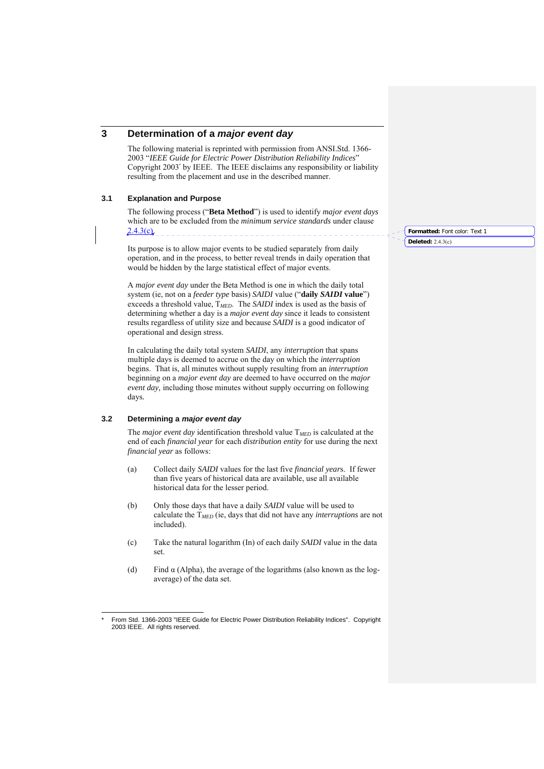## **3 Determination of a** *major event day*

The following material is reprinted with permission from ANSI.Std. 1366- 2003 "*IEEE Guide for Electric Power Distribution Reliability Indices*" Copyright 2003\* by IEEE. The IEEE disclaims any responsibility or liability resulting from the placement and use in the described manner.

### **3.1 Explanation and Purpose**

The following process ("**Beta Method**") is used to identify *major event days*  which are to be excluded from the *minimum service standards* under clause  $2.4.3(c)$ 

Its purpose is to allow major events to be studied separately from daily operation, and in the process, to better reveal trends in daily operation that would be hidden by the large statistical effect of major events.

A *major event day* under the Beta Method is one in which the daily total system (ie, not on a *feeder type* basis) *SAIDI* value ("**daily** *SAIDI* **value**") exceeds a threshold value, T*MED*. The *SAIDI* index is used as the basis of determining whether a day is a *major event day* since it leads to consistent results regardless of utility size and because *SAIDI* is a good indicator of operational and design stress.

In calculating the daily total system *SAIDI*, any *interruption* that spans multiple days is deemed to accrue on the day on which the *interruption* begins. That is, all minutes without supply resulting from an *interruption*  beginning on a *major event day* are deemed to have occurred on the *major event day,* including those minutes without supply occurring on following days*.*

#### **3.2 Determining a** *major event day*

The *major event day* identification threshold value T*MED* is calculated at the end of each *financial year* for each *distribution entity* for use during the next *financial year* as follows:

- (a) Collect daily *SAIDI* values for the last five *financial year*s. If fewer than five years of historical data are available, use all available historical data for the lesser period.
- (b) Only those days that have a daily *SAIDI* value will be used to calculate the T*MED* (ie, days that did not have any *interruptions* are not included).
- (c) Take the natural logarithm (In) of each daily *SAIDI* value in the data set.
- (d) Find  $\alpha$  (Alpha), the average of the logarithms (also known as the logaverage) of the data set.

**Formatted:** Font color: Text 1 **Deleted:** 2.4.3(c)

 $\overline{a}$ From Std. 1366-2003 "IEEE Guide for Electric Power Distribution Reliability Indices". Copyright 2003 IEEE. All rights reserved.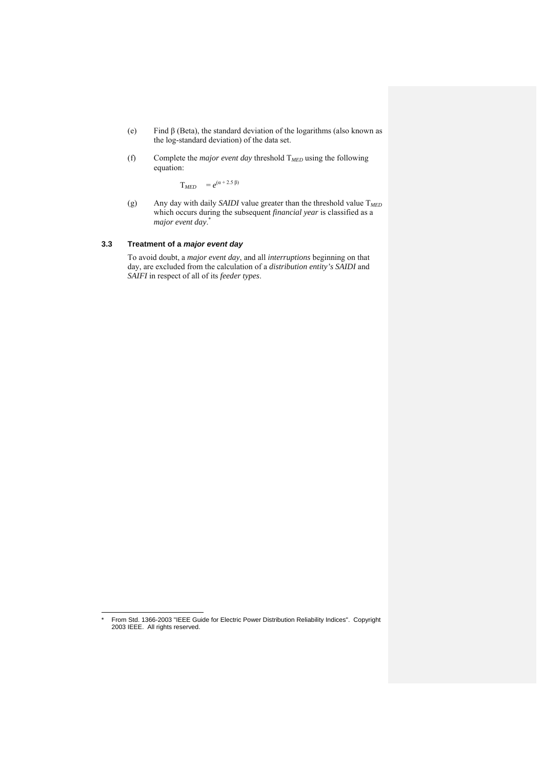- (e) Find β (Beta), the standard deviation of the logarithms (also known as the log-standard deviation) of the data set.
- (f) Complete the *major event day* threshold T*MED* using the following equation:

 $T_{MED}$  =  $e^{(\alpha + 2.5 \beta)}$ 

(g) Any day with daily *SAIDI* value greater than the threshold value T*MED* which occurs during the subsequent *financial year* is classified as a *major event day*. \*

#### **3.3 Treatment of a** *major event day*

To avoid doubt, a *major event day*, and all *interruptions* beginning on that day, are excluded from the calculation of a *distribution entity's SAIDI* and *SAIFI* in respect of all of its *feeder types*.

 $\overline{a}$ 

From Std. 1366-2003 "IEEE Guide for Electric Power Distribution Reliability Indices". Copyright 2003 IEEE. All rights reserved.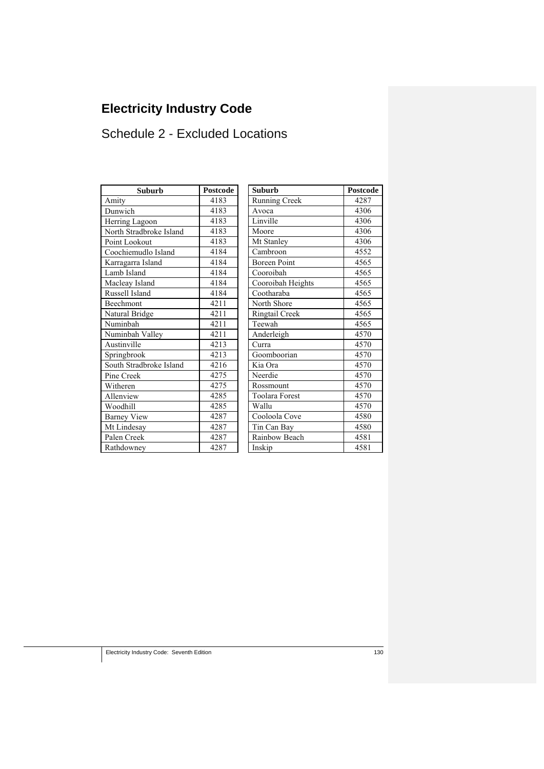# **Electricity Industry Code**

## Schedule 2 - Excluded Locations

| Suburb                  | Postcode | <b>Suburb</b>         | Postcod |
|-------------------------|----------|-----------------------|---------|
| Amity                   | 4183     | <b>Running Creek</b>  | 4287    |
| Dunwich                 | 4183     | Avoca                 | 4306    |
| Herring Lagoon          | 4183     | Linville              | 4306    |
| North Stradbroke Island | 4183     | Moore                 | 4306    |
| Point Lookout           | 4183     | Mt Stanley            | 4306    |
| Coochiemudlo Island     | 4184     | Cambroon              | 4552    |
| Karragarra Island       | 4184     | <b>Boreen Point</b>   | 4565    |
| Lamb Island             | 4184     | Cooroibah             | 4565    |
| Macleay Island          | 4184     | Cooroibah Heights     | 4565    |
| Russell Island          | 4184     | Cootharaba            | 4565    |
| Beechmont               | 4211     | North Shore           | 4565    |
| Natural Bridge          | 4211     | Ringtail Creek        | 4565    |
| Numinbah                | 4211     | Teewah                | 4565    |
| Numinbah Valley         | 4211     | Anderleigh            | 4570    |
| Austinville             | 4213     | Curra                 | 4570    |
| Springbrook             | 4213     | Goomboorian           | 4570    |
| South Stradbroke Island | 4216     | Kia Ora               | 4570    |
| Pine Creek              | 4275     | Neerdie               | 4570    |
| Witheren                | 4275     | Rossmount             | 4570    |
| Allenview               | 4285     | <b>Toolara Forest</b> | 4570    |
| Woodhill                | 4285     | Wallu                 | 4570    |
| <b>Barney View</b>      | 4287     | Cooloola Cove         | 4580    |
| Mt Lindesay             | 4287     | Tin Can Bay           | 4580    |
| Palen Creek             | 4287     | Rainbow Beach         | 4581    |
| Rathdowney              | 4287     | Inskip                | 4581    |

| Suburb              | <b>Postcode</b> | <b>Suburb</b>         | <b>Postcode</b> |
|---------------------|-----------------|-----------------------|-----------------|
|                     | 4183            | Running Creek         | 4287            |
|                     | 4183            | Avoca                 | 4306            |
| agoon               | 4183            | Linville              | 4306            |
| adbroke Island      | 4183            | Moore                 | 4306            |
| kout                | 4183            | Mt Stanley            | 4306            |
| udlo Island         | 4184            | Cambroon              | 4552            |
| a Island            | 4184            | <b>Boreen Point</b>   | 4565            |
| nd                  | 4184            | Cooroibah             | 4565            |
| sland               | 4184            | Cooroibah Heights     | 4565            |
| land                | 4184            | Cootharaba            | 4565            |
| $\mathfrak{u}$      | 4211            | North Shore           | 4565            |
| ridge               | 4211            | Ringtail Creek        | 4565            |
| J.                  | 4211            | Teewah                | 4565            |
| 1 Valley            | 4211            | Anderleigh            | 4570            |
| e                   | 4213            | Curra                 | 4570            |
| $\overline{\alpha}$ | 4213            | Goomboorian           | 4570            |
| adbroke Island      | 4216            | Kia Ora               | 4570            |
| k                   | 4275            | Neerdie               | 4570            |
|                     | 4275            | Rossmount             | 4570            |
|                     | 4285            | <b>Toolara Forest</b> | 4570            |
|                     | 4285            | Wallu                 | 4570            |
| iew                 | 4287            | Cooloola Cove         | 4580            |
| say                 | 4287            | Tin Can Bay           | 4580            |
| ek                  | 4287            | Rainbow Beach         | 4581            |
| ev                  | 4287            | Inskip                | 4581            |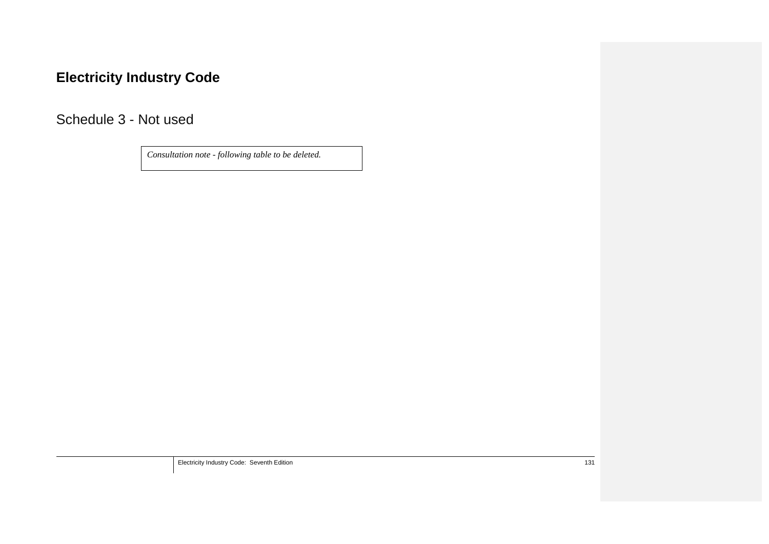# **Electricity Industry Code**

Schedule 3 - Not used

*Consultation note - following table to be deleted.* 

Electricity Industry Code: Seventh Edition 131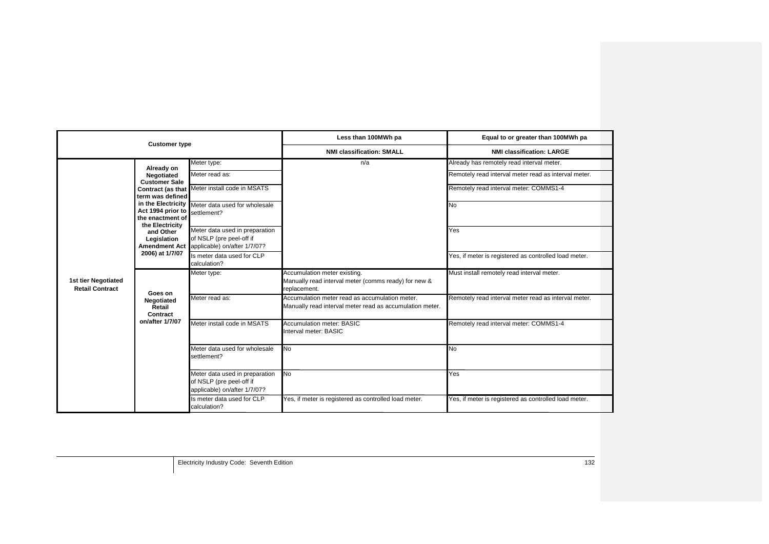| <b>Customer type</b>                          |                                                                |                                                                                                          | Less than 100MWh pa                                                                                        | Equal to or greater than 100MWh pa                    |  |
|-----------------------------------------------|----------------------------------------------------------------|----------------------------------------------------------------------------------------------------------|------------------------------------------------------------------------------------------------------------|-------------------------------------------------------|--|
|                                               |                                                                |                                                                                                          | <b>NMI classification: SMALL</b>                                                                           | <b>NMI classification: LARGE</b>                      |  |
|                                               | Already on                                                     | Meter type:                                                                                              | n/a                                                                                                        | Already has remotely read interval meter.             |  |
|                                               | Negotiated<br><b>Customer Sale</b>                             | Meter read as:                                                                                           |                                                                                                            | Remotely read interval meter read as interval meter.  |  |
|                                               | term was defined                                               | Contract (as that Meter install code in MSATS                                                            |                                                                                                            | Remotely read interval meter: COMMS1-4                |  |
| 1st tier Negotiated<br><b>Retail Contract</b> | Act 1994 prior to<br>the enactment of<br>the Electricity       | in the Electricity Meter data used for wholesale<br>settlement?                                          |                                                                                                            | <b>No</b>                                             |  |
|                                               | and Other<br>Legislation                                       | Meter data used in preparation<br>of NSLP (pre peel-off if<br>Amendment Act applicable) on/after 1/7/07? |                                                                                                            | Yes                                                   |  |
|                                               | 2006) at 1/7/07                                                | Is meter data used for CLP<br>calculation?                                                               |                                                                                                            | Yes, if meter is registered as controlled load meter. |  |
|                                               | Goes on<br>Negotiated<br>Retail<br>Contract<br>on/after 1/7/07 | Meter type:                                                                                              | Accumulation meter existing.<br>Manually read interval meter (comms ready) for new &<br>replacement.       | Must install remotely read interval meter.            |  |
|                                               |                                                                | Meter read as:                                                                                           | Accumulation meter read as accumulation meter.<br>Manually read interval meter read as accumulation meter. | Remotely read interval meter read as interval meter.  |  |
|                                               |                                                                | Meter install code in MSATS                                                                              | <b>Accumulation meter: BASIC</b><br>Interval meter: BASIC                                                  | Remotely read interval meter: COMMS1-4                |  |
|                                               |                                                                | Meter data used for wholesale<br>settlement?                                                             | <b>No</b>                                                                                                  | N <sub>o</sub>                                        |  |
|                                               |                                                                | Meter data used in preparation<br>of NSLP (pre peel-off if<br>applicable) on/after 1/7/07?               | <b>No</b>                                                                                                  | Yes                                                   |  |
|                                               |                                                                | Is meter data used for CLP<br>calculation?                                                               | Yes, if meter is registered as controlled load meter.                                                      | Yes, if meter is registered as controlled load meter. |  |

Electricity Industry Code: Seventh Edition 132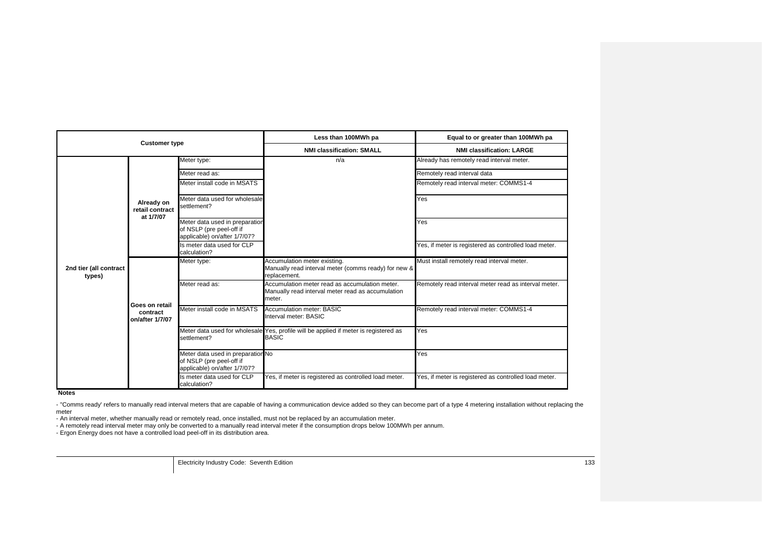| <b>Customer type</b>             |                                               | Less than 100MWh pa                                                                           | Equal to or greater than 100MWh pa                                                                            |                                                       |
|----------------------------------|-----------------------------------------------|-----------------------------------------------------------------------------------------------|---------------------------------------------------------------------------------------------------------------|-------------------------------------------------------|
|                                  |                                               | <b>NMI classification: SMALL</b>                                                              | <b>NMI classification: LARGE</b>                                                                              |                                                       |
|                                  |                                               | Meter type:                                                                                   | n/a                                                                                                           | Already has remotely read interval meter.             |
|                                  |                                               | Meter read as:                                                                                |                                                                                                               | Remotely read interval data                           |
|                                  |                                               | Meter install code in MSATS                                                                   |                                                                                                               | Remotely read interval meter: COMMS1-4                |
|                                  | Already on<br>retail contract<br>at 1/7/07    | Meter data used for wholesale<br>settlement?                                                  |                                                                                                               | Yes                                                   |
|                                  |                                               | Meter data used in preparation<br>of NSLP (pre peel-off if<br>applicable) on/after 1/7/07?    |                                                                                                               | Yes                                                   |
|                                  |                                               | Is meter data used for CLP<br>calculation?                                                    |                                                                                                               | Yes, if meter is registered as controlled load meter. |
| 2nd tier (all contract<br>types) |                                               | Meter type:                                                                                   | Accumulation meter existing.<br>Manually read interval meter (comms ready) for new &<br>replacement.          | Must install remotely read interval meter.            |
|                                  | Goes on retail<br>contract<br>on/after 1/7/07 | Meter read as:                                                                                | Accumulation meter read as accumulation meter.<br>Manually read interval meter read as accumulation<br>meter. | Remotely read interval meter read as interval meter.  |
|                                  |                                               | Meter install code in MSATS                                                                   | Accumulation meter: BASIC<br>Interval meter: BASIC                                                            | Remotely read interval meter: COMMS1-4                |
|                                  |                                               | settlement?                                                                                   | Meter data used for wholesale Yes, profile will be applied if meter is registered as<br><b>BASIC</b>          | Yes                                                   |
|                                  |                                               | Meter data used in preparation No<br>of NSLP (pre peel-off if<br>applicable) on/after 1/7/07? |                                                                                                               | Yes                                                   |
|                                  |                                               | Is meter data used for CLP<br>calculation?                                                    | Yes, if meter is registered as controlled load meter.                                                         | Yes, if meter is registered as controlled load meter. |

**Notes**

- "Comms ready' refers to manually read interval meters that are capable of having a communication device added so they can become part of a type 4 metering installation without replacing the meter

...co...<br>- An interval meter, whether manually read or remotely read, once installed, must not be replaced by an accumulation meter.<br>- A remotely read interval meter may only be converted to a manually read interval meter

Electricity Industry Code: Seventh Edition 133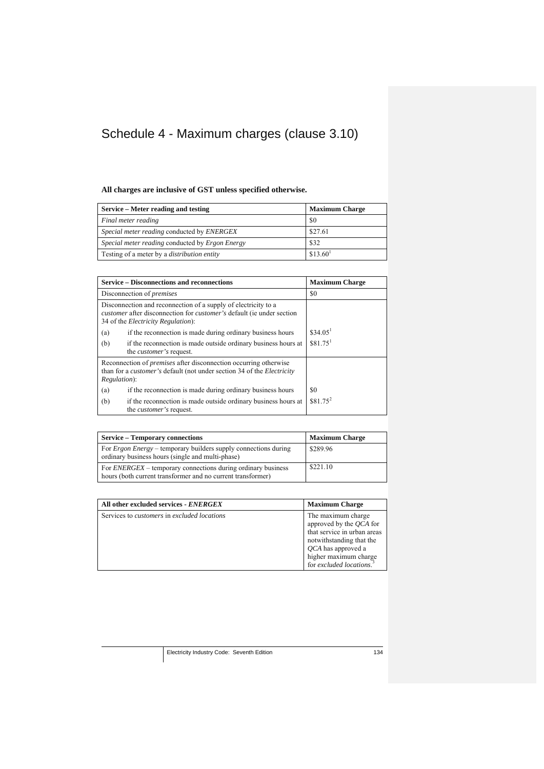## Schedule 4 - Maximum charges (clause 3.10)

## **All charges are inclusive of GST unless specified otherwise.**

| Service – Meter reading and testing                | <b>Maximum Charge</b> |
|----------------------------------------------------|-----------------------|
| Final meter reading                                | \$0                   |
| Special meter reading conducted by ENERGEX         | \$27.61               |
| Special meter reading conducted by Ergon Energy    | \$32                  |
| Testing of a meter by a <i>distribution entity</i> | \$13.60 <sup>1</sup>  |

|                      | <b>Service – Disconnections and reconnections</b>                                                                                                                                                    | <b>Maximum Charge</b> |
|----------------------|------------------------------------------------------------------------------------------------------------------------------------------------------------------------------------------------------|-----------------------|
|                      | Disconnection of <i>premises</i>                                                                                                                                                                     | \$0                   |
|                      | Disconnection and reconnection of a supply of electricity to a<br><i>customer</i> after disconnection for <i>customer</i> 's default (ie under section<br>34 of the <i>Electricity Regulation</i> ): |                       |
| (a)                  | if the reconnection is made during ordinary business hours                                                                                                                                           | \$34.05 <sup>1</sup>  |
| (b)                  | if the reconnection is made outside ordinary business hours at<br>the <i>customer's</i> request.                                                                                                     | $$81.75$ <sup>1</sup> |
| <i>Regulation</i> ): | Reconnection of <i>premises</i> after disconnection occurring otherwise<br>than for a <i>customer's</i> default (not under section 34 of the <i>Electricity</i>                                      |                       |
| (a)                  | if the reconnection is made during ordinary business hours                                                                                                                                           | \$0                   |
| (b)                  | if the reconnection is made outside ordinary business hours at<br>the <i>customer's</i> request.                                                                                                     | $$81.75^2$            |

| <b>Service – Temporary connections</b>                                                                                             | <b>Maximum Charge</b> |
|------------------------------------------------------------------------------------------------------------------------------------|-----------------------|
| For <i>Ergon Energy</i> – temporary builders supply connections during<br>ordinary business hours (single and multi-phase)         | \$289.96              |
| For <i>ENERGEX</i> – temporary connections during ordinary business<br>hours (both current transformer and no current transformer) | \$221.10              |

| All other excluded services - ENERGEX                     | <b>Maximum Charge</b>                                                                                                                                                                         |
|-----------------------------------------------------------|-----------------------------------------------------------------------------------------------------------------------------------------------------------------------------------------------|
| Services to <i>customers</i> in <i>excluded locations</i> | The maximum charge<br>approved by the QCA for<br>that service in urban areas<br>notwithstanding that the<br><i>OCA</i> has approved a<br>higher maximum charge<br>for excluded locations. $3$ |